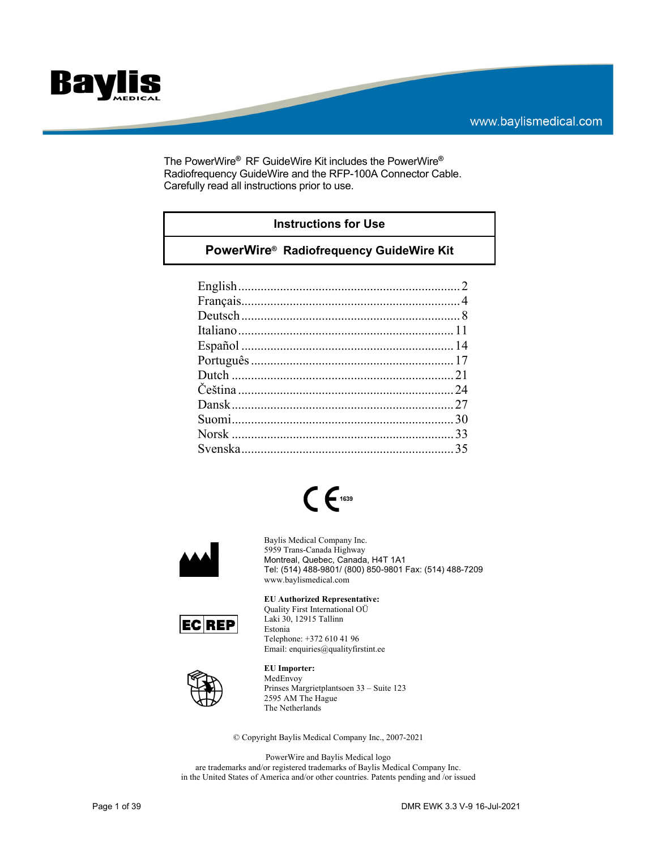

The PowerWire**®** RF GuideWire Kit includes the PowerWire**®** Radiofrequency GuideWire and the RFP-100A Connector Cable. Carefully read all instructions prior to use.

### **Instructions for Use**

## **PowerWire® Radiofrequency GuideWire Kit**





Baylis Medical Company Inc. 5959 Trans-Canada Highway Montreal, Quebec, Canada, H4T 1A1 Tel: (514) 488-9801/ (800) 850-9801 Fax: (514) 488-7209 www.baylismedical.com



**EU Authorized Representative:** 

Quality First International OÜ Laki 30, 12915 Tallinn Estonia Telephone: +372 610 41 96 Email: enquiries@qualityfirstint.ee



**EU Importer:** 

MedEnvoy Prinses Margrietplantsoen 33 – Suite 123 2595 AM The Hague The Netherlands

© Copyright Baylis Medical Company Inc., 2007-2021

PowerWire and Baylis Medical logo are trademarks and/or registered trademarks of Baylis Medical Company Inc. in the United States of America and/or other countries. Patents pending and /or issued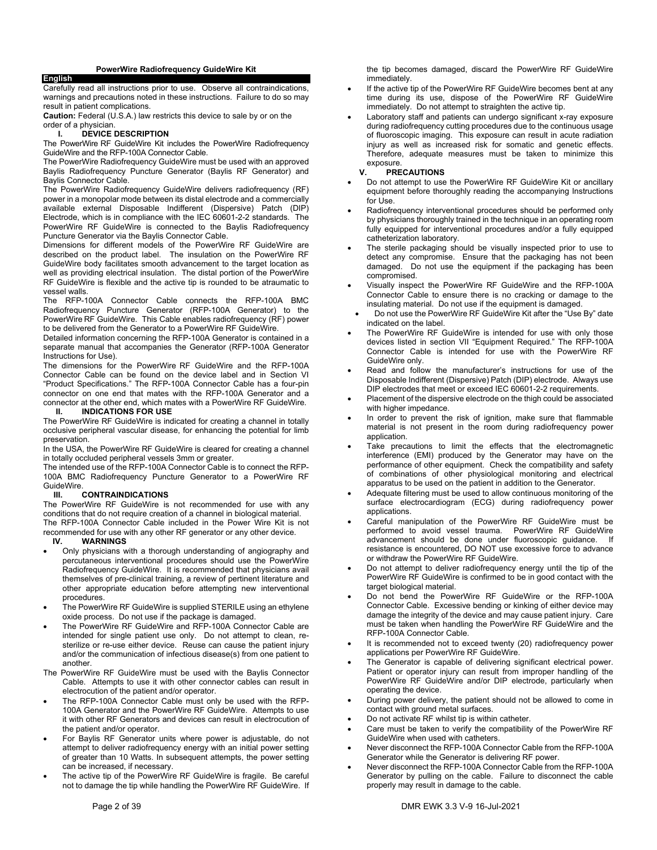**English** 

Carefully read all instructions prior to use. Observe all contraindications, warnings and precautions noted in these instructions. Failure to do so may result in patient complications.

**Caution:** Federal (U.S.A.) law restricts this device to sale by or on the order of a physician.

### **I. DEVICE DESCRIPTION**

The PowerWire RF GuideWire Kit includes the PowerWire Radiofrequency GuideWire and the RFP-100A Connector Cable.

The PowerWire Radiofrequency GuideWire must be used with an approved Baylis Radiofrequency Puncture Generator (Baylis RF Generator) and Baylis Connector Cable.

The PowerWire Radiofrequency GuideWire delivers radiofrequency (RF) power in a monopolar mode between its distal electrode and a commercially available external Disposable Indifferent (Dispersive) Patch (DIP) Electrode, which is in compliance with the IEC 60601-2-2 standards. The PowerWire RF GuideWire is connected to the Baylis Radiofrequency Puncture Generator via the Baylis Connector Cable.

Dimensions for different models of the PowerWire RF GuideWire are described on the product label. The insulation on the PowerWire RF GuideWire body facilitates smooth advancement to the target location as well as providing electrical insulation. The distal portion of the PowerWire RF GuideWire is flexible and the active tip is rounded to be atraumatic to vessel walls.

The RFP-100A Connector Cable connects the RFP-100A BMC Radiofrequency Puncture Generator (RFP-100A Generator) to the PowerWire RF GuideWire. This Cable enables radiofrequency (RF) power to be delivered from the Generator to a PowerWire RF GuideWire.

Detailed information concerning the RFP-100A Generator is contained in a separate manual that accompanies the Generator (RFP-100A Generator Instructions for Use).

The dimensions for the PowerWire RF GuideWire and the RFP-100A Connector Cable can be found on the device label and in Section VI "Product Specifications." The RFP-100A Connector Cable has a four-pin connector on one end that mates with the RFP-100A Generator and a connector at the other end, which mates with a PowerWire RF GuideWire. **II. INDICATIONS FOR USE** 

The PowerWire RF GuideWire is indicated for creating a channel in totally occlusive peripheral vascular disease, for enhancing the potential for limb preservation.

**In the USA, the PowerWire RF GuideWire is cleared for creating a channel** in totally occluded peripheral vessels 3mm or greater.

The intended use of the RFP-100A Connector Cable is to connect the RFP-100A BMC Radiofrequency Puncture Generator to a PowerWire RF GuideWire.

### **III. CONTRAINDICATIONS**

The PowerWire RF GuideWire is not recommended for use with any conditions that do not require creation of a channel in biological material. The RFP-100A Connector Cable included in the Power Wire Kit is not

recommended for use with any other RF generator or any other device.<br>IV. WARNINGS **IV. WARNINGS** 

- Only physicians with a thorough understanding of angiography and percutaneous interventional procedures should use the PowerWire Radiofrequency GuideWire. It is recommended that physicians avail themselves of pre-clinical training, a review of pertinent literature and other appropriate education before attempting new interventional procedures.
- The PowerWire RF GuideWire is supplied STERILE using an ethylene oxide process. Do not use if the package is damaged.
- The PowerWire RF GuideWire and RFP-100A Connector Cable are intended for single patient use only. Do not attempt to clean, resterilize or re-use either device. Reuse can cause the patient injury and/or the communication of infectious disease(s) from one patient to another.
- The PowerWire RF GuideWire must be used with the Baylis Connector Cable. Attempts to use it with other connector cables can result in electrocution of the patient and/or operator.
- The RFP-100A Connector Cable must only be used with the RFP-100A Generator and the PowerWire RF GuideWire. Attempts to use it with other RF Generators and devices can result in electrocution of the patient and/or operator.
- For Baylis RF Generator units where power is adjustable, do not attempt to deliver radiofrequency energy with an initial power setting of greater than 10 Watts. In subsequent attempts, the power setting can be increased, if necessary.
- The active tip of the PowerWire RF GuideWire is fragile. Be careful not to damage the tip while handling the PowerWire RF GuideWire. If

the tip becomes damaged, discard the PowerWire RF GuideWire immediately.

- If the active tip of the PowerWire RF GuideWire becomes bent at any time during its use, dispose of the PowerWire RF GuideWire immediately. Do not attempt to straighten the active tip.
- Laboratory staff and patients can undergo significant x-ray exposure during radiofrequency cutting procedures due to the continuous usage of fluoroscopic imaging. This exposure can result in acute radiation injury as well as increased risk for somatic and genetic effects. Therefore, adequate measures must be taken to minimize this exposure.<br>V. PRE

### **V. PRECAUTIONS**

- Do not attempt to use the PowerWire RF GuideWire Kit or ancillary equipment before thoroughly reading the accompanying Instructions for Use.
- Radiofrequency interventional procedures should be performed only by physicians thoroughly trained in the technique in an operating room fully equipped for interventional procedures and/or a fully equipped catheterization laboratory.
- The sterile packaging should be visually inspected prior to use to detect any compromise. Ensure that the packaging has not been damaged. Do not use the equipment if the packaging has been compromised.
- Visually inspect the PowerWire RF GuideWire and the RFP-100A Connector Cable to ensure there is no cracking or damage to the insulating material. Do not use if the equipment is damaged.
- Do not use the PowerWire RF GuideWire Kit after the "Use By" date indicated on the label.
- The PowerWire RF GuideWire is intended for use with only those devices listed in section VII "Equipment Required." The RFP-100A Connector Cable is intended for use with the PowerWire RF GuideWire only.
- Read and follow the manufacturer's instructions for use of the Disposable Indifferent (Dispersive) Patch (DIP) electrode. Always use DIP electrodes that meet or exceed IEC 60601-2-2 requirements.
- Placement of the dispersive electrode on the thigh could be associated with higher impedance.
- In order to prevent the risk of ignition, make sure that flammable material is not present in the room during radiofrequency power application.
- Take precautions to limit the effects that the electromagnetic interference (EMI) produced by the Generator may have on the performance of other equipment. Check the compatibility and safety of combinations of other physiological monitoring and electrical apparatus to be used on the patient in addition to the Generator.
- Adequate filtering must be used to allow continuous monitoring of the surface electrocardiogram (ECG) during radiofrequency power applications.
- Careful manipulation of the PowerWire RF GuideWire must be performed to avoid vessel trauma. PowerWire RF GuideWire advancement should be done under fluoroscopic guidance. If resistance is encountered, DO NOT use excessive force to advance or withdraw the PowerWire RF GuideWire.
- Do not attempt to deliver radiofrequency energy until the tip of the PowerWire RF GuideWire is confirmed to be in good contact with the target biological material.
- Do not bend the PowerWire RF GuideWire or the RFP-100A Connector Cable. Excessive bending or kinking of either device may damage the integrity of the device and may cause patient injury. Care must be taken when handling the PowerWire RF GuideWire and the RFP-100A Connector Cable.
- It is recommended not to exceed twenty (20) radiofrequency power applications per PowerWire RF GuideWire.
- The Generator is capable of delivering significant electrical power. Patient or operator injury can result from improper handling of the PowerWire RF GuideWire and/or DIP electrode, particularly when operating the device.
- During power delivery, the patient should not be allowed to come in contact with ground metal surfaces.
- Do not activate RF whilst tip is within catheter.
- Care must be taken to verify the compatibility of the PowerWire RF GuideWire when used with catheters.
- Never disconnect the RFP-100A Connector Cable from the RFP-100A Generator while the Generator is delivering RF power.
- Never disconnect the RFP-100A Connector Cable from the RFP-100A Generator by pulling on the cable. Failure to disconnect the cable properly may result in damage to the cable.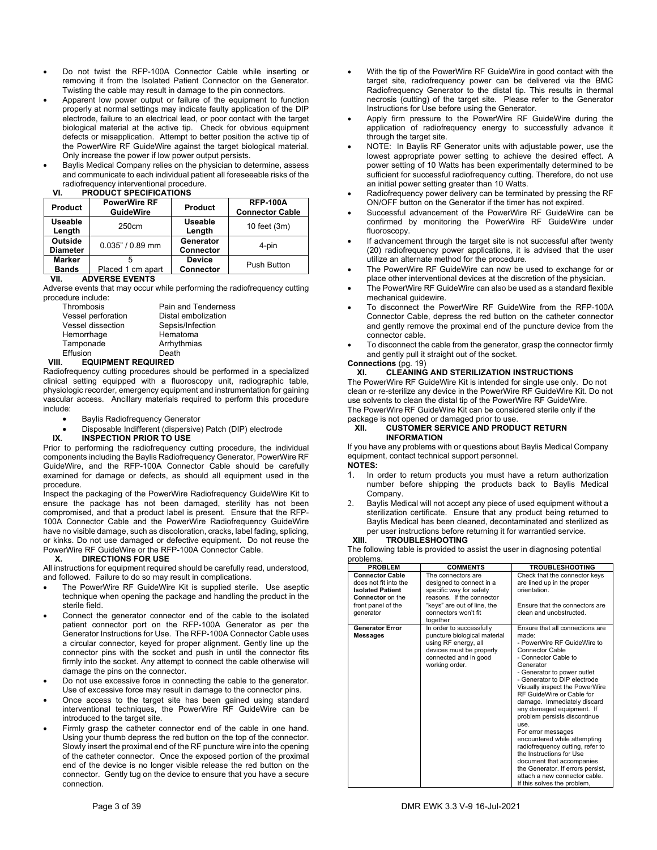- Do not twist the RFP-100A Connector Cable while inserting or removing it from the Isolated Patient Connector on the Generator. Twisting the cable may result in damage to the pin connectors.
- Apparent low power output or failure of the equipment to function properly at normal settings may indicate faulty application of the DIP electrode, failure to an electrical lead, or poor contact with the target biological material at the active tip. Check for obvious equipment defects or misapplication. Attempt to better position the active tip of the PowerWire RF GuideWire against the target biological material. Only increase the power if low power output persists.
- Baylis Medical Company relies on the physician to determine, assess and communicate to each individual patient all foreseeable risks of the radiofrequency interventional procedure.<br>VI. PRODUCT SPECIFICATIONS

### **VI. PRODUCT SPECIFICATIONS**

| Product                       | <b>PowerWire RF</b><br><b>GuideWire</b> | Product                           | <b>RFP-100A</b><br><b>Connector Cable</b> |
|-------------------------------|-----------------------------------------|-----------------------------------|-------------------------------------------|
| <b>Useable</b><br>Length      | 250cm                                   | <b>Useable</b><br>Length          | 10 feet (3m)                              |
| Outside<br><b>Diameter</b>    | $0.035" / 0.89$ mm                      | Generator<br><b>Connector</b>     | 4-pin                                     |
| <b>Marker</b><br><b>Bands</b> | Placed 1 cm apart                       | <b>Device</b><br><b>Connector</b> | Push Button                               |

### **VII. ADVERSE EVENTS**

Adverse events that may occur while performing the radiofrequency cutting procedure include:

| Thrombosis         | Pain and Tenderness |
|--------------------|---------------------|
| Vessel perforation | Distal embolization |
| Vessel dissection  | Sepsis/Infection    |
| Hemorrhage         | Hematoma            |
| Tamponade          | Arrhythmias         |
| Effusion           | Death               |
|                    |                     |

### **VIII. EQUIPMENT REQUIRED**

Radiofrequency cutting procedures should be performed in a specialized clinical setting equipped with a fluoroscopy unit, radiographic table, physiologic recorder, emergency equipment and instrumentation for gaining vascular access. Ancillary materials required to perform this procedure include:

- Baylis Radiofrequency Generator
- Disposable Indifferent (dispersive) Patch (DIP) electrode IX. INSPECTION PRIOR TO USE

### **IX. INSPECTION PRIOR TO USE**

Prior to performing the radiofrequency cutting procedure, the individual components including the Baylis Radiofrequency Generator, PowerWire RF GuideWire, and the RFP-100A Connector Cable should be carefully examined for damage or defects, as should all equipment used in the procedure.

.<br>Inspect the packaging of the PowerWire Radiofrequency GuideWire Kit to ensure the package has not been damaged, sterility has not been compromised, and that a product label is present. Ensure that the RFP-100A Connector Cable and the PowerWire Radiofrequency GuideWire have no visible damage, such as discoloration, cracks, label fading, splicing, or kinks. Do not use damaged or defective equipment. Do not reuse the PowerWire RF GuideWire or the RFP-100A Connector Cable.

### **X. DIRECTIONS FOR USE**

All instructions for equipment required should be carefully read, understood, and followed. Failure to do so may result in complications.

- The PowerWire RF GuideWire Kit is supplied sterile. Use aseptic technique when opening the package and handling the product in the sterile field.
- Connect the generator connector end of the cable to the isolated patient connector port on the RFP-100A Generator as per the Generator Instructions for Use. The RFP-100A Connector Cable uses a circular connector, keyed for proper alignment. Gently line up the connector pins with the socket and push in until the connector fits firmly into the socket. Any attempt to connect the cable otherwise will damage the pins on the connector.
- Do not use excessive force in connecting the cable to the generator. Use of excessive force may result in damage to the connector pins.
- Once access to the target site has been gained using standard interventional techniques, the PowerWire RF GuideWire can be introduced to the target site.
- Firmly grasp the catheter connector end of the cable in one hand. Using your thumb depress the red button on the top of the connector. Slowly insert the proximal end of the RF puncture wire into the opening of the catheter connector. Once the exposed portion of the proximal end of the device is no longer visible release the red button on the connector. Gently tug on the device to ensure that you have a secure connection.
- With the tip of the PowerWire RF GuideWire in good contact with the target site, radiofrequency power can be delivered via the BMC Radiofrequency Generator to the distal tip. This results in thermal necrosis (cutting) of the target site. Please refer to the Generator Instructions for Use before using the Generator.
- Apply firm pressure to the PowerWire RF GuideWire during the application of radiofrequency energy to successfully advance it through the target site.
- NOTE: In Baylis RF Generator units with adjustable power, use the lowest appropriate power setting to achieve the desired effect. A power setting of 10 Watts has been experimentally determined to be sufficient for successful radiofrequency cutting. Therefore, do not use an initial power setting greater than 10 Watts.
- Radiofrequency power delivery can be terminated by pressing the RF ON/OFF button on the Generator if the timer has not expired.
- Successful advancement of the PowerWire RF GuideWire can be confirmed by monitoring the PowerWire RF GuideWire under fluoroscopy.
- If advancement through the target site is not successful after twenty (20) radiofrequency power applications, it is advised that the user utilize an alternate method for the procedure.
- The PowerWire RF GuideWire can now be used to exchange for or place other interventional devices at the discretion of the physician.
- The PowerWire RF GuideWire can also be used as a standard flexible mechanical guidewire.
- To disconnect the PowerWire RF GuideWire from the RFP-100A Connector Cable, depress the red button on the catheter connector and gently remove the proximal end of the puncture device from the connector cable.
- To disconnect the cable from the generator, grasp the connector firmly and gently pull it straight out of the socket.

### **Connections** (pg. 19)

### **XI. CLEANING AND STERILIZATION INSTRUCTIONS**

The PowerWire RF GuideWire Kit is intended for single use only. Do not clean or re-sterilize any device in the PowerWire RF GuideWire Kit. Do not use solvents to clean the distal tip of the PowerWire RF GuideWire.

The PowerWire RF GuideWire Kit can be considered sterile only if the package is not opened or damaged prior to use.

### **XII. CUSTOMER SERVICE AND PRODUCT RETURN INFORMATION**

If you have any problems with or questions about Baylis Medical Company equipment, contact technical support personnel.

### **NOTES:**

- 1. In order to return products you must have a return authorization number before shipping the products back to Baylis Medical Company.
- 2. Baylis Medical will not accept any piece of used equipment without a sterilization certificate. Ensure that any product being returned to Baylis Medical has been cleaned, decontaminated and sterilized as per user instructions before returning it for warrantied service.

### **XIII. TROUBLESHOOTING**

The following table is provided to assist the user in diagnosing potential problems.

| <b>PROBLEM</b>                                                                                                                           | <b>COMMENTS</b>                                                                                                                                                           | <b>TROUBLESHOOTING</b>                                                                                                                                                                                                                                                                                                                                                                                                                                                                                                                                                                                                           |
|------------------------------------------------------------------------------------------------------------------------------------------|---------------------------------------------------------------------------------------------------------------------------------------------------------------------------|----------------------------------------------------------------------------------------------------------------------------------------------------------------------------------------------------------------------------------------------------------------------------------------------------------------------------------------------------------------------------------------------------------------------------------------------------------------------------------------------------------------------------------------------------------------------------------------------------------------------------------|
| <b>Connector Cable</b><br>does not fit into the<br><b>Isolated Patient</b><br><b>Connector</b> on the<br>front panel of the<br>generator | The connectors are<br>designed to connect in a<br>specific way for safety<br>reasons. If the connector<br>"keys" are out of line, the<br>connectors won't fit<br>together | Check that the connector keys<br>are lined up in the proper<br>orientation.<br>Ensure that the connectors are<br>clean and unobstructed.                                                                                                                                                                                                                                                                                                                                                                                                                                                                                         |
| <b>Generator Error</b><br><b>Messages</b>                                                                                                | In order to successfully<br>puncture biological material<br>using RF energy, all<br>devices must be properly<br>connected and in good<br>working order.                   | Ensure that all connections are<br>made:<br>- PowerWire RF GuideWire to<br><b>Connector Cable</b><br>- Connector Cable to<br>Generator<br>- Generator to power outlet<br>- Generator to DIP electrode<br>Visually inspect the PowerWire<br>RF GuideWire or Cable for<br>damage. Immediately discard<br>any damaged equipment. If<br>problem persists discontinue<br>use.<br>For error messages<br>encountered while attempting<br>radiofrequency cutting, refer to<br>the Instructions for Use<br>document that accompanies<br>the Generator. If errors persist,<br>attach a new connector cable.<br>If this solves the problem, |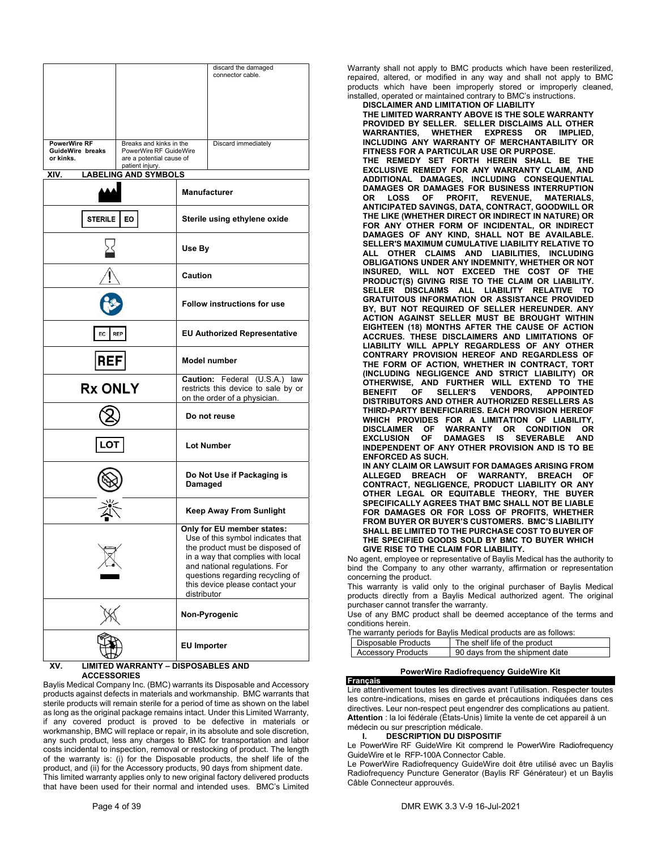|                                  |                                                   |                                                                                                      | discard the damaged<br>connector cable.                                                                                                                                                                                                         |
|----------------------------------|---------------------------------------------------|------------------------------------------------------------------------------------------------------|-------------------------------------------------------------------------------------------------------------------------------------------------------------------------------------------------------------------------------------------------|
|                                  |                                                   |                                                                                                      |                                                                                                                                                                                                                                                 |
|                                  |                                                   |                                                                                                      |                                                                                                                                                                                                                                                 |
|                                  |                                                   |                                                                                                      |                                                                                                                                                                                                                                                 |
| PowerWire RF<br>GuideWire breaks | Breaks and kinks in the<br>PowerWire RF GuideWire |                                                                                                      | Discard immediately                                                                                                                                                                                                                             |
| or kinks.                        | are a potential cause of<br>patient injury.       |                                                                                                      |                                                                                                                                                                                                                                                 |
| XIV.                             | <b>LABELING AND SYMBOLS</b>                       |                                                                                                      |                                                                                                                                                                                                                                                 |
|                                  |                                                   |                                                                                                      | <b>Manufacturer</b>                                                                                                                                                                                                                             |
| <b>STERILE</b>                   | EO                                                |                                                                                                      | Sterile using ethylene oxide                                                                                                                                                                                                                    |
|                                  |                                                   | Use By                                                                                               |                                                                                                                                                                                                                                                 |
|                                  |                                                   | Caution                                                                                              |                                                                                                                                                                                                                                                 |
|                                  |                                                   | <b>Follow instructions for use</b>                                                                   |                                                                                                                                                                                                                                                 |
| EC                               | <b>REP</b>                                        | <b>EU Authorized Representative</b>                                                                  |                                                                                                                                                                                                                                                 |
| <b>REF</b>                       |                                                   | <b>Model number</b>                                                                                  |                                                                                                                                                                                                                                                 |
| <b>Rx ONLY</b>                   |                                                   | Caution: Federal (U.S.A.) law<br>restricts this device to sale by or<br>on the order of a physician. |                                                                                                                                                                                                                                                 |
|                                  |                                                   |                                                                                                      | Do not reuse                                                                                                                                                                                                                                    |
| .OT                              |                                                   | <b>Lot Number</b>                                                                                    |                                                                                                                                                                                                                                                 |
|                                  |                                                   | Do Not Use if Packaging is<br>Damaged                                                                |                                                                                                                                                                                                                                                 |
|                                  |                                                   |                                                                                                      | <b>Keep Away From Sunlight</b>                                                                                                                                                                                                                  |
|                                  |                                                   | distributor                                                                                          | Only for EU member states:<br>Use of this symbol indicates that<br>the product must be disposed of<br>in a way that complies with local<br>and national regulations. For<br>questions regarding recycling of<br>this device please contact your |
|                                  |                                                   |                                                                                                      | Non-Pyrogenic                                                                                                                                                                                                                                   |
|                                  |                                                   | <b>EU Importer</b>                                                                                   |                                                                                                                                                                                                                                                 |
| XV.                              | <b>LIMITED WARRANTY - DISPOSABLES AND</b>         |                                                                                                      |                                                                                                                                                                                                                                                 |

### **ACCESSORIES**

Baylis Medical Company Inc. (BMC) warrants its Disposable and Accessory products against defects in materials and workmanship. BMC warrants that sterile products will remain sterile for a period of time as shown on the label as long as the original package remains intact. Under this Limited Warranty, if any covered product is proved to be defective in materials or workmanship, BMC will replace or repair, in its absolute and sole discretion, any such product, less any charges to BMC for transportation and labor costs incidental to inspection, removal or restocking of product. The length of the warranty is: (i) for the Disposable products, the shelf life of the product, and (ii) for the Accessory products, 90 days from shipment date. This limited warranty applies only to new original factory delivered products that have been used for their normal and intended uses. BMC's Limited

Warranty shall not apply to BMC products which have been resterilized, repaired, altered, or modified in any way and shall not apply to BMC products which have been improperly stored or improperly cleaned, installed, operated or maintained contrary to BMC's instructions.

**DISCLAIMER AND LIMITATION OF LIABILITY** 

**THE LIMITED WARRANTY ABOVE IS THE SOLE WARRANTY PROVIDED BY SELLER. SELLER DISCLAIMS ALL OTHER WARRANTIES, WHETHER EXPRESS OR IMPLIED, INCLUDING ANY WARRANTY OF MERCHANTABILITY OR FITNESS FOR A PARTICULAR USE OR PURPOSE. THE REMEDY SET FORTH HEREIN SHALL BE THE EXCLUSIVE REMEDY FOR ANY WARRANTY CLAIM, AND ADDITIONAL DAMAGES, INCLUDING CONSEQUENTIAL DAMAGES OR DAMAGES FOR BUSINESS INTERRUPTION OR LOSS OF PROFIT, REVENUE, MATERIALS, ANTICIPATED SAVINGS, DATA, CONTRACT, GOODWILL OR THE LIKE (WHETHER DIRECT OR INDIRECT IN NATURE) OR FOR ANY OTHER FORM OF INCIDENTAL, OR INDIRECT DAMAGES OF ANY KIND, SHALL NOT BE AVAILABLE. SELLER'S MAXIMUM CUMULATIVE LIABILITY RELATIVE TO ALL OTHER CLAIMS AND LIABILITIES, INCLUDING OBLIGATIONS UNDER ANY INDEMNITY, WHETHER OR NOT INSURED, WILL NOT EXCEED THE COST OF THE PRODUCT(S) GIVING RISE TO THE CLAIM OR LIABILITY. SELLER DISCLAIMS ALL LIABILITY RELATIVE TO GRATUITOUS INFORMATION OR ASSISTANCE PROVIDED BY, BUT NOT REQUIRED OF SELLER HEREUNDER. ANY ACTION AGAINST SELLER MUST BE BROUGHT WITHIN EIGHTEEN (18) MONTHS AFTER THE CAUSE OF ACTION ACCRUES. THESE DISCLAIMERS AND LIMITATIONS OF LIABILITY WILL APPLY REGARDLESS OF ANY OTHER CONTRARY PROVISION HEREOF AND REGARDLESS OF THE FORM OF ACTION, WHETHER IN CONTRACT, TORT (INCLUDING NEGLIGENCE AND STRICT LIABILITY) OR OTHERWISE, AND FURTHER WILL EXTEND TO THE BELLER'S DISTRIBUTORS AND OTHER AUTHORIZED RESELLERS AS THIRD-PARTY BENEFICIARIES. EACH PROVISION HEREOF WHICH PROVIDES FOR A LIMITATION OF LIABILITY, DISCLAIMER OF WARRANTY OR CONDITION OR EXCLUSION OF DAMAGES IS SEVERABLE AND INDEPENDENT OF ANY OTHER PROVISION AND IS TO BE ENFORCED AS SUCH. IN ANY CLAIM OR LAWSUIT FOR DAMAGES ARISING FROM ALLEGED BREACH OF WARRANTY, BREACH OF CONTRACT, NEGLIGENCE, PRODUCT LIABILITY OR ANY OTHER LEGAL OR EQUITABLE THEORY, THE BUYER SPECIFICALLY AGREES THAT BMC SHALL NOT BE LIABLE FOR DAMAGES OR FOR LOSS OF PROFITS, WHETHER FROM BUYER OR BUYER'S CUSTOMERS. BMC'S LIABILITY SHALL BE LIMITED TO THE PURCHASE COST TO BUYER OF** 

**THE SPECIFIED GOODS SOLD BY BMC TO BUYER WHICH GIVE RISE TO THE CLAIM FOR LIABILITY.**

No agent, employee or representative of Baylis Medical has the authority to bind the Company to any other warranty, affirmation or representation concerning the product.

This warranty is valid only to the original purchaser of Baylis Medical products directly from a Baylis Medical authorized agent. The original purchaser cannot transfer the warranty.

Use of any BMC product shall be deemed acceptance of the terms and conditions herein.

|                     | The warranty periods for Baylis Medical products are as follows: |
|---------------------|------------------------------------------------------------------|
| Disposable Products | The shelf life of the product                                    |

| <b>DISDOSADIE Products</b> | The shell life of the product  |
|----------------------------|--------------------------------|
| <b>Accessory Products</b>  | 90 days from the shipment date |

### **PowerWire Radiofrequency GuideWire Kit**

**Français**  Lire attentivement toutes les directives avant l'utilisation. Respecter toutes les contre-indications, mises en garde et précautions indiquées dans ces directives. Leur non-respect peut engendrer des complications au patient. **Attention** : la loi fédérale (États-Unis) limite la vente de cet appareil à un médecin ou sur prescription médicale.

#### **I. DESCRIPTION DU DISPOSITIF**

Le PowerWire RF GuideWire Kit comprend le PowerWire Radiofrequency GuideWire et le RFP-100A Connector Cable.

Le PowerWire Radiofrequency GuideWire doit être utilisé avec un Baylis Radiofrequency Puncture Generator (Baylis RF Générateur) et un Baylis Câble Connecteur approuvés.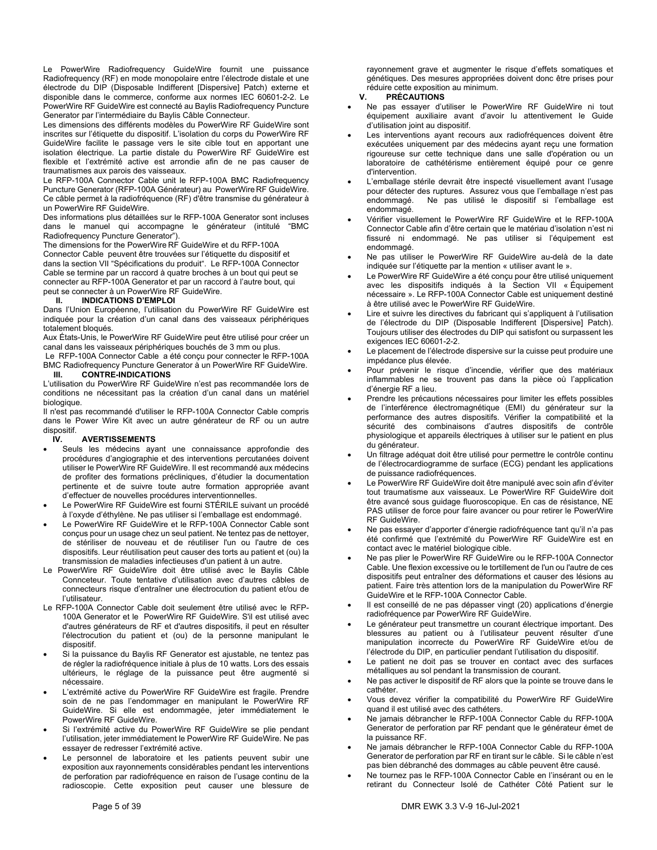Le PowerWire Radiofrequency GuideWire fournit une puissance Radiofrequency (RF) en mode monopolaire entre l'électrode distale et une électrode du DIP (Disposable Indifferent [Dispersive] Patch) externe et disponible dans le commerce, conforme aux normes IEC 60601-2-2. Le PowerWire RF GuideWire est connecté au Baylis Radiofrequency Puncture Generator par l'intermédiaire du Baylis Câble Connecteur.

Les dimensions des différents modèles du PowerWire RF GuideWire sont inscrites sur l'étiquette du dispositif. L'isolation du corps du PowerWire RF GuideWire facilite le passage vers le site cible tout en apportant une isolation électrique. La partie distale du PowerWire RF GuideWire est flexible et l'extrémité active est arrondie afin de ne pas causer de traumatismes aux parois des vaisseaux.

Le RFP-100A Connector Cable unit le RFP-100A BMC Radiofrequency Puncture Generator (RFP-100A Générateur) au PowerWire RF GuideWire. Ce câble permet à la radiofréquence (RF) d'être transmise du générateur à un PowerWire RF GuideWire.

Des informations plus détaillées sur le RFP-100A Generator sont incluses dans le manuel qui accompagne le générateur (intitulé "BMC Radiofrequency Puncture Generator").

The dimensions for the PowerWire RF GuideWire et du RFP-100A Connector Cable peuvent être trouvées sur l'étiquette du dispositif et dans la section VII "Spécifications du produit". Le RFP-100A Connector Cable se termine par un raccord à quatre broches à un bout qui peut se connecter au RFP-100A Generator et par un raccord à l'autre bout, qui peut se connecter à un PowerWire RF GuideWire.<br>
II. INDICATIONS D'EMPLOI

### **II. INDICATIONS D'EMPLOI**

Dans l'Union Européenne, l'utilisation du PowerWire RF GuideWire est indiquée pour la création d'un canal dans des vaisseaux périphériques totalement bloqués.

Aux États-Unis, le PowerWire RF GuideWire peut être utilisé pour créer un canal dans les vaisseaux périphériques bouchés de 3 mm ou plus.

 Le RFP-100A Connector Cable a été conçu pour connecter le RFP-100A BMC Radiofrequency Puncture Generator à un PowerWire RF GuideWire.<br>III. CONTRE-INDICATIONS **III. CONTRE-INDICATIONS** 

L'utilisation du PowerWire RF GuideWire n'est pas recommandée lors de conditions ne nécessitant pas la création d'un canal dans un matériel biologique.

Il n'est pas recommandé d'utiliser le RFP-100A Connector Cable compris dans le Power Wire Kit avec un autre générateur de RF ou un autre dispositif.

### **IV. AVERTISSEMENTS**

- Seuls les médecins ayant une connaissance approfondie des procédures d'angiographie et des interventions percutanées doivent utiliser le PowerWire RF GuideWire. Il est recommandé aux médecins de profiter des formations précliniques, d'étudier la documentation pertinente et de suivre toute autre formation appropriée avant d'effectuer de nouvelles procédures interventionnelles.
- Le PowerWire RF GuideWire est fourni STÉRILE suivant un procédé à l'oxyde d'éthylène. Ne pas utiliser si l'emballage est endommagé.
- Le PowerWire RF GuideWire et le RFP-100A Connector Cable sont conçus pour un usage chez un seul patient. Ne tentez pas de nettoyer, de stériliser de nouveau et de réutiliser l'un ou l'autre de ces dispositifs. Leur réutilisation peut causer des torts au patient et (ou) la transmission de maladies infectieuses d'un patient à un autre.
- Le PowerWire RF GuideWire doit être utilisé avec le Baylis Câble Connceteur. Toute tentative d'utilisation avec d'autres câbles de connecteurs risque d'entraîner une électrocution du patient et/ou de l'utilisateur.
- Le RFP-100A Connector Cable doit seulement être utilisé avec le RFP-100A Generator et le PowerWire RF GuideWire. S'il est utilisé avec d'autres générateurs de RF et d'autres dispositifs, il peut en résulter l'électrocution du patient et (ou) de la personne manipulant le dispositif.
- Si la puissance du Baylis RF Generator est ajustable, ne tentez pas de régler la radiofréquence initiale à plus de 10 watts. Lors des essais ultérieurs, le réglage de la puissance peut être augmenté si nécessaire.
- L'extrémité active du PowerWire RF GuideWire est fragile. Prendre soin de ne pas l'endommager en manipulant le PowerWire RF GuideWire. Si elle est endommagée, jeter immédiatement le PowerWire RF GuideWire.
- Si l'extrémité active du PowerWire RF GuideWire se plie pendant l'utilisation, jeter immédiatement le PowerWire RF GuideWire. Ne pas essayer de redresser l'extrémité active.
- Le personnel de laboratoire et les patients peuvent subir une exposition aux rayonnements considérables pendant les interventions de perforation par radiofréquence en raison de l'usage continu de la radioscopie. Cette exposition peut causer une blessure de

rayonnement grave et augmenter le risque d'effets somatiques et génétiques. Des mesures appropriées doivent donc être prises pour réduire cette exposition au minimum.<br>V. PRÉCAUTIONS

### **V. PRÉCAUTIONS**

- Ne pas essayer d'utiliser le PowerWire RF GuideWire ni tout équipement auxiliaire avant d'avoir lu attentivement le Guide d'utilisation joint au dispositif.
- Les interventions ayant recours aux radiofréquences doivent être exécutées uniquement par des médecins ayant reçu une formation rigoureuse sur cette technique dans une salle d'opération ou un laboratoire de cathétérisme entièrement équipé pour ce genre d'intervention.
- L'emballage stérile devrait être inspecté visuellement avant l'usage pour détecter des ruptures. Assurez vous que l'emballage n'est pas endommagé. Ne pas utilisé le dispositif si l'emballage est endommagé.
- Vérifier visuellement le PowerWire RF GuideWire et le RFP-100A Connector Cable afin d'être certain que le matériau d'isolation n'est ni fissuré ni endommagé. Ne pas utiliser si l'équipement est endommagé.
- Ne pas utiliser le PowerWire RF GuideWire au-delà de la date indiquée sur l'étiquette par la mention « utiliser avant le ».
- Le PowerWire RF GuideWire a été conçu pour être utilisé uniquement avec les dispositifs indiqués à la Section VII « Équipement nécessaire ». Le RFP-100A Connector Cable est uniquement destiné à être utilisé avec le PowerWire RF GuideWire.
- Lire et suivre les directives du fabricant qui s'appliquent à l'utilisation de l'électrode du DIP (Disposable Indifferent [Dispersive] Patch). Toujours utiliser des électrodes du DIP qui satisfont ou surpassent les exigences IEC 60601-2-2.
- Le placement de l'électrode dispersive sur la cuisse peut produire une impédance plus élevée.
- Pour prévenir le risque d'incendie, vérifier que des matériaux inflammables ne se trouvent pas dans la pièce où l'application d'énergie RF a lieu.
- Prendre les précautions nécessaires pour limiter les effets possibles de l'interférence électromagnétique (EMI) du générateur sur la performance des autres dispositifs. Vérifier la compatibilité et la sécurité des combinaisons d'autres dispositifs de contrôle physiologique et appareils électriques à utiliser sur le patient en plus du générateur.
- Un filtrage adéquat doit être utilisé pour permettre le contrôle continu de l'électrocardiogramme de surface (ECG) pendant les applications de puissance radiofréquences.
- Le PowerWire RF GuideWire doit être manipulé avec soin afin d'éviter tout traumatisme aux vaisseaux. Le PowerWire RF GuideWire doit être avancé sous guidage fluoroscopique. En cas de résistance, NE PAS utiliser de force pour faire avancer ou pour retirer le PowerWire RF GuideWire.
- Ne pas essayer d'apporter d'énergie radiofréquence tant qu'il n'a pas été confirmé que l'extrémité du PowerWire RF GuideWire est en contact avec le matériel biologique cible.
- Ne pas plier le PowerWire RF GuideWire ou le RFP-100A Connector Cable. Une flexion excessive ou le tortillement de l'un ou l'autre de ces dispositifs peut entraîner des déformations et causer des lésions au patient. Faire très attention lors de la manipulation du PowerWire RF GuideWire et le RFP-100A Connector Cable.
- Il est conseillé de ne pas dépasser vingt (20) applications d'énergie radiofréquence par PowerWire RF GuideWire.
- Le générateur peut transmettre un courant électrique important. Des blessures au patient ou à l'utilisateur peuvent résulter d'une manipulation incorrecte du PowerWire RF GuideWire et/ou de l'électrode du DIP, en particulier pendant l'utilisation du dispositif.
- Le patient ne doit pas se trouver en contact avec des surfaces métalliques au sol pendant la transmission de courant.
- Ne pas activer le dispositif de RF alors que la pointe se trouve dans le cathéter.
- Vous devez vérifier la compatibilité du PowerWire RF GuideWire quand il est utilisé avec des cathéters.
- Ne jamais débrancher le RFP-100A Connector Cable du RFP-100A Generator de perforation par RF pendant que le générateur émet de la puissance RF.
- Ne jamais débrancher le RFP-100A Connector Cable du RFP-100A Generator de perforation par RF en tirant sur le câble. Si le câble n'est pas bien débranché des dommages au câble peuvent être causé.
- Ne tournez pas le RFP-100A Connector Cable en l'insérant ou en le retirant du Connecteur Isolé de Cathéter Côté Patient sur le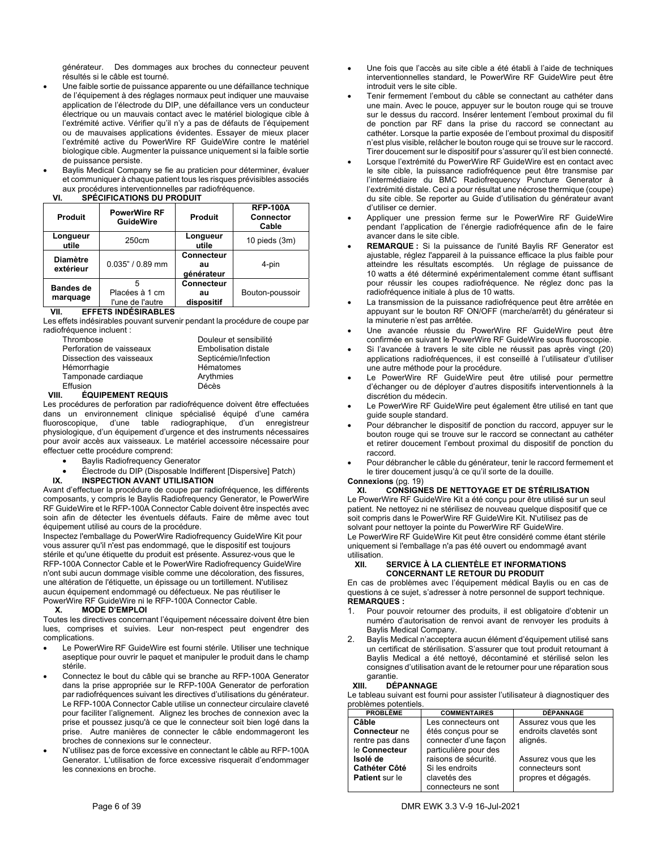générateur. Des dommages aux broches du connecteur peuvent résultés si le câble est tourné.

- Une faible sortie de puissance apparente ou une défaillance technique de l'équipement à des réglages normaux peut indiquer une mauvaise application de l'électrode du DIP, une défaillance vers un conducteur électrique ou un mauvais contact avec le matériel biologique cible à l'extrémité active. Vérifier qu'il n'y a pas de défauts de l'équipement ou de mauvaises applications évidentes. Essayer de mieux placer l'extrémité active du PowerWire RF GuideWire contre le matériel biologique cible. Augmenter la puissance uniquement si la faible sortie de puissance persiste.
- Baylis Medical Company se fie au praticien pour déterminer, évaluer et communiquer à chaque patient tous les risques prévisibles associés aux procédures interventionnelles par radiofréquence.

### **VI. SPÉCIFICATIONS DU PRODUIT**

| Produit                      | <b>PowerWire RF</b><br>Produit<br><b>GuideWire</b> |                                | <b>RFP-100A</b><br>Connector<br>Cable |
|------------------------------|----------------------------------------------------|--------------------------------|---------------------------------------|
| Longueur<br>utile            | 250cm                                              | Longueur<br>utile              | $10$ pieds $(3m)$                     |
| <b>Diamètre</b><br>extérieur | $0.035" / 0.89$ mm                                 | Connecteur<br>au<br>générateur | 4-pin                                 |
| <b>Bandes de</b><br>marquage | 5<br>Placées à 1 cm<br>l'une de l'autre            | Connecteur<br>au<br>dispositif | Bouton-poussoir                       |

### **VII. EFFETS INDÉSIRABLES**

Les effets indésirables pouvant survenir pendant la procédure de coupe par radiofréquence incluent :

| Thrombose                | Douleur et sensibilité      |
|--------------------------|-----------------------------|
| Perforation de vaisseaux | <b>Embolisation distale</b> |
| Dissection des vaisseaux | Septicémie/Infection        |
| Hémorrhagie              | Hématomes                   |
| Tamponade cardiaque      | Arythmies                   |
| Effusion                 | Décès                       |

### **VIII. ÉQUIPEMENT REQUIS**

Les procédures de perforation par radiofréquence doivent être effectuées dans un environnement clinique spécialisé équipé d'une caméra fluoroscopique, d'une table radiographique, d'un enregistreur physiologique, d'un équipement d'urgence et des instruments nécessaires pour avoir accès aux vaisseaux. Le matériel accessoire nécessaire pour effectuer cette procédure comprend:

- Baylis Radiofrequency Generator
- Électrode du DIP (Disposable Indifferent [Dispersive] Patch)<br>IX. INSPECTION AVANT UTILISATION
- **IX. INSPECTION AVANT UTILISATION**

Avant d'effectuer la procédure de coupe par radiofréquence, les différents composants, y compris le Baylis Radiofrequency Generator, le PowerWire RF GuideWire et le RFP-100A Connector Cable doivent être inspectés avec soin afin de détecter les éventuels défauts. Faire de même avec tout équipement utilisé au cours de la procédure.

Inspectez l'emballage du PowerWire Radiofrequency GuideWire Kit pour vous assurer qu'il n'est pas endommagé, que le dispositif est toujours stérile et qu'une étiquette du produit est présente. Assurez-vous que le RFP-100A Connector Cable et le PowerWire Radiofrequency GuideWire n'ont subi aucun dommage visible comme une décoloration, des fissures, une altération de l'étiquette, un épissage ou un tortillement. N'utilisez aucun équipement endommagé ou défectueux. Ne pas réutiliser le PowerWire RF GuideWire ni le RFP-100A Connector Cable.

### **X. MODE D'EMPLOI**

Toutes les directives concernant l'équipement nécessaire doivent être bien lues, comprises et suivies. Leur non-respect peut engendrer des complications.

- Le PowerWire RF GuideWire est fourni stérile. Utiliser une technique aseptique pour ouvrir le paquet et manipuler le produit dans le champ stérile.
- Connectez le bout du câble qui se branche au RFP-100A Generator dans la prise appropriée sur le RFP-100A Generator de perforation par radiofréquences suivant les directives d'utilisations du générateur. Le RFP-100A Connector Cable utilise un connecteur circulaire claveté pour faciliter l'alignement. Alignez les broches de connexion avec la prise et poussez jusqu'à ce que le connecteur soit bien logé dans la prise. Autre manières de connecter le câble endommageront les broches de connexions sur le connecteur.
- N'utilisez pas de force excessive en connectant le câble au RFP-100A Generator. L'utilisation de force excessive risquerait d'endommager les connexions en broche.
- Une fois que l'accès au site cible a été établi à l'aide de techniques interventionnelles standard, le PowerWire RF GuideWire peut être introduit vers le site cible.
- Tenir fermement l'embout du câble se connectant au cathéter dans une main. Avec le pouce, appuyer sur le bouton rouge qui se trouve sur le dessus du raccord. Insérer lentement l'embout proximal du fil de ponction par RF dans la prise du raccord se connectant au cathéter. Lorsque la partie exposée de l'embout proximal du dispositif n'est plus visible, relâcher le bouton rouge qui se trouve sur le raccord. Tirer doucement sur le dispositif pour s'assurer qu'il est bien connecté.
- Lorsque l'extrémité du PowerWire RF GuideWire est en contact avec le site cible, la puissance radiofréquence peut être transmise par l'intermédiaire du BMC Radiofrequency Puncture Generator à l'extrémité distale. Ceci a pour résultat une nécrose thermique (coupe) du site cible. Se reporter au Guide d'utilisation du générateur avant d'utiliser ce dernier.
- Appliquer une pression ferme sur le PowerWire RF GuideWire pendant l'application de l'énergie radiofréquence afin de le faire avancer dans le site cible.
- **REMARQUE :** Si la puissance de l'unité Baylis RF Generator est ajustable, réglez l'appareil à la puissance efficace la plus faible pour atteindre les résultats escomptés. Un réglage de puissance de 10 watts a été déterminé expérimentalement comme étant suffisant pour réussir les coupes radiofréquence. Ne réglez donc pas la radiofréquence initiale à plus de 10 watts.
- La transmission de la puissance radiofréquence peut être arrêtée en appuyant sur le bouton RF ON/OFF (marche/arrêt) du générateur si la minuterie n'est pas arrêtée.
- Une avancée réussie du PowerWire RF GuideWire peut être confirmée en suivant le PowerWire RF GuideWire sous fluoroscopie.
- Si l'avancée à travers le site cible ne réussit pas après vingt (20) applications radiofréquences, il est conseillé à l'utilisateur d'utiliser une autre méthode pour la procédure.
- Le PowerWire RF GuideWire peut être utilisé pour permettre d'échanger ou de déployer d'autres dispositifs interventionnels à la discrétion du médecin.
- Le PowerWire RF GuideWire peut également être utilisé en tant que guide souple standard.
- Pour débrancher le dispositif de ponction du raccord, appuyer sur le bouton rouge qui se trouve sur le raccord se connectant au cathéter et retirer doucement l'embout proximal du dispositif de ponction du raccord.
- Pour débrancher le câble du générateur, tenir le raccord fermement et le tirer doucement jusqu'à ce qu'il sorte de la douille. **Connexions** (pg. 19)

### **XI. CONSIGNES DE NETTOYAGE ET DE STÉRILISATION**

Le PowerWire RF GuideWire Kit a été conçu pour être utilisé sur un seul patient. Ne nettoyez ni ne stérilisez de nouveau quelque dispositif que ce soit compris dans le PowerWire RF GuideWire Kit. N'utilisez pas de solvant pour nettoyer la pointe du PowerWire RF GuideWire. Le PowerWire RF GuideWire Kit peut être considéré comme étant stérile

uniquement si l'emballage n'a pas été ouvert ou endommagé avant utilisation.<br>XII.

### **SERVICE À LA CLIENTÈLE ET INFORMATIONS CONCERNANT LE RETOUR DU PRODUIT**

En cas de problèmes avec l'équipement médical Baylis ou en cas de questions à ce sujet, s'adresser à notre personnel de support technique. **REMARQUES :** 

- Pour pouvoir retourner des produits, il est obligatoire d'obtenir un numéro d'autorisation de renvoi avant de renvoyer les produits à Baylis Medical Company.
- Baylis Medical n'acceptera aucun élément d'équipement utilisé sans un certificat de stérilisation. S'assurer que tout produit retournant à Baylis Medical a été nettoyé, décontaminé et stérilisé selon les consignes d'utilisation avant de le retourner pour une réparation sous garantie.

### **XIII. DÉPANNAGE**

Le tableau suivant est fourni pour assister l'utilisateur à diagnostiquer des problèmes potentiels.

| <b>PROBLÈME</b>      | <b>COMMENTAIRES</b>   | <b>DÉPANNAGE</b>       |
|----------------------|-----------------------|------------------------|
| Câble                | Les connecteurs ont   | Assurez vous que les   |
| Connecteur ne        | étés conçus pour se   | endroits clavetés sont |
| rentre pas dans      | connecter d'une façon | alignés.               |
| le Connecteur        | particulière pour des |                        |
| Isolé de             | raisons de sécurité.  | Assurez vous que les   |
| <b>Cathéter Côté</b> | Si les endroits       | connecteurs sont       |
| Patient sur le       | clavetés des          | propres et dégagés.    |
|                      | connecteurs ne sont   |                        |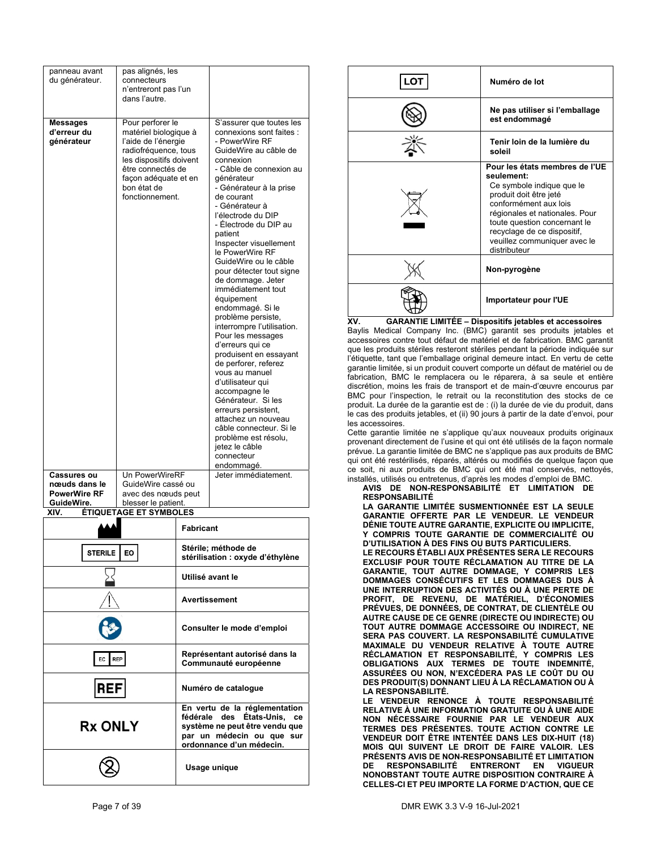| panneau avant<br>du générateur.                                                 |            | pas alignés, les<br>connecteurs<br>n'entreront pas l'un<br>dans l'autre.                                                                                                                           |  |                  |                                                                                                                                                                                                                                                                                                                                                                                                                                                                                                                                                                                                                                                                                                                                                                                                                                       |
|---------------------------------------------------------------------------------|------------|----------------------------------------------------------------------------------------------------------------------------------------------------------------------------------------------------|--|------------------|---------------------------------------------------------------------------------------------------------------------------------------------------------------------------------------------------------------------------------------------------------------------------------------------------------------------------------------------------------------------------------------------------------------------------------------------------------------------------------------------------------------------------------------------------------------------------------------------------------------------------------------------------------------------------------------------------------------------------------------------------------------------------------------------------------------------------------------|
| Messages<br>d'erreur du<br>générateur                                           |            | Pour perforer le<br>matériel biologique à<br>l'aide de l'énergie<br>radiofréquence, tous<br>les dispositifs doivent<br>être connectés de<br>façon adéquate et en<br>bon état de<br>fonctionnement. |  |                  | S'assurer que toutes les<br>connexions sont faites :<br>- PowerWire RF<br>GuideWire au câble de<br>connexion<br>- Câble de connexion au<br>générateur<br>- Générateur à la prise<br>de courant<br>- Générateur à<br>l'électrode du DIP<br>- Électrode du DIP au<br>patient<br>Inspecter visuellement<br>le PowerWire RF<br>GuideWire ou le câble<br>pour détecter tout signe<br>de dommage. Jeter<br>immédiatement tout<br>équipement<br>endommagé. Si le<br>problème persiste,<br>interrompre l'utilisation.<br>Pour les messages<br>d'erreurs qui ce<br>produisent en essayant<br>de perforer, referez<br>vous au manuel<br>d'utilisateur qui<br>accompagne le<br>Générateur. Si les<br>erreurs persistent,<br>attachez un nouveau<br>câble connecteur. Si le<br>problème est résolu,<br>jetez le câble<br>connecteur<br>endommagé. |
| <b>Cassures ou</b>                                                              |            | <b>Un PowerWireRF</b>                                                                                                                                                                              |  |                  | Jeter immédiatement.                                                                                                                                                                                                                                                                                                                                                                                                                                                                                                                                                                                                                                                                                                                                                                                                                  |
| nœuds dans le                                                                   |            | GuideWire cassé ou                                                                                                                                                                                 |  |                  |                                                                                                                                                                                                                                                                                                                                                                                                                                                                                                                                                                                                                                                                                                                                                                                                                                       |
| <b>PowerWire RF</b><br>avec des nœuds peut<br>GuideWire.<br>blesser le patient. |            |                                                                                                                                                                                                    |  |                  |                                                                                                                                                                                                                                                                                                                                                                                                                                                                                                                                                                                                                                                                                                                                                                                                                                       |
| XIV.                                                                            |            | <b>ÉTIQUETAGE ET SYMBOLES</b>                                                                                                                                                                      |  |                  |                                                                                                                                                                                                                                                                                                                                                                                                                                                                                                                                                                                                                                                                                                                                                                                                                                       |
|                                                                                 | STERILE EO |                                                                                                                                                                                                    |  | <b>Fabricant</b> | Stérile; méthode de                                                                                                                                                                                                                                                                                                                                                                                                                                                                                                                                                                                                                                                                                                                                                                                                                   |

| <b>STERILE</b><br>EO | Stérile; méthode de<br>stérilisation : oxyde d'éthylène                                                                                                 |
|----------------------|---------------------------------------------------------------------------------------------------------------------------------------------------------|
|                      | Utilisé avant le                                                                                                                                        |
|                      | <b>Avertissement</b>                                                                                                                                    |
|                      | Consulter le mode d'emploi                                                                                                                              |
| <b>REP</b><br>EC     | Représentant autorisé dans la<br>Communauté européenne                                                                                                  |
| RFF                  | Numéro de catalogue                                                                                                                                     |
| <b>Rx ONLY</b>       | En vertu de la réglementation<br>fédérale des États-Unis, ce<br>système ne peut être vendu que<br>par un médecin ou que sur<br>ordonnance d'un médecin. |
|                      | Usage unique                                                                                                                                            |

|                                                                      | Numéro de lot                                                                                                                                                                                                                                                                 |
|----------------------------------------------------------------------|-------------------------------------------------------------------------------------------------------------------------------------------------------------------------------------------------------------------------------------------------------------------------------|
|                                                                      | Ne pas utiliser si l'emballage<br>est endommagé                                                                                                                                                                                                                               |
|                                                                      | Tenir loin de la lumière du<br>soleil                                                                                                                                                                                                                                         |
|                                                                      | Pour les états membres de l'UE<br>seulement:<br>Ce symbole indique que le<br>produit doit être jeté<br>conformément aux lois<br>régionales et nationales. Pour<br>toute question concernant le<br>recyclage de ce dispositif,<br>veuillez communiquer avec le<br>distributeur |
|                                                                      | Non-pyrogène                                                                                                                                                                                                                                                                  |
|                                                                      | Importateur pour l'UE                                                                                                                                                                                                                                                         |
| <b>GARANTIE LIMITÉE - Dispositifs jetables et accessoires</b><br>XV. |                                                                                                                                                                                                                                                                               |

Baylis Medical Company Inc. (BMC) garantit ses produits jetables et accessoires contre tout défaut de matériel et de fabrication. BMC garantit que les produits stériles resteront stériles pendant la période indiquée sur l'étiquette, tant que l'emballage original demeure intact. En vertu de cette garantie limitée, si un produit couvert comporte un défaut de matériel ou de fabrication, BMC le remplacera ou le réparera, à sa seule et entière discrétion, moins les frais de transport et de main-d'œuvre encourus par BMC pour l'inspection, le retrait ou la reconstitution des stocks de ce produit. La durée de la garantie est de : (i) la durée de vie du produit, dans le cas des produits jetables, et (ii) 90 jours à partir de la date d'envoi, pour les accessoires.

Cette garantie limitée ne s'applique qu'aux nouveaux produits originaux provenant directement de l'usine et qui ont été utilisés de la façon normale prévue. La garantie limitée de BMC ne s'applique pas aux produits de BMC qui ont été restérilisés, réparés, altérés ou modifiés de quelque façon que ce soit, ni aux produits de BMC qui ont été mal conservés, nettoyés, installés, utilisés ou entretenus, d'après les modes d'emploi de BMC.

**AVIS DE NON-RESPONSABILITÉ ET LIMITATION DE RESPONSABILITÉ** 

| LA GARANTIE LIMITÉE SUSMENTIONNÉE EST LA SEULE         |
|--------------------------------------------------------|
| GARANTIE OFFERTE PAR LE VENDEUR. LE VENDEUR            |
| DÉNIE TOUTE AUTRE GARANTIE, EXPLICITE OU IMPLICITE,    |
| Y COMPRIS TOUTE GARANTIE DE COMMERCIALITÉ OU           |
| <b>D'UTILISATION À DES FINS OU BUTS PARTICULIERS.</b>  |
|                                                        |
| <b>LE RECOURS ÉTABLI AUX PRÉSENTES SERA LE RECOURS</b> |
| EXCLUSIF POUR TOUTE RÉCLAMATION AU TITRE DE LA         |
| GARANTIE, TOUT AUTRE DOMMAGE, Y COMPRIS LES            |
| DOMMAGES CONSÉCUTIFS ET LES DOMMAGES DUS À             |
| UNE INTERRUPTION DES ACTIVITÉS OU À UNE PERTE DE       |
| PROFIT, DE REVENU, DE MATÉRIEL, D'ÉCONOMIES            |
| PRÉVUES, DE DONNÉES, DE CONTRAT, DE CLIENTÈLE OU       |
| AUTRE CAUSE DE CE GENRE (DIRECTE OU INDIRECTE) OU      |
| TOUT AUTRE DOMMAGE ACCESSOIRE OU INDIRECT, NE          |
| SERA PAS COUVERT. LA RESPONSABILITÉ CUMULATIVE         |
| MAXIMALE DU VENDEUR RELATIVE À TOUTE AUTRE             |
| RÉCLAMATION ET RESPONSABILITÉ, Y COMPRIS LES           |
| OBLIGATIONS AUX TERMES DE TOUTE INDEMNITÉ,             |
| ASSURÉES OU NON, N'EXCÉDERA PAS LE COÛT DU OU          |
| DES PRODUIT(S) DONNANT LIEU À LA RÉCLAMATION OU À      |
| <b>LA RESPONSABILITÉ.</b>                              |
| LE VENDEUR RENONCE À TOUTE RESPONSABILITÉ              |
| RELATIVE À UNE INFORMATION GRATUITE OU À UNE AIDE      |
| NON NÉCESSAIRE FOURNIE PAR LE VENDEUR AUX              |
| TERMES DES PRÉSENTES. TOUTE ACTION CONTRE LE           |
|                                                        |
| VENDEUR DOIT ÊTRE INTENTÉE DANS LES DIX-HUIT (18)      |
| MOIS QUI SUIVENT LE DROIT DE FAIRE VALOIR. LES         |
| PRÉSENTS AVIS DE NON-RESPONSABILITÉ ET LIMITATION      |
| RESPONSABILITÉ ENTRERONT EN<br><b>VIGUEUR</b><br>DE –  |
| NONOBSTANT TOUTE AUTRE DISPOSITION CONTRAIRE À         |
| CELLES-CI ET PEU IMPORTE LA FORME D'ACTION, QUE CE     |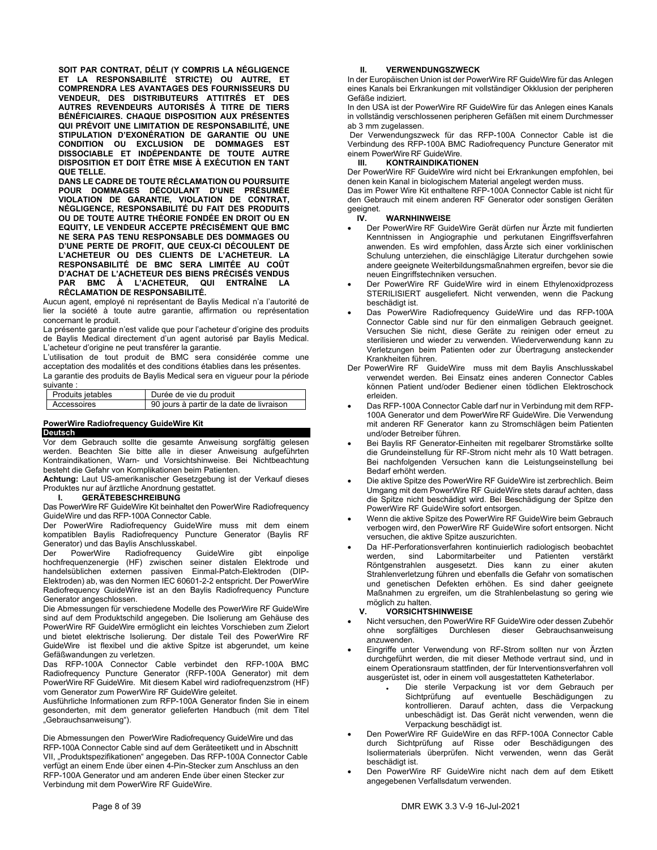**SOIT PAR CONTRAT, DÉLIT (Y COMPRIS LA NÉGLIGENCE ET LA RESPONSABILITÉ STRICTE) OU AUTRE, ET COMPRENDRA LES AVANTAGES DES FOURNISSEURS DU VENDEUR, DES DISTRIBUTEURS ATTITRÉS ET DES AUTRES REVENDEURS AUTORISÉS À TITRE DE TIERS BÉNÉFICIAIRES. CHAQUE DISPOSITION AUX PRÉSENTES QUI PRÉVOIT UNE LIMITATION DE RESPONSABILITÉ, UNE STIPULATION D'EXONÉRATION DE GARANTIE OU UNE CONDITION OU EXCLUSION DE DOMMAGES EST DISSOCIABLE ET INDÉPENDANTE DE TOUTE AUTRE DISPOSITION ET DOIT ÊTRE MISE À EXÉCUTION EN TANT QUE TELLE.** 

**DANS LE CADRE DE TOUTE RÉCLAMATION OU POURSUITE POUR DOMMAGES DÉCOULANT D'UNE PRÉSUMÉE VIOLATION DE GARANTIE, VIOLATION DE CONTRAT, NÉGLIGENCE, RESPONSABILITÉ DU FAIT DES PRODUITS OU DE TOUTE AUTRE THÉORIE FONDÉE EN DROIT OU EN EQUITY, LE VENDEUR ACCEPTE PRÉCISÉMENT QUE BMC NE SERA PAS TENU RESPONSABLE DES DOMMAGES OU D'UNE PERTE DE PROFIT, QUE CEUX-CI DÉCOULENT DE L'ACHETEUR OU DES CLIENTS DE L'ACHETEUR. LA RESPONSABILITÉ DE BMC SERA LIMITÉE AU COÛT D'ACHAT DE L'ACHETEUR DES BIENS PRÉCISÉS VENDUS PAR BMC À L'ACHETEUR, QUI ENTRAÎNE LA RÉCLAMATION DE RESPONSABILITÉ.** 

Aucun agent, employé ni représentant de Baylis Medical n'a l'autorité de lier la société à toute autre garantie, affirmation ou représentation concernant le produit.

La présente garantie n'est valide que pour l'acheteur d'origine des produits de Baylis Medical directement d'un agent autorisé par Baylis Medical. L'acheteur d'origine ne peut transférer la garantie.

L'utilisation de tout produit de BMC sera considérée comme une acceptation des modalités et des conditions établies dans les présentes. La garantie des produits de Baylis Medical sera en vigueur pour la période

| suivante :               |                                           |
|--------------------------|-------------------------------------------|
| <b>Produits jetables</b> | Durée de vie du produit                   |
| Accessoires              | 90 jours à partir de la date de livraison |

### **PowerWire Radiofrequency GuideWire Kit Deutsch**

Vor dem Gebrauch sollte die gesamte Anweisung sorgfältig gelesen werden. Beachten Sie bitte alle in dieser Anweisung aufgeführten Kontraindikationen, Warn- und Vorsichtshinweise. Bei Nichtbeachtung besteht die Gefahr von Komplikationen beim Patienten.

**Achtung:** Laut US-amerikanischer Gesetzgebung ist der Verkauf dieses Produktes nur auf ärztliche Anordnung gestattet.

### **I. GERÄTEBESCHREIBUNG**

Das PowerWire RF GuideWire Kit beinhaltet den PowerWire Radiofrequency GuideWire und das RFP-100A Connector Cable.

Der PowerWire Radiofrequency GuideWire muss mit dem einem kompatiblen Baylis Radiofrequency Puncture Generator (Baylis RF Generator) und das Baylis Anschlusskabel.

PowerWire Radiofrequency GuideWire gibt einpolige hochfrequenzenergie (HF) zwischen seiner distalen Elektrode und handelsüblichen externen passiven Einmal-Patch-Elektroden (DIP-Elektroden) ab, was den Normen IEC 60601-2-2 entspricht. Der PowerWire Radiofrequency GuideWire ist an den Baylis Radiofrequency Puncture Generator angeschlossen.

Die Abmessungen für verschiedene Modelle des PowerWire RF GuideWire sind auf dem Produktschild angegeben. Die Isolierung am Gehäuse des PowerWire RF GuideWire ermöglicht ein leichtes Vorschieben zum Zielort und bietet elektrische Isolierung. Der distale Teil des PowerWire RF GuideWire ist flexibel und die aktive Spitze ist abgerundet, um keine Gefäßwandungen zu verletzen.

Das RFP-100A Connector Cable verbindet den RFP-100A BMC Radiofrequency Puncture Generator (RFP-100A Generator) mit dem PowerWire RF GuideWire. Mit diesem Kabel wird radiofrequenzstrom (HF) vom Generator zum PowerWire RF GuideWire geleitet.

Ausführliche Informationen zum RFP-100A Generator finden Sie in einem gesonderten, mit dem generator gelieferten Handbuch (mit dem Titel "Gebrauchsanweisung").

Die Abmessungen den PowerWire Radiofrequency GuideWire und das RFP-100A Connector Cable sind auf dem Geräteetikett und in Abschnitt VII, "Produktspezifikationen" angegeben. Das RFP-100A Connector Cable verfügt an einem Ende über einen 4-Pin-Stecker zum Anschluss an den RFP-100A Generator und am anderen Ende über einen Stecker zur Verbindung mit dem PowerWire RF GuideWire.

### **II. VERWENDUNGSZWECK**

In der Europäischen Union ist der PowerWire RF GuideWire für das Anlegen eines Kanals bei Erkrankungen mit vollständiger Okklusion der peripheren Gefäße indiziert.

In den USA ist der PowerWire RF GuideWire für das Anlegen eines Kanals in vollständig verschlossenen peripheren Gefäßen mit einem Durchmesser ab 3 mm zugelassen.

 Der Verwendungszweck für das RFP-100A Connector Cable ist die Verbindung des RFP-100A BMC Radiofrequency Puncture Generator mit einem PowerWire RF GuideWire.

### **III. KONTRAINDIKATIONEN**

Der PowerWire RF GuideWire wird nicht bei Erkrankungen empfohlen, bei denen kein Kanal in biologischem Material angelegt werden muss.

Das im Power Wire Kit enthaltene RFP-100A Connector Cable ist nicht für den Gebrauch mit einem anderen RF Generator oder sonstigen Geräten geeignet.<br> **IV**.

### **IV. WARNHINWEISE**

- Der PowerWire RF GuideWire Gerät dürfen nur Ärzte mit fundierten Kenntnissen in Angiographie und perkutanen Eingriffsverfahren anwenden. Es wird empfohlen, dass Ärzte sich einer vorklinischen Schulung unterziehen, die einschlägige Literatur durchgehen sowie andere geeignete Weiterbildungsmaßnahmen ergreifen, bevor sie die neuen Eingriffstechniken versuchen.
- Der PowerWire RF GuideWire wird in einem Ethylenoxidprozess STERILISIERT ausgeliefert. Nicht verwenden, wenn die Packung beschädigt ist.
- Das PowerWire Radiofrequency GuideWire und das RFP-100A Connector Cable sind nur für den einmaligen Gebrauch geeignet. Versuchen Sie nicht, diese Geräte zu reinigen oder erneut zu sterilisieren und wieder zu verwenden. Wiederverwendung kann zu Verletzungen beim Patienten oder zur Übertragung ansteckender Krankheiten führen.
- Der PowerWire RF GuideWire muss mit dem Baylis Anschlusskabel verwendet werden. Bei Einsatz eines anderen Connector Cables können Patient und/oder Bediener einen tödlichen Elektroschock erleiden.
- Das RFP-100A Connector Cable darf nur in Verbindung mit dem RFP-100A Generator und dem PowerWire RF GuideWire. Die Verwendung mit anderen RF Generator kann zu Stromschlägen beim Patienten und/oder Betreiber führen.
- Bei Baylis RF Generator-Einheiten mit regelbarer Stromstärke sollte die Grundeinstellung für RF-Strom nicht mehr als 10 Watt betragen. Bei nachfolgenden Versuchen kann die Leistungseinstellung bei Bedarf erhöht werden.
- Die aktive Spitze des PowerWire RF GuideWire ist zerbrechlich. Beim Umgang mit dem PowerWire RF GuideWire stets darauf achten, dass die Spitze nicht beschädigt wird. Bei Beschädigung der Spitze den PowerWire RF GuideWire sofort entsorgen.
- Wenn die aktive Spitze des PowerWire RF GuideWire beim Gebrauch verbogen wird, den PowerWire RF GuideWire sofort entsorgen. Nicht versuchen, die aktive Spitze auszurichten.
- Da HF-Perforationsverfahren kontinuierlich radiologisch beobachtet werden, sind Labormitarbeiter und Patienten verstärkt Röntgenstrahlen ausgesetzt. Dies kann zu einer akuten Strahlenverletzung führen und ebenfalls die Gefahr von somatischen und genetischen Defekten erhöhen. Es sind daher geeignete Maßnahmen zu ergreifen, um die Strahlenbelastung so gering wie möglich zu halten.

### **V. VORSICHTSHINWEISE**

- Nicht versuchen, den PowerWire RF GuideWire oder dessen Zubehör ohne sorgfältiges Durchlesen dieser Gebrauchsanweisung anzuwenden.
- Eingriffe unter Verwendung von RF-Strom sollten nur von Ärzten durchgeführt werden, die mit dieser Methode vertraut sind, und in einem Operationsraum stattfinden, der für Interventionsverfahren voll ausgerüstet ist, oder in einem voll ausgestatteten Katheterlabor.
	- Die sterile Verpackung ist vor dem Gebrauch per Sichtprüfung auf eventuelle Beschädigungen zu kontrollieren. Darauf achten, dass die Verpackung unbeschädigt ist. Das Gerät nicht verwenden, wenn die Verpackung beschädigt ist.
- Den PowerWire RF GuideWire en das RFP-100A Connector Cable durch Sichtprüfung auf Risse oder Beschädigungen des Isoliermaterials überprüfen. Nicht verwenden, wenn das Gerät beschädigt ist.
- Den PowerWire RF GuideWire nicht nach dem auf dem Etikett angegebenen Verfallsdatum verwenden.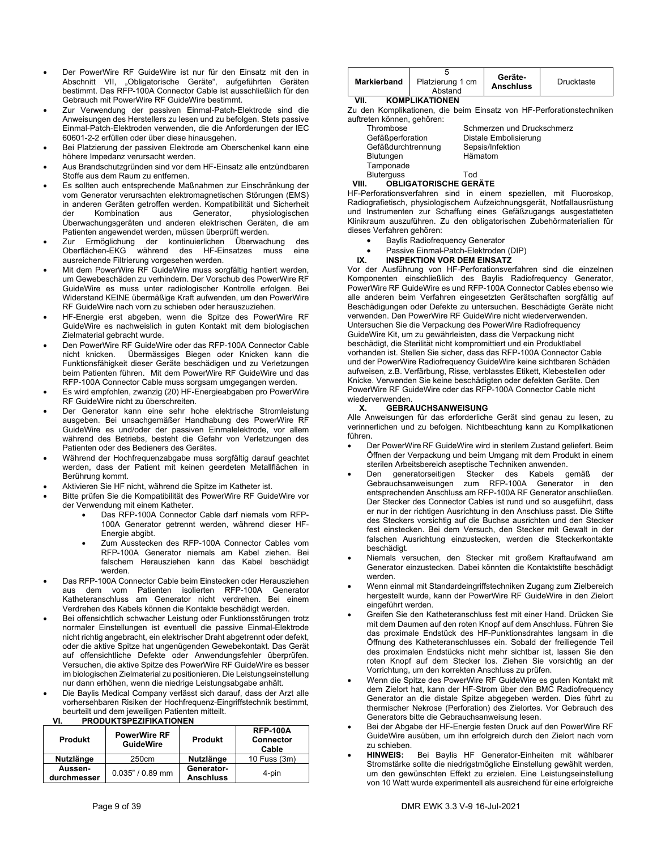- Der PowerWire RF GuideWire ist nur für den Einsatz mit den in Abschnitt VII, "Obligatorische Geräte", aufgeführten Geräten bestimmt. Das RFP-100A Connector Cable ist ausschließlich für den Gebrauch mit PowerWire RF GuideWire bestimmt.
- Zur Verwendung der passiven Einmal-Patch-Elektrode sind die Anweisungen des Herstellers zu lesen und zu befolgen. Stets passive Einmal-Patch-Elektroden verwenden, die die Anforderungen der IEC 60601-2-2 erfüllen oder über diese hinausgehen.
- Bei Platzierung der passiven Elektrode am Oberschenkel kann eine höhere Impedanz verursacht werden.
- Aus Brandschutzgründen sind vor dem HF-Einsatz alle entzündbaren Stoffe aus dem Raum zu entfernen.
- Es sollten auch entsprechende Maßnahmen zur Einschränkung der vom Generator verursachten elektromagnetischen Störungen (EMS) in anderen Geräten getroffen werden. Kompatibilität und Sicherheit<br>der Kombination aus Generator, physiologischen der Kombination aus Generator, physiologischen Überwachungsgeräten und anderen elektrischen Geräten, die am Patienten angewendet werden, müssen überprüft werden.
- Zur Ermöglichung der kontinuierlichen Überwachung des Oberflächen-EKG während des HF-Einsatzes muss eine ausreichende Filtrierung vorgesehen werden.
- Mit dem PowerWire RF GuideWire muss sorgfältig hantiert werden, um Gewebeschäden zu verhindern. Der Vorschub des PowerWire RF GuideWire es muss unter radiologischer Kontrolle erfolgen. Bei Widerstand KEINE übermäßige Kraft aufwenden, um den PowerWire RF GuideWire nach vorn zu schieben oder herauszuziehen.
- HF-Energie erst abgeben, wenn die Spitze des PowerWire RF GuideWire es nachweislich in guten Kontakt mit dem biologischen Zielmaterial gebracht wurde.
- Den PowerWire RF GuideWire oder das RFP-100A Connector Cable nicht knicken. Übermässiges Biegen oder Knicken kann die Funktionsfähigkeit dieser Geräte beschädigen und zu Verletzungen beim Patienten führen. Mit dem PowerWire RF GuideWire und das RFP-100A Connector Cable muss sorgsam umgegangen werden.
- Es wird empfohlen, zwanzig (20) HF-Energieabgaben pro PowerWire RF GuideWire nicht zu überschreiten.
- Der Generator kann eine sehr hohe elektrische Stromleistung ausgeben. Bei unsachgemäßer Handhabung des PowerWire RF GuideWire es und/oder der passiven Einmalelektrode, vor allem während des Betriebs, besteht die Gefahr von Verletzungen des Patienten oder des Bedieners des Gerätes.
- Während der Hochfrequenzabgabe muss sorgfältig darauf geachtet werden, dass der Patient mit keinen geerdeten Metallflächen in Berührung kommt.
- Aktivieren Sie HF nicht, während die Spitze im Katheter ist.
- Bitte prüfen Sie die Kompatibilität des PowerWire RF GuideWire vor der Verwendung mit einem Katheter.
	- Das RFP-100A Connector Cable darf niemals vom RFP-100A Generator getrennt werden, während dieser HF-Energie abgibt.
	- Zum Ausstecken des RFP-100A Connector Cables vom RFP-100A Generator niemals am Kabel ziehen. Bei falschem Herausziehen kann das Kabel beschädigt werden.
- Das RFP-100A Connector Cable beim Einstecken oder Herausziehen aus dem vom Patienten isolierten RFP-100A Generator Katheteranschluss am Generator nicht verdrehen. Bei einem Verdrehen des Kabels können die Kontakte beschädigt werden.
- Bei offensichtlich schwacher Leistung oder Funktionsstörungen trotz normaler Einstellungen ist eventuell die passive Einmal-Elektrode nicht richtig angebracht, ein elektrischer Draht abgetrennt oder defekt, oder die aktive Spitze hat ungenügenden Gewebekontakt. Das Gerät auf offensichtliche Defekte oder Anwendungsfehler überprüfen. Versuchen, die aktive Spitze des PowerWire RF GuideWire es besser im biologischen Zielmaterial zu positionieren. Die Leistungseinstellung nur dann erhöhen, wenn die niedrige Leistungsabgabe anhält.
- Die Baylis Medical Company verlässt sich darauf, dass der Arzt alle vorhersehbaren Risiken der Hochfrequenz-Eingriffstechnik bestimmt, beurteilt und dem jeweiligen Patienten mitteilt.

| VI. | <b>PRODUKTSPEZIFIKATIONEN</b> |  |
|-----|-------------------------------|--|
|     |                               |  |

| Produkt                | <b>PowerWire RF</b><br><b>GuideWire</b> | <b>Produkt</b>                 | <b>RFP-100A</b><br><b>Connector</b><br>Cable |
|------------------------|-----------------------------------------|--------------------------------|----------------------------------------------|
| Nutzlänge<br>250cm     |                                         | <b>Nutzlänge</b>               | 10 Fuss (3m)                                 |
| Aussen-<br>durchmesser | $0.035" / 0.89$ mm                      | Generator-<br><b>Anschluss</b> | 4-pin                                        |

| Markierband | Platzierung 1 cm<br>Abstand | Geräte-<br><b>Anschluss</b> | Drucktaste |
|-------------|-----------------------------|-----------------------------|------------|
| VII.        | <b>KOMPLIKATIONEN</b>       |                             |            |

Zu den Komplikationen, die beim Einsatz von HF-Perforationstechniken auftreten können, gehören:

| Thrombose          | Schmerzen und Druckschmerz |
|--------------------|----------------------------|
| Gefäßperforation   | Distale Embolisierung      |
| Gefäßdurchtrennung | Sepsis/Infektion           |
| Blutungen          | Hämatom                    |
| Tamponade          |                            |
| <b>Bluterguss</b>  | Tod                        |
|                    |                            |

### **VIII. OBLIGATORISCHE GERÄTE**

HF-Perforationsverfahren sind in einem speziellen, mit Fluoroskop, Radiografietisch, physiologischem Aufzeichnungsgerät, Notfallausrüstung und Instrumenten zur Schaffung eines Gefäßzugangs ausgestatteten Klinikraum auszuführen. Zu den obligatorischen Zubehörmaterialien für dieses Verfahren gehören:

- Baylis Radiofrequency Generator
- Passive Einmal-Patch-Elektroden (DIP)<br>IX. INSPEKTION VOR DEM EINSATZ

### **IX. INSPEKTION VOR DEM EINSATZ**

Vor der Ausführung von HF-Perforationsverfahren sind die einzelnen Komponenten einschließlich des Baylis Radiofrequency Generator, PowerWire RF GuideWire es und RFP-100A Connector Cables ebenso wie alle anderen beim Verfahren eingesetzten Gerätschaften sorgfältig auf Beschädigungen oder Defekte zu untersuchen. Beschädigte Geräte nicht verwenden. Den PowerWire RF GuideWire nicht wiederverwenden. Untersuchen Sie die Verpackung des PowerWire Radiofrequency GuideWire Kit, um zu gewährleisten, dass die Verpackung nicht beschädigt, die Sterilität nicht kompromittiert und ein Produktlabel vorhanden ist. Stellen Sie sicher, dass das RFP-100A Connector Cable und der PowerWire Radiofrequency GuideWire keine sichtbaren Schäden aufweisen, z.B. Verfärbung, Risse, verblasstes Etikett, Klebestellen oder Knicke. Verwenden Sie keine beschädigten oder defekten Geräte. Den PowerWire RF GuideWire oder das RFP-100A Connector Cable nicht

#### wiederverwenden.<br>X. GEBRA **X. GEBRAUCHSANWEISUNG**

Alle Anweisungen für das erforderliche Gerät sind genau zu lesen, zu verinnerlichen und zu befolgen. Nichtbeachtung kann zu Komplikationen führen.

- Der PowerWire RF GuideWire wird in sterilem Zustand geliefert. Beim Öffnen der Verpackung und beim Umgang mit dem Produkt in einem sterilen Arbeitsbereich aseptische Techniken anwenden.
- Den generatorseitigen Stecker des Kabels gemäß der Gebrauchsanweisungen zum RFP-100A Generator in den entsprechenden Anschluss am RFP-100A RF Generator anschließen. Der Stecker des Connector Cables ist rund und so ausgeführt, dass er nur in der richtigen Ausrichtung in den Anschluss passt. Die Stifte des Steckers vorsichtig auf die Buchse ausrichten und den Stecker fest einstecken. Bei dem Versuch, den Stecker mit Gewalt in der falschen Ausrichtung einzustecken, werden die Steckerkontakte beschädigt.
- Niemals versuchen, den Stecker mit großem Kraftaufwand am Generator einzustecken. Dabei könnten die Kontaktstifte beschädigt werden.
- Wenn einmal mit Standardeingriffstechniken Zugang zum Zielbereich hergestellt wurde, kann der PowerWire RF GuideWire in den Zielort eingeführt werden.
- Greifen Sie den Katheteranschluss fest mit einer Hand. Drücken Sie mit dem Daumen auf den roten Knopf auf dem Anschluss. Führen Sie das proximale Endstück des HF-Punktionsdrahtes langsam in die Öffnung des Katheteranschlusses ein. Sobald der freiliegende Teil des proximalen Endstücks nicht mehr sichtbar ist, lassen Sie den roten Knopf auf dem Stecker los. Ziehen Sie vorsichtig an der Vorrichtung, um den korrekten Anschluss zu prüfen.
- Wenn die Spitze des PowerWire RF GuideWire es guten Kontakt mit dem Zielort hat, kann der HF-Strom über den BMC Radiofrequency Generator an die distale Spitze abgegeben werden. Dies führt zu thermischer Nekrose (Perforation) des Zielortes. Vor Gebrauch des Generators bitte die Gebrauchsanweisung lesen.
- Bei der Abgabe der HF-Energie festen Druck auf den PowerWire RF GuideWire ausüben, um ihn erfolgreich durch den Zielort nach vorn zu schieben.<br>HINWEIS:
- **HINWEIS:** Bei Baylis HF Generator-Einheiten mit wählbarer Stromstärke sollte die niedrigstmögliche Einstellung gewählt werden, um den gewünschten Effekt zu erzielen. Eine Leistungseinstellung von 10 Watt wurde experimentell als ausreichend für eine erfolgreiche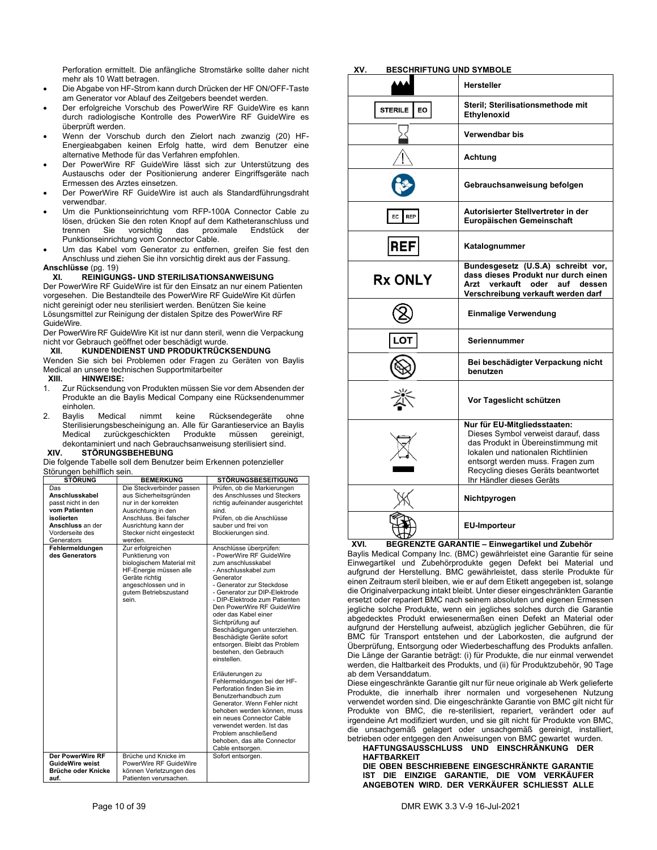Perforation ermittelt. Die anfängliche Stromstärke sollte daher nicht mehr als 10 Watt betragen.

- Die Abgabe von HF-Strom kann durch Drücken der HF ON/OFF-Taste am Generator vor Ablauf des Zeitgebers beendet werden.
- Der erfolgreiche Vorschub des PowerWire RF GuideWire es kann durch radiologische Kontrolle des PowerWire RF GuideWire es überprüft werden.
- Wenn der Vorschub durch den Zielort nach zwanzig (20) HF-Energieabgaben keinen Erfolg hatte, wird dem Benutzer eine alternative Methode für das Verfahren empfohlen.
- Der PowerWire RF GuideWire lässt sich zur Unterstützung des Austauschs oder der Positionierung anderer Eingriffsgeräte nach Ermessen des Arztes einsetzen.
- Der PowerWire RF GuideWire ist auch als Standardführungsdraht verwendbar.
- Um die Punktionseinrichtung vom RFP-100A Connector Cable zu lösen, drücken Sie den roten Knopf auf dem Katheteranschluss und trennen Sie vorsichtig das proximale Endstück der Punktionseinrichtung vom Connector Cable.
- Um das Kabel vom Generator zu entfernen, greifen Sie fest den Anschluss und ziehen Sie ihn vorsichtig direkt aus der Fassung.

### **Anschlüsse** (pg. 19)

### **XI. REINIGUNGS- UND STERILISATIONSANWEISUNG**

Der PowerWire RF GuideWire ist für den Einsatz an nur einem Patienten vorgesehen. Die Bestandteile des PowerWire RF GuideWire Kit dürfen nicht gereinigt oder neu sterilisiert werden. Benützen Sie keine Lösungsmittel zur Reinigung der distalen Spitze des PowerWire RF GuideWire.

Der PowerWire RF GuideWire Kit ist nur dann steril, wenn die Verpackung nicht vor Gebrauch geöffnet oder beschädigt wurde.

### **XII. KUNDENDIENST UND PRODUKTRÜCKSENDUNG**

Wenden Sie sich bei Problemen oder Fragen zu Geräten von Baylis Medical an unsere technischen Supportmitarbeiter

- **XIII. HINWEISE:**
- 1. Zur Rücksendung von Produkten müssen Sie vor dem Absenden der Produkte an die Baylis Medical Company eine Rücksendenummer einholen.
- 2. Baylis Medical nimmt keine Rücksendegeräte ohne Sterilisierungsbescheinigung an. Alle für Garantieservice an Baylis Medical zurückgeschickten Produkte müssen gereinigt, dekontaminiert und nach Gebrauchsanweisung sterilisiert sind.<br>
XIV STÖRUNGSBEHERUNG

### **XIV. STÖRUNGSBEHEBUNG**

Die folgende Tabelle soll dem Benutzer beim Erkennen potenzieller Störungen behilflich sein.

| <b>STÖRUNG</b>                                                                                                                  | <b>BEMERKUNG</b>                                                                                                                                                                             | <b>STÖRUNGSBESEITIGUNG</b>                                                                                                                                                                                                                                                                                                                                                                                                                                                                                                                                                                                                                                                                                                              |
|---------------------------------------------------------------------------------------------------------------------------------|----------------------------------------------------------------------------------------------------------------------------------------------------------------------------------------------|-----------------------------------------------------------------------------------------------------------------------------------------------------------------------------------------------------------------------------------------------------------------------------------------------------------------------------------------------------------------------------------------------------------------------------------------------------------------------------------------------------------------------------------------------------------------------------------------------------------------------------------------------------------------------------------------------------------------------------------------|
| Das<br>Anschlusskabel<br>passt nicht in den<br>vom Patienten<br>isolierten<br>Anschluss an der<br>Vorderseite des<br>Generators | Die Steckverbinder passen<br>aus Sicherheitsgründen<br>nur in der korrekten<br>Ausrichtung in den<br>Anschluss, Bei falscher<br>Ausrichtung kann der<br>Stecker nicht eingesteckt<br>werden. | Prüfen, ob die Markierungen<br>des Anschlusses und Steckers<br>richtig aufeinander ausgerichtet<br>sind.<br>Prüfen, ob die Anschlüsse<br>sauber und frei von<br>Blockierungen sind.                                                                                                                                                                                                                                                                                                                                                                                                                                                                                                                                                     |
| Fehlermeldungen<br>des Generators                                                                                               | Zur erfolgreichen<br>Punktierung von<br>biologischem Material mit<br>HF-Energie müssen alle<br>Geräte richtig<br>angeschlossen und in<br>gutem Betriebszustand<br>sein.                      | Anschlüsse überprüfen:<br>- PowerWire RF GuideWire<br>zum anschlusskabel<br>- Anschlusskabel zum<br>Generator<br>- Generator zur Steckdose<br>- Generator zur DIP-Elektrode<br>- DIP-Elektrode zum Patienten<br>Den PowerWire RF GuideWire<br>oder das Kabel einer<br>Sichtprüfung auf<br>Beschädigungen unterziehen.<br>Beschädigte Geräte sofort<br>entsorgen. Bleibt das Problem<br>bestehen, den Gebrauch<br>einstellen<br>Erläuterungen zu<br>Fehlermeldungen bei der HF-<br>Perforation finden Sie im<br>Benutzerhandbuch zum<br>Generator. Wenn Fehler nicht<br>behoben werden können, muss<br>ein neues Connector Cable<br>verwendet werden. Ist das<br>Problem anschließend<br>behoben, das alte Connector<br>Cable entsorgen. |
| Der PowerWire RF<br><b>GuideWire weist</b><br>Brüche oder Knicke<br>auf.                                                        | Brüche und Knicke im<br>PowerWire RF GuideWire<br>können Verletzungen des<br>Patienten verursachen.                                                                                          | Sofort entsorgen.                                                                                                                                                                                                                                                                                                                                                                                                                                                                                                                                                                                                                                                                                                                       |

### **XV. BESCHRIFTUNG UND SYMBOLE**

|                      | <b>Hersteller</b>                                                                                                                                                                                                                                       |
|----------------------|---------------------------------------------------------------------------------------------------------------------------------------------------------------------------------------------------------------------------------------------------------|
| <b>STERILE</b><br>EO | Steril; Sterilisationsmethode mit<br>Ethylenoxid                                                                                                                                                                                                        |
|                      | Verwendbar bis                                                                                                                                                                                                                                          |
|                      | Achtung                                                                                                                                                                                                                                                 |
|                      | Gebrauchsanweisung befolgen                                                                                                                                                                                                                             |
| EC<br><b>REP</b>     | Autorisierter Stellvertreter in der<br>Europäischen Gemeinschaft                                                                                                                                                                                        |
| <b>REF</b>           | Katalognummer                                                                                                                                                                                                                                           |
| <b>Rx ONLY</b>       | Bundesgesetz (U.S.A) schreibt vor,<br>dass dieses Produkt nur durch einen<br>Arzt verkauft oder<br>auf dessen<br>Verschreibung verkauft werden darf                                                                                                     |
|                      | <b>Einmalige Verwendung</b>                                                                                                                                                                                                                             |
|                      | Seriennummer                                                                                                                                                                                                                                            |
|                      | Bei beschädigter Verpackung nicht<br>benutzen                                                                                                                                                                                                           |
|                      | Vor Tageslicht schützen                                                                                                                                                                                                                                 |
|                      | Nur für EU-Mitgliedsstaaten:<br>Dieses Symbol verweist darauf, dass<br>das Produkt in Übereinstimmung mit<br>lokalen und nationalen Richtlinien<br>entsorgt werden muss. Fragen zum<br>Recycling dieses Geräts beantwortet<br>Ihr Händler dieses Geräts |
|                      | Nichtpyrogen                                                                                                                                                                                                                                            |
|                      | <b>EU-Importeur</b>                                                                                                                                                                                                                                     |

### **XVI. BEGRENZTE GARANTIE – Einwegartikel und Zubehör**

Baylis Medical Company Inc. (BMC) gewährleistet eine Garantie für seine Einwegartikel und Zubehörprodukte gegen Defekt bei Material und aufgrund der Herstellung. BMC gewährleistet, dass sterile Produkte für einen Zeitraum steril bleiben, wie er auf dem Etikett angegeben ist, solange die Originalverpackung intakt bleibt. Unter dieser eingeschränkten Garantie ersetzt oder repariert BMC nach seinem absoluten und eigenen Ermessen jegliche solche Produkte, wenn ein jegliches solches durch die Garantie abgedecktes Produkt erwiesenermaßen einen Defekt an Material oder aufgrund der Herstellung aufweist, abzüglich jeglicher Gebühren, die für BMC für Transport entstehen und der Laborkosten, die aufgrund der Überprüfung, Entsorgung oder Wiederbeschaffung des Produkts anfallen. Die Länge der Garantie beträgt: (i) für Produkte, die nur einmal verwendet werden, die Haltbarkeit des Produkts, und (ii) für Produktzubehör, 90 Tage ab dem Versanddatum.

Diese eingeschränkte Garantie gilt nur für neue originale ab Werk gelieferte Produkte, die innerhalb ihrer normalen und vorgesehenen Nutzung verwendet worden sind. Die eingeschränkte Garantie von BMC gilt nicht für Produkte von BMC, die re-sterilisiert, repariert, verändert oder auf irgendeine Art modifiziert wurden, und sie gilt nicht für Produkte von BMC, die unsachgemäß gelagert oder unsachgemäß gereinigt, installiert, betrieben oder entgegen den Anweisungen von BMC gewartet wurden.

**HAFTUNGSAUSSCHLUSS UND EINSCHRÄNKUNG DER HAFTBARKEIT** 

**DIE OBEN BESCHRIEBENE EINGESCHRÄNKTE GARANTIE IST DIE EINZIGE GARANTIE, DIE VOM VERKÄUFER ANGEBOTEN WIRD. DER VERKÄUFER SCHLIESST ALLE**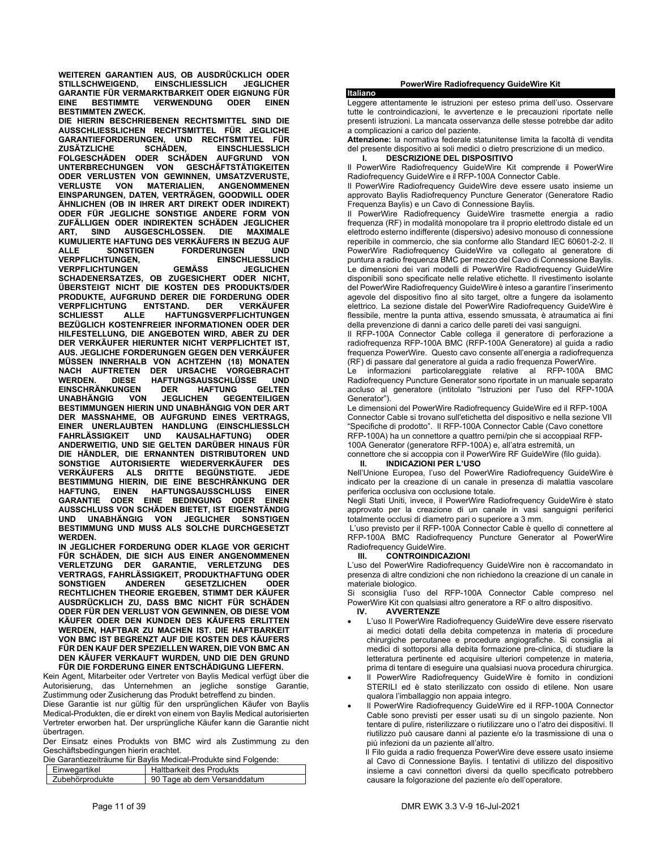**WEITEREN GARANTIEN AUS, OB AUSDRÜCKLICH ODER STILLSCHWEIGEND, EINSCHLIESSLICH JEGLICHER GARANTIE FÜR VERMARKTBARKEIT ODER EIGNUNG FÜR EINE BESTIMMTE VERWENDUNG ODER EINEN BESTIMMTEN ZWECK.** 

**DIE HIERIN BESCHRIEBENEN RECHTSMITTEL SIND DIE AUSSCHLIESSLICHEN RECHTSMITTEL FÜR JEGLICHE GARANTIEFORDERUNGEN, UND RECHTSMITTEL FÜR ZUSÄTZLICHE SCHÄDEN, EINSCHLIESSLICH FOLGESCHÄDEN ODER SCHÄDEN AUFGRUND VON UNTERBRECHUNGEN VON GESCHÄFTSTÄTIGKEITEN ODER VERLUSTEN VON GEWINNEN, UMSATZVERUSTE, VERLUSTE VON MATERIALIEN, ANGENOMMENEN EINSPARUNGEN, DATEN, VERTRÄGEN, GOODWILL ODER ÄHNLICHEN (OB IN IHRER ART DIREKT ODER INDIREKT) ODER FÜR JEGLICHE SONSTIGE ANDERE FORM VON ZUFÄLLIGEN ODER INDIREKTEN SCHÄDEN JEGLICHER ART, SIND AUSGESCHLOSSEN. DIE MAXIMALE KUMULIERTE HAFTUNG DES VERKÄUFERS IN BEZUG AUF ALLE SONSTIGEN FORDERUNGEN UND VERPFLICHTUNGEN, EINSCHLIESSLICH VERPFLICHTUNGEN GEMÄSS JEGLICHEN SCHADENERSATZES, OB ZUGESICHERT ODER NICHT, ÜBERSTEIGT NICHT DIE KOSTEN DES PRODUKTS/DER PRODUKTE, AUFGRUND DERER DIE FORDERUNG ODER VERPFLICHTUNG SCHLIESST ALLE HAFTUNGSVERPFLICHTUNGEN BEZÜGLICH KOSTENFREIER INFORMATIONEN ODER DER HILFESTELLUNG, DIE ANGEBOTEN WIRD, ABER ZU DER DER VERKÄUFER HIERUNTER NICHT VERPFLICHTET IST, AUS. JEGLICHE FORDERUNGEN GEGEN DEN VERKÄUFER MÜSSEN INNERHALB VON ACHTZEHN (18) MONATEN NACH AUFTRETEN DER URSACHE VORGEBRACHT WERDEN. DIESE HAFTUNGSAUSSCHLÜSSE UND EINSCHRÄNKUNGEN DER HAFTUNG GELTEN UNABHÄNGIG VON JEGLICHEN GEGENTEILIGEN BESTIMMUNGEN HIERIN UND UNABHÄNGIG VON DER ART DER MASSNAHME, OB AUFGRUND EINES VERTRAGS, EINER UNERLAUBTEN HANDLUNG (EINSCHLIESSLCH KAUSALHAFTUNG) ODER ANDERWEITIG, UND SIE GELTEN DARÜBER HINAUS FÜR DIE HÄNDLER, DIE ERNANNTEN DISTRIBUTOREN UND SONSTIGE AUTORISIERTE WIEDERVERKÄUFER DES VERKÄUFERS ALS DRITTE BEGÜNSTIGTE. JEDE BESTIMMUNG HIERIN, DIE EINE BESCHRÄNKUNG DER HAFTUNG, EINEN HAFTUNGSAUSSCHLUSS EINER GARANTIE ODER EINE BEDINGUNG ODER EINEN AUSSCHLUSS VON SCHÄDEN BIETET, IST EIGENSTÄNDIG UND UNABHÄNGIG VON JEGLICHER SONSTIGEN BESTIMMUNG UND MUSS ALS SOLCHE DURCHGESETZT WERDEN.** 

**IN JEGLICHER FORDERUNG ODER KLAGE VOR GERICHT FÜR SCHÄDEN, DIE SICH AUS EINER ANGENOMMENEN VERLETZUNG DER GARANTIE, VERLETZUNG DES VERTRAGS, FAHRLÄSSIGKEIT, PRODUKTHAFTUNG ODER GESETZLICHEN RECHTLICHEN THEORIE ERGEBEN, STIMMT DER KÄUFER AUSDRÜCKLICH ZU, DASS BMC NICHT FÜR SCHÄDEN ODER FÜR DEN VERLUST VON GEWINNEN, OB DIESE VOM KÄUFER ODER DEN KUNDEN DES KÄUFERS ERLITTEN WERDEN, HAFTBAR ZU MACHEN IST. DIE HAFTBARKEIT VON BMC IST BEGRENZT AUF DIE KOSTEN DES KÄUFERS FÜR DEN KAUF DER SPEZIELLEN WAREN, DIE VON BMC AN DEN KÄUFER VERKAUFT WURDEN, UND DIE DEN GRUND FÜR DIE FORDERUNG EINER ENTSCHÄDIGUNG LIEFERN.**

Kein Agent, Mitarbeiter oder Vertreter von Baylis Medical verfügt über die Autorisierung, das Unternehmen an jegliche sonstige Garantie, Zustimmung oder Zusicherung das Produkt betreffend zu binden.

Diese Garantie ist nur gültig für den ursprünglichen Käufer von Baylis Medical-Produkten, die er direkt von einem von Baylis Medical autorisierten Vertreter erworben hat. Der ursprüngliche Käufer kann die Garantie nicht übertragen

Der Einsatz eines Produkts von BMC wird als Zustimmung zu den Geschäftsbedingungen hierin erachtet.

| Die Garantiezeiträume für Baylis Medical-Produkte sind Folgende: |                 |                             |
|------------------------------------------------------------------|-----------------|-----------------------------|
|                                                                  | Einwegartikel   | Haltbarkeit des Produkts    |
|                                                                  | Zubehörprodukte | 90 Tage ab dem Versanddatum |

### **PowerWire Radiofrequency GuideWire Kit**

**Italiano** 

Leggere attentamente le istruzioni per esteso prima dell'uso. Osservare tutte le controindicazioni, le avvertenze e le precauzioni riportate nelle presenti istruzioni. La mancata osservanza delle stesse potrebbe dar adito a complicazioni a carico del paziente.

**Attenzione:** la normativa federale statunitense limita la facoltà di vendita del presente dispositivo ai soli medici o dietro prescrizione di un medico. **I. DESCRIZIONE DEL DISPOSITIVO** 

Il PowerWire Radiofrequency GuideWire Kit comprende il PowerWire

Radiofrequency GuideWire e il RFP-100A Connector Cable. Il PowerWire Radiofrequency GuideWire deve essere usato insieme un approvato Baylis Radiofrequency Puncture Generator (Generatore Radio Frequenza Baylis) e un Cavo di Connessione Baylis.

Il PowerWire Radiofrequency GuideWire trasmette energia a radio frequenza (RF) in modalità monopolare tra il proprio elettrodo distale ed un elettrodo esterno indifferente (dispersivo) adesivo monouso di connessione reperibile in commercio, che sia conforme allo Standard IEC 60601-2-2. Il PowerWire Radiofrequency GuideWire va collegato al generatore di puntura a radio frequenza BMC per mezzo del Cavo di Connessione Baylis. Le dimensioni dei vari modelli di PowerWire Radiofrequency GuideWire disponibili sono specificate nelle relative etichette. Il rivestimento isolante del PowerWire Radiofrequency GuideWire è inteso a garantire l'inserimento agevole del dispositivo fino al sito target, oltre a fungere da isolamento elettrico. La sezione distale del PowerWire Radiofrequency GuideWire è flessibile, mentre la punta attiva, essendo smussata, è atraumatica ai fini della prevenzione di danni a carico delle pareti dei vasi sanguigni.

Il RFP-100A Connector Cable collega il generatore di perforazione a radiofrequenza RFP-100A BMC (RFP-100A Generatore) al guida a radio frequenza PowerWire. Questo cavo consente all'energia a radiofrequenza (RF) di passare dal generatore al guida a radio frequenza PowerWire.

Le informazioni particolareggiate relative al RFP-100A BMC Radiofrequency Puncture Generator sono riportate in un manuale separato accluso al generatore (intitolato "Istruzioni per l'uso del RFP-100A Generator").

Le dimensioni del PowerWire Radiofrequency GuideWire ed il RFP-100A Connector Cable si trovano sull'etichetta del dispositivo e nella sezione VII "Specifiche di prodotto". Il RFP-100A Connector Cable (Cavo conettore RFP-100A) ha un connettore a quattro perni/pin che si accoppiaal RFP-100A Generator (generatore RFP-100A) e, all'atra estremità, un

connettore che si accoppia con il PowerWire RF GuideWire (filo guida).

### **II. INDICAZIONI PER L'USO**

Nell'Unione Europea, l'uso del PowerWire Radiofrequency GuideWire è indicato per la creazione di un canale in presenza di malattia vascolare periferica occlusiva con occlusione totale.

Negli Stati Uniti, invece, il PowerWire Radiofrequency GuideWire è stato approvato per la creazione di un canale in vasi sanguigni periferici totalmente occlusi di diametro pari o superiore a 3 mm.

 L'uso previsto per il RFP-100A Connector Cable è quello di connettere al RFP-100A BMC Radiofrequency Puncture Generator al PowerWire Radiofrequency GuideWire.

### **III. CONTROINDICAZIONI**

L'uso del PowerWire Radiofrequency GuideWire non è raccomandato in presenza di altre condizioni che non richiedono la creazione di un canale in materiale biologico.

Si sconsiglia l'uso del RFP-100A Connector Cable compreso nel PowerWire Kit con qualsiasi altro generatore a RF o altro dispositivo.

### **IV. AVVERTENZE**

- L'uso Il PowerWire Radiofrequency GuideWire deve essere riservato ai medici dotati della debita competenza in materia di procedure chirurgiche percutanee e procedure angiografiche. Si consiglia ai medici di sottoporsi alla debita formazione pre-clinica, di studiare la letteratura pertinente ed acquisire ulteriori competenze in materia, prima di tentare di eseguire una qualsiasi nuova procedura chirurgica.
- Il PowerWire Radiofrequency GuideWire è fornito in condizioni STERILI ed è stato sterilizzato con ossido di etilene. Non usare qualora l'imballaggio non appaia integro.
- Il PowerWire Radiofrequency GuideWire ed il RFP-100A Connector Cable sono previsti per esser usati su di un singolo paziente. Non tentare di pulire, risterilizzare o riutilizzare uno o l'atro dei dispositivi. Il riutilizzo può causare danni al paziente e/o la trasmissione di una o più infezioni da un paziente all'altro.

 Il Filo guida a radio frequenza PowerWire deve essere usato insieme al Cavo di Connessione Baylis. I tentativi di utilizzo del dispositivo insieme a cavi connettori diversi da quello specificato potrebbero causare la folgorazione del paziente e/o dell'operatore.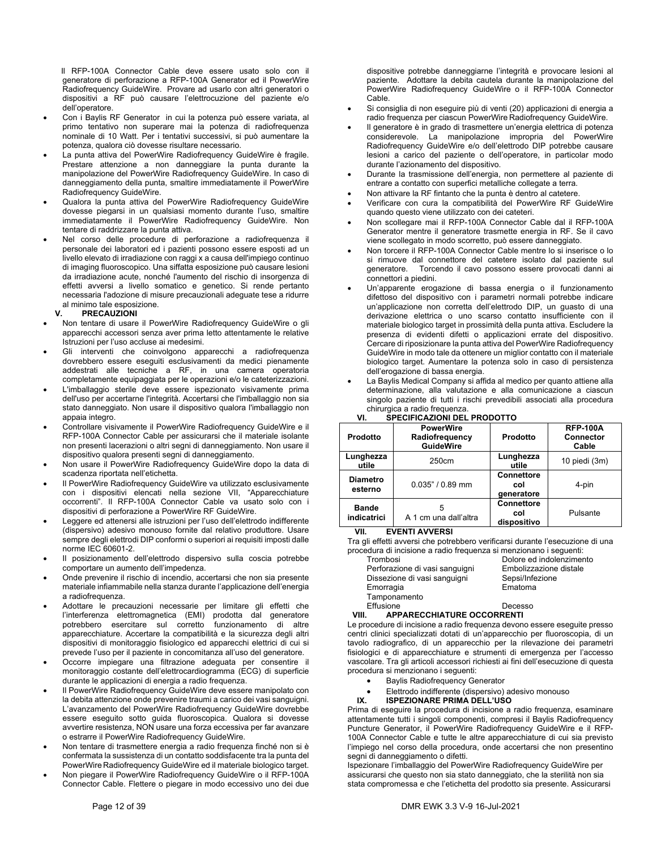Il RFP-100A Connector Cable deve essere usato solo con il generatore di perforazione a RFP-100A Generator ed il PowerWire Radiofrequency GuideWire. Provare ad usarlo con altri generatori o dispositivi a RF può causare l'elettrocuzione del paziente e/o dell'operatore.

- Con i Baylis RF Generator in cui la potenza può essere variata, al primo tentativo non superare mai la potenza di radiofrequenza nominale di 10 Watt. Per i tentativi successivi, si può aumentare la potenza, qualora ciò dovesse risultare necessario.
- La punta attiva del PowerWire Radiofrequency GuideWire è fragile. Prestare attenzione a non danneggiare la punta durante la manipolazione del PowerWire Radiofrequency GuideWire. In caso di danneggiamento della punta, smaltire immediatamente il PowerWire Radiofrequency GuideWire.
- Qualora la punta attiva del PowerWire Radiofrequency GuideWire dovesse piegarsi in un qualsiasi momento durante l'uso, smaltire immediatamente il PowerWire Radiofrequency GuideWire. Non tentare di raddrizzare la punta attiva.
- Nel corso delle procedure di perforazione a radiofrequenza il personale dei laboratori ed i pazienti possono essere esposti ad un livello elevato di irradiazione con raggi x a causa dell'impiego continuo di imaging fluoroscopico. Una siffatta esposizione può causare lesioni da irradiazione acute, nonché l'aumento del rischio di insorgenza di effetti avversi a livello somatico e genetico. Si rende pertanto necessaria l'adozione di misure precauzionali adeguate tese a ridurre al minimo tale esposizione.<br>V. PRECAUZIONI

### **V. PRECAUZIONI**

- Non tentare di usare il PowerWire Radiofrequency GuideWire o gli apparecchi accessori senza aver prima letto attentamente le relative Istruzioni per l'uso accluse ai medesimi.
- Gli interventi che coinvolgono apparecchi a radiofrequenza dovrebbero essere eseguiti esclusivamenti da medici pienamente addestrati alle tecniche a RF, in una camera operatoria completamente equipaggiata per le operazioni e/o le cateterizzazioni.
- L'imballaggio sterile deve essere ispezionato visivamente prima dell'uso per accertarne l'integrità. Accertarsi che l'imballaggio non sia stato danneggiato. Non usare il dispositivo qualora l'imballaggio non appaia integro.
- Controllare visivamente il PowerWire Radiofrequency GuideWire e il RFP-100A Connector Cable per assicurarsi che il materiale isolante non presenti lacerazioni o altri segni di danneggiamento. Non usare il dispositivo qualora presenti segni di danneggiamento.
- Non usare il PowerWire Radiofrequency GuideWire dopo la data di scadenza riportata nell'etichetta.
- Il PowerWire Radiofrequency GuideWire va utilizzato esclusivamente con i dispositivi elencati nella sezione VII, "Apparecchiature occorrenti". Il RFP-100A Connector Cable va usato solo con i dispositivi di perforazione a PowerWire RF GuideWire.
- Leggere ed attenersi alle istruzioni per l'uso dell'elettrodo indifferente (dispersivo) adesivo monouso fornite dal relativo produttore. Usare sempre degli elettrodi DIP conformi o superiori ai requisiti imposti dalle norme IEC 60601-2.
- Il posizionamento dell'elettrodo dispersivo sulla coscia potrebbe comportare un aumento dell'impedenza.
- Onde prevenire il rischio di incendio, accertarsi che non sia presente materiale infiammabile nella stanza durante l'applicazione dell'energia a radiofrequenza.
- Adottare le precauzioni necessarie per limitare gli effetti che l'interferenza elettromagnetica (EMI) prodotta dal generatore potrebbero esercitare sul corretto funzionamento di altre apparecchiature. Accertare la compatibilità e la sicurezza degli altri dispositivi di monitoraggio fisiologico ed apparecchi elettrici di cui si prevede l'uso per il paziente in concomitanza all'uso del generatore.
- Occorre impiegare una filtrazione adeguata per consentire il monitoraggio costante dell'elettrocardiogramma (ECG) di superficie durante le applicazioni di energia a radio frequenza.
- Il PowerWire Radiofrequency GuideWire deve essere manipolato con la debita attenzione onde prevenire traumi a carico dei vasi sanguigni. L'avanzamento del PowerWire Radiofrequency GuideWire dovrebbe essere eseguito sotto guida fluoroscopica. Qualora si dovesse avvertire resistenza, NON usare una forza eccessiva per far avanzare o estrarre il PowerWire Radiofrequency GuideWire.
- Non tentare di trasmettere energia a radio frequenza finché non si è confermata la sussistenza di un contatto soddisfacente tra la punta del PowerWire Radiofrequency GuideWire ed il materiale biologico target.
- Non piegare il PowerWire Radiofrequency GuideWire o il RFP-100A Connector Cable. Flettere o piegare in modo eccessivo uno dei due

dispositive potrebbe danneggiarne l'integrità e provocare lesioni al paziente. Adottare la debita cautela durante la manipolazione del PowerWire Radiofrequency GuideWire o il RFP-100A Connector Cable.

- Si consiglia di non eseguire più di venti (20) applicazioni di energia a radio frequenza per ciascun PowerWire Radiofrequency GuideWire.
- Il generatore è in grado di trasmettere un'energia elettrica di potenza considerevole. La manipolazione impropria del PowerWire Radiofrequency GuideWire e/o dell'elettrodo DIP potrebbe causare lesioni a carico del paziente o dell'operatore, in particolar modo durante l'azionamento del dispositivo.
- Durante la trasmissione dell'energia, non permettere al paziente di entrare a contatto con superfici metalliche collegate a terra.
- Non attivare la RF fintanto che la punta è dentro al catetere.
- Verificare con cura la compatibilità del PowerWire RF GuideWire quando questo viene utilizzato con dei cateteri.
- Non scollegare mai il RFP-100A Connector Cable dal il RFP-100A Generator mentre il generatore trasmette energia in RF. Se il cavo viene scollegato in modo scorretto, può essere danneggiato.
- Non torcere il RFP-100A Connector Cable mentre lo si inserisce o lo si rimuove dal connettore del catetere isolato dal paziente sul generatore. Torcendo il cavo possono essere provocati danni ai connettori a piedini.
- Un'apparente erogazione di bassa energia o il funzionamento difettoso del dispositivo con i parametri normali potrebbe indicare un'applicazione non corretta dell'elettrodo DIP, un guasto di una derivazione elettrica o uno scarso contatto insufficiente con il materiale biologico target in prossimità della punta attiva. Escludere la presenza di evidenti difetti o applicazioni errate del dispositivo. Cercare di riposizionare la punta attiva del PowerWire Radiofrequency GuideWire in modo tale da ottenere un miglior contatto con il materiale biologico target. Aumentare la potenza solo in caso di persistenza dell'erogazione di bassa energia.

 La Baylis Medical Company si affida al medico per quanto attiene alla determinazione, alla valutazione e alla comunicazione a ciascun singolo paziente di tutti i rischi prevedibili associati alla procedura

| chirurgica a radio freguenza.<br>SPECIFICAZIONI DEL PRODOTTO<br>VI. |                                                        |                                         |                                              |
|---------------------------------------------------------------------|--------------------------------------------------------|-----------------------------------------|----------------------------------------------|
| <b>Prodotto</b>                                                     | <b>PowerWire</b><br>Radiofrequency<br><b>GuideWire</b> | <b>Prodotto</b>                         | <b>RFP-100A</b><br><b>Connector</b><br>Cable |
| Lunghezza<br>utile                                                  | 250cm                                                  | Lunghezza<br>utile                      | 10 piedi (3m)                                |
| <b>Diametro</b><br>esterno                                          | $0.035" / 0.89$ mm                                     | <b>Connettore</b><br>col<br>generatore  | 4-pin                                        |
| <b>Bande</b><br>indicatrici                                         | 5<br>A 1 cm una dall'altra                             | <b>Connettore</b><br>col<br>dispositivo | Pulsante                                     |

**VII. EVENTI AVVERSI** 

Tra gli effetti avversi che potrebbero verificarsi durante l'esecuzione di una procedura di incisione a radio frequenza si menzionano i seguenti:

| Trombosi                       | Dolore ed indolenzimento |
|--------------------------------|--------------------------|
| Perforazione di vasi sanguigni | Embolizzazione distale   |
| Dissezione di vasi sanguigni   | Sepsi/Infezione          |
| Emorragia                      | Ematoma                  |
| Tamponamento                   |                          |
| Effusione                      | Decesso                  |

### **VIII. APPARECCHIATURE OCCORRENTI**

Le procedure di incisione a radio frequenza devono essere eseguite presso centri clinici specializzati dotati di un'apparecchio per fluoroscopia, di un tavolo radiografico, di un apparecchio per la rilevazione dei parametri fisiologici e di apparecchiature e strumenti di emergenza per l'accesso vascolare. Tra gli articoli accessori richiesti ai fini dell'esecuzione di questa procedura si menzionano i seguenti:

- **•** Baylis Radiofrequency Generator
- Elettrodo indifferente (dispersivo) adesivo monouso<br>IX. ISPEZIONARE PRIMA DELL'USO
- **IX. ISPEZIONARE PRIMA DELL'USO**

Prima di eseguire la procedura di incisione a radio frequenza, esaminare attentamente tutti i singoli componenti, compresi il Baylis Radiofrequency Puncture Generator, il PowerWire Radiofrequency GuideWire e il RFP-100A Connector Cable e tutte le altre apparecchiature di cui sia previsto l'impiego nel corso della procedura, onde accertarsi che non presentino segni di danneggiamento o difetti.

Ispezionare l'imballaggio del PowerWire Radiofrequency GuideWire per assicurarsi che questo non sia stato danneggiato, che la sterilità non sia stata compromessa e che l'etichetta del prodotto sia presente. Assicurarsi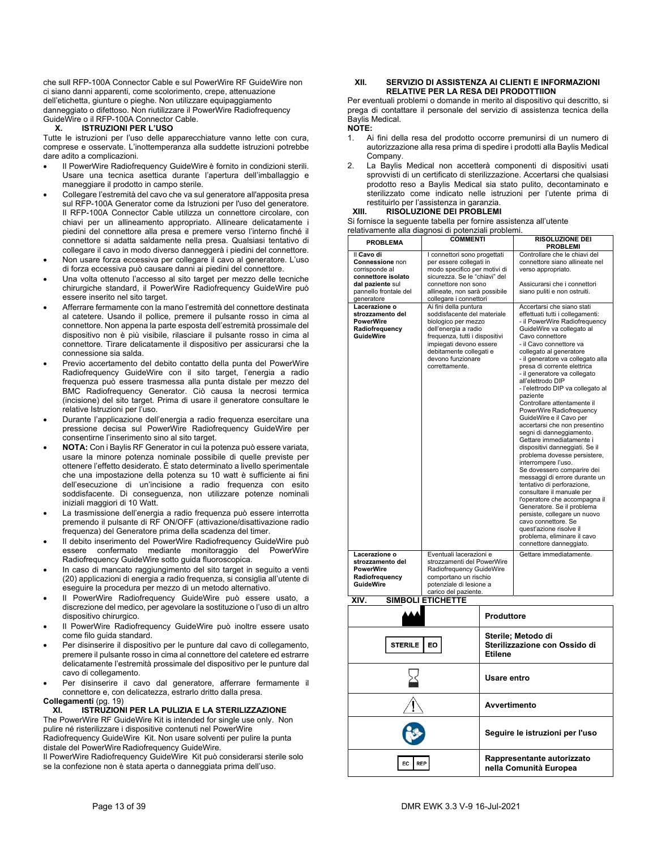che sull RFP-100A Connector Cable e sul PowerWire RF GuideWire non ci siano danni apparenti, come scolorimento, crepe, attenuazione dell'etichetta, giunture o pieghe. Non utilizzare equipaggiamento danneggiato o difettoso. Non riutilizzare il PowerWire Radiofrequency GuideWire o il RFP-100A Connector Cable.

### **X. ISTRUZIONI PER L'USO**

Tutte le istruzioni per l'uso delle apparecchiature vanno lette con cura, comprese e osservate. L'inottemperanza alla suddette istruzioni potrebbe dare adito a complicazioni.

- Il PowerWire Radiofrequency GuideWire è fornito in condizioni sterili. Usare una tecnica asettica durante l'apertura dell'imballaggio e maneggiare il prodotto in campo sterile.
- Collegare l'estremità del cavo che va sul generatore all'apposita presa sul RFP-100A Generator come da Istruzioni per l'uso del generatore. Il RFP-100A Connector Cable utilizza un connettore circolare, con chiavi per un allineamento appropriato. Allineare delicatamente i piedini del connettore alla presa e premere verso l'interno finché il connettore si adatta saldamente nella presa. Qualsiasi tentativo di collegare il cavo in modo diverso danneggerà i piedini del connettore.
- Non usare forza eccessiva per collegare il cavo al generatore. L'uso di forza eccessiva può causare danni ai piedini del connettore.
- Una volta ottenuto l'accesso al sito target per mezzo delle tecniche chirurgiche standard, il PowerWire Radiofrequency GuideWire può essere inserito nel sito target.
- Afferrare fermamente con la mano l'estremità del connettore destinata al catetere. Usando il pollice, premere il pulsante rosso in cima al connettore. Non appena la parte esposta dell'estremità prossimale del dispositivo non è più visibile, rilasciare il pulsante rosso in cima al connettore. Tirare delicatamente il dispositivo per assicurarsi che la connessione sia salda.
- Previo accertamento del debito contatto della punta del PowerWire Radiofrequency GuideWire con il sito target, l'energia a radio frequenza può essere trasmessa alla punta distale per mezzo del BMC Radiofrequency Generator. Ciò causa la necrosi termica (incisione) del sito target. Prima di usare il generatore consultare le relative Istruzioni per l'uso.
- Durante l'applicazione dell'energia a radio frequenza esercitare una pressione decisa sul PowerWire Radiofrequency GuideWire per consentirne l'inserimento sino al sito target.
- **NOTA:** Con i Baylis RF Generator in cui la potenza può essere variata, usare la minore potenza nominale possibile di quelle previste per ottenere l'effetto desiderato. È stato determinato a livello sperimentale che una impostazione della potenza su 10 watt è sufficiente ai fini dell'esecuzione di un'incisione a radio frequenza con esito soddisfacente. Di conseguenza, non utilizzare potenze nominali iniziali maggiori di 10 Watt.
- La trasmissione dell'energia a radio frequenza può essere interrotta premendo il pulsante di RF ON/OFF (attivazione/disattivazione radio frequenza) del Generatore prima della scadenza del timer.
- Il debito inserimento del PowerWire Radiofrequency GuideWire può essere confermato mediante monitoraggio del PowerWire Radiofrequency GuideWire sotto guida fluoroscopica.
- In caso di mancato raggiungimento del sito target in seguito a venti (20) applicazioni di energia a radio frequenza, si consiglia all'utente di eseguire la procedura per mezzo di un metodo alternativo.
- Il PowerWire Radiofrequency GuideWire può essere usato, a discrezione del medico, per agevolare la sostituzione o l'uso di un altro dispositivo chirurgico.
- Il PowerWire Radiofrequency GuideWire può inoltre essere usato come filo guida standard.
- Per disinserire il dispositivo per le punture dal cavo di collegamento, premere il pulsante rosso in cima al connettore del catetere ed estrarre delicatamente l'estremità prossimale del dispositivo per le punture dal cavo di collegamento.
- Per disinserire il cavo dal generatore, afferrare fermamente il connettore e, con delicatezza, estrarlo dritto dalla presa.

### **Collegamenti** (pg. 19)

**XI. ISTRUZIONI PER LA PULIZIA E LA STERILIZZAZIONE**  The PowerWire RF GuideWire Kit is intended for single use only. Non pulire né risterilizzare i dispositive contenuti nel PowerWire Radiofrequency GuideWire Kit. Non usare solventi per pulire la punta

distale del PowerWire Radiofrequency GuideWire. Il PowerWire Radiofrequency GuideWire Kit può considerarsi sterile solo

se la confezione non è stata aperta o danneggiata prima dell'uso.

### **XII. SERVIZIO DI ASSISTENZA AI CLIENTI E INFORMAZIONI RELATIVE PER LA RESA DEI PRODOTTIION**

Per eventuali problemi o domande in merito al dispositivo qui descritto, si prega di contattare il personale del servizio di assistenza tecnica della Baylis Medical.

### **NOTE:**

- 1. Ai fini della resa del prodotto occorre premunirsi di un numero di autorizzazione alla resa prima di spedire i prodotti alla Baylis Medical Company.
- 2. La Baylis Medical non accetterà componenti di dispositivi usati sprovvisti di un certificato di sterilizzazione. Accertarsi che qualsiasi prodotto reso a Baylis Medical sia stato pulito, decontaminato e sterilizzato come indicato nelle istruzioni per l'utente prima di restituirlo per l'assistenza in garanzia.<br>XIII. RISOLUZIONE DEI PROBLEMI

### **XIII. RISOLUZIONE DEI PROBLEMI**

Si fornisce la seguente tabella per fornire assistenza all'utente relativamente alla diagnosi di potenziali problemi.

| <b>PROBLEMA</b>                      | <b>COMMENTI</b>                                               | <b>RISOLUZIONE DEI</b>                                    |
|--------------------------------------|---------------------------------------------------------------|-----------------------------------------------------------|
|                                      |                                                               | <b>PROBLEMI</b>                                           |
| Il Cavo di                           | I connettori sono progettati                                  | Controllare che le chiavi del                             |
| Connessione non                      | per essere collegati in                                       | connettore siano allineate nel                            |
| corrisponde al<br>connettore isolato | modo specifico per motivi di<br>sicurezza. Se le "chiavi" del | verso appropriato.                                        |
| dal paziente sul                     | connettore non sono                                           | Assicurarsi che i connettori                              |
| pannello frontale del                | allineate, non sarà possibile                                 | siano puliti e non ostruiti.                              |
| generatore                           | collegare i connettori                                        |                                                           |
| Lacerazione o                        | Ai fini della puntura                                         | Accertarsi che siano stati                                |
| strozzamento del                     | soddisfacente del materiale                                   | effettuati tutti i collegamenti:                          |
| <b>PowerWire</b>                     | biologico per mezzo                                           | - il PowerWire Radiofrequency                             |
| Radiofrequency                       | dell'energia a radio                                          | GuideWire va collegato al                                 |
| <b>GuideWire</b>                     | frequenza, tutti i dispositivi                                | Cavo connettore                                           |
|                                      | impiegati devono essere                                       | - il Cavo connettore va                                   |
|                                      | debitamente collegati e                                       | collegato al generatore                                   |
|                                      | devono funzionare                                             | - il generatore va collegato alla                         |
|                                      | correttamente.                                                | presa di corrente elettrica                               |
|                                      |                                                               | - il generatore va collegato                              |
|                                      |                                                               | all'elettrodo DIP                                         |
|                                      |                                                               | - l'elettrodo DIP va collegato al                         |
|                                      |                                                               | paziente                                                  |
|                                      |                                                               | Controllare attentamente il                               |
|                                      |                                                               | PowerWire Radiofrequency                                  |
|                                      |                                                               | GuideWire e il Cavo per                                   |
|                                      |                                                               | accertarsi che non presentino<br>segni di danneggiamento. |
|                                      |                                                               | Gettare immediatamente i                                  |
|                                      |                                                               | dispositivi danneggiati. Se il                            |
|                                      |                                                               | problema dovesse persistere,                              |
|                                      |                                                               | interrompere l'uso.                                       |
|                                      |                                                               | Se dovessero comparire dei                                |
|                                      |                                                               | messaggi di errore durante un                             |
|                                      |                                                               | tentativo di perforazione,                                |
|                                      |                                                               | consultare il manuale per                                 |
|                                      |                                                               | l'operatore che accompagna il                             |
|                                      |                                                               | Generatore. Se il problema                                |
|                                      |                                                               | persiste, collegare un nuovo                              |
|                                      |                                                               | cavo connettore. Se                                       |
|                                      |                                                               | quest'azione risolve il                                   |
|                                      |                                                               | problema, eliminare il cavo                               |
|                                      |                                                               | connettore danneggiato.                                   |
| Lacerazione o                        | Eventuali lacerazioni e                                       | Gettare immediatamente.                                   |
| strozzamento del                     | strozzamenti del PowerWire                                    |                                                           |
| <b>PowerWire</b>                     | Radiofrequency GuideWire                                      |                                                           |
| Radiofrequency                       | comportano un rischio                                         |                                                           |
| <b>GuideWire</b>                     | potenziale di lesione a                                       |                                                           |
|                                      | carico del paziente.                                          |                                                           |
| XIV.                                 | <b>SIMBOLI ETICHETTE</b>                                      |                                                           |

| XIV. | <b>SIMBOLI ETICHETTE</b> |  |
|------|--------------------------|--|
|      |                          |  |

|                      | <b>Produttore</b>                                                     |
|----------------------|-----------------------------------------------------------------------|
| <b>STERILE</b><br>EO | Sterile; Metodo di<br>Sterilizzazione con Ossido di<br><b>Etilene</b> |
|                      | Usare entro                                                           |
|                      | Avvertimento                                                          |
|                      | Seguire le istruzioni per l'uso                                       |
| EC.<br><b>REP</b>    | Rappresentante autorizzato<br>nella Comunità Europea                  |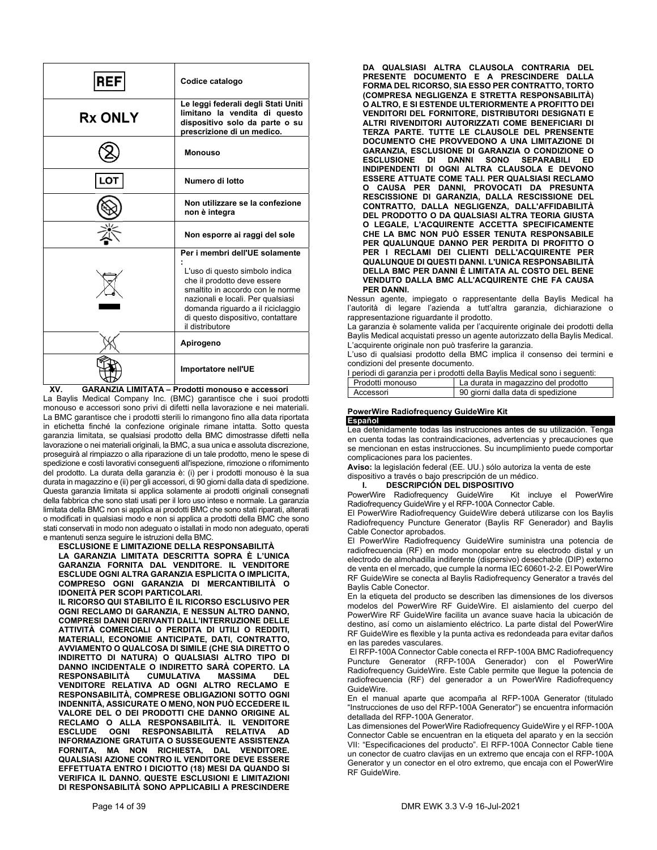| <b>REF</b>     | Codice catalogo                                                                                                                                                                                                                                                       |
|----------------|-----------------------------------------------------------------------------------------------------------------------------------------------------------------------------------------------------------------------------------------------------------------------|
| <b>Rx ONLY</b> | Le leggi federali degli Stati Uniti<br>limitano la vendita di questo<br>dispositivo solo da parte o su<br>prescrizione di un medico.                                                                                                                                  |
|                | <b>Monouso</b>                                                                                                                                                                                                                                                        |
|                | Numero di lotto                                                                                                                                                                                                                                                       |
|                | Non utilizzare se la confezione<br>non è integra                                                                                                                                                                                                                      |
|                | Non esporre ai raggi del sole                                                                                                                                                                                                                                         |
|                | Per i membri dell'UE solamente<br>L'uso di questo simbolo indica<br>che il prodotto deve essere<br>smaltito in accordo con le norme<br>nazionali e locali. Per qualsiasi<br>domanda riguardo a il riciclaggio<br>di questo dispositivo, contattare<br>il distributore |
|                | Apirogeno                                                                                                                                                                                                                                                             |
|                | Importatore nell'UE                                                                                                                                                                                                                                                   |

**XV. GARANZIA LIMITATA – Prodotti monouso e accessori**  La Baylis Medical Company Inc. (BMC) garantisce che i suoi prodotti monouso e accessori sono privi di difetti nella lavorazione e nei materiali. La BMC garantisce che i prodotti sterili lo rimangono fino alla data riportata in etichetta finché la confezione originale rimane intatta. Sotto questa garanzia limitata, se qualsiasi prodotto della BMC dimostrasse difetti nella lavorazione o nei materiali originali, la BMC, a sua unica e assoluta discrezione, proseguirà al rimpiazzo o alla riparazione di un tale prodotto, meno le spese di spedizione e costi lavorativi conseguenti all'ispezione, rimozione o rifornimento del prodotto. La durata della garanzia è: (i) per i prodotti monouso è la sua durata in magazzino e (ii) per gli accessori, di 90 giorni dalla data di spedizione. Questa garanzia limitata si applica solamente ai prodotti originali consegnati della fabbrica che sono stati usati per il loro uso inteso e normale. La garanzia limitata della BMC non si applica ai prodotti BMC che sono stati riparati, alterati o modificati in qualsiasi modo e non si applica a prodotti della BMC che sono stati conservati in modo non adeguato o istallati in modo non adeguato, operati e mantenuti senza seguire le istruzioni della BMC.

**ESCLUSIONE E LIMITAZIONE DELLA RESPONSABILITÀ LA GARANZIA LIMITATA DESCRITTA SOPRA È L'UNICA GARANZIA FORNITA DAL VENDITORE. IL VENDITORE ESCLUDE OGNI ALTRA GARANZIA ESPLICITA O IMPLICITA, COMPRESO OGNI GARANZIA DI MERCANTIBILITÀ O IDONEITÀ PER SCOPI PARTICOLARI.** 

**IL RICORSO QUI STABILITO È IL RICORSO ESCLUSIVO PER OGNI RECLAMO DI GARANZIA, E NESSUN ALTRO DANNO, COMPRESI DANNI DERIVANTI DALL'INTERRUZIONE DELLE ATTIVITÀ COMERCIALI O PERDITA DI UTILI O REDDITI, MATERIALI, ECONOMIE ANTICIPATE, DATI, CONTRATTO, AVVIAMENTO O QUALCOSA DI SIMILE (CHE SIA DIRETTO O INDIRETTO DI NATURA) O QUALSIASI ALTRO TIPO DI DANNO INCIDENTALE O INDIRETTO SARÀ COPERTO. LA RESPONSABILITÀ CUMULATIVA MASSIMA DEL VENDITORE RELATIVA AD OGNI ALTRO RECLAMO E RESPONSABILITÀ, COMPRESE OBLIGAZIONI SOTTO OGNI INDENNITÀ, ASSICURATE O MENO, NON PUÒ ECCEDERE IL VALORE DEL O DEI PRODOTTI CHE DANNO ORIGINE AL RECLAMO O ALLA RESPONSABILITÀ. IL VENDITORE ESCLUDE OGNI RESPONSABILITÀ RELATIVA AD INFORMAZIONE GRATUITA O SUSSEGUENTE ASSISTENZA FORNITA, MA NON RICHIESTA, DAL VENDITORE. QUALSIASI AZIONE CONTRO IL VENDITORE DEVE ESSERE EFFETTUATA ENTRO I DICIOTTO (18) MESI DA QUANDO SI VERIFICA IL DANNO. QUESTE ESCLUSIONI E LIMITAZIONI DI RESPONSABILITÀ SONO APPLICABILI A PRESCINDERE** 

**DA QUALSIASI ALTRA CLAUSOLA CONTRARIA DEL PRESENTE DOCUMENTO E A PRESCINDERE DALLA FORMA DEL RICORSO, SIA ESSO PER CONTRATTO, TORTO (COMPRESA NEGLIGENZA E STRETTA RESPONSABILITÀ) O ALTRO, E SI ESTENDE ULTERIORMENTE A PROFITTO DEI VENDITORI DEL FORNITORE, DISTRIBUTORI DESIGNATI E ALTRI RIVENDITORI AUTORIZZATI COME BENEFICIARI DI TERZA PARTE. TUTTE LE CLAUSOLE DEL PRENSENTE DOCUMENTO CHE PROVVEDONO A UNA LIMITAZIONE DI GARANZIA, ESCLUSIONE DI GARANZIA O CONDIZIONE O ESCLUSIONE DI DANNI SONO SEPARABILI ED INDIPENDENTI DI OGNI ALTRA CLAUSOLA E DEVONO ESSERE ATTUATE COME TALI. PER QUALSIASI RECLAMO O CAUSA PER DANNI, PROVOCATI DA PRESUNTA RESCISSIONE DI GARANZIA, DALLA RESCISSIONE DEL CONTRATTO, DALLA NEGLIGENZA, DALL'AFFIDABILITÀ DEL PRODOTTO O DA QUALSIASI ALTRA TEORIA GIUSTA O LEGALE, L'ACQUIRENTE ACCETTA SPECIFICAMENTE CHE LA BMC NON PUÒ ESSER TENUTA RESPONSABILE PER QUALUNQUE DANNO PER PERDITA DI PROFITTO O PER I RECLAMI DEI CLIENTI DELL'ACQUIRENTE PER QUALUNQUE DI QUESTI DANNI. L'UNICA RESPONSABILITÀ DELLA BMC PER DANNI È LIMITATA AL COSTO DEL BENE VENDUTO DALLA BMC ALL'ACQUIRENTE CHE FA CAUSA PER DANNI.**

Nessun agente, impiegato o rappresentante della Baylis Medical ha l'autorità di legare l'azienda a tutt'altra garanzia, dichiarazione o rappresentazione riguardante il prodotto.

La garanzia è solamente valida per l'acquirente originale dei prodotti della Baylis Medical acquistati presso un agente autorizzato della Baylis Medical. L'acquirente originale non può trasferire la garanzia.

L'uso di qualsiasi prodotto della BMC implica il consenso dei termini e condizioni del presente documento.

| I periodi di garanzia per i prodotti della Baylis Medical sono i seguenti: |                                     |  |
|----------------------------------------------------------------------------|-------------------------------------|--|
| Prodotti monouso                                                           | La durata in magazzino del prodotto |  |
| Accessori                                                                  | 90 giorni dalla data di spedizione  |  |

### **PowerWire Radiofrequency GuideWire Kit Español**

Lea detenidamente todas las instrucciones antes de su utilización. Tenga en cuenta todas las contraindicaciones, advertencias y precauciones que se mencionan en estas instrucciones. Su incumplimiento puede comportar complicaciones para los pacientes.

**Aviso:** la legislación federal (EE. UU.) sólo autoriza la venta de este dispositivo a través o bajo prescripción de un médico.

**I. DESCRIPCIÓN DEL DISPOSITIVO<br>werWire Radiofrequency GuideWire Kit incluye el PowerWire** PowerWire Radiofrequency GuideWire Radiofrequency GuideWire y el RFP-100A Connector Cable.

El PowerWire Radiofrequency GuideWire deberá utilizarse con los Baylis Radiofrequency Puncture Generator (Baylis RF Generador) and Baylis Cable Conector aprobados.

El PowerWire Radiofrequency GuideWire suministra una potencia de radiofrecuencia (RF) en modo monopolar entre su electrodo distal y un electrodo de almohadilla indiferente (dispersivo) desechable (DIP) externo de venta en el mercado, que cumple la norma IEC 60601-2-2. El PowerWire RF GuideWire se conecta al Baylis Radiofrequency Generator a través del Baylis Cable Conector.

En la etiqueta del producto se describen las dimensiones de los diversos modelos del PowerWire RF GuideWire. El aislamiento del cuerpo del PowerWire RF GuideWire facilita un avance suave hacia la ubicación de destino, así como un aislamiento eléctrico. La parte distal del PowerWire RF GuideWire es flexible y la punta activa es redondeada para evitar daños en las paredes vasculares.

 El RFP-100A Connector Cable conecta el RFP-100A BMC Radiofrequency Puncture Generator (RFP-100A Generador) con el PowerWire Radiofrequency GuideWire. Este Cable permite que llegue la potencia de radiofrecuencia (RF) del generador a un PowerWire Radiofrequency GuideWire.

En el manual aparte que acompaña al RFP-100A Generator (titulado "Instrucciones de uso del RFP-100A Generator") se encuentra información detallada del RFP-100A Generator.

Las dimensiones del PowerWire Radiofrequency GuideWire y el RFP-100A Connector Cable se encuentran en la etiqueta del aparato y en la sección VII: "Especificaciones del producto". El RFP-100A Connector Cable tiene un conector de cuatro clavijas en un extremo que encaja con el RFP-100A Generator y un conector en el otro extremo, que encaja con el PowerWire RF GuideWire.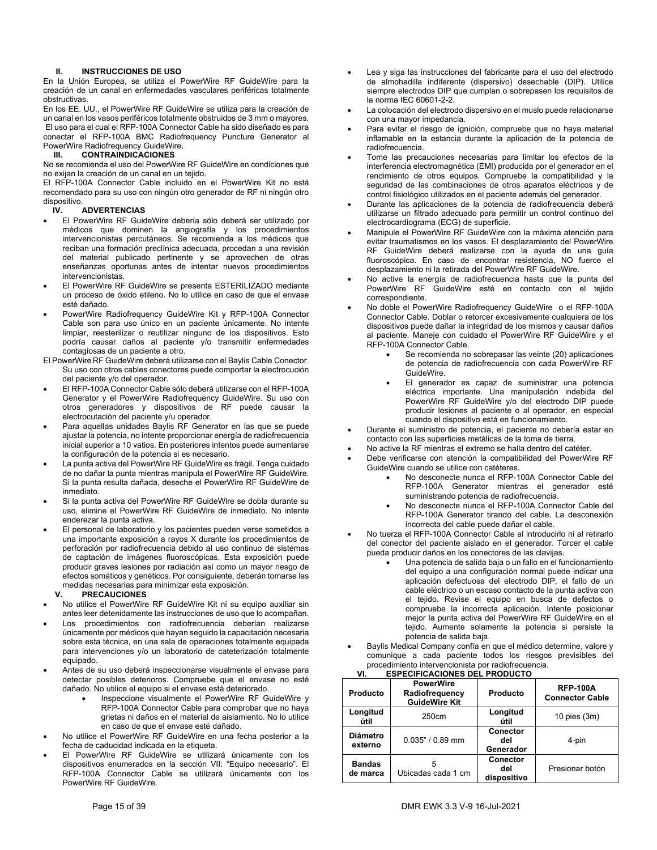### **II. INSTRUCCIONES DE USO**

En la Unión Europea, se utiliza el PowerWire RF GuideWire para la creación de un canal en enfermedades vasculares periféricas totalmente obstructivas.

En los EE. UU., el PowerWire RF GuideWire se utiliza para la creación de un canal en los vasos periféricos totalmente obstruidos de 3 mm o mayores. El uso para el cual el RFP-100A Connector Cable ha sido diseñado es para conectar el RFP-100A BMC Radiofrequency Puncture Generator al PowerWire Radiofrequency GuideWire.

### **III. CONTRAINDICACIONES**

No se recomienda el uso del PowerWire RF GuideWire en condiciones que no exijan la creación de un canal en un tejido.

El RFP-100A Connector Cable incluido en el PowerWire Kit no está recomendado para su uso con ningún otro generador de RF ni ningún otro dispositivo.<br> **IV** 

### **ADVERTENCIAS**

- El PowerWire RF GuideWire debería sólo deberá ser utilizado por médicos que dominen la angiografía y los procedimientos intervencionistas percutáneos. Se recomienda a los médicos que reciban una formación preclínica adecuada, procedan a una revisión del material publicado pertinente y se aprovechen de otras enseñanzas oportunas antes de intentar nuevos procedimientos intervencionistas.
- El PowerWire RF GuideWire se presenta ESTERILIZADO mediante un proceso de óxido etileno. No lo utilice en caso de que el envase esté dañado.
- PowerWire Radiofrequency GuideWire Kit y RFP-100A Connector Cable son para uso único en un paciente únicamente. No intente limpiar, reesterilizar o reutilizar ninguno de los dispositivos. Esto podría causar daños al paciente y/o transmitir enfermedades contagiosas de un paciente a otro.

El PowerWire RF GuideWire deberá utilizarse con el Baylis Cable Conector. Su uso con otros cables conectores puede comportar la electrocución del paciente y/o del operador.

- El RFP-100A Connector Cable sólo deberá utilizarse con el RFP-100A Generator y el PowerWire Radiofrequency GuideWire. Su uso con otros generadores y dispositivos de RF puede causar la electrocutación del paciente y/u operador.
- Para aquellas unidades Baylis RF Generator en las que se puede ajustar la potencia, no intente proporcionar energía de radiofrecuencia inicial superior a 10 vatios. En posteriores intentos puede aumentarse la configuración de la potencia si es necesario.
- La punta activa del PowerWire RF GuideWire es frágil. Tenga cuidado de no dañar la punta mientras manipula el PowerWire RF GuideWire. Si la punta resulta dañada, deseche el PowerWire RF GuideWire de inmediato.
- Si la punta activa del PowerWire RF GuideWire se dobla durante su uso, elimine el PowerWire RF GuideWire de inmediato. No intente enderezar la punta activa.
- El personal de laboratorio y los pacientes pueden verse sometidos a una importante exposición a rayos X durante los procedimientos de perforación por radiofrecuencia debido al uso continuo de sistemas de captación de imágenes fluoroscópicas. Esta exposición puede producir graves lesiones por radiación así como un mayor riesgo de efectos somáticos y genéticos. Por consiguiente, deberán tomarse las medidas necesarias para minimizar esta exposición.<br>
V. PRECAUCIONES

### **V. PRECAUCIONES**

- No utilice el PowerWire RF GuideWire Kit ni su equipo auxiliar sin antes leer detenidamente las instrucciones de uso que lo acompañan.
- Los procedimientos con radiofrecuencia deberían realizarse únicamente por médicos que hayan seguido la capacitación necesaria sobre esta técnica, en una sala de operaciones totalmente equipada para intervenciones y/o un laboratorio de cateterización totalmente equipado.
- Antes de su uso deberá inspeccionarse visualmente el envase para detectar posibles deterioros. Compruebe que el envase no esté dañado. No utilice el equipo si el envase está deteriorado.
	- Inspeccione visualmente el PowerWire RF GuideWire y RFP-100A Connector Cable para comprobar que no haya grietas ni daños en el material de aislamiento. No lo utilice en caso de que el envase esté dañado.
- No utilice el PowerWire RF GuideWire en una fecha posterior a la fecha de caducidad indicada en la etiqueta.
- El PowerWire RF GuideWire se utilizará únicamente con los dispositivos enumerados en la sección VII: "Equipo necesario". El RFP-100A Connector Cable se utilizará únicamente con los PowerWire RF GuideWire.
- Lea y siga las instrucciones del fabricante para el uso del electrodo de almohadilla indiferente (dispersivo) desechable (DIP). Utilice siempre electrodos DIP que cumplan o sobrepasen los requisitos de la norma IEC 60601-2-2.
- La colocación del electrodo dispersivo en el muslo puede relacionarse con una mayor impedancia.
- Para evitar el riesgo de ignición, compruebe que no haya material inflamable en la estancia durante la aplicación de la potencia de radiofrecuencia.
- Tome las precauciones necesarias para limitar los efectos de la interferencia electromagnética (EMI) producida por el generador en el rendimiento de otros equipos. Compruebe la compatibilidad y la seguridad de las combinaciones de otros aparatos eléctricos y de control fisiológico utilizados en el paciente además del generador.
- Durante las aplicaciones de la potencia de radiofrecuencia deberá utilizarse un filtrado adecuado para permitir un control continuo del electrocardiograma (ECG) de superficie.
- Manipule el PowerWire RF GuideWire con la máxima atención para evitar traumatismos en los vasos. El desplazamiento del PowerWire RF GuideWire deberá realizarse con la ayuda de una guía fluoroscópica. En caso de encontrar resistencia, NO fuerce el desplazamiento ni la retirada del PowerWire RF GuideWire.
- No active la energía de radiofrecuencia hasta que la punta del PowerWire RF GuideWire esté en contacto con el tejido correspondiente.
- No doble el PowerWire Radiofrequency GuideWire o el RFP-100A Connector Cable. Doblar o retorcer excesivamente cualquiera de los dispositivos puede dañar la integridad de los mismos y causar daños al paciente. Maneje con cuidado el PowerWire RF GuideWire y el RFP-100A Connector Cable.
	- Se recomienda no sobrepasar las veinte (20) aplicaciones de potencia de radiofrecuencia con cada PowerWire RF GuideWire.
	- El generador es capaz de suministrar una potencia eléctrica importante. Una manipulación indebida del PowerWire RF GuideWire y/o del electrodo DIP puede producir lesiones al paciente o al operador, en especial cuando el dispositivo está en funcionamiento.
- Durante el suministro de potencia, el paciente no debería estar en contacto con las superficies metálicas de la toma de tierra.
- No active la RF mientras el extremo se halla dentro del catéter.
- Debe verificarse con atención la compatibilidad del PowerWire RF GuideWire cuando se utilice con catéteres.
	- No desconecte nunca el RFP-100A Connector Cable del RFP-100A Generator mientras el generador esté suministrando potencia de radiofrecuencia.
	- No desconecte nunca el RFP-100A Connector Cable del RFP-100A Generator tirando del cable. La desconexión incorrecta del cable puede dañar el cable.
- No tuerza el RFP-100A Connector Cable al introducirlo ni al retirarlo del conector del paciente aislado en el generador. Torcer el cable pueda producir daños en los conectores de las clavijas.
	- Una potencia de salida baja o un fallo en el funcionamiento del equipo a una configuración normal puede indicar una aplicación defectuosa del electrodo DIP, el fallo de un cable eléctrico o un escaso contacto de la punta activa con el tejido. Revise el equipo en busca de defectos o compruebe la incorrecta aplicación. Intente posicionar mejor la punta activa del PowerWire RF GuideWire en el tejido. Aumente solamente la potencia si persiste la potencia de salida baja.
- Baylis Medical Company confía en que el médico determine, valore y comunique a cada paciente todos los riesgos previsibles del procedimiento intervencionista por radiofrecuencia.<br>VI. ESPECIFICACIONES DEL PRODUCTO **VI. ESPECIFICACIONES DEL PRODUCTO**

| Producto                   | <b>PowerWire</b><br>Radiofrequency<br><b>GuideWire Kit</b> | Producto                       | <b>RFP-100A</b><br><b>Connector Cable</b> |
|----------------------------|------------------------------------------------------------|--------------------------------|-------------------------------------------|
| Longitud<br>útil           | 250cm                                                      | Longitud<br>útil               | 10 pies $(3m)$                            |
| <b>Diámetro</b><br>externo | $0.035" / 0.89$ mm                                         | Conector<br>del<br>Generador   | 4-pin                                     |
| <b>Bandas</b><br>de marca  | 5<br>Ubicadas cada 1 cm                                    | Conector<br>del<br>dispositivo | Presionar botón                           |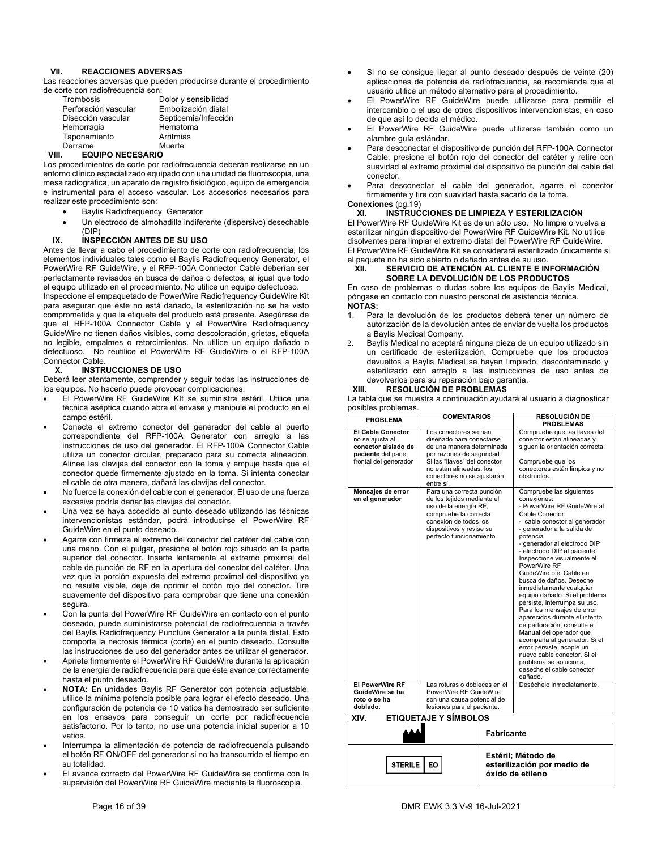### **VII. REACCIONES ADVERSAS**

Las reacciones adversas que pueden producirse durante el procedimiento de corte con radiofrecuencia son:

| Trombosis            | Dolor y sensibilidad |
|----------------------|----------------------|
| Perforación vascular | Embolización distal  |
| Disección vascular   | Septicemia/Infección |
| Hemorragia           | Hematoma             |
| Taponamiento         | Arritmias            |
| Derrame              | Muerte               |

### **VIII. EQUIPO NECESARIO**

Los procedimientos de corte por radiofrecuencia deberán realizarse en un entorno clínico especializado equipado con una unidad de fluoroscopia, una mesa radiográfica, un aparato de registro fisiológico, equipo de emergencia e instrumental para el acceso vascular. Los accesorios necesarios para realizar este procedimiento son:

- Baylis Radiofrequency Generator
- Un electrodo de almohadilla indiferente (dispersivo) desechable (DIP)

### **IX. INSPECCIÓN ANTES DE SU USO**

Antes de llevar a cabo el procedimiento de corte con radiofrecuencia, los elementos individuales tales como el Baylis Radiofrequency Generator, el PowerWire RF GuideWire, y el RFP-100A Connector Cable deberían ser perfectamente revisados en busca de daños o defectos, al igual que todo el equipo utilizado en el procedimiento. No utilice un equipo defectuoso.

Inspeccione el empaquetado de PowerWire Radiofrequency GuideWire Kit para asegurar que éste no está dañado, la esterilización no se ha visto comprometida y que la etiqueta del producto está presente. Asegúrese de que el RFP-100A Connector Cable y el PowerWire Radiofrequency GuideWire no tienen daños visibles, como descoloración, grietas, etiqueta no legible, empalmes o retorcimientos. No utilice un equipo dañado o defectuoso. No reutilice el PowerWire RF GuideWire o el RFP-100A Connector Cable.

### **X. INSTRUCCIONES DE USO**

Deberá leer atentamente, comprender y seguir todas las instrucciones de los equipos. No hacerlo puede provocar complicaciones.

- El PowerWire RF GuideWire KIt se suministra estéril. Utilice una técnica aséptica cuando abra el envase y manipule el producto en el campo estéril.
- Conecte el extremo conector del generador del cable al puerto correspondiente del RFP-100A Generator con arreglo a las instrucciones de uso del generador. El RFP-100A Connector Cable utiliza un conector circular, preparado para su correcta alineación. Alinee las clavijas del conector con la toma y empuje hasta que el conector quede firmemente ajustado en la toma. Si intenta conectar el cable de otra manera, dañará las clavijas del conector.
- No fuerce la conexión del cable con el generador. El uso de una fuerza excesiva podría dañar las clavijas del conector.
- Una vez se haya accedido al punto deseado utilizando las técnicas intervencionistas estándar, podrá introducirse el PowerWire RF GuideWire en el punto deseado.
- Agarre con firmeza el extremo del conector del catéter del cable con una mano. Con el pulgar, presione el botón rojo situado en la parte superior del conector. Inserte lentamente el extremo proximal del cable de punción de RF en la apertura del conector del catéter. Una vez que la porción expuesta del extremo proximal del dispositivo ya no resulte visible, deje de oprimir el botón rojo del conector. Tire suavemente del dispositivo para comprobar que tiene una conexión segura.
- Con la punta del PowerWire RF GuideWire en contacto con el punto deseado, puede suministrarse potencial de radiofrecuencia a través del Baylis Radiofrequency Puncture Generator a la punta distal. Esto comporta la necrosis térmica (corte) en el punto deseado. Consulte las instrucciones de uso del generador antes de utilizar el generador.
- Apriete firmemente el PowerWire RF GuideWire durante la aplicación de la energía de radiofrecuencia para que éste avance correctamente hasta el punto deseado.
- **NOTA:** En unidades Baylis RF Generator con potencia adjustable, utilice la mínima potencia posible para lograr el efecto deseado. Una configuración de potencia de 10 vatios ha demostrado ser suficiente en los ensayos para conseguir un corte por radiofrecuencia satisfactorio. Por lo tanto, no use una potencia inicial superior a 10 vatios.
- Interrumpa la alimentación de potencia de radiofrecuencia pulsando el botón RF ON/OFF del generador si no ha transcurrido el tiempo en su totalidad.
- El avance correcto del PowerWire RF GuideWire se confirma con la supervisión del PowerWire RF GuideWire mediante la fluoroscopia.
- Si no se consigue llegar al punto deseado después de veinte (20) aplicaciones de potencia de radiofrecuencia, se recomienda que el usuario utilice un método alternativo para el procedimiento.
- El PowerWire RF GuideWire puede utilizarse para permitir el intercambio o el uso de otros dispositivos intervencionistas, en caso de que así lo decida el médico.
- El PowerWire RF GuideWire puede utilizarse también como un alambre guía estándar.
- Para desconectar el dispositivo de punción del RFP-100A Connector Cable, presione el botón rojo del conector del catéter y retire con suavidad el extremo proximal del dispositivo de punción del cable del conector.
- Para desconectar el cable del generador, agarre el conector firmemente y tire con suavidad hasta sacarlo de la toma.

### **Conexiones** (pg.19)

**XI. INSTRUCCIONES DE LIMPIEZA Y ESTERILIZACIÓN**  El PowerWire RF GuideWire Kit es de un sólo uso. No limpie o vuelva a esterilizar ningún dispositivo del PowerWire RF GuideWire Kit. No utilice disolventes para limpiar el extremo distal del PowerWire RF GuideWire. El PowerWire RF GuideWire Kit se considerará esterilizado únicamente si

#### el paquete no ha sido abierto o dañado antes de su uso. **XII. SERVICIO DE ATENCIÓN AL CLIENTE E INFORMACIÓN SOBRE LA DEVOLUCIÓN DE LOS PRODUCTOS**

En caso de problemas o dudas sobre los equipos de Baylis Medical, póngase en contacto con nuestro personal de asistencia técnica. **NOTAS:** 

- 1. Para la devolución de los productos deberá tener un número de autorización de la devolución antes de enviar de vuelta los productos a Baylis Medical Company.
- 2. Baylis Medical no aceptará ninguna pieza de un equipo utilizado sin un certificado de esterilización. Compruebe que los productos devueltos a Baylis Medical se hayan limpiado, descontaminado y esterilizado con arreglo a las instrucciones de uso antes de devolverlos para su reparación bajo garantía.<br>XIII. RESOLUCIÓN DE PROBLEMAS

### **XIII. RESOLUCIÓN DE PROBLEMAS**

La tabla que se muestra a continuación ayudará al usuario a diagnosticar posibles problemas.

| <b>PROBLEMA</b>                                                                                                   | <b>COMENTARIOS</b>                                                                                                                                                                                                |                   | <b>RESOLUCIÓN DE</b><br><b>PROBLEMAS</b>                                                                                                                                                                                                                                                                                                                                                                                                                                                                                                                                                                                                                                                                                   |
|-------------------------------------------------------------------------------------------------------------------|-------------------------------------------------------------------------------------------------------------------------------------------------------------------------------------------------------------------|-------------------|----------------------------------------------------------------------------------------------------------------------------------------------------------------------------------------------------------------------------------------------------------------------------------------------------------------------------------------------------------------------------------------------------------------------------------------------------------------------------------------------------------------------------------------------------------------------------------------------------------------------------------------------------------------------------------------------------------------------------|
| <b>El Cable Conector</b><br>no se ajusta al<br>conector aislado de<br>paciente del panel<br>frontal del generador | Los conectores se han<br>diseñado para conectarse<br>de una manera determinada<br>por razones de seguridad.<br>Si las "llaves" del conector<br>no están alineadas. los<br>conectores no se ajustarán<br>entre sí. |                   | Compruebe que las llaves del<br>conector están alineadas y<br>siguen la orientación correcta.<br>Compruebe que los<br>conectores están limpios y no<br>obstruidos.                                                                                                                                                                                                                                                                                                                                                                                                                                                                                                                                                         |
| Mensajes de error<br>en el generador                                                                              | Para una correcta punción<br>de los tejidos mediante el<br>uso de la energía RF,<br>compruebe la correcta<br>conexión de todos los<br>dispositivos y revise su<br>perfecto funcionamiento.                        |                   | Compruebe las siguientes<br>conexiones:<br>- PowerWire RF GuideWire al<br>Cable Conector<br>- cable conector al generador<br>- generador a la salida de<br>potencia<br>- generador al electrodo DIP<br>- electrodo DIP al paciente<br>Inspeccione visualmente el<br>PowerWire RF<br>GuideWire o el Cable en<br>busca de daños. Deseche<br>inmediatamente cualquier<br>equipo dañado. Si el problema<br>persiste, interrumpa su uso.<br>Para los mensajes de error<br>aparecidos durante el intento<br>de perforación, consulte el<br>Manual del operador que<br>acompaña al generador. Si el<br>error persiste, acople un<br>nuevo cable conector. Si el<br>problema se soluciona.<br>deseche el cable conector<br>dañado. |
| <b>El PowerWire RF</b><br>GuideWire se ha<br>roto o se ha<br>doblado.                                             | Las roturas o dobleces en el<br>PowerWire RF GuideWire<br>son una causa potencial de<br>lesiones para el paciente.                                                                                                |                   | Deséchelo inmediatamente.                                                                                                                                                                                                                                                                                                                                                                                                                                                                                                                                                                                                                                                                                                  |
| <b>ETIQUETAJE Y SÍMBOLOS</b><br>XIV.                                                                              |                                                                                                                                                                                                                   |                   |                                                                                                                                                                                                                                                                                                                                                                                                                                                                                                                                                                                                                                                                                                                            |
|                                                                                                                   |                                                                                                                                                                                                                   | <b>Fabricante</b> |                                                                                                                                                                                                                                                                                                                                                                                                                                                                                                                                                                                                                                                                                                                            |
| <b>STERILE</b>                                                                                                    | <b>EO</b>                                                                                                                                                                                                         |                   | Estéril; Método de<br>esterilización por medio de                                                                                                                                                                                                                                                                                                                                                                                                                                                                                                                                                                                                                                                                          |

**óxido de etileno**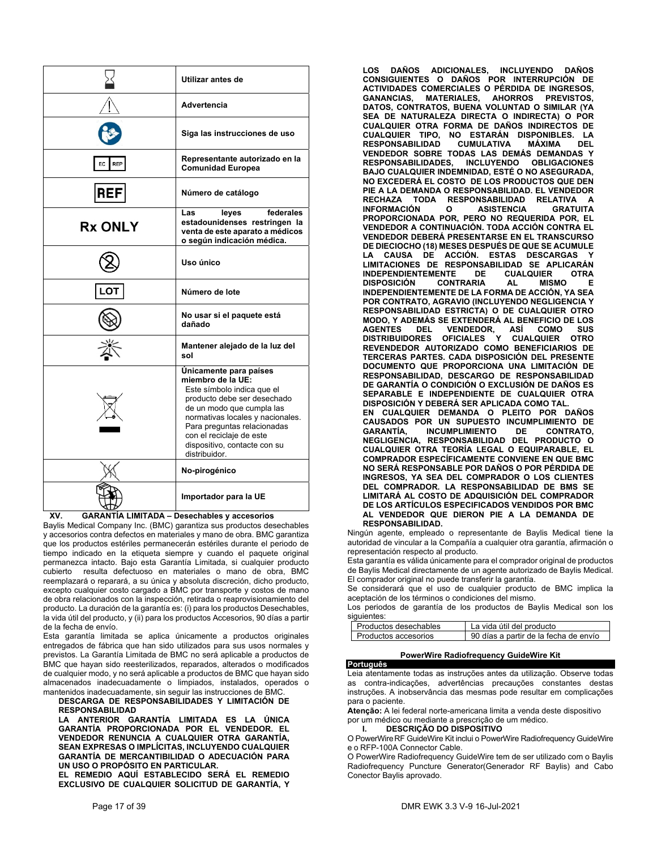|                  | Utilizar antes de                                                                                                                                                                                                                                                                     |
|------------------|---------------------------------------------------------------------------------------------------------------------------------------------------------------------------------------------------------------------------------------------------------------------------------------|
|                  | Advertencia                                                                                                                                                                                                                                                                           |
|                  | Siga las instrucciones de uso                                                                                                                                                                                                                                                         |
| <b>REP</b><br>EC | Representante autorizado en la<br><b>Comunidad Europea</b>                                                                                                                                                                                                                            |
| <b>REF</b>       | Número de catálogo                                                                                                                                                                                                                                                                    |
| <b>Rx ONLY</b>   | federales<br>Las<br>leyes<br>estadounidenses restringen la<br>venta de este aparato a médicos<br>o según indicación médica.                                                                                                                                                           |
|                  | Uso único                                                                                                                                                                                                                                                                             |
| LOT              | Número de lote                                                                                                                                                                                                                                                                        |
|                  | No usar si el paquete está<br>dañado                                                                                                                                                                                                                                                  |
|                  | Mantener alejado de la luz del<br>sol                                                                                                                                                                                                                                                 |
|                  | Únicamente para países<br>miembro de la UE:<br>Este símbolo indica que el<br>producto debe ser desechado<br>de un modo que cumpla las<br>normativas locales y nacionales.<br>Para preguntas relacionadas<br>con el reciclaje de este<br>dispositivo, contacte con su<br>distribuidor. |
|                  | No-pirogénico                                                                                                                                                                                                                                                                         |
|                  | Importador para la UE                                                                                                                                                                                                                                                                 |

**XV. GARANTÍA LIMITADA – Desechables y accesorios** 

Baylis Medical Company Inc. (BMC) garantiza sus productos desechables y accesorios contra defectos en materiales y mano de obra. BMC garantiza que los productos estériles permanecerán estériles durante el periodo de tiempo indicado en la etiqueta siempre y cuando el paquete original permanezca intacto. Bajo esta Garantía Limitada, si cualquier producto cubierto resulta defectuoso en materiales o mano de obra, BMC reemplazará o reparará, a su única y absoluta discreción, dicho producto, excepto cualquier costo cargado a BMC por transporte y costos de mano de obra relacionados con la inspección, retirada o reaprovisionamiento del producto. La duración de la garantía es: (i) para los productos Desechables, la vida útil del producto, y (ii) para los productos Accesorios, 90 días a partir de la fecha de envío.

Esta garantía limitada se aplica únicamente a productos originales entregados de fábrica que han sido utilizados para sus usos normales y previstos. La Garantía Limitada de BMC no será aplicable a productos de BMC que hayan sido reesterilizados, reparados, alterados o modificados de cualquier modo, y no será aplicable a productos de BMC que hayan sido almacenados inadecuadamente o limpiados, instalados, operados o mantenidos inadecuadamente, sin seguir las instrucciones de BMC.

### **DESCARGA DE RESPONSABILIDADES Y LIMITACIÓN DE RESPONSABILIDAD**

**LA ANTERIOR GARANTÍA LIMITADA ES LA ÚNICA GARANTÍA PROPORCIONADA POR EL VENDEDOR. EL VENDEDOR RENUNCIA A CUALQUIER OTRA GARANTÍA, SEAN EXPRESAS O IMPLÍCITAS, INCLUYENDO CUALQUIER GARANTÍA DE MERCANTIBILIDAD O ADECUACIÓN PARA UN USO O PROPÓSITO EN PARTICULAR.** 

**EL REMEDIO AQUÍ ESTABLECIDO SERÁ EL REMEDIO EXCLUSIVO DE CUALQUIER SOLICITUD DE GARANTÍA, Y**  **LOS DAÑOS ADICIONALES, INCLUYENDO DAÑOS CONSIGUIENTES O DAÑOS POR INTERRUPCIÓN DE ACTIVIDADES COMERCIALES O PÉRDIDA DE INGRESOS, GANANCIAS, MATERIALES, AHORROS PREVISTOS, DATOS, CONTRATOS, BUENA VOLUNTAD O SIMILAR (YA SEA DE NATURALEZA DIRECTA O INDIRECTA) O POR CUALQUIER OTRA FORMA DE DAÑOS INDIRECTOS DE CUALQUIER TIPO, NO ESTARÁN DISPONIBLES. LA RESPONSABILIDAD CUMULATIVA MÁXIMA DEL VENDEDOR SOBRE TODAS LAS DEMÁS DEMANDAS Y RESPONSABILIDADES, INCLUYENDO OBLIGACIONES BAJO CUALQUIER INDEMNIDAD, ESTÉ O NO ASEGURADA, NO EXCEDERÁ EL COSTO DE LOS PRODUCTOS QUE DEN PIE A LA DEMANDA O RESPONSABILIDAD. EL VENDEDOR**  RECHAZA TODA RESPONSABILIDAD RELATIVA **INFORMACIÓN O ASISTENCIA GRATUITA PROPORCIONADA POR, PERO NO REQUERIDA POR, EL VENDEDOR A CONTINUACIÓN. TODA ACCIÓN CONTRA EL VENDEDOR DEBERÁ PRESENTARSE EN EL TRANSCURSO DE DIECIOCHO (18) MESES DESPUÉS DE QUE SE ACUMULE LA CAUSA DE ACCIÓN. ESTAS DESCARGAS Y LIMITACIONES DE RESPONSABILIDAD SE APLICARÁN INDEPENDIENTEMENTE DE CUALQUIER OTRA DISPOSICIÓN CONTRARIA AL MISMO E INDEPENDIENTEMENTE DE LA FORMA DE ACCIÓN, YA SEA POR CONTRATO, AGRAVIO (INCLUYENDO NEGLIGENCIA Y RESPONSABILIDAD ESTRICTA) O DE CUALQUIER OTRO MODO, Y ADEMÁS SE EXTENDERÁ AL BENEFICIO DE LOS AGENTES DEL VENDEDOR, ASÍ COMO SUS DISTRIBUIDORES OFICIALES Y CUALQUIER OTRO REVENDEDOR AUTORIZADO COMO BENEFICIARIOS DE TERCERAS PARTES. CADA DISPOSICIÓN DEL PRESENTE DOCUMENTO QUE PROPORCIONA UNA LIMITACIÓN DE RESPONSABILIDAD, DESCARGO DE RESPONSABILIDAD DE GARANTÍA O CONDICIÓN O EXCLUSIÓN DE DAÑOS ES SEPARABLE E INDEPENDIENTE DE CUALQUIER OTRA DISPOSICIÓN Y DEBERÁ SER APLICADA COMO TAL. EN CUALQUIER DEMANDA O PLEITO POR DAÑOS CAUSADOS POR UN SUPUESTO INCUMPLIMIENTO DE INCUMPLIMIENTO NEGLIGENCIA, RESPONSABILIDAD DEL PRODUCTO O CUALQUIER OTRA TEORÍA LEGAL O EQUIPARABLE, EL COMPRADOR ESPECÍFICAMENTE CONVIENE EN QUE BMC NO SERÁ RESPONSABLE POR DAÑOS O POR PÉRDIDA DE INGRESOS, YA SEA DEL COMPRADOR O LOS CLIENTES DEL COMPRADOR. LA RESPONSABILIDAD DE BMS SE LIMITARÁ AL COSTO DE ADQUISICIÓN DEL COMPRADOR DE LOS ARTÍCULOS ESPECIFICADOS VENDIDOS POR BMC AL VENDEDOR QUE DIERON PIE A LA DEMANDA DE** 

Ningún agente, empleado o representante de Baylis Medical tiene la autoridad de vincular a la Compañía a cualquier otra garantía, afirmación o representación respecto al producto.

Esta garantía es válida únicamente para el comprador original de productos de Baylis Medical directamente de un agente autorizado de Baylis Medical. El comprador original no puede transferir la garantía.

Se considerará que el uso de cualquier producto de BMC implica la aceptación de los términos o condiciones del mismo.

Los periodos de garantía de los productos de Baylis Medical son los siguientes:

| Productos desechables | La vida útil del producto             |
|-----------------------|---------------------------------------|
| Productos accesorios  | 90 días a partir de la fecha de envío |

### **PowerWire Radiofrequency GuideWire Kit**

**Português**  Leia atentamente todas as instruções antes da utilização. Observe todas as contra-indicações, advertências precauções constantes destas instruções. A inobservância das mesmas pode resultar em complicações para o paciente.

**Atenção:** A lei federal norte-americana limita a venda deste dispositivo por um médico ou mediante a prescrição de um médico.

### **I. DESCRIÇÃO DO DISPOSITIVO**

**RESPONSABILIDAD.** 

O PowerWireRF GuideWire Kit inclui o PowerWire Radiofrequency GuideWire e o RFP-100A Connector Cable.

O PowerWire Radiofrequency GuideWire tem de ser utilizado com o Baylis Radiofrequency Puncture Generator(Generador RF Baylis) and Cabo Conector Baylis aprovado.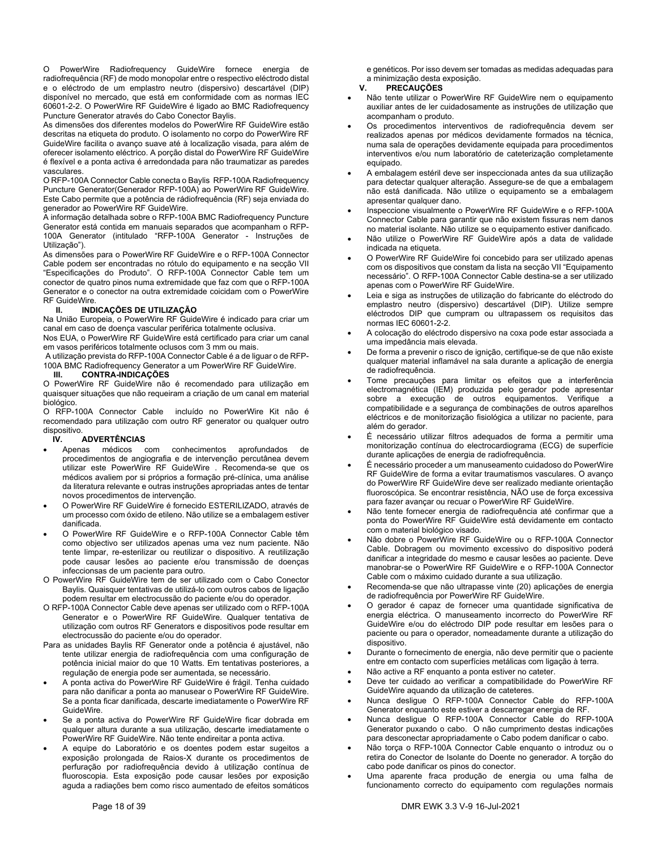O PowerWire Radiofrequency GuideWire fornece energia de radiofrequência (RF) de modo monopolar entre o respectivo eléctrodo distal e o eléctrodo de um emplastro neutro (dispersivo) descartável (DIP) disponível no mercado, que está em conformidade com as normas IEC 60601-2-2. O PowerWire RF GuideWire é ligado ao BMC Radiofrequency Puncture Generator através do Cabo Conector Baylis.

As dimensões dos diferentes modelos do PowerWire RF GuideWire estão descritas na etiqueta do produto. O isolamento no corpo do PowerWire RF GuideWire facilita o avanço suave até à localização visada, para além de oferecer isolamento eléctrico. A porção distal do PowerWire RF GuideWire é flexível e a ponta activa é arredondada para não traumatizar as paredes vasculares.

O RFP-100A Connector Cable conecta o Baylis RFP-100A Radiofrequency Puncture Generator(Generador RFP-100A) ao PowerWire RF GuideWire. Este Cabo permite que a potência de rádiofrequência (RF) seja enviada do generador ao PowerWire RF GuideWire.

A informação detalhada sobre o RFP-100A BMC Radiofrequency Puncture Generator está contida em manuais separados que acompanham o RFP-100A Generator (intitulado "RFP-100A Generator - Instruções de Utilização").

As dimensões para o PowerWire RF GuideWire e o RFP-100A Connector Cable podem ser encontradas no rótulo do equipamento e na secção VII "Especificações do Produto". O RFP-100A Connector Cable tem um conector de quatro pinos numa extremidade que faz com que o RFP-100A Generator e o conector na outra extremidade coicidam com o PowerWire RF GuideWire.

### **II. INDICAÇÕES DE UTILIZAÇÃO**

Na União Europeia, o PowerWire RF GuideWire é indicado para criar um canal em caso de doença vascular periférica totalmente oclusiva.

Nos EUA, o PowerWire RF GuideWire está certificado para criar um canal em vasos periféricos totalmente oclusos com 3 mm ou mais.

 A utilização prevista do RFP-100A Connector Cable é a de liguar o de RFP-100A BMC Radiofrequency Generator a um PowerWire RF GuideWire.

### **III. CONTRA-INDICAÇÕES**

O PowerWire RF GuideWire não é recomendado para utilização em quaisquer situações que não requeiram a criação de um canal em material biológico.

O RFP-100A Connector Cable incluído no PowerWire Kit não é recomendado para utilização com outro RF generator ou qualquer outro dispositivo.<br>**IV.** 

### **ADVERTÊNCIAS**

- Apenas médicos com conhecimentos aprofundados de procedimentos de angiografia e de intervenção percutânea devem utilizar este PowerWire RF GuideWire . Recomenda-se que os médicos avaliem por si próprios a formação pré-clínica, uma análise da literatura relevante e outras instruções apropriadas antes de tentar novos procedimentos de intervenção.
- O PowerWire RF GuideWire é fornecido ESTERILIZADO, através de um processo com óxido de etileno. Não utilize se a embalagem estiver danificada.
- O PowerWire RF GuideWire e o RFP-100A Connector Cable têm como objectivo ser utilizados apenas uma vez num paciente. Não tente limpar, re-esterilizar ou reutilizar o dispositivo. A reutilização pode causar lesões ao paciente e/ou transmissão de doenças infeccionsas de um paciente para outro.
- O PowerWire RF GuideWire tem de ser utilizado com o Cabo Conector Baylis. Quaisquer tentativas de utilizá-lo com outros cabos de ligação podem resultar em electrocussão do paciente e/ou do operador.
- O RFP-100A Connector Cable deve apenas ser utilizado com o RFP-100A Generator e o PowerWire RF GuideWire. Qualquer tentativa de utilização com outros RF Generators e dispositivos pode resultar em electrocussão do paciente e/ou do operador.
- Para as unidades Baylis RF Generator onde a potência é ajustável, não tente utilizar energia de radiofrequência com uma configuração de potência inicial maior do que 10 Watts. Em tentativas posteriores, a regulação de energia pode ser aumentada, se necessário.
- A ponta activa do PowerWire RF GuideWire é frágil. Tenha cuidado para não danificar a ponta ao manusear o PowerWire RF GuideWire. Se a ponta ficar danificada, descarte imediatamente o PowerWire RF GuideWire.
- Se a ponta activa do PowerWire RF GuideWire ficar dobrada em qualquer altura durante a sua utilização, descarte imediatamente o PowerWire RF GuideWire. Não tente endireitar a ponta activa.
- A equipe do Laboratório e os doentes podem estar sugeitos a exposição prolongada de Raios-X durante os procedimentos de perfuração por radiofrequência devido à utilização contínua de fluoroscopia. Esta exposição pode causar lesões por exposição aguda a radiações bem como risco aumentado de efeitos somáticos

e genéticos. Por isso devem ser tomadas as medidas adequadas para a minimização desta exposição.<br>
V. PRECAUCÕES

### **V. PRECAUÇÕES**

- Não tente utilizar o PowerWire RF GuideWire nem o equipamento auxiliar antes de ler cuidadosamente as instruções de utilização que acompanham o produto.
- Os procedimentos interventivos de radiofrequência devem ser realizados apenas por médicos devidamente formados na técnica, numa sala de operações devidamente equipada para procedimentos interventivos e/ou num laboratório de cateterização completamente equipado.
- A embalagem estéril deve ser inspeccionada antes da sua utilização para detectar qualquer alteração. Assegure-se de que a embalagem não está danificada. Não utilize o equipamento se a embalagem apresentar qualquer dano.
- Inspeccione visualmente o PowerWire RF GuideWire e o RFP-100A Connector Cable para garantir que não existem fissuras nem danos no material isolante. Não utilize se o equipamento estiver danificado.
- Não utilize o PowerWire RF GuideWire após a data de validade indicada na etiqueta.
- O PowerWire RF GuideWire foi concebido para ser utilizado apenas com os dispositivos que constam da lista na secção VII "Equipamento necessário". O RFP-100A Connector Cable destina-se a ser utilizado apenas com o PowerWire RF GuideWire.
- Leia e siga as instruções de utilização do fabricante do eléctrodo do emplastro neutro (dispersivo) descartável (DIP). Utilize sempre eléctrodos DIP que cumpram ou ultrapassem os requisitos das normas IEC 60601-2-2.
- A colocação do eléctrodo dispersivo na coxa pode estar associada a uma impedância mais elevada.
- De forma a prevenir o risco de ignição, certifique-se de que não existe qualquer material inflamável na sala durante a aplicação de energia de radiofrequência.
- Tome precauções para limitar os efeitos que a interferência electromagnética (IEM) produzida pelo gerador pode apresentar sobre a execução de outros equipamentos. Verifique a compatibilidade e a segurança de combinações de outros aparelhos eléctricos e de monitorização fisiológica a utilizar no paciente, para além do gerador.
- É necessário utilizar filtros adequados de forma a permitir uma monitorização contínua do electrocardiograma (ECG) de superfície durante aplicações de energia de radiofrequência.
- É necessário proceder a um manuseamento cuidadoso do PowerWire RF GuideWire de forma a evitar traumatismos vasculares. O avanço do PowerWire RF GuideWire deve ser realizado mediante orientação fluoroscópica. Se encontrar resistência, NÃO use de força excessiva para fazer avançar ou recuar o PowerWire RF GuideWire.
- Não tente fornecer energia de radiofrequência até confirmar que a ponta do PowerWire RF GuideWire está devidamente em contacto com o material biológico visado.
- Não dobre o PowerWire RF GuideWire ou o RFP-100A Connector Cable. Dobragem ou movimento excessivo do dispositivo poderá danificar a integridade do mesmo e causar lesões ao paciente. Deve manobrar-se o PowerWire RF GuideWire e o RFP-100A Connector Cable com o máximo cuidado durante a sua utilização.
- Recomenda-se que não ultrapasse vinte (20) aplicações de energia de radiofrequência por PowerWire RF GuideWire.
- O gerador é capaz de fornecer uma quantidade significativa de energia eléctrica. O manuseamento incorrecto do PowerWire RF GuideWire e/ou do eléctrodo DIP pode resultar em lesões para o paciente ou para o operador, nomeadamente durante a utilização do dispositivo.
- Durante o fornecimento de energia, não deve permitir que o paciente entre em contacto com superfícies metálicas com ligação à terra.
- Não active a RF enquanto a ponta estiver no cateter.
- Deve ter cuidado ao verificar a compatibilidade do PowerWire RF GuideWire aquando da utilização de cateteres.
- Nunca desligue O RFP-100A Connector Cable do RFP-100A Generator enquanto este estiver a descarregar energia de RF.
- Nunca desligue O RFP-100A Connector Cable do RFP-100A Generator puxando o cabo. O não cumprimento destas indicações para desconectar apropriadamente o Cabo podem danificar o cabo.
- Não torça o RFP-100A Connector Cable enquanto o introduz ou o retira do Conector de Isolante do Doente no generador. A torção do cabo pode danificar os pinos do conector.
- Uma aparente fraca produção de energia ou uma falha de funcionamento correcto do equipamento com regulações normais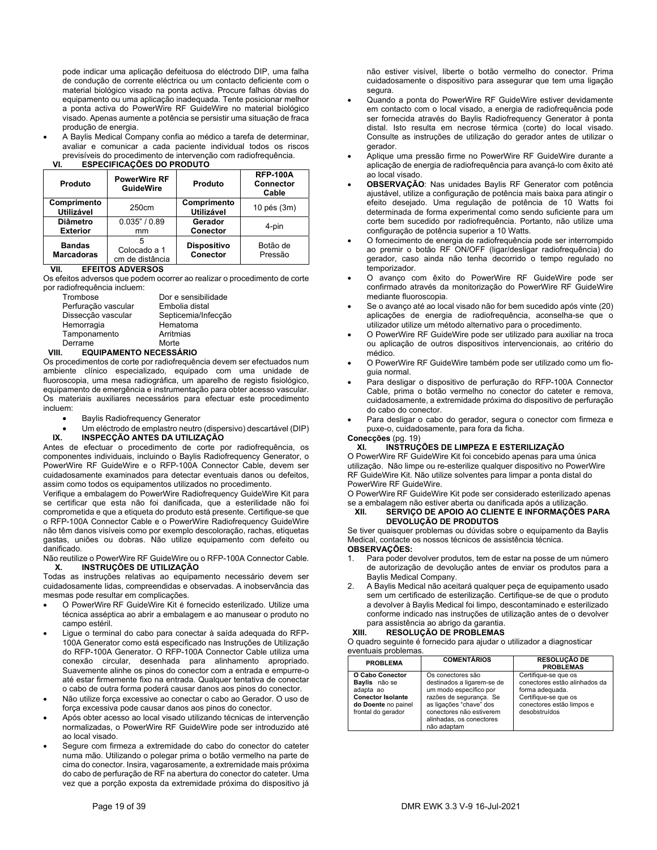pode indicar uma aplicação defeituosa do eléctrodo DIP, uma falha de condução de corrente eléctrica ou um contacto deficiente com o material biológico visado na ponta activa. Procure falhas óbvias do equipamento ou uma aplicação inadequada. Tente posicionar melhor a ponta activa do PowerWire RF GuideWire no material biológico visado. Apenas aumente a potência se persistir uma situação de fraca produção de energia.

 A Baylis Medical Company confia ao médico a tarefa de determinar, avaliar e comunicar a cada paciente individual todos os riscos previsíveis do procedimento de intervenção com radiofrequência.

| Produto                          | <b>PowerWire RF</b><br><b>GuideWire</b> | Produto                          | <b>RFP-100A</b><br><b>Connector</b><br>Cable |
|----------------------------------|-----------------------------------------|----------------------------------|----------------------------------------------|
| Comprimento<br><b>Utilizável</b> | 250cm                                   | Comprimento<br><b>Utilizável</b> | 10 pés (3m)                                  |
| <b>Diâmetro</b>                  | 0.035" / 0.89                           | Gerador                          | 4-pin                                        |
| <b>Exterior</b>                  | mm                                      | Conector                         |                                              |
| <b>Bandas</b>                    | Colocado a 1                            | <b>Dispositivo</b>               | Botão de                                     |
| <b>Marcadoras</b>                | cm de distância                         | Conector                         | Pressão                                      |

### **VI. ESPECIFICAÇÕES DO PRODUTO**

### **VII. EFEITOS ADVERSOS**

Os efeitos adversos que podem ocorrer ao realizar o procedimento de corte por radiofrequência incluem:

| Trombose            | Dor e sensibilidade |
|---------------------|---------------------|
| Perfuração vascular | Embolia distal      |
| Dissecção vascular  | Septicemia/Infecção |
| Hemorragia          | Hematoma            |
| Tamponamento        | Arritmias           |
| Derrame             | Morte               |
|                     |                     |

### **VIII. EQUIPAMENTO NECESSÁRIO**

Os procedimentos de corte por radiofrequência devem ser efectuados num ambiente clínico especializado, equipado com uma unidade de fluoroscopia, uma mesa radiográfica, um aparelho de registo fisiológico, equipamento de emergência e instrumentação para obter acesso vascular. Os materiais auxiliares necessários para efectuar este procedimento incluem:

- Baylis Radiofrequency Generator
- Um eléctrodo de emplastro neutro (dispersivo) descartável (DIP)<br>IX. INSPECÇÃO ANTES DA UTILIZAÇÃO

### **IX. INSPECÇÃO ANTES DA UTILIZAÇÃO**

Antes de efectuar o procedimento de corte por radiofrequência, os componentes individuais, incluindo o Baylis Radiofrequency Generator, o PowerWire RF GuideWire e o RFP-100A Connector Cable, devem ser cuidadosamente examinados para detectar eventuais danos ou defeitos, assim como todos os equipamentos utilizados no procedimento.

Verifique a embalagem do PowerWire Radiofrequency GuideWire Kit para se certificar que esta não foi danificada, que a esterilidade não foi comprometida e que a etiqueta do produto está presente. Certifique-se que o RFP-100A Connector Cable e o PowerWire Radiofrequency GuideWire não têm danos visíveis como por exemplo descoloração, rachas, etiquetas gastas, uniões ou dobras. Não utilize equipamento com defeito ou danificado.

Não reutilize o PowerWire RF GuideWire ou o RFP-100A Connector Cable. **X. INSTRUÇÕES DE UTILIZAÇÃO** 

Todas as instruções relativas ao equipamento necessário devem ser cuidadosamente lidas, compreendidas e observadas. A inobservância das mesmas pode resultar em complicações.

- O PowerWire RF GuideWire Kit é fornecido esterilizado. Utilize uma técnica asséptica ao abrir a embalagem e ao manusear o produto no campo estéril.
- Ligue o terminal do cabo para conectar à saída adequada do RFP-100A Generator como está especificado nas Instruções de Utilização do RFP-100A Generator. O RFP-100A Connector Cable utiliza uma conexão circular, desenhada para alinhamento apropriado. Suavemente alinhe os pinos do conector com a entrada e empurre-o até estar firmemente fixo na entrada. Qualquer tentativa de conectar o cabo de outra forma poderá causar danos aos pinos do conector.
- Não utilize força excessive ao conectar o cabo ao Gerador. O uso de força excessiva pode causar danos aos pinos do conector.
- Após obter acesso ao local visado utilizando técnicas de intervenção normalizadas, o PowerWire RF GuideWire pode ser introduzido até ao local visado.
- Segure com firmeza a extremidade do cabo do conector do cateter numa mão. Utilizando o polegar prima o botão vermelho na parte de cima do conector. Insira, vagarosamente, a extremidade mais próxima do cabo de perfuração de RF na abertura do conector do cateter. Uma vez que a porção exposta da extremidade próxima do dispositivo já

não estiver visível, liberte o botão vermelho do conector. Prima cuidadosamente o dispositivo para assegurar que tem uma ligação segura.

- Quando a ponta do PowerWire RF GuideWire estiver devidamente em contacto com o local visado, a energia de radiofrequência pode ser fornecida através do Baylis Radiofrequency Generator à ponta distal. Isto resulta em necrose térmica (corte) do local visado. Consulte as instruções de utilização do gerador antes de utilizar o gerador.
- Aplique uma pressão firme no PowerWire RF GuideWire durante a aplicação de energia de radiofrequência para avançá-lo com êxito até ao local visado.
- **OBSERVAÇÃO**: Nas unidades Baylis RF Generator com potência ajustável, utilize a configuração de potência mais baixa para atingir o efeito desejado. Uma regulação de potência de 10 Watts foi determinada de forma experimental como sendo suficiente para um corte bem sucedido por radiofrequência. Portanto, não utilize uma configuração de potência superior a 10 Watts.
- O fornecimento de energia de radiofrequência pode ser interrompido ao premir o botão RF ON/OFF (ligar/desligar radiofrequência) do gerador, caso ainda não tenha decorrido o tempo regulado no temporizador.
- O avanço com êxito do PowerWire RF GuideWire pode ser confirmado através da monitorização do PowerWire RF GuideWire mediante fluoroscopia.
- Se o avanço até ao local visado não for bem sucedido após vinte (20) aplicações de energia de radiofrequência, aconselha-se que o utilizador utilize um método alternativo para o procedimento.
- O PowerWire RF GuideWire pode ser utilizado para auxiliar na troca ou aplicação de outros dispositivos intervencionais, ao critério do médico.
- O PowerWire RF GuideWire também pode ser utilizado como um fioguia normal.
- Para desligar o dispositivo de perfuração do RFP-100A Connector Cable, prima o botão vermelho no conector do cateter e remova, cuidadosamente, a extremidade próxima do dispositivo de perfuração do cabo do conector.
- Para desligar o cabo do gerador, segura o conector com firmeza e puxe-o, cuidadosamente, para fora da ficha.

### **Conecções** (pg. 19)

**XI. INSTRUÇÕES DE LIMPEZA E ESTERILIZAÇÃO**  O PowerWire RF GuideWire Kit foi concebido apenas para uma única utilização. Não limpe ou re-esterilize qualquer dispositivo no PowerWire RF GuideWire Kit. Não utilize solventes para limpar a ponta distal do PowerWire RF GuideWire.

O PowerWire RF GuideWire Kit pode ser considerado esterilizado apenas se a embalagem não estiver aberta ou danificada após a utilização.

### **XII. SERVIÇO DE APOIO AO CLIENTE E INFORMAÇÕES PARA DEVOLUÇÃO DE PRODUTOS**

Se tiver quaisquer problemas ou dúvidas sobre o equipamento da Baylis Medical, contacte os nossos técnicos de assistência técnica.

### **OBSERVAÇÕES:**

- 1. Para poder devolver produtos, tem de estar na posse de um número de autorização de devolução antes de enviar os produtos para a Baylis Medical Company.
- 2. A Baylis Medical não aceitará qualquer peça de equipamento usado sem um certificado de esterilização. Certifique-se de que o produto a devolver à Baylis Medical foi limpo, descontaminado e esterilizado conforme indicado nas instruções de utilização antes de o devolver para assistência ao abrigo da garantia.<br> **XIII.** RESOLUCÃO DE PROBLEMAS

### **XIII. RESOLUÇÃO DE PROBLEMAS**

O quadro seguinte é fornecido para ajudar o utilizador a diagnosticar eventuais problemas.

| <b>PROBLEMA</b>                                                                                                        | <b>COMENTÁRIOS</b>                                                                                                                                                                                     | <b>RESOLUCÃO DE</b><br><b>PROBLEMAS</b>                                                                                                        |
|------------------------------------------------------------------------------------------------------------------------|--------------------------------------------------------------------------------------------------------------------------------------------------------------------------------------------------------|------------------------------------------------------------------------------------------------------------------------------------------------|
| O Cabo Conector<br>Bavlis não se<br>adapta ao<br><b>Conector Isolante</b><br>do Doente no painel<br>frontal do gerador | Os conectores são<br>destinados a ligarem-se de<br>um modo específico por<br>razões de segurança. Se<br>as ligações "chave" dos<br>conectores não estiverem<br>alinhadas, os conectores<br>não adaptam | Certifique-se que os<br>conectores estão alinhados da<br>forma adequada.<br>Certifique-se que os<br>conectores estão limpos e<br>desobstruídos |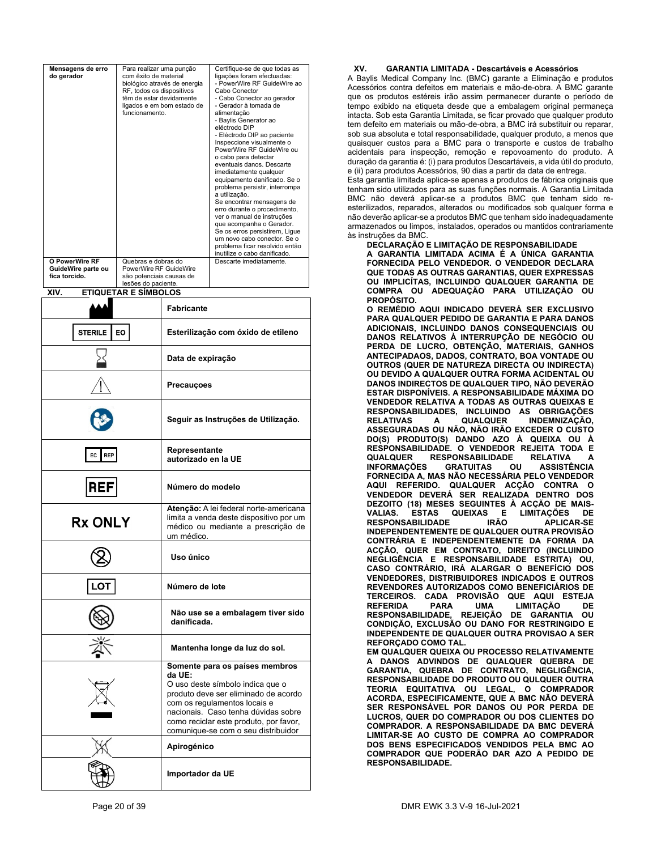| Mensagens de erro<br>do gerador                       | Para realizar uma punção<br>com êxito de material<br>biológico através de energia<br>RF, todos os dispositivos<br>têm de estar devidamente<br>ligados e em bom estado de<br>funcionamento. |                                                                                                                                                                                                                                                                              | Certifique-se de que todas as<br>ligações foram efectuadas:<br>- PowerWire RF GuideWire ao<br>Cabo Conector<br>- Cabo Conector ao gerador<br>- Gerador à tomada de<br>alimentação<br>- Baylis Generator ao<br>eléctrodo DIP<br>- Eléctrodo DIP ao paciente<br>Inspeccione visualmente o<br>PowerWire RF GuideWire ou<br>o cabo para detectar<br>eventuais danos. Descarte<br>imediatamente qualquer<br>equipamento danificado. Se o<br>problema persistir, interrompa<br>a utilização.<br>Se encontrar mensagens de<br>erro durante o procedimento,<br>ver o manual de instruções<br>que acompanha o Gerador.<br>Se os erros persistirem, Ligue<br>um novo cabo conector. Se o<br>problema ficar resolvido então<br>inutilize o cabo danificado. |
|-------------------------------------------------------|--------------------------------------------------------------------------------------------------------------------------------------------------------------------------------------------|------------------------------------------------------------------------------------------------------------------------------------------------------------------------------------------------------------------------------------------------------------------------------|--------------------------------------------------------------------------------------------------------------------------------------------------------------------------------------------------------------------------------------------------------------------------------------------------------------------------------------------------------------------------------------------------------------------------------------------------------------------------------------------------------------------------------------------------------------------------------------------------------------------------------------------------------------------------------------------------------------------------------------------------|
| O PowerWire RF<br>GuideWire parte ou<br>fica torcido. | Quebras e dobras do<br>PowerWire RF GuideWire<br>são potenciais causas de                                                                                                                  |                                                                                                                                                                                                                                                                              | Descarte imediatamente.                                                                                                                                                                                                                                                                                                                                                                                                                                                                                                                                                                                                                                                                                                                          |
|                                                       | lesões do paciente.                                                                                                                                                                        |                                                                                                                                                                                                                                                                              |                                                                                                                                                                                                                                                                                                                                                                                                                                                                                                                                                                                                                                                                                                                                                  |
| XIV.                                                  | <b>ETIQUETAR E SÍMBOLOS</b>                                                                                                                                                                |                                                                                                                                                                                                                                                                              |                                                                                                                                                                                                                                                                                                                                                                                                                                                                                                                                                                                                                                                                                                                                                  |
|                                                       |                                                                                                                                                                                            | <b>Fabricante</b>                                                                                                                                                                                                                                                            |                                                                                                                                                                                                                                                                                                                                                                                                                                                                                                                                                                                                                                                                                                                                                  |
| STERILE                                               | EO                                                                                                                                                                                         |                                                                                                                                                                                                                                                                              | Esterilização com óxido de etileno                                                                                                                                                                                                                                                                                                                                                                                                                                                                                                                                                                                                                                                                                                               |
|                                                       |                                                                                                                                                                                            | Data de expiração                                                                                                                                                                                                                                                            |                                                                                                                                                                                                                                                                                                                                                                                                                                                                                                                                                                                                                                                                                                                                                  |
|                                                       |                                                                                                                                                                                            | Precauçoes                                                                                                                                                                                                                                                                   |                                                                                                                                                                                                                                                                                                                                                                                                                                                                                                                                                                                                                                                                                                                                                  |
|                                                       |                                                                                                                                                                                            | Seguir as Instruções de Utilização.                                                                                                                                                                                                                                          |                                                                                                                                                                                                                                                                                                                                                                                                                                                                                                                                                                                                                                                                                                                                                  |
| REP<br>EC                                             |                                                                                                                                                                                            | Representante<br>autorizado en la UE                                                                                                                                                                                                                                         |                                                                                                                                                                                                                                                                                                                                                                                                                                                                                                                                                                                                                                                                                                                                                  |
| RE                                                    |                                                                                                                                                                                            | Número do modelo                                                                                                                                                                                                                                                             |                                                                                                                                                                                                                                                                                                                                                                                                                                                                                                                                                                                                                                                                                                                                                  |
| <b>Rx ONLY</b>                                        |                                                                                                                                                                                            | Atenção: A lei federal norte-americana<br>limita a venda deste dispositivo por um<br>médico ou mediante a prescrição de<br>um médico.                                                                                                                                        |                                                                                                                                                                                                                                                                                                                                                                                                                                                                                                                                                                                                                                                                                                                                                  |
|                                                       |                                                                                                                                                                                            | Uso único                                                                                                                                                                                                                                                                    |                                                                                                                                                                                                                                                                                                                                                                                                                                                                                                                                                                                                                                                                                                                                                  |
|                                                       |                                                                                                                                                                                            | Número de lote                                                                                                                                                                                                                                                               |                                                                                                                                                                                                                                                                                                                                                                                                                                                                                                                                                                                                                                                                                                                                                  |
|                                                       |                                                                                                                                                                                            | Não use se a embalagem tiver sido<br>danificada.                                                                                                                                                                                                                             |                                                                                                                                                                                                                                                                                                                                                                                                                                                                                                                                                                                                                                                                                                                                                  |
|                                                       |                                                                                                                                                                                            | Mantenha longe da luz do sol.                                                                                                                                                                                                                                                |                                                                                                                                                                                                                                                                                                                                                                                                                                                                                                                                                                                                                                                                                                                                                  |
|                                                       |                                                                                                                                                                                            | Somente para os países membros<br>da UE:<br>O uso deste símbolo indica que o<br>produto deve ser eliminado de acordo<br>com os regulamentos locais e<br>nacionais. Caso tenha dúvidas sobre<br>como reciclar este produto, por favor,<br>comunique-se com o seu distribuidor |                                                                                                                                                                                                                                                                                                                                                                                                                                                                                                                                                                                                                                                                                                                                                  |
|                                                       |                                                                                                                                                                                            | Apirogénico                                                                                                                                                                                                                                                                  |                                                                                                                                                                                                                                                                                                                                                                                                                                                                                                                                                                                                                                                                                                                                                  |
|                                                       |                                                                                                                                                                                            | Importador da UE                                                                                                                                                                                                                                                             |                                                                                                                                                                                                                                                                                                                                                                                                                                                                                                                                                                                                                                                                                                                                                  |

### **XV. GARANTIA LIMITADA - Descartáveis e Acessórios**

A Baylis Medical Company Inc. (BMC) garante a Eliminação e produtos Acessórios contra defeitos em materiais e mão-de-obra. A BMC garante que os produtos estéreis irão assim permanecer durante o período de tempo exibido na etiqueta desde que a embalagem original permaneça intacta. Sob esta Garantia Limitada, se ficar provado que qualquer produto tem defeito em materiais ou mão-de-obra, a BMC irá substituir ou reparar, sob sua absoluta e total responsabilidade, qualquer produto, a menos que quaisquer custos para a BMC para o transporte e custos de trabalho acidentais para inspecção, remoção e repovoamento do produto. A duração da garantia é: (i) para produtos Descartáveis, a vida útil do produto, e (ii) para produtos Acessórios, 90 dias a partir da data de entrega.

Esta garantia limitada aplica-se apenas a produtos de fábrica originais que tenham sido utilizados para as suas funções normais. A Garantia Limitada BMC não deverá aplicar-se a produtos BMC que tenham sido reesterilizados, reparados, alterados ou modificados sob qualquer forma e não deverão aplicar-se a produtos BMC que tenham sido inadequadamente armazenados ou limpos, instalados, operados ou mantidos contrariamente às instruções da BMC.

### **DECLARAÇÃO E LIMITAÇÃO DE RESPONSABILIDADE**

**A GARANTIA LIMITADA ACIMA É A ÚNICA GARANTIA FORNECIDA PELO VENDEDOR. O VENDEDOR DECLARA QUE TODAS AS OUTRAS GARANTIAS, QUER EXPRESSAS OU IMPLICÍTAS, INCLUINDO QUALQUER GARANTIA DE COMPRA OU ADEQUAÇÃO PARA UTILIZAÇÃO OU PROPÓSITO.** 

**O REMÉDIO AQUI INDICADO DEVERÁ SER EXCLUSIVO PARA QUALQUER PEDIDO DE GARANTIA E PARA DANOS ADICIONAIS, INCLUINDO DANOS CONSEQUENCIAIS OU DANOS RELATIVOS À INTERRUPÇÃO DE NEGÓCIO OU PERDA DE LUCRO, OBTENÇÃO, MATERIAIS, GANHOS ANTECIPADAOS, DADOS, CONTRATO, BOA VONTADE OU OUTROS (QUER DE NATUREZA DIRECTA OU INDIRECTA) OU DEVIDO A QUALQUER OUTRA FORMA ACIDENTAL OU DANOS INDIRECTOS DE QUALQUER TIPO, NÃO DEVERÃO ESTAR DISPONÍVEIS. A RESPONSABILIDADE MÁXIMA DO VENDEDOR RELATIVA A TODAS AS OUTRAS QUEIXAS E RESPONSABILIDADES, INCLUINDO AS OBRIGAÇÕES RELATIVAS A QUALQUER INDEMNIZAÇÃO, ASSEGURADAS OU NÃO, NÃO IRÃO EXCEDER O CUSTO DO(S) PRODUTO(S) DANDO AZO À QUEIXA OU À RESPONSABILIDADE. O VENDEDOR REJEITA TODA E QUALQUER RESPONSABILIDADE RELATIVA A INFORMAÇÕES FORNECIDA A, MAS NÃO NECESSÁRIA PELO VENDEDOR AQUI REFERIDO. QUALQUER ACÇÃO CONTRA O VENDEDOR DEVERÁ SER REALIZADA DENTRO DOS DEZOITO (18) MESES SEGUINTES À ACÇÃO DE MAIS-ÉSTAS QUEIXAS E LIMÍTAÇÕES DE<br>ABILIDADE IRÃO APLICAR-SE RESPONSABILIDADE INDEPENDENTEMENTE DE QUALQUER OUTRA PROVISÃO CONTRÁRIA E INDEPENDENTEMENTE DA FORMA DA ACÇÃO, QUER EM CONTRATO, DIREITO (INCLUINDO NEGLIGÊNCIA E RESPONSABILIDADE ESTRITA) OU, CASO CONTRÁRIO, IRÁ ALARGAR O BENEFÍCIO DOS VENDEDORES, DISTRIBUIDORES INDICADOS E OUTROS REVENDORES AUTORIZADOS COMO BENEFICIÁRIOS DE TERCEIROS. CADA PROVISÃO QUE AQUI ESTEJA REFERIDA PARA UMA LIMITAÇÃO DE RESPONSABILIDADE, REJEIÇÃO DE GARANTIA OU CONDIÇÃO, EXCLUSÃO OU DANO FOR RESTRINGIDO E INDEPENDENTE DE QUALQUER OUTRA PROVISAO A SER REFORÇADO COMO TAL. EM QUALQUER QUEIXA OU PROCESSO RELATIVAMENTE A DANOS ADVINDOS DE QUALQUER QUEBRA DE GARANTIA, QUEBRA DE CONTRATO, NEGLIGÊNCIA, RESPONSABILIDADE DO PRODUTO OU QULQUER OUTRA TEORIA EQUITATIVA OU LEGAL, O COMPRADOR ACORDA, ESPECIFICAMENTE, QUE A BMC NÃO DEVERÁ** 

**SER RESPONSÁVEL POR DANOS OU POR PERDA DE LUCROS, QUER DO COMPRADOR OU DOS CLIENTES DO COMPRADOR. A RESPONSABILIDADE DA BMC DEVERÁ LIMITAR-SE AO CUSTO DE COMPRA AO COMPRADOR DOS BENS ESPECIFICADOS VENDIDOS PELA BMC AO COMPRADOR QUE PODERÃO DAR AZO A PEDIDO DE RESPONSABILIDADE.**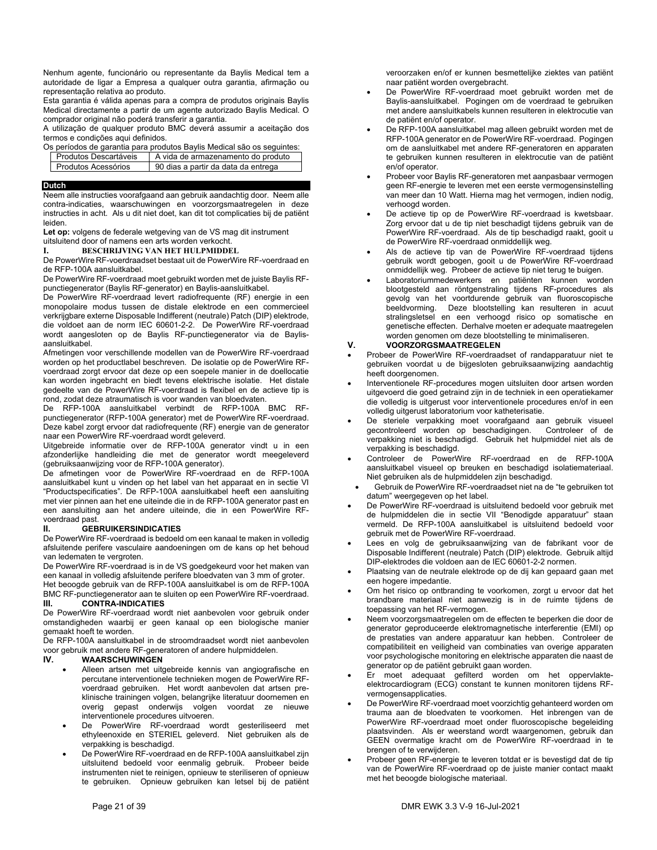Nenhum agente, funcionário ou representante da Baylis Medical tem a autoridade de ligar a Empresa a qualquer outra garantia, afirmação ou representação relativa ao produto.

Esta garantia é válida apenas para a compra de produtos originais Baylis Medical directamente a partir de um agente autorizado Baylis Medical. O comprador original não poderá transferir a garantia.

A utilização de qualquer produto BMC deverá assumir a aceitação dos termos e condições aqui definidos.

Os períodos de garantia para produtos Baylis Medical são os seguintes:

| Produtos Descartáveis | A vida de armazenamento do produto |
|-----------------------|------------------------------------|
|                       |                                    |

| Produtos Acessórios | 90 dias a partir da data da entrega |
|---------------------|-------------------------------------|
|                     |                                     |

### **Dutch**

Neem alle instructies voorafgaand aan gebruik aandachtig door. Neem alle contra-indicaties, waarschuwingen en voorzorgsmaatregelen in deze instructies in acht. Als u dit niet doet, kan dit tot complicaties bij de patiënt leiden.

**Let op:** volgens de federale wetgeving van de VS mag dit instrument uitsluitend door of namens een arts worden verkocht.

### **I. BESCHRIJVING VAN HET HULPMIDDEL**

De PowerWire RF-voerdraadset bestaat uit de PowerWire RF-voerdraad en de RFP-100A aansluitkabel.

De PowerWire RF-voerdraad moet gebruikt worden met de juiste Baylis RFpunctiegenerator (Baylis RF-generator) en Baylis-aansluitkabel.

De PowerWire RF-voerdraad levert radiofrequente (RF) energie in een monopolaire modus tussen de distale elektrode en een commercieel verkrijgbare externe Disposable Indifferent (neutrale) Patch (DIP) elektrode, die voldoet aan de norm IEC 60601-2-2. De PowerWire RF-voerdraad wordt aangesloten op de Baylis RF-punctiegenerator via de Baylisaansluitkabel.

Afmetingen voor verschillende modellen van de PowerWire RF-voerdraad worden op het productlabel beschreven. De isolatie op de PowerWire RFvoerdraad zorgt ervoor dat deze op een soepele manier in de doellocatie kan worden ingebracht en biedt tevens elektrische isolatie. Het distale gedeelte van de PowerWire RF-voerdraad is flexibel en de actieve tip is rond, zodat deze atraumatisch is voor wanden van bloedvaten.

De RFP-100A aansluitkabel verbindt de RFP-100A BMC RFpunctiegenerator (RFP-100A generator) met de PowerWire RF-voerdraad. Deze kabel zorgt ervoor dat radiofrequente (RF) energie van de generator naar een PowerWire RF-voerdraad wordt geleverd.

Uitgebreide informatie over de RFP-100A generator vindt u in een afzonderlijke handleiding die met de generator wordt meegeleverd (gebruiksaanwijzing voor de RFP-100A generator).

De afmetingen voor de PowerWire RF-voerdraad en de RFP-100A aansluitkabel kunt u vinden op het label van het apparaat en in sectie VI "Productspecificaties". De RFP-100A aansluitkabel heeft een aansluiting met vier pinnen aan het ene uiteinde die in de RFP-100A generator past en een aansluiting aan het andere uiteinde, die in een PowerWire RFvoerdraad past.

### **II. GEBRUIKERSINDICATIES**

De PowerWire RF-voerdraad is bedoeld om een kanaal te maken in volledig afsluitende perifere vasculaire aandoeningen om de kans op het behoud van ledematen te vergroten.

De PowerWire RF-voerdraad is in de VS goedgekeurd voor het maken van een kanaal in volledig afsluitende perifere bloedvaten van 3 mm of groter. Het beoogde gebruik van de RFP-100A aansluitkabel is om de RFP-100A BMC RF-punctiegenerator aan te sluiten op een PowerWire RF-voerdraad. **III. CONTRA-INDICATIES** 

De PowerWire RF-voerdraad wordt niet aanbevolen voor gebruik onder omstandigheden waarbij er geen kanaal op een biologische manier gemaakt hoeft te worden.

De RFP-100A aansluitkabel in de stroomdraadset wordt niet aanbevolen voor gebruik met andere RF-generatoren of andere hulpmiddelen.<br>IV **WAARSCHUWINGEN** 

### **IV. WAARSCHUWINGEN**

- Alleen artsen met uitgebreide kennis van angiografische en percutane interventionele technieken mogen de PowerWire RFvoerdraad gebruiken. Het wordt aanbevolen dat artsen preklinische trainingen volgen, belangrijke literatuur doornemen en overig gepast onderwijs volgen voordat ze nieuwe interventionele procedures uitvoeren.
- De PowerWire RF-voerdraad wordt gesteriliseerd met ethyleenoxide en STERIEL geleverd. Niet gebruiken als de verpakking is beschadigd.
- De PowerWire RF-voerdraad en de RFP-100A aansluitkabel zijn uitsluitend bedoeld voor eenmalig gebruik. Probeer beide instrumenten niet te reinigen, opnieuw te steriliseren of opnieuw te gebruiken. Opnieuw gebruiken kan letsel bij de patiënt

veroorzaken en/of er kunnen besmettelijke ziektes van patiënt naar patiënt worden overgebracht.

- De PowerWire RF-voerdraad moet gebruikt worden met de Baylis-aansluitkabel. Pogingen om de voerdraad te gebruiken met andere aansluitkabels kunnen resulteren in elektrocutie van de patiënt en/of operator.
- De RFP-100A aansluitkabel mag alleen gebruikt worden met de RFP-100A generator en de PowerWire RF-voerdraad. Pogingen om de aansluitkabel met andere RF-generatoren en apparaten te gebruiken kunnen resulteren in elektrocutie van de patiënt en/of operator.
- Probeer voor Baylis RF-generatoren met aanpasbaar vermogen geen RF-energie te leveren met een eerste vermogensinstelling van meer dan 10 Watt. Hierna mag het vermogen, indien nodig, verhoogd worden.
- De actieve tip op de PowerWire RF-voerdraad is kwetsbaar. Zorg ervoor dat u de tip niet beschadigt tijdens gebruik van de PowerWire RF-voerdraad. Als de tip beschadigd raakt, gooit u de PowerWire RF-voerdraad onmiddellijk weg.
- Als de actieve tip van de PowerWire RF-voerdraad tijdens gebruik wordt gebogen, gooit u de PowerWire RF-voerdraad onmiddellijk weg. Probeer de actieve tip niet terug te buigen.
- Laboratoriummedewerkers en patiënten kunnen worden blootgesteld aan röntgenstraling tijdens RF-procedures als gevolg van het voortdurende gebruik van fluoroscopische beeldvorming. Deze blootstelling kan resulteren in acuut stralingsletsel en een verhoogd risico op somatische en genetische effecten. Derhalve moeten er adequate maatregelen worden genomen om deze blootstelling te minimaliseren.

### **V. VOORZORGSMAATREGELEN**

- Probeer de PowerWire RF-voerdraadset of randapparatuur niet te gebruiken voordat u de bijgesloten gebruiksaanwijzing aandachtig heeft doorgenomen.
- Interventionele RF-procedures mogen uitsluiten door artsen worden uitgevoerd die goed getraind zijn in de techniek in een operatiekamer die volledig is uitgerust voor interventionele procedures en/of in een volledig uitgerust laboratorium voor katheterisatie.
- De steriele verpakking moet voorafgaand aan gebruik visueel<br>gecontroleerd worden op beschadigingen. Controleer of de gecontroleerd worden op beschadigingen. verpakking niet is beschadigd. Gebruik het hulpmiddel niet als de verpakking is beschadigd.
- Controleer de PowerWire RF-voerdraad en de RFP-100A aansluitkabel visueel op breuken en beschadigd isolatiemateriaal. Niet gebruiken als de hulpmiddelen zijn beschadigd.
- Gebruik de PowerWire RF-voerdraadset niet na de "te gebruiken tot datum" weergegeven op het label.
- De PowerWire RF-voerdraad is uitsluitend bedoeld voor gebruik met de hulpmiddelen die in sectie VII "Benodigde apparatuur" staan vermeld. De RFP-100A aansluitkabel is uitsluitend bedoeld voor gebruik met de PowerWire RF-voerdraad.
- Lees en volg de gebruiksaanwijzing van de fabrikant voor de Disposable Indifferent (neutrale) Patch (DIP) elektrode. Gebruik altijd DIP-elektrodes die voldoen aan de IEC 60601-2-2 normen.
- Plaatsing van de neutrale elektrode op de dij kan gepaard gaan met een hogere impedantie.
- Om het risico op ontbranding te voorkomen, zorgt u ervoor dat het brandbare materiaal niet aanwezig is in de ruimte tijdens de toepassing van het RF-vermogen.
- Neem voorzorgsmaatregelen om de effecten te beperken die door de generator geproduceerde elektromagnetische interferentie (EMI) op de prestaties van andere apparatuur kan hebben. Controleer de compatibiliteit en veiligheid van combinaties van overige apparaten voor psychologische monitoring en elektrische apparaten die naast de generator op de patiënt gebruikt gaan worden.
- Er moet adequaat gefilterd worden om het oppervlakteelektrocardiogram (ECG) constant te kunnen monitoren tijdens RFvermogensapplicaties.
- De PowerWire RF-voerdraad moet voorzichtig gehanteerd worden om trauma aan de bloedvaten te voorkomen. Het inbrengen van de PowerWire RF-voerdraad moet onder fluoroscopische begeleiding plaatsvinden. Als er weerstand wordt waargenomen, gebruik dan GEEN overmatige kracht om de PowerWire RF-voerdraad in te brengen of te verwijderen.
- Probeer geen RF-energie te leveren totdat er is bevestigd dat de tip van de PowerWire RF-voerdraad op de juiste manier contact maakt met het beoogde biologische materiaal.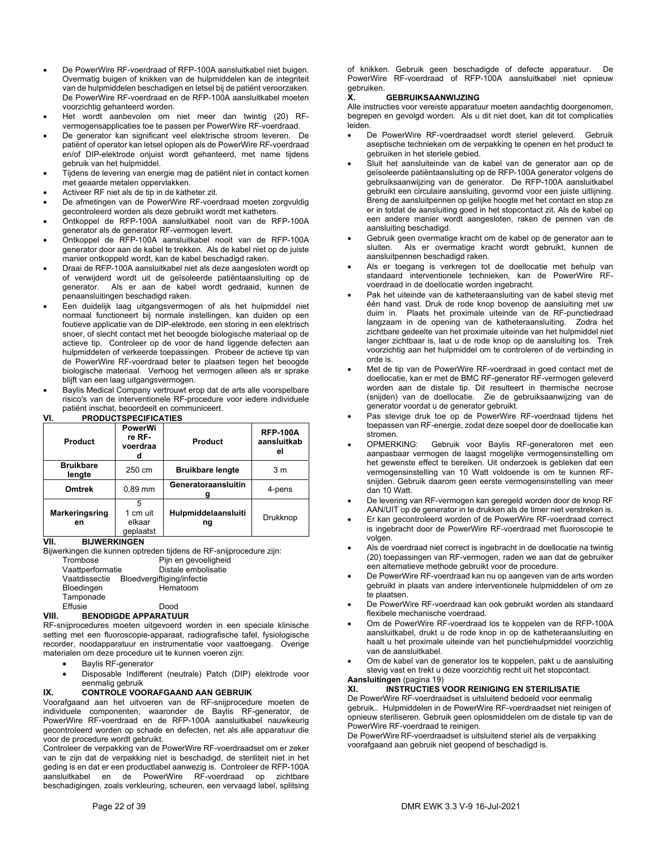- De PowerWire RF-voerdraad of RFP-100A aansluitkabel niet buigen. Overmatig buigen of knikken van de hulpmiddelen kan de integriteit van de hulpmiddelen beschadigen en letsel bij de patiënt veroorzaken. De PowerWire RF-voerdraad en de RFP-100A aansluitkabel moeten voorzichtig gehanteerd worden.
- Het wordt aanbevolen om niet meer dan twintig (20) RFvermogensapplicaties toe te passen per PowerWire RF-voerdraad.
- De generator kan significant veel elektrische stroom leveren. De patiënt of operator kan letsel oplopen als de PowerWire RF-voerdraad en/of DIP-elektrode onjuist wordt gehanteerd, met name tijdens gebruik van het hulpmiddel.
- Tijdens de levering van energie mag de patiënt niet in contact komen met geaarde metalen oppervlakken.
- Activeer RF niet als de tip in de katheter zit.
- De afmetingen van de PowerWire RF-voerdraad moeten zorgvuldig gecontroleerd worden als deze gebruikt wordt met katheters.
- Ontkoppel de RFP-100A aansluitkabel nooit van de RFP-100A generator als de generator RF-vermogen levert.
- Ontkoppel de RFP-100A aansluitkabel nooit van de RFP-100A generator door aan de kabel te trekken. Als de kabel niet op de juiste manier ontkoppeld wordt, kan de kabel beschadigd raken.
- Draai de RFP-100A aansluitkabel niet als deze aangesloten wordt op of verwijderd wordt uit de geïsoleerde patiëntaansluiting op de generator. Als er aan de kabel wordt gedraaid. kunnen de Als er aan de kabel wordt gedraaid, kunnen de penaansluitingen beschadigd raken.
- Een duidelijk laag uitgangsvermogen of als het hulpmiddel niet normaal functioneert bij normale instellingen, kan duiden op een foutieve applicatie van de DIP-elektrode, een storing in een elektrisch snoer, of slecht contact met het beoogde biologische materiaal op de actieve tip. Controleer op de voor de hand liggende defecten aan hulpmiddelen of verkeerde toepassingen. Probeer de actieve tip van de PowerWire RF-voerdraad beter te plaatsen tegen het beoogde biologische materiaal. Verhoog het vermogen alleen als er sprake blijft van een laag uitgangsvermogen.
- Baylis Medical Company vertrouwt erop dat de arts alle voorspelbare risico's van de interventionele RF-procedure voor iedere individuele patiënt inschat, beoordeelt en communiceert.

|--|

| <b>Product</b>             | <b>PowerWi</b><br>re RF-<br>voerdraa<br>d | <b>Product</b>            | <b>RFP-100A</b><br>aansluitkab<br>el |
|----------------------------|-------------------------------------------|---------------------------|--------------------------------------|
| <b>Bruikbare</b><br>lengte | 250 cm                                    | <b>Bruikbare lengte</b>   | 3 <sub>m</sub>                       |
| <b>Omtrek</b>              | $0.89$ mm                                 | Generatoraansluitin       | 4-pens                               |
| Markeringsring<br>en       | 1 cm uit<br>elkaar<br>deplaatst           | Hulpmiddelaansluiti<br>ng | Drukknop                             |

**VII. BIJWERKINGEN** 

Bijwerkingen die kunnen optreden tijdens de RF-snijprocedure zijn:

Trombose Pijn en gevoeligheid<br>Vaattperformatie Distale embolisatie Distale embolisatie Vaatdissectie Bloedvergiftiging/infectie Bloedingen Hematoom Tamponade Effusie Dood

### **VIII. BENODIGDE APPARATUUR**

RF-snijprocedures moeten uitgevoerd worden in een speciale klinische setting met een fluoroscopie-apparaat, radiografische tafel, fysiologische recorder, noodapparatuur en instrumentatie voor vaattoegang. Overige materialen om deze procedure uit te kunnen voeren zijn:

- Baylis RF-generator
- Disposable Indifferent (neutrale) Patch (DIP) elektrode voor eenmalig gebruik

### **IX. CONTROLE VOORAFGAAND AAN GEBRUIK**

Voorafgaand aan het uitvoeren van de RF-snijprocedure moeten de individuele componenten, waaronder de Baylis RF-generator, de PowerWire RF-voerdraad en de RFP-100A aansluitkabel nauwkeurig gecontroleerd worden op schade en defecten, net als alle apparatuur die voor de procedure wordt gebruikt.

Controleer de verpakking van de PowerWire RF-voerdraadset om er zeker van te zijn dat de verpakking niet is beschadigd, de steriliteit niet in het geding is en dat er een productlabel aanwezig is. Controleer de RFP-100A aansluitkabel en de PowerWire RF-voerdraad op zichtbare beschadigingen, zoals verkleuring, scheuren, een vervaagd label, splitsing

of knikken. Gebruik geen beschadigde of defecte apparatuur. De PowerWire RF-voerdraad of RFP-100A aansluitkabel niet opnieuw gebruiken.

### **X. GEBRUIKSAANWIJZING**

Alle instructies voor vereiste apparatuur moeten aandachtig doorgenomen, begrepen en gevolgd worden. Als u dit niet doet, kan dit tot complicaties leiden.

- De PowerWire RF-voerdraadset wordt steriel geleverd. Gebruik aseptische technieken om de verpakking te openen en het product te gebruiken in het steriele gebied.
- Sluit het aansluiteinde van de kabel van de generator aan op de geïsoleerde patiëntaansluiting op de RFP-100A generator volgens de gebruiksaanwijzing van de generator. De RFP-100A aansluitkabel gebruikt een circulaire aansluiting, gevormd voor een juiste uitlijning. Breng de aansluitpennen op gelijke hoogte met het contact en stop ze er in totdat de aansluiting goed in het stopcontact zit. Als de kabel op een andere manier wordt aangesloten, raken de pennen van de aansluiting beschadigd.
- Gebruik geen overmatige kracht om de kabel op de generator aan te sluiten. Als er overmatige kracht wordt gebruikt, kunnen de aansluitpennen beschadigd raken.
- Als er toegang is verkregen tot de doellocatie met behulp van standaard interventionele technieken, kan de PowerWire RFvoerdraad in de doellocatie worden ingebracht.
- Pak het uiteinde van de katheteraansluiting van de kabel stevig met één hand vast. Druk de rode knop bovenop de aansluiting met uw duim in. Plaats het proximale uiteinde van de RF-punctiedraad langzaam in de opening van de katheteraansluiting. Zodra het zichtbare gedeelte van het proximale uiteinde van het hulpmiddel niet langer zichtbaar is, laat u de rode knop op de aansluiting los. Trek voorzichtig aan het hulpmiddel om te controleren of de verbinding in orde is.
- Met de tip van de PowerWire RF-voerdraad in goed contact met de doellocatie, kan er met de BMC RF-generator RF-vermogen geleverd worden aan de distale tip. Dit resulteert in thermische necrose (snijden) van de doellocatie. Zie de gebruiksaanwijzing van de generator voordat u de generator gebruikt.
- Pas stevige druk toe op de PowerWire RF-voerdraad tijdens het toepassen van RF-energie, zodat deze soepel door de doellocatie kan stromen.
- OPMERKING: Gebruik voor Baylis RF-generatoren met een aanpasbaar vermogen de laagst mogelijke vermogensinstelling om het gewenste effect te bereiken. Uit onderzoek is gebleken dat een vermogensinstelling van 10 Watt voldoende is om te kunnen RFsnijden. Gebruik daarom geen eerste vermogensinstelling van meer dan 10 Watt.
- De levering van RF-vermogen kan geregeld worden door de knop RF AAN/UIT op de generator in te drukken als de timer niet verstreken is.
- Er kan gecontroleerd worden of de PowerWire RF-voerdraad correct is ingebracht door de PowerWire RF-voerdraad met fluoroscopie te volgen.
- Als de voerdraad niet correct is ingebracht in de doellocatie na twintig (20) toepassingen van RF-vermogen, raden we aan dat de gebruiker een alternatieve methode gebruikt voor de procedure.
- De PowerWire RF-voerdraad kan nu op aangeven van de arts worden gebruikt in plaats van andere interventionele hulpmiddelen of om ze te plaatsen.
- De PowerWire RF-voerdraad kan ook gebruikt worden als standaard flexibele mechanische voerdraad.
- Om de PowerWire RF-voerdraad los te koppelen van de RFP-100A aansluitkabel, drukt u de rode knop in op de katheteraansluiting en haalt u het proximale uiteinde van het punctiehulpmiddel voorzichtig van de aansluitkabel.
- Om de kabel van de generator los te koppelen, pakt u de aansluiting stevig vast en trekt u deze voorzichtig recht uit het stopcontact. **Aansluitingen** (pagina 19)

## **XI. INSTRUCTIES VOOR REINIGING EN STERILISATIE**

De PowerWire RF-voerdraadset is uitsluitend bedoeld voor eenmalig gebruik.. Hulpmiddelen in de PowerWire RF-voerdraadset niet reinigen of opnieuw steriliseren. Gebruik geen oplosmiddelen om de distale tip van de PowerWire RF-voerdraad te reinigen.

De PowerWire RF-voerdraadset is uitsluitend steriel als de verpakking voorafgaand aan gebruik niet geopend of beschadigd is.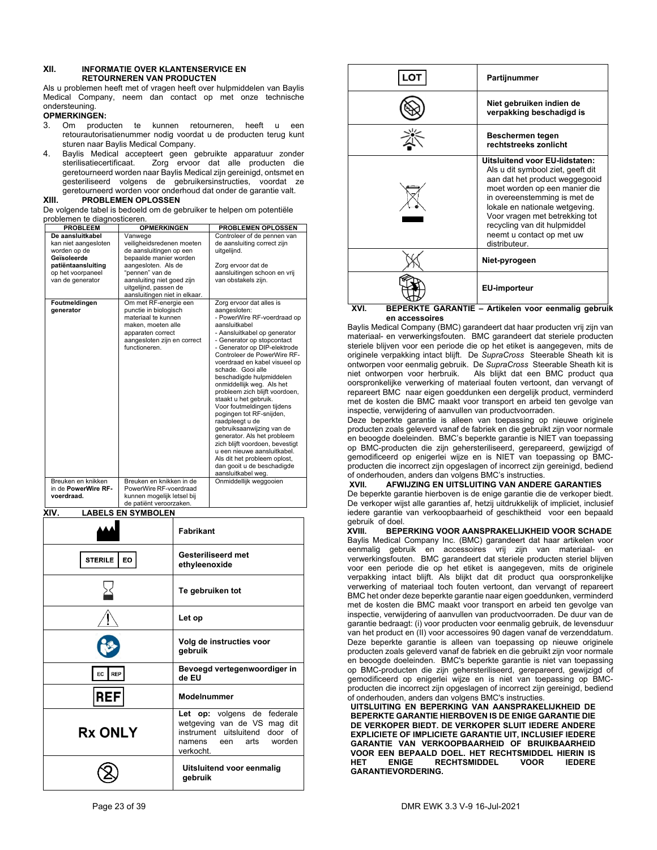### **XII. INFORMATIE OVER KLANTENSERVICE EN RETOURNEREN VAN PRODUCTEN**

Als u problemen heeft met of vragen heeft over hulpmiddelen van Baylis Medical Company, neem dan contact op met onze technische ondersteuning.

# **OPMERKINGEN:**<br>3 Om produ

- 3. Om producten te kunnen retourneren, heeft u een retourautorisatienummer nodig voordat u de producten terug kunt sturen naar Baylis Medical Company.
- 4. Baylis Medical accepteert geen gebruikte apparatuur zonder sterilisatiecertificaat. Zorg ervoor dat alle producten die geretourneerd worden naar Baylis Medical zijn gereinigd, ontsmet en gesteriliseerd volgens de gebruikersinstructies, voordat ze geretourneerd worden voor onderhoud dat onder de garantie valt.

### **XIII. PROBLEMEN OPLOSSEN**

De volgende tabel is bedoeld om de gebruiker te helpen om potentiële problemen te diagnosticeren.

| <b>PROBLEEM</b>                                                                                                                        | <b>OPMERKINGEN</b>                                                                                                                                                                                                          | PROBLEMEN OPLOSSEN                                                                                                                                                                                                                                                                                                                                                                                                                                                                                                                                                                                                                                                                             |
|----------------------------------------------------------------------------------------------------------------------------------------|-----------------------------------------------------------------------------------------------------------------------------------------------------------------------------------------------------------------------------|------------------------------------------------------------------------------------------------------------------------------------------------------------------------------------------------------------------------------------------------------------------------------------------------------------------------------------------------------------------------------------------------------------------------------------------------------------------------------------------------------------------------------------------------------------------------------------------------------------------------------------------------------------------------------------------------|
| De aansluitkabel<br>kan niet aangesloten<br>worden op de<br>Geïsoleerde<br>patiëntaansluiting<br>op het voorpaneel<br>van de generator | Vanwege<br>veiligheidsredenen moeten<br>de aansluitingen op een<br>bepaalde manier worden<br>aangesloten. Als de<br>"pennen" van de<br>aansluiting niet goed zijn<br>uitgelijnd, passen de<br>aansluitingen niet in elkaar. | Controleer of de pennen van<br>de aansluiting correct zijn<br>uitgelijnd.<br>Zorg ervoor dat de<br>aansluitingen schoon en vrij<br>van obstakels zijn.                                                                                                                                                                                                                                                                                                                                                                                                                                                                                                                                         |
| Foutmeldingen<br>generator                                                                                                             | Om met RF-energie een<br>punctie in biologisch<br>materiaal te kunnen<br>maken, moeten alle<br>apparaten correct<br>aangesloten zijn en correct<br>functioneren.                                                            | Zorg ervoor dat alles is<br>aangesloten:<br>- PowerWire RF-voerdraad op<br>aansluitkabel<br>- Aansluitkabel op generator<br>- Generator op stopcontact<br>- Generator op DIP-elektrode<br>Controleer de PowerWire RF-<br>voerdraad en kabel visueel op<br>schade. Gooi alle<br>beschadigde hulpmiddelen<br>onmiddellijk weg. Als het<br>probleem zich blijft voordoen,<br>staakt u het gebruik.<br>Voor foutmeldingen tijdens<br>pogingen tot RF-snijden,<br>raadpleegt u de<br>gebruiksaanwijzing van de<br>generator. Als het probleem<br>zich blijft voordoen, bevestigt<br>u een nieuwe aansluitkabel.<br>Als dit het probleem oplost,<br>dan gooit u de beschadigde<br>aansluitkabel weg. |
| Breuken en knikken                                                                                                                     | Breuken en knikken in de                                                                                                                                                                                                    | Onmiddellijk weggooien                                                                                                                                                                                                                                                                                                                                                                                                                                                                                                                                                                                                                                                                         |
| in de PowerWire RF-                                                                                                                    | PowerWire RF-voerdraad                                                                                                                                                                                                      |                                                                                                                                                                                                                                                                                                                                                                                                                                                                                                                                                                                                                                                                                                |
| voerdraad.                                                                                                                             | kunnen mogelijk letsel bij<br>de patiënt veroorzaken.                                                                                                                                                                       |                                                                                                                                                                                                                                                                                                                                                                                                                                                                                                                                                                                                                                                                                                |

**XIV. LABELS EN SYMBOLEN** 

|                      | <b>Fabrikant</b>                                                                                                                                |
|----------------------|-------------------------------------------------------------------------------------------------------------------------------------------------|
| <b>STERILE</b><br>EO | <b>Gesteriliseerd met</b><br>ethyleenoxide                                                                                                      |
|                      | Te gebruiken tot                                                                                                                                |
|                      | Let op                                                                                                                                          |
|                      | Volg de instructies voor<br>gebruik                                                                                                             |
| <b>REP</b><br>EC     | Bevoegd vertegenwoordiger in<br>de EU                                                                                                           |
| <b>REF</b>           | Modelnummer                                                                                                                                     |
| <b>Rx ONLY</b>       | de federale<br>Let op: volgens<br>wetgeving van de VS mag dit<br>instrument<br>uitsluitend<br>door of<br>een arts worden<br>namens<br>verkocht. |
|                      | Uitsluitend voor eenmalig<br>gebruik                                                                                                            |



### **XVI. BEPERKTE GARANTIE – Artikelen voor eenmalig gebruik en accessoires**

Baylis Medical Company (BMC) garandeert dat haar producten vrij zijn van materiaal- en verwerkingsfouten. BMC garandeert dat steriele producten steriele blijven voor een periode die op het etiket is aangegeven, mits de originele verpakking intact blijft. De *SupraCross* Steerable Sheath kit is ontworpen voor eenmalig gebruik. De *SupraCross* Steerable Sheath kit is niet ontworpen voor herbruik. Als blijkt dat een BMC product qua oorspronkelijke verwerking of materiaal fouten vertoont, dan vervangt of repareert BMC naar eigen goeddunken een dergelijk product, verminderd met de kosten die BMC maakt voor transport en arbeid ten gevolge van inspectie, verwijdering of aanvullen van productvoorraden.

Deze beperkte garantie is alleen van toepassing op nieuwe originele producten zoals geleverd vanaf de fabriek en die gebruikt zijn voor normale en beoogde doeleinden. BMC's beperkte garantie is NIET van toepassing op BMC-producten die zijn gehersteriliseerd, gerepareerd, gewijzigd of gemodificeerd op enigerlei wijze en is NIET van toepassing op BMCproducten die incorrect zijn opgeslagen of incorrect zijn gereinigd, bediend of onderhouden, anders dan volgens BMC's instructies.<br> **XVII.** AFWIJZING EN UITSLUITING VAN ANDER

### **AFWIJZING EN UITSLUITING VAN ANDERE GARANTIES**

De beperkte garantie hierboven is de enige garantie die de verkoper biedt. De verkoper wijst alle garanties af, hetzij uitdrukkelijk of impliciet, inclusief iedere garantie van verkoopbaarheid of geschiktheid voor een bepaald gebruik of doel.<br>XVIII. BEPI

**XVIII. BEPERKING VOOR AANSPRAKELIJKHEID VOOR SCHADE**  Baylis Medical Company Inc. (BMC) garandeert dat haar artikelen voor eenmalig gebruik en accessoires vrij zijn van materiaal- en verwerkingsfouten. BMC garandeert dat steriele producten steriel blijven voor een periode die op het etiket is aangegeven, mits de originele verpakking intact blijft. Als blijkt dat dit product qua oorspronkelijke verwerking of materiaal toch fouten vertoont, dan vervangt of repareert BMC het onder deze beperkte garantie naar eigen goeddunken, verminderd met de kosten die BMC maakt voor transport en arbeid ten gevolge van inspectie, verwijdering of aanvullen van productvoorraden. De duur van de garantie bedraagt: (i) voor producten voor eenmalig gebruik, de levensduur van het product en (II) voor accessoires 90 dagen vanaf de verzenddatum. Deze beperkte garantie is alleen van toepassing op nieuwe originele producten zoals geleverd vanaf de fabriek en die gebruikt zijn voor normale en beoogde doeleinden. BMC's beperkte garantie is niet van toepassing op BMC-producten die zijn gehersteriliseerd, gerepareerd, gewijzigd of gemodificeerd op enigerlei wijze en is niet van toepassing op BMCproducten die incorrect zijn opgeslagen of incorrect zijn gereinigd, bediend of onderhouden, anders dan volgens BMC's instructies.

**UITSLUITING EN BEPERKING VAN AANSPRAKELIJKHEID DE BEPERKTE GARANTIE HIERBOVEN IS DE ENIGE GARANTIE DIE DE VERKOPER BIEDT. DE VERKOPER SLUIT IEDERE ANDERE EXPLICIETE OF IMPLICIETE GARANTIE UIT, INCLUSIEF IEDERE GARANTIE VAN VERKOOPBAARHEID OF BRUIKBAARHEID VOOR EEN BEPAALD DOEL. HET RECHTSMIDDEL HIERIN IS RECHTSMIDDEL GARANTIEVORDERING.**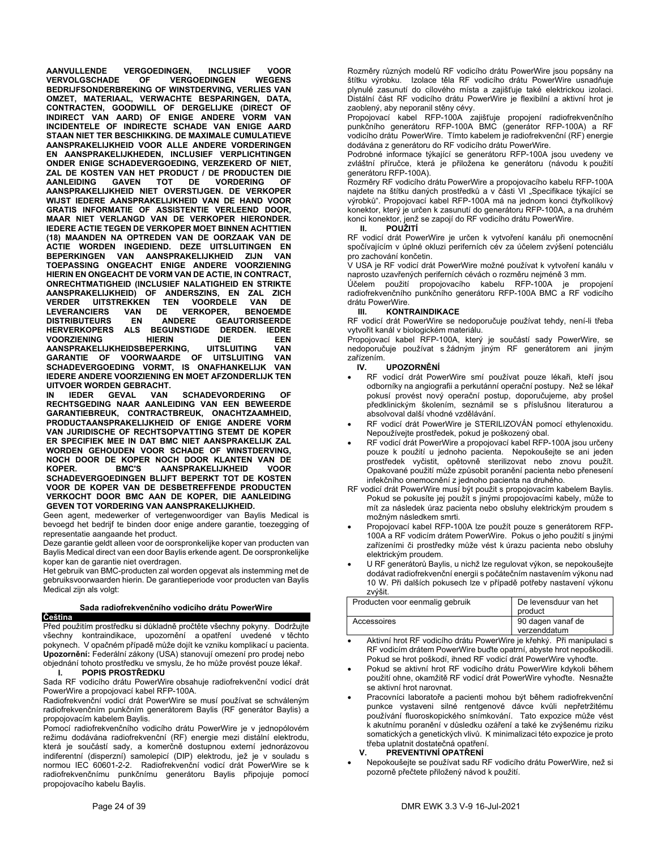**AANVULLENDE VERGOEDINGEN, INCLUSIEF VOOR VERVOLGSCHADE OF BEDRIJFSONDERBREKING OF WINSTDERVING, VERLIES VAN OMZET, MATERIAAL, VERWACHTE BESPARINGEN, DATA, CONTRACTEN, GOODWILL OF DERGELIJKE (DIRECT OF INDIRECT VAN AARD) OF ENIGE ANDERE VORM VAN INCIDENTELE OF INDIRECTE SCHADE VAN ENIGE AARD STAAN NIET TER BESCHIKKING. DE MAXIMALE CUMULATIEVE AANSPRAKELIJKHEID VOOR ALLE ANDERE VORDERINGEN EN AANSPRAKELIJKHEDEN, INCLUSIEF VERPLICHTINGEN ONDER ENIGE SCHADEVERGOEDING, VERZEKERD OF NIET, ZAL DE KOSTEN VAN HET PRODUCT / DE PRODUCTEN DIE AANLEIDING GAVEN TOT DE VORDERING OF AANSPRAKELIJKHEID NIET OVERSTIJGEN. DE VERKOPER WIJST IEDERE AANSPRAKELIJKHEID VAN DE HAND VOOR GRATIS INFORMATIE OF ASSISTENTIE VERLEEND DOOR, MAAR NIET VERLANGD VAN DE VERKOPER HIERONDER. IEDERE ACTIE TEGEN DE VERKOPER MOET BINNEN ACHTTIEN (18) MAANDEN NA OPTREDEN VAN DE OORZAAK VAN DE ACTIE WORDEN INGEDIEND. DEZE UITSLUITINGEN EN BEPERKINGEN VAN AANSPRAKELIJKHEID ZIJN VAN TOEPASSING ONGEACHT ENIGE ANDERE VOORZIENING HIERIN EN ONGEACHT DE VORM VAN DE ACTIE, IN CONTRACT, ONRECHTMATIGHEID (INCLUSIEF NALATIGHEID EN STRIKTE AANSPRAKELIJKHEID) OF ANDERSZINS, EN ZAL ZICH VERDER UITSTREKKEN TEN VOORDELE VAN DE LEVERANCIERS VAN DE VER<br>DISTRIBUTEURS EN ANDERE EN ANDERE GEAUTORISEERDE HERVERKOPERS ALS BEGUNSTIGDE DERDEN. IEDRE VOORZIENING HIERIN DIE EEN AANSPRAKELIJKHEIDSBEPERKING, GARANTIE OF VOORWAARDE OF UITSLUITING VAN SCHADEVERGOEDING VORMT, IS ONAFHANKELIJK VAN IEDERE ANDERE VOORZIENING EN MOET AFZONDERLIJK TEN UITVOER WORDEN GEBRACHT.** 

**IN IEDER GEVAL VAN SCHADEVORDERING OF RECHTSGEDING NAAR AANLEIDING VAN EEN BEWEERDE GARANTIEBREUK, CONTRACTBREUK, ONACHTZAAMHEID, PRODUCTAANSPRAKELIJKHEID OF ENIGE ANDERE VORM VAN JURIDISCHE OF RECHTSOPVATTING STEMT DE KOPER ER SPECIFIEK MEE IN DAT BMC NIET AANSPRAKELIJK ZAL WORDEN GEHOUDEN VOOR SCHADE OF WINSTDERVING, NOCH DOOR DE KOPER NOCH DOOR KLANTEN VAN DE KOPER. BMC'S AANSPRAKELIJKHEID VOOR SCHADEVERGOEDINGEN BLIJFT BEPERKT TOT DE KOSTEN VOOR DE KOPER VAN DE DESBETREFFENDE PRODUCTEN VERKOCHT DOOR BMC AAN DE KOPER, DIE AANLEIDING GEVEN TOT VORDERING VAN AANSPRAKELIJKHEID.**

Geen agent, medewerker of vertegenwoordiger van Baylis Medical is bevoegd het bedrijf te binden door enige andere garantie, toezegging of representatie aangaande het product.

Deze garantie geldt alleen voor de oorspronkelijke koper van producten van Baylis Medical direct van een door Baylis erkende agent. De oorspronkelijke koper kan de garantie niet overdragen.

Het gebruik van BMC-producten zal worden opgevat als instemming met de gebruiksvoorwaarden hierin. De garantieperiode voor producten van Baylis Medical zijn als volgt:

### **Sada radiofrekvenčního vodicího drátu PowerWire**

**Čeština**  Před použitím prostředku si důkladně pročtěte všechny pokyny. Dodržujte všechny kontraindikace, upozornění a opatření uvedené v těchto pokynech. V opačném případě může dojít ke vzniku komplikací u pacienta. **Upozornění:** Federální zákony (USA) stanovují omezení pro prodej nebo objednání tohoto prostředku ve smyslu, že ho může provést pouze lékař. **I. POPIS PROSTŘEDKU** 

Sada RF vodicího drátu PowerWire obsahuje radiofrekvenční vodicí drát PowerWire a propojovací kabel RFP-100A.

Radiofrekvenční vodicí drát PowerWire se musí používat se schváleným radiofrekvenčním punkčním generátorem Baylis (RF generátor Baylis) a propojovacím kabelem Baylis.

Pomocí radiofrekvenčního vodicího drátu PowerWire je v jednopólovém režimu dodávána radiofrekvenční (RF) energie mezi distální elektrodu, která je součástí sady, a komerčně dostupnou externí jednorázovou indiferentní (disperzní) samolepicí (DIP) elektrodu, jež je v souladu s normou IEC 60601-2-2. Radiofrekvenční vodicí drát PowerWire se k radiofrekvenčnímu punkčnímu generátoru Baylis připojuje pomocí propojovacího kabelu Baylis.

Rozměry různých modelů RF vodicího drátu PowerWire jsou popsány na štítku výrobku. Izolace těla RF vodicího drátu PowerWire usnadňuje plynulé zasunutí do cílového místa a zajišťuje také elektrickou izolaci. Distální část RF vodicího drátu PowerWire je flexibilní a aktivní hrot je zaoblený, aby neporanil stěny cévy.

Propojovací kabel RFP-100A zajišťuje propojení radiofrekvenčního punkčního generátoru RFP-100A BMC (generátor RFP-100A) a RF vodicího drátu PowerWire. Tímto kabelem je radiofrekvenční (RF) energie dodávána z generátoru do RF vodicího drátu PowerWire.

Podrobné informace týkající se generátoru RFP-100A jsou uvedeny ve zvláštní příručce, která je přiložena ke generátoru (návodu k použití generátoru RFP-100A).

Rozměry RF vodicího drátu PowerWire a propojovacího kabelu RFP-100A najdete na štítku daných prostředků a v části VI "Specifikace týkající se výrobků". Propojovací kabel RFP-100A má na jednom konci čtyřkolíkový konektor, který je určen k zasunutí do generátoru RFP-100A, a na druhém konci konektor, jenž se zapojí do RF vodicího drátu PowerWire.

### **II. POUŽITÍ**

RF vodicí drát PowerWire je určen k vytvoření kanálu při onemocnění spočívajícím v úplné okluzi periferních cév za účelem zvýšení potenciálu pro zachování končetin.

V USA je RF vodicí drát PowerWire možné používat k vytvoření kanálu v naprosto uzavřených periferních cévách o rozměru nejméně 3 mm.

Účelem použití propojovacího kabelu RFP-100A je propojení radiofrekvenčního punkčního generátoru RFP-100A BMC a RF vodicího drátu PowerWire.<br>III. KONT

### **III. KONTRAINDIKACE**

RF vodicí drát PowerWire se nedoporučuje používat tehdy, není-li třeba vytvořit kanál v biologickém materiálu.

Propojovací kabel RFP-100A, který je součástí sady PowerWire, se nedoporučuje používat s žádným jiným RF generátorem ani jiným zařízením.

### **IV. UPOZORNĚNÍ**

- RF vodicí drát PowerWire smí používat pouze lékaři, kteří jsou odborníky na angiografii a perkutánní operační postupy. Než se lékař pokusí provést nový operační postup, doporučujeme, aby prošel předklinickým školením, seznámil se s příslušnou literaturou a absolvoval další vhodné vzdělávání.
- RF vodicí drát PowerWire je STERILIZOVÁN pomocí ethylenoxidu. Nepoužívejte prostředek, pokud je poškozený obal.
- RF vodicí drát PowerWire a propojovací kabel RFP-100A jsou určeny pouze k použití u jednoho pacienta. Nepokoušejte se ani jeden prostředek vyčistit, opětovně sterilizovat nebo znovu použít. Opakované použití může způsobit poranění pacienta nebo přenesení infekčního onemocnění z jednoho pacienta na druhého.
- RF vodicí drát PowerWire musí být použit s propojovacím kabelem Baylis. Pokud se pokusíte jej použít s jinými propojovacími kabely, může to mít za následek úraz pacienta nebo obsluhy elektrickým proudem s možným následkem smrti.
- Propojovací kabel RFP-100A lze použít pouze s generátorem RFP-100A a RF vodicím drátem PowerWire. Pokus o jeho použití s jinými zařízeními či prostředky může vést k úrazu pacienta nebo obsluhy elektrickým proudem.
- U RF generátorů Baylis, u nichž lze regulovat výkon, se nepokoušejte dodávat radiofrekvenční energii s počátečním nastavením výkonu nad 10 W. Při dalších pokusech lze v případě potřeby nastavení výkonu zvýšit.

| Producten voor eenmalig gebruik | De levensduur van het<br>product  |
|---------------------------------|-----------------------------------|
| Accessoires                     | 90 dagen vanaf de<br>verzenddatum |

- Aktivní hrot RF vodicího drátu PowerWire je křehký. Při manipulaci s RF vodicím drátem PowerWire buďte opatrní, abyste hrot nepoškodili. Pokud se hrot poškodí, ihned RF vodicí drát PowerWire vyhoďte.
- Pokud se aktivní hrot RF vodicího drátu PowerWire kdykoli během použití ohne, okamžitě RF vodicí drát PowerWire vyhoďte. Nesnažte se aktivní hrot narovnat.
- Pracovníci laboratoře a pacienti mohou být během radiofrekvenční punkce vystaveni silné rentgenové dávce kvůli nepřetržitému používání fluoroskopického snímkování. Tato expozice může vést k akutnímu poranění v důsledku ozáření a také ke zvýšenému riziku somatických a genetických vlivů. K minimalizaci této expozice je proto třeba uplatnit dostatečná opatření.

### **V. PREVENTIVNÍ OPATŘENÍ**

 Nepokoušejte se používat sadu RF vodicího drátu PowerWire, než si pozorně přečtete přiložený návod k použití.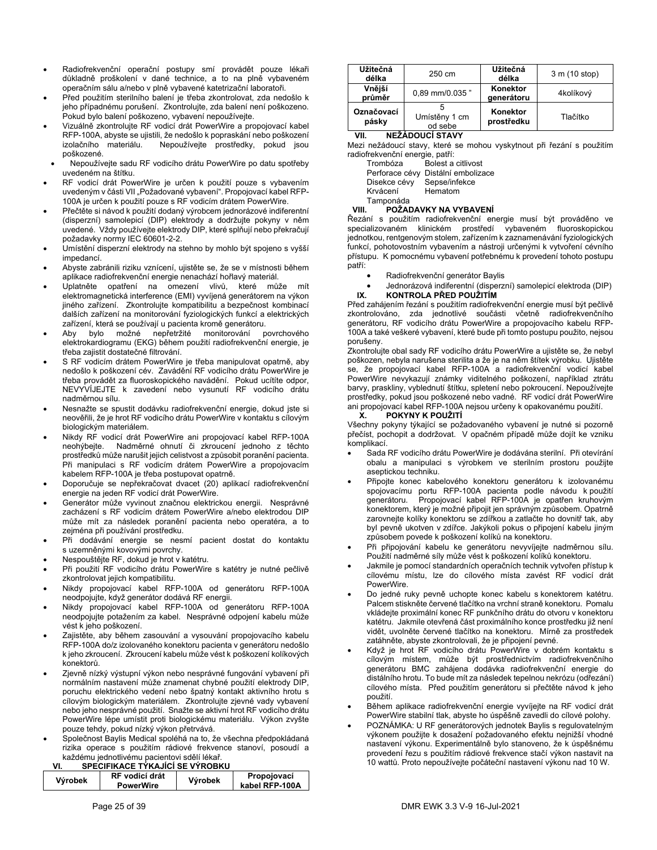- Radiofrekvenční operační postupy smí provádět pouze lékaři důkladně proškolení v dané technice, a to na plně vybaveném operačním sálu a/nebo v plně vybavené katetrizační laboratoři.
- Před použitím sterilního balení je třeba zkontrolovat, zda nedošlo k jeho případnému porušení. Zkontrolujte, zda balení není poškozeno. Pokud bylo balení poškozeno, vybavení nepoužívejte.
- Vizuálně zkontrolujte RF vodicí drát PowerWire a propojovací kabel RFP-100A, abyste se ujistili, že nedošlo k popraskání nebo poškození izolačního materiálu. Nepoužívejte prostředky, pokud jsou poškozené.
- Nepoužívejte sadu RF vodicího drátu PowerWire po datu spotřeby uvedeném na štítku.
- RF vodicí drát PowerWire je určen k použití pouze s vybavením uvedeným v části VII "Požadované vybavení". Propojovací kabel RFP-100A je určen k použití pouze s RF vodicím drátem PowerWire.
- Přečtěte si návod k použití dodaný výrobcem jednorázové indiferentní (disperzní) samolepicí (DIP) elektrody a dodržujte pokyny v něm uvedené. Vždy používejte elektrody DIP, které splňují nebo překračují požadavky normy IEC 60601-2-2.
- Umístění disperzní elektrody na stehno by mohlo být spojeno s vyšší impedancí.
- Abyste zabránili riziku vznícení, ujistěte se, že se v místnosti během aplikace radiofrekvenční energie nenachází hořlavý materiál.
- Uplatněte opatření na omezení vlivů, které může mít elektromagnetická interference (EMI) vyvíjená generátorem na výkon jiného zařízení. Zkontrolujte kompatibilitu a bezpečnost kombinací dalších zařízení na monitorování fyziologických funkcí a elektrických zařízení, která se používají u pacienta kromě generátoru.
- Aby bylo možné nepřetržité monitorování povrchového elektrokardiogramu (EKG) během použití radiofrekvenční energie, je třeba zajistit dostatečné filtrování.
- S RF vodicím drátem PowerWire je třeba manipulovat opatrně, aby nedošlo k poškození cév. Zavádění RF vodicího drátu PowerWire je třeba provádět za fluoroskopického navádění. Pokud ucítíte odpor, NEVYVÍJEJTE k zavedení nebo vysunutí RF vodicího drátu nadměrnou sílu.
- Nesnažte se spustit dodávku radiofrekvenční energie, dokud jste si neověřili, že je hrot RF vodicího drátu PowerWire v kontaktu s cílovým biologickým materiálem.
- Nikdy RF vodicí drát PowerWire ani propojovací kabel RFP-100A neohýbejte. Nadměrné ohnutí či zkroucení jednoho z těchto prostředků může narušit jejich celistvost a způsobit poranění pacienta. Při manipulaci s RF vodicím drátem PowerWire a propojovacím kabelem RFP-100A je třeba postupovat opatrně.
- Doporučuje se nepřekračovat dvacet (20) aplikací radiofrekvenční energie na jeden RF vodicí drát PowerWire.
- Generátor může vyvinout značnou elektrickou energii. Nesprávné zacházení s RF vodicím drátem PowerWire a/nebo elektrodou DIP může mít za následek poranění pacienta nebo operatéra, a to zejména při používání prostředku.
- Při dodávání energie se nesmí pacient dostat do kontaktu s uzemněnými kovovými povrchy.
- Nespouštějte RF, dokud je hrot v katétru.
- Při použití RF vodicího drátu PowerWire s katétry je nutné pečlivě zkontrolovat jejich kompatibilitu.
- Nikdy propojovací kabel RFP-100A od generátoru RFP-100A neodpojujte, když generátor dodává RF energii.
- Nikdy propojovací kabel RFP-100A od generátoru RFP-100A neodpojujte potažením za kabel. Nesprávné odpojení kabelu může vést k jeho poškození.
- Zajistěte, aby během zasouvání a vysouvání propojovacího kabelu RFP-100A do/z izolovaného konektoru pacienta v generátoru nedošlo k jeho zkroucení. Zkroucení kabelu může vést k poškození kolíkových konektorů.
- Zjevně nízký výstupní výkon nebo nesprávné fungování vybavení při normálním nastavení může znamenat chybné použití elektrody DIP, poruchu elektrického vedení nebo špatný kontakt aktivního hrotu s cílovým biologickým materiálem. Zkontrolujte zjevné vady vybavení nebo jeho nesprávné použití. Snažte se aktivní hrot RF vodicího drátu PowerWire lépe umístit proti biologickému materiálu. Výkon zvyšte pouze tehdy, pokud nízký výkon přetrvává.
- Společnost Baylis Medical spoléhá na to, že všechna předpokládaná rizika operace s použitím rádiové frekvence stanoví, posoudí a každému jednotlivému pacientovi sdělí lékař.

### **VI. SPECIFIKACE TÝKAJÍCÍ SE VÝROBKU**

| Výrobek | RF vodicí drát<br><b>PowerWire</b> | Výrobek | Propojovací<br>kabel RFP-100A |  |
|---------|------------------------------------|---------|-------------------------------|--|
|         |                                    |         |                               |  |

| Užitečná<br>délka   | 250 cm                   | Užitečná<br>délka      | 3 m (10 stop) |
|---------------------|--------------------------|------------------------|---------------|
| Vnější<br>průměr    | 0.89 mm/0.035"           | Konektor<br>generátoru | 4kolíkový     |
| Označovací<br>pásky | Umístěny 1 cm<br>od sebe | Konektor<br>prostředku | Tlačítko      |

### **VII. NEŽÁDOUCÍ STAVY**

Mezi nežádoucí stavy, které se mohou vyskytnout při řezání s použitím radiofrekvenční energie, patří:

| Trombóza     | Bolest a citlivost                 |
|--------------|------------------------------------|
|              | Perforace cévy Distální embolizace |
| Disekce cévy | Sepse/infekce                      |
| Krvácení     | Hematom                            |
| Tamponáda    |                                    |

### **VIII. POŽADAVKY NA VYBAVENÍ**

Řezání s použitím radiofrekvenční energie musí být prováděno ve specializovaném klinickém prostředí vybaveném fluoroskopickou jednotkou, rentgenovým stolem, zařízením k zaznamenávání fyziologických funkcí, pohotovostním vybavením a nástroji určenými k vytvoření cévního přístupu. K pomocnému vybavení potřebnému k provedení tohoto postupu patří:

- Radiofrekvenční generátor Baylis
- Jednorázová indiferentní (disperzní) samolepicí elektroda (DIP)<br>IX. KONTROLA PŘED POUŽITÍM **IX. KONTROLA PŘED POUŽITÍM**

Před zahájením řezání s použitím radiofrekvenční energie musí být pečlivě zkontrolováno, zda jednotlivé součásti včetně radiofrekvenčního generátoru, RF vodicího drátu PowerWire a propojovacího kabelu RFP-100A a také veškeré vybavení, které bude při tomto postupu použito, nejsou porušeny.

Zkontrolujte obal sady RF vodicího drátu PowerWire a ujistěte se, že nebyl poškozen, nebyla narušena sterilita a že je na něm štítek výrobku. Ujistěte se, že propojovací kabel RFP-100A a radiofrekvenční vodicí kabel PowerWire nevykazují známky viditelného poškození, například ztrátu barvy, praskliny, vyblednutí štítku, spletení nebo pokroucení. Nepoužívejte prostředky, pokud jsou poškozené nebo vadné. RF vodicí drát PowerWire ani propojovací kabel RFP-100A nejsou určeny k opakovanému použití.

### **X. POKYNY K POUŽITÍ**

Všechny pokyny týkající se požadovaného vybavení je nutné si pozorně přečíst, pochopit a dodržovat. V opačném případě může dojít ke vzniku .<br>komplikací

- Sada RF vodicího drátu PowerWire je dodávána sterilní. Při otevírání obalu a manipulaci s výrobkem ve sterilním prostoru použijte aseptickou techniku.
- Připojte konec kabelového konektoru generátoru k izolovanému spojovacímu portu RFP-100A pacienta podle návodu k použití generátoru. Propojovací kabel RFP-100A je opatřen kruhovým konektorem, který je možné připojit jen správným způsobem. Opatrně zarovnejte kolíky konektoru se zdířkou a zatlačte ho dovnitř tak, aby byl pevně ukotven v zdířce. Jakýkoli pokus o připojení kabelu jiným způsobem povede k poškození kolíků na konektoru.
- Při připojování kabelu ke generátoru nevyvíjejte nadměrnou sílu. Použití nadměrné síly může vést k poškození kolíků konektoru.
- Jakmile je pomocí standardních operačních technik vytvořen přístup k cílovému místu, lze do cílového místa zavést RF vodicí drát PowerWire.
- Do jedné ruky pevně uchopte konec kabelu s konektorem katétru. Palcem stiskněte červené tlačítko na vrchní straně konektoru. Pomalu vkládejte proximální konec RF punkčního drátu do otvoru v konektoru katétru. Jakmile otevřená část proximálního konce prostředku již není vidět, uvolněte červené tlačítko na konektoru. Mírně za prostředek zatáhněte, abyste zkontrolovali, že je připojení pevné.
- Když je hrot RF vodicího drátu PowerWire v dobrém kontaktu s cílovým místem, může být prostřednictvím radiofrekvenčního generátoru BMC zahájena dodávka radiofrekvenční energie do distálního hrotu. To bude mít za následek tepelnou nekrózu (odřezání) cílového místa. Před použitím generátoru si přečtěte návod k jeho použití.
- Během aplikace radiofrekvenční energie vyvíjejte na RF vodicí drát PowerWire stabilní tlak, abyste ho úspěšně zavedli do cílové polohy.
- POZNÁMKA: U RF generátorových jednotek Baylis s regulovatelným výkonem použijte k dosažení požadovaného efektu nejnižší vhodné nastavení výkonu. Experimentálně bylo stanoveno, že k úspěšnému provedení řezu s použitím rádiové frekvence stačí výkon nastavit na 10 wattů. Proto nepoužívejte počáteční nastavení výkonu nad 10 W.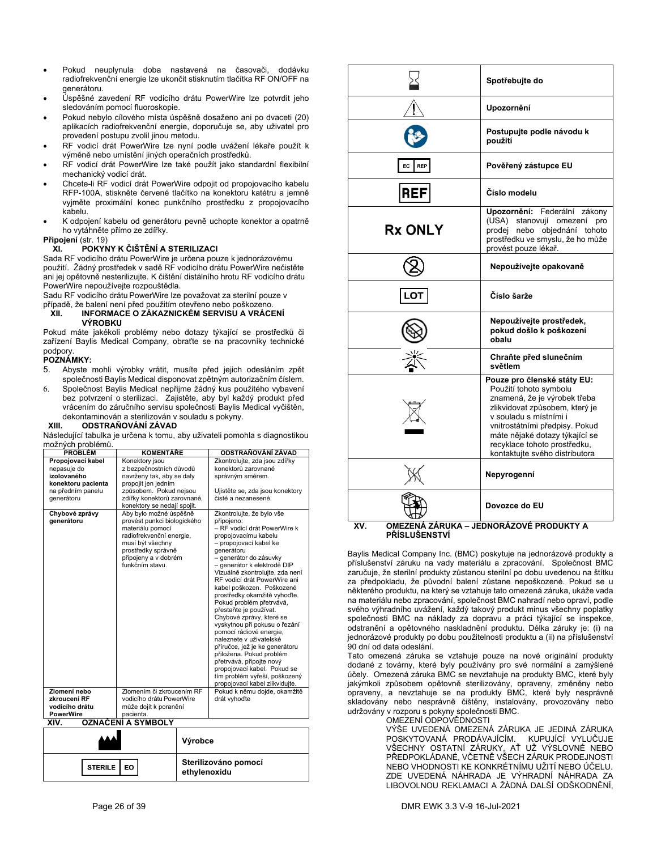- Pokud neuplynula doba nastavená na časovači, dodávku radiofrekvenční energie lze ukončit stisknutím tlačítka RF ON/OFF na generátoru.
- Úspěšné zavedení RF vodicího drátu PowerWire lze potvrdit jeho sledováním pomocí fluoroskopie.
- Pokud nebylo cílového místa úspěšně dosaženo ani po dvaceti (20) aplikacích radiofrekvenční energie, doporučuje se, aby uživatel pro provedení postupu zvolil jinou metodu.
- RF vodicí drát PowerWire lze nyní podle uv výměně nebo umístění jiných operačních prost
- RF vodicí drát PowerWire lze také použít jak mechanický vodicí drát.
- Chcete-li RF vodicí drát PowerWire odpojit od RFP-100A, stiskněte červené tlačítko na kone vyjměte proximální konec punkčního prostř kabelu.
- K odpojení kabelu od generátoru pevně ucho ho vytáhněte přímo ze zdířky.

### **Připojení** (str. 19)

### **XI. POKYNY K ČIŠTĚNÍ A STERILIZACI**

Sada RF vodicího drátu PowerWire je určena pouze použití. Žádný prostředek v sadě RF vodicího drátu ani jej opětovně nesterilizujte. K čištění distálního hr PowerWire nepoužívejte rozpouštědla.

Sadu RF vodicího drátu PowerWire lze považovat za

#### případě, že balení není před použitím otevřeno nebo **XII. INFORMACE O ZÁKAZNICKÉM SERVI VÝROBKU**

Pokud máte jakékoli problémy nebo dotazy týka zařízení Baylis Medical Company, obraťte se na podpory.

### **POZNÁMKY:**

- 5. Abyste mohli výrobky vrátit, musíte před j společnosti Baylis Medical disponovat zpětným
- 6. Společnost Baylis Medical nepřijme žádný ku bez potvrzení o sterilizaci. Zajistěte, aby by vrácením do záručního servisu společnosti Ba dekontaminován a sterilizován v souladu s pol<br>XIII. **ODSTRAŇOVÁNÍ ZÁVAD**

### **XIII. ODSTRAŇOVÁNÍ ZÁVAD**

Následující tabulka je určena k tomu, aby uživateli p možných problémů.

| <b>PROBLÉM</b>                                                                                           | KOMENTÁŘE                                                                                                                                                                                  |  | ODSTRAŇOVÁNÍ ZÁVAD                                                                                                                                                                                                                                                                                                                                                                                                                                                                                                                                                                                                                                                                                    |
|----------------------------------------------------------------------------------------------------------|--------------------------------------------------------------------------------------------------------------------------------------------------------------------------------------------|--|-------------------------------------------------------------------------------------------------------------------------------------------------------------------------------------------------------------------------------------------------------------------------------------------------------------------------------------------------------------------------------------------------------------------------------------------------------------------------------------------------------------------------------------------------------------------------------------------------------------------------------------------------------------------------------------------------------|
| Propojovací kabel<br>nepasuje do<br>izolovaného<br>konektoru pacienta<br>na předním panelu<br>generátoru | Konektory jsou<br>z bezpečnostních důvodů<br>navrženy tak, aby se daly<br>propojit jen jedním<br>způsobem. Pokud nejsou<br>zdířky konektorů zarovnané,<br>konektory se nedají spojit.      |  | Zkontrolujte, zda jsou zdířky<br>konektorů zarovnané<br>správným směrem.<br>Ujistěte se, zda jsou konektory<br>čisté a nezanesené.                                                                                                                                                                                                                                                                                                                                                                                                                                                                                                                                                                    |
| Chybové zprávy<br>aenerátoru                                                                             | Aby bylo možné úspěšně<br>provést punkci biologického<br>materiálu pomocí<br>radiofrekvenční energie,<br>musí být všechny<br>prostředky správně<br>připojeny a v dobrém<br>funkčním stavu. |  | Zkontrolujte, že bylo vše<br>připojeno:<br>- RF vodicí drát PowerWire k<br>propojovacímu kabelu<br>- propojovací kabel ke<br>denerátoru<br>- generátor do zásuvky<br>- generátor k elektrodě DIP<br>Vizuálně zkontrolujte, zda není<br>RF vodicí drát PowerWire ani<br>kabel poškozen. Poškozené<br>prostředky okamžitě vyhoďte.<br>Pokud problém přetrvává,<br>přestaňte je používat.<br>Chybové zprávy, které se<br>vyskytnou při pokusu o řezání<br>pomocí rádiové energie,<br>naleznete v uživatelské<br>příručce, jež je ke generátoru<br>přiložena. Pokud problém<br>přetrvává, připojte nový<br>propojovací kabel. Pokud se<br>tím problém vyřeší, poškozený<br>propojovací kabel zlikvidujte. |
| Zlomení nebo<br>zkroucení RF<br>vodicího drátu                                                           | Zlomením či zkroucením RF<br>vodicího drátu PowerWire<br>může dojít k poranění<br>pacienta.                                                                                                |  | Pokud k němu dojde, okamžitě<br>drát vyhoďte                                                                                                                                                                                                                                                                                                                                                                                                                                                                                                                                                                                                                                                          |
| <b>PowerWire</b><br>OZNAČENÍ A SYMBOLY<br>XIV.                                                           |                                                                                                                                                                                            |  |                                                                                                                                                                                                                                                                                                                                                                                                                                                                                                                                                                                                                                                                                                       |
|                                                                                                          | Výrobce                                                                                                                                                                                    |  |                                                                                                                                                                                                                                                                                                                                                                                                                                                                                                                                                                                                                                                                                                       |

**Sterilizováno pomocí ethylenoxidu** 

|                                                                                                                                                                                                                                                                                                                                                                                                                                                                                                                                                                                                                                                                                                                                                                                                                                                                                                                                                                                                                   | použití                                                                                                                                                                                                                                                                                 |  |
|-------------------------------------------------------------------------------------------------------------------------------------------------------------------------------------------------------------------------------------------------------------------------------------------------------------------------------------------------------------------------------------------------------------------------------------------------------------------------------------------------------------------------------------------------------------------------------------------------------------------------------------------------------------------------------------------------------------------------------------------------------------------------------------------------------------------------------------------------------------------------------------------------------------------------------------------------------------------------------------------------------------------|-----------------------------------------------------------------------------------------------------------------------------------------------------------------------------------------------------------------------------------------------------------------------------------------|--|
| EC<br><b>REP</b>                                                                                                                                                                                                                                                                                                                                                                                                                                                                                                                                                                                                                                                                                                                                                                                                                                                                                                                                                                                                  | Pověřený zástupce EU                                                                                                                                                                                                                                                                    |  |
| <b>REF</b>                                                                                                                                                                                                                                                                                                                                                                                                                                                                                                                                                                                                                                                                                                                                                                                                                                                                                                                                                                                                        | Číslo modelu                                                                                                                                                                                                                                                                            |  |
| <b>Rx ONLY</b>                                                                                                                                                                                                                                                                                                                                                                                                                                                                                                                                                                                                                                                                                                                                                                                                                                                                                                                                                                                                    | Upozornění: Federální zákony<br>(USA) stanovují omezení pro<br>prodej nebo objednání tohoto<br>prostředku ve smyslu, že ho může<br>provést pouze lékař.                                                                                                                                 |  |
|                                                                                                                                                                                                                                                                                                                                                                                                                                                                                                                                                                                                                                                                                                                                                                                                                                                                                                                                                                                                                   | Nepoužívejte opakovaně                                                                                                                                                                                                                                                                  |  |
| .OT                                                                                                                                                                                                                                                                                                                                                                                                                                                                                                                                                                                                                                                                                                                                                                                                                                                                                                                                                                                                               | Číslo šarže                                                                                                                                                                                                                                                                             |  |
|                                                                                                                                                                                                                                                                                                                                                                                                                                                                                                                                                                                                                                                                                                                                                                                                                                                                                                                                                                                                                   | Nepoužívejte prostředek,<br>pokud došlo k poškození<br>obalu                                                                                                                                                                                                                            |  |
|                                                                                                                                                                                                                                                                                                                                                                                                                                                                                                                                                                                                                                                                                                                                                                                                                                                                                                                                                                                                                   | Chraňte před slunečním<br>světlem                                                                                                                                                                                                                                                       |  |
|                                                                                                                                                                                                                                                                                                                                                                                                                                                                                                                                                                                                                                                                                                                                                                                                                                                                                                                                                                                                                   | Pouze pro členské státy EU:<br>Použití tohoto symbolu<br>znamená, že je výrobek třeba<br>zlikvidovat způsobem, který je<br>v souladu s místními i<br>vnitrostátními předpisy. Pokud<br>máte nějaké dotazy týkající se<br>recyklace tohoto prostředku,<br>kontaktujte svého distributora |  |
|                                                                                                                                                                                                                                                                                                                                                                                                                                                                                                                                                                                                                                                                                                                                                                                                                                                                                                                                                                                                                   | Nepyrogenní                                                                                                                                                                                                                                                                             |  |
|                                                                                                                                                                                                                                                                                                                                                                                                                                                                                                                                                                                                                                                                                                                                                                                                                                                                                                                                                                                                                   | Dovozce do EU                                                                                                                                                                                                                                                                           |  |
| OMEZENÁ ZÁRUKA – JEDNORÁZOVÉ PRODUKTY A<br>XV.<br><b>PŘÍSLUŠENSTVÍ</b><br>Baylis Medical Company Inc. (BMC) poskytuje na jednorázové produkty a<br>příslušenství záruku na vady materiálu a zpracování. Společnost BMC<br>zaručuje, že sterilní produkty zůstanou sterilní po dobu uvedenou na štítku<br>za předpokladu, že původní balení zůstane nepoškozené. Pokud se u<br>některého produktu, na který se vztahuje tato omezená záruka, ukáže vada<br>na materiálu nebo zpracování, společnost BMC nahradí nebo opraví, podle<br>svého výhradního uvážení, každý takový produkt minus všechny poplatky<br>společnosti BMC na náklady za dopravu a práci týkající se inspekce,<br>odstranění a opětovného naskladnění produktu. Délka záruky je: (i) na<br>jednorázové produkty po dobu použitelnosti produktu a (ii) na příslušenství<br>90 dní od data odeslání.<br>Tato omezená záruka se vztahuje pouze na nové originální produkty<br>dodané z továrny, které byly používány pro své normální a zamýšlené |                                                                                                                                                                                                                                                                                         |  |
|                                                                                                                                                                                                                                                                                                                                                                                                                                                                                                                                                                                                                                                                                                                                                                                                                                                                                                                                                                                                                   |                                                                                                                                                                                                                                                                                         |  |

Tato omezená záruka se vztahuje pouze na nové originální produkty amýšlené účely. Omezená záruka BMC se nevztahuje na produkty BMC, které byly jakýmkoli způsobem opětovně sterilizovány, opraveny, změněny nebo opraveny, a nevztahuje se na produkty BMC, které byly nesprávně skladovány nebo nesprávně čištěny, instalovány, provozovány nebo udržovány v rozporu s pokyny společnosti BMC.

OMEZENÍ ODPOVĚDNOSTI

VÝŠE UVEDENÁ OMEZENÁ ZÁRUKA JE JEDINÁ ZÁRUKA POSKYTOVANÁ PRODÁVAJÍCÍM. KUPUJÍCÍ VYLUČUJE VŠECHNY OSTATNÍ ZÁRUKY, AŤ UŽ VÝSLOVNÉ NEBO PŘEDPOKLÁDANÉ, VČETNĚ VŠECH ZÁRUK PRODEJNOSTI NEBO VHODNOSTI KE KONKRÉTNÍMU UŽITÍ NEBO ÚČELU. ZDE UVEDENÁ NÁHRADA JE VÝHRADNÍ NÁHRADA ZA LIBOVOLNOU REKLAMACI A ŽÁDNÁ DALŠÍ ODŠKODNĚNÍ,

**Spotřebujte do** 

**Postupujte podle návodu k** 

**Upozornění** 

EO

**STERILE**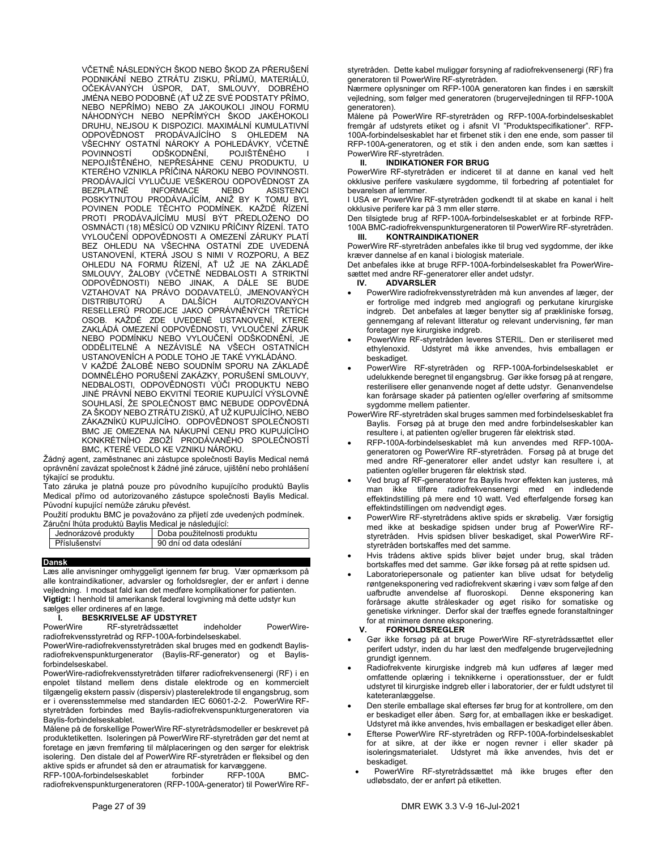VČETNĚ NÁSLEDNÝCH ŠKOD NEBO ŠKOD ZA PŘERUŠENÍ PODNIKÁNÍ NEBO ZTRÁTU ZISKU, PŘÍJMŮ, MATERIÁLŮ, OČEKÁVANÝCH ÚSPOR, DAT, SMLOUVY, DOBRÉHO JMÉNA NEBO PODOBNĚ (AŤ UŽ ZE SVÉ PODSTATY PŘÍMO, NEBO NEPŘÍMO) NEBO ZA JAKOUKOLI JINOU FORMU NÁHODNÝCH NEBO NEPŘÍMÝCH ŠKOD JAKÉHOKOLI DRUHU, NEJSOU K DISPOZICI. MAXIMÁLNÍ KUMULATIVNÍ ODPOVĚDNOST PRODÁVAJÍCÍHO S OHLEDEM NA VŠECHNY OSTATNÍ NÁROKY A POHLEDÁVKY, VČETNĚ<br>POVINNOSTÍ ODŠKODNĚNÍ, POJIŠTĚNÉHO I ODŠKODNĚNÍ, NEPOJIŠTĚNÉHO, NEPŘESÁHNE CENU PRODUKTU, U KTERÉHO VZNIKLA PŘÍČINA NÁROKU NEBO POVINNOSTI. PRODÁVAJÍCÍ VYLUČUJE VEŠKEROU ODPOVĚDNOST ZA<br>BEZPLATNÉ INFORMACE NEBO ASISTENCI BEZPLATNÉ INFORMACE NEBO ASISTENCI POSKYTNUTOU PRODÁVAJÍCÍM, ANIŽ BY K TOMU BYL POVINEN PODLE TĚCHTO PODMÍNEK. KAŽDÉ ŘÍZENÍ PROTI PRODÁVAJÍCÍMU MUSÍ BÝT PŘEDLOŽENO DO OSMNÁCTI (18) MĚSÍCŮ OD VZNIKU PŘÍČINY ŘÍZENÍ. TATO VYLOUČENÍ ODPOVĚDNOSTI A OMEZENÍ ZÁRUKY PLATÍ BEZ OHLEDU NA VŠECHNA OSTATNÍ ZDE UVEDENÁ USTANOVENÍ, KTERÁ JSOU S NIMI V ROZPORU, A BEZ OHLEDU NA FORMU ŘÍZENÍ, AŤ UŽ JE NA ZÁKLADĚ SMLOUVY, ŽALOBY (VČETNĚ NEDBALOSTI A STRIKTNÍ ODPOVĚDNOSTI) NEBO JINAK, A DÁLE SE BUDE VZTAHOVAT NA PRÁVO DODAVATELŮ, JMENOVANÝCH<br>DISTRIBUTORŮ A DALŠÍCH AUTORIZOVANÝCH A DALŠÍCH AUTORIZOVANÝCH RESELLERŮ PRODEJCE JAKO OPRÁVNĚNÝCH TŘETÍCH OSOB. KAŽDÉ ZDE UVEDENÉ USTANOVENÍ, KTERÉ ZAKLÁDÁ OMEZENÍ ODPOVĚDNOSTI, VYLOUČENÍ ZÁRUK NEBO PODMÍNKU NEBO VYLOUČENÍ ODŠKODNĚNÍ, JE ODDĚLITELNÉ A NEZÁVISLÉ NA VŠECH OSTATNÍCH USTANOVENÍCH A PODLE TOHO JE TAKÉ VYKLÁDÁNO. V KAŽDÉ ŽALOBĚ NEBO SOUDNÍM SPORU NA ZÁKLADĚ

DOMNĚLÉHO PORUŠENÍ ZAKÁZKY, PORUŠENÍ SMLOUVY, NEDBALOSTI, ODPOVĚDNOSTI VŮČI PRODUKTU NEBO JINÉ PRÁVNÍ NEBO EKVITNÍ TEORIE KUPUJÍCÍ VÝSLOVNĚ SOUHLASÍ, ŽE SPOLEČNOST BMC NEBUDE ODPOVĚDNÁ ZA ŠKODY NEBO ZTRÁTU ZISKŮ, AŤ UŽ KUPUJÍCÍHO, NEBO ZÁKAZNÍKŮ KUPUJÍCÍHO. ODPOVĚDNOST SPOLEČNOSTI BMC JE OMEZENA NA NÁKUPNÍ CENU PRO KUPUJÍCÍHO KONKRÉTNÍHO ZBOŽÍ PRODÁVANÉHO SPOLEČNOSTÍ BMC, KTERÉ VEDLO KE VZNIKU NÁROKU.

Žádný agent, zaměstnanec ani zástupce společnosti Baylis Medical nemá oprávnění zavázat společnost k žádné jiné záruce, ujištění nebo prohlášení týkající se produktu.

Tato záruka je platná pouze pro původního kupujícího produktů Baylis Medical přímo od autorizovaného zástupce společnosti Baylis Medical. Původní kupující nemůže záruku převést.

Použití produktu BMC je považováno za přijetí zde uvedených podmínek. Záruční lhůta produktů Baylis Medical je následující:

| araoni inata proganta Dayno ivicaloarjo naologajior. |                             |
|------------------------------------------------------|-----------------------------|
| Jednorázové produkty                                 | Doba použitelnosti produktu |
| <b>I</b> Příslušenství                               | 90 dní od data odeslání     |
|                                                      |                             |

### **Dansk**

Læs alle anvisninger omhyggeligt igennem før brug. Vær opmærksom på alle kontraindikationer, advarsler og forholdsregler, der er anført i denne vejledning. I modsat fald kan det medføre komplikationer for patienten. **Vigtigt:** I henhold til amerikansk føderal lovgivning må dette udstyr kun sælges eller ordineres af en læge.

**I. BESKRIVELSE AF UDSTYRET**<br>PowerWire RF-styretrådssættet RF-styretrådssættet indeholder PowerWireradiofrekvensstyretråd og RFP-100A-forbindelseskabel.

PowerWire-radiofrekvensstyretråden skal bruges med en godkendt Baylisradiofrekvenspunkturgenerator (Baylis-RF-generator) og et Baylisforbindelseskabel.

PowerWire-radiofrekvensstyretråden tilfører radiofrekvensenergi (RF) i en enpolet tilstand mellem dens distale elektrode og en kommercielt tilgængelig ekstern passiv (dispersiv) plasterelektrode til engangsbrug, som er i overensstemmelse med standarden IEC 60601-2-2. PowerWire RFstyretråden forbindes med Baylis-radiofrekvenspunkturgeneratoren via Baylis-forbindelseskablet.

Målene på de forskellige PowerWire RF-styretrådsmodeller er beskrevet på produktetiketten. Isoleringen på PowerWire RF-styretråden gør det nemt at foretage en jævn fremføring til målplaceringen og den sørger for elektrisk isolering. Den distale del af PowerWire RF-styretråden er fleksibel og den aktive spids er afrundet så den er atraumatisk for karvæggene.

RFP-100A-forbindelseskablet forbinder RFP-100A BMCradiofrekvenspunkturgeneratoren (RFP-100A-generator) til PowerWire RF- styretråden. Dette kabel muliggør forsyning af radiofrekvensenergi (RF) fra generatoren til PowerWire RF-styretråden.

Nærmere oplysninger om RFP-100A generatoren kan findes i en særskilt vejledning, som følger med generatoren (brugervejledningen til RFP-100A generatoren).

Målene på PowerWire RF-styretråden og RFP-100A-forbindelseskablet fremgår af udstyrets etiket og i afsnit VI "Produktspecifikationer". RFP-100A-forbindelseskablet har et firbenet stik i den ene ende, som passer til RFP-100A-generatoren, og et stik i den anden ende, som kan sættes i PowerWire RF-styretråden.

### **II. INDIKATIONER FOR BRUG**

PowerWire RF-styretråden er indiceret til at danne en kanal ved helt okklusive perifere vaskulære sygdomme, til forbedring af potentialet for bevarelsen af lemmer.

I USA er PowerWire RF-styretråden godkendt til at skabe en kanal i helt okklusive perifere kar på 3 mm eller større.

Den tilsigtede brug af RFP-100A-forbindelseskablet er at forbinde RFP-100A BMC-radiofrekvenspunkturgeneratoren til PowerWire RF-styretråden. **III. KONTRAINDIKATIONER** 

PowerWire RF-styretråden anbefales ikke til brug ved sygdomme, der ikke kræver dannelse af en kanal i biologisk materiale.

Det anbefales ikke at bruge RFP-100A-forbindelseskablet fra PowerWiresættet med andre RF-generatorer eller andet udstyr.

### **IV. ADVARSLER**

- PowerWire radiofrekvensstyretråden må kun anvendes af læger, der er fortrolige med indgreb med angiografi og perkutane kirurgiske indgreb. Det anbefales at læger benytter sig af prækliniske forsøg, gennemgang af relevant litteratur og relevant undervisning, før man foretager nye kirurgiske indgreb.
- PowerWire RF-styretråden leveres STERIL. Den er steriliseret med ethylenoxid. Udstyret må ikke anvendes, hvis emballagen er Udstyret må ikke anvendes, hvis emballagen er beskadiget.
- PowerWire RF-styretråden og RFP-100A-forbindelseskablet er udelukkende beregnet til engangsbrug. Gør ikke forsøg på at rengøre, resterilisere eller genanvende noget af dette udstyr. Genanvendelse kan forårsage skader på patienten og/eller overføring af smitsomme sygdomme mellem patienter.
- PowerWire RF-styretråden skal bruges sammen med forbindelseskablet fra Baylis. Forsøg på at bruge den med andre forbindelseskabler kan resultere i, at patienten og/eller brugeren får elektrisk stød.
- RFP-100A-forbindelseskablet må kun anvendes med RFP-100Ageneratoren og PowerWire RF-styretråden. Forsøg på at bruge det med andre RF-generatorer eller andet udstyr kan resultere i, at patienten og/eller brugeren får elektrisk stød.
- Ved brug af RF-generatorer fra Baylis hvor effekten kan justeres, må man ikke tilføre radiofrekvensenergi med en indledende effektindstilling på mere end 10 watt. Ved efterfølgende forsøg kan effektindstillingen om nødvendigt øges.
- PowerWire RF-styretrådens aktive spids er skrøbelig. Vær forsigtig med ikke at beskadige spidsen under brug af PowerWire RFstyretråden. Hvis spidsen bliver beskadiget, skal PowerWire RFstyretråden bortskaffes med det samme.
- Hvis trådens aktive spids bliver bøjet under brug, skal tråden bortskaffes med det samme. Gør ikke forsøg på at rette spidsen ud.
- Laboratoriepersonale og patienter kan blive udsat for betydelig røntgeneksponering ved radiofrekvent skæring i væv som følge af den uafbrudte anvendelse af fluoroskopi. Denne eksponering kan forårsage akutte stråleskader og øget risiko for somatiske og genetiske virkninger. Derfor skal der træffes egnede foranstaltninger for at minimere denne eksponering.<br>V. FORHOLDSREGLER

### **V. FORHOLDSREGLER**

- Gør ikke forsøg på at bruge PowerWire RF-styretrådssættet eller perifert udstyr, inden du har læst den medfølgende brugervejledning grundigt igennem.
- Radiofrekvente kirurgiske indgreb må kun udføres af læger med omfattende oplæring i teknikkerne i operationsstuer, der er fuldt udstyret til kirurgiske indgreb eller i laboratorier, der er fuldt udstyret til kateteranlæggelse.
- Den sterile emballage skal efterses før brug for at kontrollere, om den er beskadiget eller åben. Sørg for, at emballagen ikke er beskadiget. Udstyret må ikke anvendes, hvis emballagen er beskadiget eller åben.
- Efterse PowerWire RF-styretråden og RFP-100A-forbindelseskablet for at sikre, at der ikke er nogen revner i eller skader på isoleringsmaterialet. Udstyret må ikke anvendes, hvis det er beskadiget.
	- PowerWire RF-styretrådssættet må ikke bruges efter den udløbsdato, der er anført på etiketten.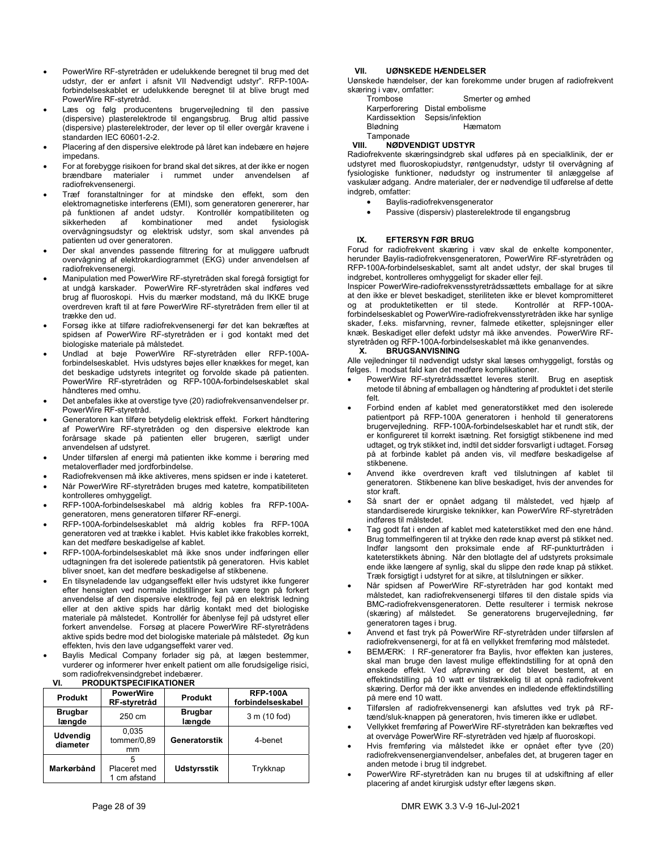- PowerWire RF-styretråden er udelukkende beregnet til brug med det udstyr, der er anført i afsnit VII Nødvendigt udstyr". RFP-100Aforbindelseskablet er udelukkende beregnet til at blive brugt med PowerWire RF-styretråd.
- Læs og følg producentens brugervejledning til den passive (dispersive) plasterelektrode til engangsbrug. Brug altid passive (dispersive) plasterelektroder, der lever op til eller overgår kravene i standarden IEC 60601-2-2.
- Placering af den dispersive elektrode på låret kan indebære en højere impedans.
- For at forebygge risikoen for brand skal det sikres, at der ikke er nogen<br>brændbare materialer i rummet under anvendelsen af brændbare materialer i rummet under radiofrekvensenergi.
- Træf foranstaltninger for at mindske den effekt, som den elektromagnetiske interferens (EMI), som generatoren genererer, har på funktionen af andet udstyr. Kontrollér kompatibiliteten og<br>sikkerheden af kombinationer med andet fysiologisk sikkerheden af kombinationer med andet fysiologisk overvågningsudstyr og elektrisk udstyr, som skal anvendes på patienten ud over generatoren.
- Der skal anvendes passende filtrering for at muliggøre uafbrudt overvågning af elektrokardiogrammet (EKG) under anvendelsen af radiofrekvensenergi.
- Manipulation med PowerWire RF-styretråden skal foregå forsigtigt for at undgå karskader. PowerWire RF-styretråden skal indføres ved brug af fluoroskopi. Hvis du mærker modstand, må du IKKE bruge overdreven kraft til at føre PowerWire RF-styretråden frem eller til at trække den ud.
- Forsøg ikke at tilføre radiofrekvensenergi før det kan bekræftes at spidsen af PowerWire RF-styretråden er i god kontakt med det biologiske materiale på målstedet.
- Undlad at bøje PowerWire RF-styretråden eller RFP-100Aforbindelseskablet. Hvis udstyres bøjes eller knækkes for meget, kan det beskadige udstyrets integritet og forvolde skade på patienten. PowerWire RF-styretråden og RFP-100A-forbindelseskablet skal håndteres med omhu.
- Det anbefales ikke at overstige tyve (20) radiofrekvensanvendelser pr. PowerWire RF-styretråd.
- Generatoren kan tilføre betydelig elektrisk effekt. Forkert håndtering af PowerWire RF-styretråden og den dispersive elektrode kan forårsage skade på patienten eller brugeren, særligt under anvendelsen af udstyret.
- Under tilførslen af energi må patienten ikke komme i berøring med metaloverflader med jordforbindelse.
- Radiofrekvensen må ikke aktiveres, mens spidsen er inde i kateteret.
- Når PowerWire RF-styretråden bruges med katetre, kompatibiliteten kontrolleres omhyggeligt.
- RFP-100A-forbindelseskabel må aldrig kobles fra RFP-100Ageneratoren, mens generatoren tilfører RF-energi.
- RFP-100A-forbindelseskablet må aldrig kobles fra RFP-100A generatoren ved at trække i kablet. Hvis kablet ikke frakobles korrekt, kan det medføre beskadigelse af kablet.
- RFP-100A-forbindelseskablet må ikke snos under indføringen eller udtagningen fra det isolerede patientstik på generatoren. Hvis kablet bliver snoet, kan det medføre beskadigelse af stikbenene.
- En tilsyneladende lav udgangseffekt eller hvis udstyret ikke fungerer efter hensigten ved normale indstillinger kan være tegn på forkert anvendelse af den dispersive elektrode, fejl på en elektrisk ledning eller at den aktive spids har dårlig kontakt med det biologiske materiale på målstedet. Kontrollér for åbenlyse fejl på udstyret eller forkert anvendelse. Forsøg at placere PowerWire RF-styretrådens aktive spids bedre mod det biologiske materiale på målstedet. Øg kun effekten, hvis den lave udgangseffekt varer ved.
- Baylis Medical Company forlader sig på, at lægen bestemmer, vurderer og informerer hver enkelt patient om alle forudsigelige risici, som radiofrekvensindgrebet indebærer.

| VI. | <b>PRODUKTSPECIFIKATIONER</b> |
|-----|-------------------------------|

| <b>Produkt</b>              | <b>PowerWire</b><br>RF-styretråd | Produkt                  | <b>RFP-100A</b><br>forbindelseskabel |
|-----------------------------|----------------------------------|--------------------------|--------------------------------------|
| <b>Brugbar</b><br>længde    | 250 cm                           | <b>Brugbar</b><br>længde | 3 m (10 fod)                         |
| <b>Udvendig</b><br>diameter | 0.035<br>tommer/0.89<br>mm       | Generatorstik            | 4-benet                              |
| Markørbånd                  | Placeret med<br>1 cm afstand     | <b>Udstyrsstik</b>       | Trykknap                             |

### **VII. UØNSKEDE HÆNDELSER**

Uønskede hændelser, der kan forekomme under brugen af radiofrekvent skæring i væv, omfatter: og ømhed

| Trombose       | Smerter og       |
|----------------|------------------|
| Karperforering | Distal embolisme |
| Kardissektion  | Sepsis/infektion |
| Blødning       | Hæmatom          |
| Tamponade      |                  |

### **VIII. NØDVENDIGT UDSTYR**

Radiofrekvente skæringsindgreb skal udføres på en specialklinik, der er udstyret med fluoroskopiudstyr, røntgenudstyr, udstyr til overvågning af fysiologiske funktioner, nødudstyr og instrumenter til anlæggelse af vaskulær adgang. Andre materialer, der er nødvendige til udførelse af dette indgreb, omfatter:

- Baylis-radiofrekvensgenerator
- Passive (dispersiv) plasterelektrode til engangsbrug

### **IX. EFTERSYN FØR BRUG**

Forud for radiofrekvent skæring i væv skal de enkelte komponenter, herunder Baylis-radiofrekvensgeneratoren, PowerWire RF-styretråden og RFP-100A-forbindelseskablet, samt alt andet udstyr, der skal bruges til indgrebet, kontrolleres omhyggeligt for skader eller fejl.

Inspicer PowerWire-radiofrekvensstyretrådssættets emballage for at sikre at den ikke er blevet beskadiget, steriliteten ikke er blevet kompromitteret og at produktetiketten er til stede. Kontrollér at RFP-100Aforbindelseskablet og PowerWire-radiofrekvensstyretråden ikke har synlige skader, f.eks. misfarvning, revner, falmede etiketter, splejsninger eller knæk. Beskadiget eller defekt udstyr må ikke anvendes. PowerWire RFstyretråden og RFP-100A-forbindelseskablet må ikke genanvendes.

### **X. BRUGSANVISNING**

Alle vejledninger til nødvendigt udstyr skal læses omhyggeligt, forstås og følges. I modsat fald kan det medføre komplikationer.

- PowerWire RF-styretrådssættet leveres sterilt. Brug en aseptisk metode til åbning af emballagen og håndtering af produktet i det sterile felt.
- Forbind enden af kablet med generatorstikket med den isolerede patientport på RFP-100A generatoren i henhold til generatorens brugervejledning. RFP-100A-forbindelseskablet har et rundt stik, der er konfigureret til korrekt isætning. Ret forsigtigt stikbenene ind med udtaget, og tryk stikket ind, indtil det sidder forsvarligt i udtaget. Forsøg på at forbinde kablet på anden vis, vil medføre beskadigelse af stikbenene.
- Anvend ikke overdreven kraft ved tilslutningen af kablet til generatoren. Stikbenene kan blive beskadiget, hvis der anvendes for stor kraft.
- Så snart der er opnået adgang til målstedet, ved hjælp af standardiserede kirurgiske teknikker, kan PowerWire RF-styretråden indføres til målstedet.
- Tag godt fat i enden af kablet med kateterstikket med den ene hånd. Brug tommelfingeren til at trykke den røde knap øverst på stikket ned. Indfør langsomt den proksimale ende af RF-punkturtråden i kateterstikkets åbning. Når den blotlagte del af udstyrets proksimale ende ikke længere af synlig, skal du slippe den røde knap på stikket. Træk forsigtigt i udstyret for at sikre, at tilslutningen er sikker.
- Når spidsen af PowerWire RF-styretråden har god kontakt med målstedet, kan radiofrekvensenergi tilføres til den distale spids via BMC-radiofrekvensgeneratoren. Dette resulterer i termisk nekrose (skæring) af målstedet. Se generatorens brugervejledning, før generatoren tages i brug.
- Anvend et fast tryk på PowerWire RF-styretråden under tilførslen af radiofrekvensenergi, for at få en vellykket fremføring mod målstedet.
- BEMÆRK: I RF-generatorer fra Baylis, hvor effekten kan justeres, skal man bruge den lavest mulige effektindstilling for at opnå den ønskede effekt. Ved afprøvning er det blevet bestemt, at en effektindstilling på 10 watt er tilstrækkelig til at opnå radiofrekvent skæring. Derfor må der ikke anvendes en indledende effektindstilling på mere end 10 watt.
- Tilførslen af radiofrekvensenergi kan afsluttes ved tryk på RFtænd/sluk-knappen på generatoren, hvis timeren ikke er udløbet.
- Vellykket fremføring af PowerWire RF-styretråden kan bekræftes ved at overvåge PowerWire RF-styretråden ved hjælp af fluoroskopi.
- Hvis fremføring via målstedet ikke er opnået efter tyve (20) radiofrekvensenergianvendelser, anbefales det, at brugeren tager en anden metode i brug til indgrebet.
- PowerWire RF-styretråden kan nu bruges til at udskiftning af eller placering af andet kirurgisk udstyr efter lægens skøn.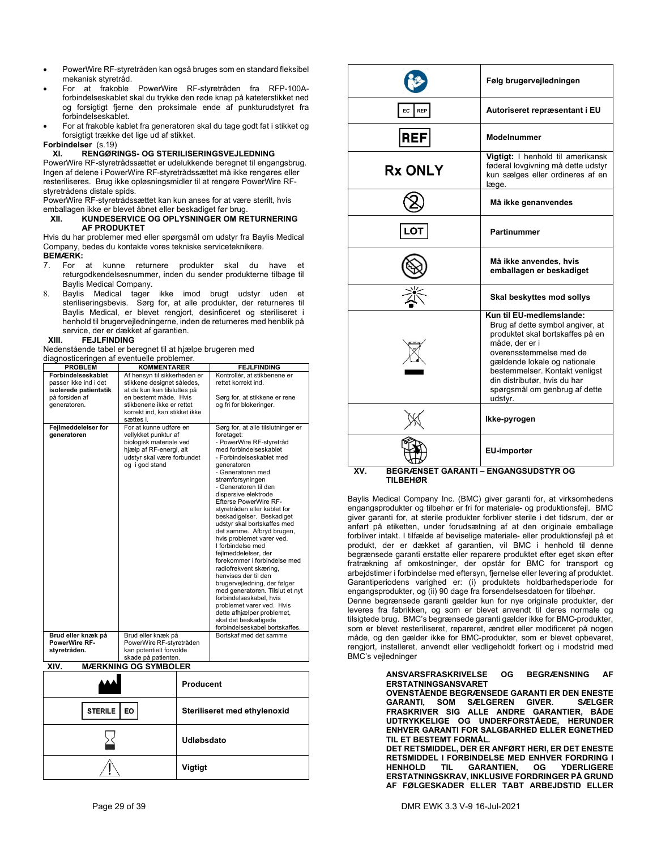- PowerWire RF-styretråden kan også bruges som en standard fleksibel mekanisk styretråd.
- For at frakoble PowerWire RF-styretråden fra RFP-100Aforbindelseskablet skal du trykke den røde knap på kateterstikket ned og forsigtigt fjerne den proksimale ende af punkturudstyret fra forbindelseskablet.
- For at frakoble kablet fra generatoren skal du tage godt fat i stikket og forsigtigt trække det lige ud af stikket.

### **Forbindelser** (s.19)

### **XI. RENGØRINGS- OG STERILISERINGSVEJLEDNING**

PowerWire RF-styretrådssættet er udelukkende beregnet til engangsbrug. Ingen af delene i PowerWire RF-styretrådssættet må ikke rengøres eller resteriliseres. Brug ikke opløsningsmidler til at rengøre PowerWire RFstyretrådens distale spids.

PowerWire RF-styretrådssættet kan kun anses for at være sterilt, hvis emballagen ikke er blevet åbnet eller beskadiget før brug.

### **XII. KUNDESERVICE OG OPLYSNINGER OM RETURNERING AF PRODUKTET**

Hvis du har problemer med eller spørgsmål om udstyr fra Baylis Medical Company, bedes du kontakte vores tekniske serviceteknikere. **BEMÆRK:** 

- 7. For at kunne returnere produkter skal du have et returgodkendelsesnummer, inden du sender produkterne tilbage til Baylis Medical Company.
- 8. Baylis Medical tager ikke imod brugt udstyr uden et steriliseringsbevis. Sørg for, at alle produkter, der returneres til Baylis Medical, er blevet rengjort, desinficeret og steriliseret i henhold til brugervejledningerne, inden de returneres med henblik på service, der er dækket af garantien.

### **XIII. FEJLFINDING**

Nedenstående tabel er beregnet til at hjælpe brugeren med diagnosticeringen af eventuelle problemer.

| <b>PROBLEM</b>                                                                                         | <b>KOMMENTARER</b>                                                                                                                                                                            | <b>FEJLFINDING</b>                                                                                                                                                                                                                                                                                                                                                                                                                                                                                                                                                                                                                                                                                                                                                                  |
|--------------------------------------------------------------------------------------------------------|-----------------------------------------------------------------------------------------------------------------------------------------------------------------------------------------------|-------------------------------------------------------------------------------------------------------------------------------------------------------------------------------------------------------------------------------------------------------------------------------------------------------------------------------------------------------------------------------------------------------------------------------------------------------------------------------------------------------------------------------------------------------------------------------------------------------------------------------------------------------------------------------------------------------------------------------------------------------------------------------------|
| Forbindelseskablet<br>passer ikke ind i det<br>isolerede patientstik<br>på forsiden af<br>generatoren. | Af hensyn til sikkerheden er<br>stikkene designet således,<br>at de kun kan tilsluttes på<br>en bestemt måde. Hvis<br>stikbenene ikke er rettet<br>korrekt ind, kan stikket ikke<br>sættes i. | Kontrollér, at stikbenene er<br>rettet korrekt ind.<br>Sørg for, at stikkene er rene<br>og fri for blokeringer.                                                                                                                                                                                                                                                                                                                                                                                                                                                                                                                                                                                                                                                                     |
| Fejlmeddelelser for<br>generatoren                                                                     | For at kunne udføre en<br>vellykket punktur af<br>biologisk materiale ved<br>hjælp af RF-energi, alt<br>udstyr skal være forbundet<br>og i god stand                                          | Sørg for, at alle tilslutninger er<br>foretaget:<br>- PowerWire RF-styretråd<br>med forbindelseskablet<br>- Forbindelseskablet med<br>generatoren<br>- Generatoren med<br>strømforsyningen<br>- Generatoren til den<br>dispersive elektrode<br><b>Efterse PowerWire RF-</b><br>stvretråden eller kablet for<br>beskadigelser. Beskadiget<br>udstyr skal bortskaffes med<br>det samme. Afbryd brugen,<br>hvis problemet varer ved.<br>I forbindelse med<br>fejlmeddelelser, der<br>forekommer i forbindelse med<br>radiofrekvent skæring,<br>henvises der til den<br>brugervejledning, der følger<br>med generatoren. Tilslut et nyt<br>forbindelseskabel, hvis<br>problemet varer ved. Hvis<br>dette afhjælper problemet,<br>skal det beskadigede<br>forbindelseskabel bortskaffes. |
| Brud eller knæk på<br><b>PowerWire RF-</b>                                                             | Brud eller knæk på<br>PowerWire RF-styretråden                                                                                                                                                | Bortskaf med det samme                                                                                                                                                                                                                                                                                                                                                                                                                                                                                                                                                                                                                                                                                                                                                              |
| styretråden.                                                                                           | kan potentielt forvolde<br>skade på patienten.                                                                                                                                                |                                                                                                                                                                                                                                                                                                                                                                                                                                                                                                                                                                                                                                                                                                                                                                                     |

**XIV. MÆRKNING OG SYMBOLER** 

|                 | <b>Producent</b>             |
|-----------------|------------------------------|
| STERILE  <br>EO | Steriliseret med ethylenoxid |
|                 | Udløbsdato                   |
|                 | <b>Vigtigt</b>               |

|                        | Følg brugervejledningen                                                                                                                                                                                                                                                                     |  |  |
|------------------------|---------------------------------------------------------------------------------------------------------------------------------------------------------------------------------------------------------------------------------------------------------------------------------------------|--|--|
| REP<br>EC              | Autoriseret repræsentant i EU                                                                                                                                                                                                                                                               |  |  |
| <b>REF</b>             | Modelnummer                                                                                                                                                                                                                                                                                 |  |  |
| <b>Rx ONLY</b>         | Vigtigt: I henhold til amerikansk<br>føderal lovgivning må dette udstyr<br>kun sælges eller ordineres af en<br>læge.                                                                                                                                                                        |  |  |
|                        | Må ikke genanvendes                                                                                                                                                                                                                                                                         |  |  |
|                        | <b>Partinummer</b>                                                                                                                                                                                                                                                                          |  |  |
|                        | Må ikke anvendes, hvis<br>emballagen er beskadiget                                                                                                                                                                                                                                          |  |  |
|                        | Skal beskyttes mod sollys                                                                                                                                                                                                                                                                   |  |  |
|                        | Kun til EU-medlemslande:<br>Brug af dette symbol angiver, at<br>produktet skal bortskaffes på en<br>måde, der er i<br>overensstemmelse med de<br>gældende lokale og nationale<br>bestemmelser. Kontakt venligst<br>din distributør, hvis du har<br>spørgsmål om genbrug af dette<br>udstyr. |  |  |
|                        | Ikke-pyrogen                                                                                                                                                                                                                                                                                |  |  |
|                        | EU-importør                                                                                                                                                                                                                                                                                 |  |  |
| XV.<br><b>TILBEHØR</b> | <b>BEGRÆNSET GARANTI - ENGANGSUDSTYR OG</b>                                                                                                                                                                                                                                                 |  |  |

Baylis Medical Company Inc. (BMC) giver garanti for, at virksomhedens engangsprodukter og tilbehør er fri for materiale- og produktionsfejl. BMC giver garanti for, at sterile produkter forbliver sterile i det tidsrum, der er anført på etiketten, under forudsætning af at den originale emballage forbliver intakt. I tilfælde af beviselige materiale- eller produktionsfejl på et produkt, der er dækket af garantien, vil BMC i henhold til denne begrænsede garanti erstatte eller reparere produktet efter eget skøn efter fratrækning af omkostninger, der opstår for BMC for transport og arbejdstimer i forbindelse med eftersyn, fjernelse eller levering af produktet. Garantiperiodens varighed er: (i) produktets holdbarhedsperiode for engangsprodukter, og (ii) 90 dage fra forsendelsesdatoen for tilbehør.

Denne begrænsede garanti gælder kun for nye originale produkter, der leveres fra fabrikken, og som er blevet anvendt til deres normale og tilsigtede brug. BMC's begrænsede garanti gælder ikke for BMC-produkter, som er blevet resteriliseret, repareret, ændret eller modificeret på nogen måde, og den gælder ikke for BMC-produkter, som er blevet opbevaret, rengjort, installeret, anvendt eller vedligeholdt forkert og i modstrid med BMC's vejledninger

> **ANSVARSFRASKRIVELSE OG BEGRÆNSNING AF ERSTATNINGSANSVARET**

> **OVENSTÅENDE BEGRÆNSEDE GARANTI ER DEN ENESTE GARANTI, SOM SÆLGEREN GIVER. FRASKRIVER SIG ALLE ANDRE GARANTIER, BÅDE UDTRYKKELIGE OG UNDERFORSTÅEDE, HERUNDER ENHVER GARANTI FOR SALGBARHED ELLER EGNETHED TIL ET BESTEMT FORMÅL.**

> **DET RETSMIDDEL, DER ER ANFØRT HERI, ER DET ENESTE RETSMIDDEL I FORBINDELSE MED ENHVER FORDRING I YDERLIGERE ERSTATNINGSKRAV, INKLUSIVE FORDRINGER PÅ GRUND AF FØLGESKADER ELLER TABT ARBEJDSTID ELLER**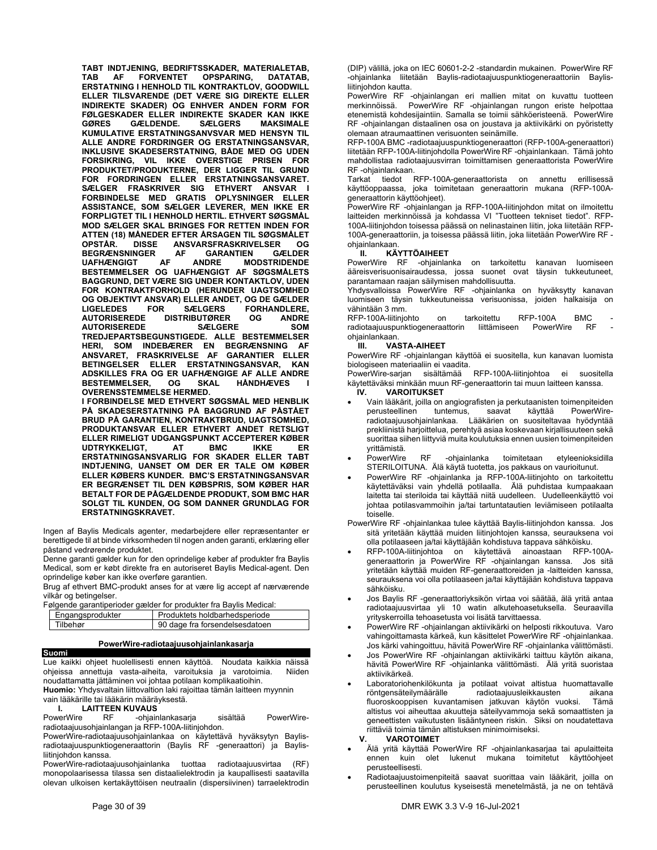**TABT INDTJENING, BEDRIFTSSKADER, MATERIALETAB, FORVENTET OPSPARING, DATATAB, ERSTATNING I HENHOLD TIL KONTRAKTLOV, GOODWILL ELLER TILSVARENDE (DET VÆRE SIG DIREKTE ELLER INDIREKTE SKADER) OG ENHVER ANDEN FORM FOR FØLGESKADER ELLER INDIREKTE SKADER KAN IKKE GØRES GÆLDENDE. SÆLGERS MAKSIMALE KUMULATIVE ERSTATNINGSANVSVAR MED HENSYN TIL ALLE ANDRE FORDRINGER OG ERSTATNINGSANSVAR, INKLUSIVE SKADESERSTATNING, BÅDE MED OG UDEN FORSIKRING, VIL IKKE OVERSTIGE PRISEN FOR PRODUKTET/PRODUKTERNE, DER LIGGER TIL GRUND FOR FORDRINGEN ELLER ERSTATNINGSANSVARET. SÆLGER FRASKRIVER SIG ETHVERT ANSVAR I FORBINDELSE MED GRATIS OPLYSNINGER ELLER ASSISTANCE, SOM SÆLGER LEVERER, MEN IKKE ER FORPLIGTET TIL I HENHOLD HERTIL. ETHVERT SØGSMÅL MOD SÆLGER SKAL BRINGES FOR RETTEN INDEN FOR ATTEN (18) MÅNEDER EFTER ÅRSAGEN TIL SØGSMÅLET ANSVARSFRASKRIVELSER OG<br>AF GARANTIEN GÆLDER BEGRÆNSNINGER AF<br>UAFHÆNGIGT AF UAFHÆNGIGT AF ANDRE MODSTRIDENDE BESTEMMELSER OG UAFHÆNGIGT AF SØGSMÅLETS BAGGRUND, DET VÆRE SIG UNDER KONTAKTLOV, UDEN FOR KONTRAKTFORHOLD (HERUNDER UAGTSOMHED OG OBJEKTIVT ANSVAR) ELLER ANDET, OG DE GÆLDER LIGELEDES FOR SÆLGERS FORHANDLERE, DISTRIBUTØRER AUTORISEREDE SÆLGERE SOM TREDJEPARTSBEGUNSTIGEDE. ALLE BESTEMMELSER HERI, SOM INDEBÆRER EN BEGRÆNSNING AF ANSVARET, FRASKRIVELSE AF GARANTIER ELLER BETINGELSER ELLER ERSTATNINGSANSVAR, KAN ADSKILLES FRA OG ER UAFHÆNGIGE AF ALLE ANDRE BESTEMMELSER, OVERENSSTEMMELSE HERMED.** 

**I FORBINDELSE MED ETHVERT SØGSMÅL MED HENBLIK PÅ SKADESERSTATNING PÅ BAGGRUND AF PÅSTÅET BRUD PÅ GARANTIEN, KONTRAKTBRUD, UAGTSOMHED, PRODUKTANSVAR ELLER ETHVERT ANDET RETSLIGT ELLER RIMELIGT UDGANGSPUNKT ACCEPTERER KØBER UDTRYKKELIGT, ERSTATNINGSANSVARLIG FOR SKADER ELLER TABT INDTJENING, UANSET OM DER ER TALE OM KØBER ELLER KØBERS KUNDER. BMC'S ERSTATNINGSANSVAR ER BEGRÆNSET TIL DEN KØBSPRIS, SOM KØBER HAR BETALT FOR DE PÅGÆLDENDE PRODUKT, SOM BMC HAR SOLGT TIL KUNDEN, OG SOM DANNER GRUNDLAG FOR ERSTATNINGSKRAVET.** 

Ingen af Baylis Medicals agenter, medarbejdere eller repræsentanter er berettigede til at binde virksomheden til nogen anden garanti, erklæring eller påstand vedrørende produktet.

Denne garanti gælder kun for den oprindelige køber af produkter fra Baylis Medical, som er købt direkte fra en autoriseret Baylis Medical-agent. Den oprindelige køber kan ikke overføre garantien.

Brug af ethvert BMC-produkt anses for at være lig accept af nærværende vilkår og betingelser.

Følgende garantiperioder gælder for produkter fra Baylis Medical:

| Engangsprodukter | Produktets holdbarhedsperiode |                                |  |  |
|------------------|-------------------------------|--------------------------------|--|--|
| Tilbehør         |                               | 90 dage fra forsendelsesdatoen |  |  |
|                  |                               |                                |  |  |

### **PowerWire-radiotaajuusohjainlankasarja**

**Suomi**  Lue kaikki ohjeet huolellisesti ennen käyttöä. Noudata kaikkia näissä<br>ohjeissa annettuja vasta-aiheita varoituksia ja varotoimia. Niiden ohjeissa annettuja vasta-aiheita, varoituksia ja varotoimia. noudattamatta jättäminen voi johtaa potilaan komplikaatioihin.

**Huomio:** Yhdysvaltain liittovaltion laki rajoittaa tämän laitteen myynnin vain lääkärille tai lääkärin määräyksestä.

**I. LAITTEEN KUVAUS**<br>PowerWire RF -ohiair -ohjainlankasarja sisältää PowerWireradiotaajuusohjainlangan ja RFP-100A-liitinjohdon.

PowerWire-radiotaajuusohjainlankaa on käytettävä hyväksytyn Baylisradiotaajuuspunktiogeneraattorin (Baylis RF -generaattori) ja Baylisliitinjohdon kanssa.

PowerWire-radiotaajuusohjainlanka tuottaa radiotaajuusvirtaa (RF) monopolaarisessa tilassa sen distaalielektrodin ja kaupallisesti saatavilla olevan ulkoisen kertakäyttöisen neutraalin (dispersiivinen) tarraelektrodin (DIP) välillä, joka on IEC 60601-2-2 -standardin mukainen. PowerWire RF -ohjainlanka liitetään Baylis-radiotaajuuspunktiogeneraattoriin Baylisliitinjohdon kautta.

PowerWire RF -ohjainlangan eri mallien mitat on kuvattu tuotteen<br>merkinnöissä PowerWire RF -ohjainlangan rungon eriste helpottaa PowerWire RF -ohjainlangan rungon eriste helpottaa etenemistä kohdesijaintiin. Samalla se toimii sähköeristeenä. PowerWire RF -ohjainlangan distaalinen osa on joustava ja aktiivikärki on pyöristetty olemaan atraumaattinen verisuonten seinämille.

RFP-100A BMC -radiotaajuuspunktiogeneraattori (RFP-100A-generaattori) liitetään RFP-100A-liitinjohdolla PowerWire RF -ohjainlankaan. Tämä johto mahdollistaa radiotaajuusvirran toimittamisen generaattorista PowerWire RF -ohjainlankaan.

Tarkat tiedot RFP-100A-generaattorista on annettu erillisessä käyttöoppaassa, joka toimitetaan generaattorin mukana (RFP-100Ageneraattorin käyttöohjeet).

PowerWire RF -ohjainlangan ja RFP-100A-liitinjohdon mitat on ilmoitettu laitteiden merkinnöissä ja kohdassa VI "Tuotteen tekniset tiedot". RFP-100A-liitinjohdon toisessa päässä on nelinastainen liitin, joka liitetään RFP-100A-generaattoriin, ja toisessa päässä liitin, joka liitetään PowerWire RF ohjainlankaan.

### **II. KÄYTTÖAIHEET**

PowerWire RF -ohjainlanka on tarkoitettu kanavan luomiseen ääreisverisuonisairaudessa, jossa suonet ovat täysin tukkeutuneet, parantamaan raajan säilymisen mahdollisuutta.

.<br>Yhdysvalloissa PowerWire RF -ohjainlanka on hyväksytty kanavan luomiseen täysin tukkeutuneissa verisuonissa, joiden halkaisija on vähintään 3 mm.

RFP-100A-liitinjohto on tarkoitettu RFP-100A BMC radiotaajuuspunktiogeneraattorin liittämiseen PowerWire RF ohjainlankaan.

### **III. VASTA-AIHEET**

PowerWire RF -ohjainlangan käyttöä ei suositella, kun kanavan luomista biologiseen materiaaliin ei vaadita.

PowerWire-sarjan sisältämää RFP-100A-liitinjohtoa ei suositella käytettäväksi minkään muun RF-generaattorin tai muun laitteen kanssa.

- **IV. VAROITUKSET**
- Vain lääkärit, joilla on angiografisten ja perkutaanisten toimenpiteiden perusteellinen tuntemus, saavat radiotaajuusohjainlankaa. Lääkärien on suositeltavaa hyödyntää prekliinistä harjoittelua, perehtyä asiaa koskevaan kirjallisuuteen sekä suorittaa siihen liittyviä muita koulutuksia ennen uusien toimenpiteiden yrittämistä.
- PowerWire RF -ohjainlanka toimitetaan etyleenioksidilla STERILOITUNA. Älä käytä tuotetta, jos pakkaus on vaurioitunut.
- PowerWire RF -ohjainlanka ja RFP-100A-liitinjohto on tarkoitettu käytettäväksi vain yhdellä potilaalla. Älä puhdistaa kumpaakaan laitetta tai steriloida tai käyttää niitä uudelleen. Uudelleenkäyttö voi johtaa potilasvammoihin ja/tai tartuntatautien leviämiseen potilaalta toiselle.
- PowerWire RF -ohjainlankaa tulee käyttää Baylis-liitinjohdon kanssa. Jos sitä yritetään käyttää muiden liitinjohtojen kanssa, seurauksena voi olla potilaaseen ja/tai käyttäjään kohdistuva tappava sähköisku.
- RFP-100A-liitinjohtoa on käytettävä ainoastaan RFP-100Ageneraattorin ja PowerWire RF -ohjainlangan kanssa. Jos sitä yritetään käyttää muiden RF-generaattoreiden ja -laitteiden kanssa, seurauksena voi olla potilaaseen ja/tai käyttäjään kohdistuva tappava sähköisku.
- Jos Baylis RF -generaattoriyksikön virtaa voi säätää, älä yritä antaa radiotaajuusvirtaa yli 10 watin alkutehoasetuksella. Seuraavilla yrityskerroilla tehoasetusta voi lisätä tarvittaessa.
- PowerWire RF -ohjainlangan aktiivikärki on helposti rikkoutuva. Varo vahingoittamasta kärkeä, kun käsittelet PowerWire RF -ohjainlankaa. Jos kärki vahingoittuu, hävitä PowerWire RF -ohjainlanka välittömästi.
- Jos PowerWire RF -ohjainlangan aktiivikärki taittuu käytön aikana, hävitä PowerWire RF -ohjainlanka välittömästi. Älä yritä suoristaa aktiivikärkeä.
- Laboratoriohenkilökunta ja potilaat voivat altistua huomattavalle röntgensäteilymäärälle radiotaajuusleikkausten aikana fluoroskooppisen kuvantamisen jatkuvan käytön vuoksi. Tämä altistus voi aiheuttaa akuutteja säteilyvammoja sekä somaattisten ja geneettisten vaikutusten lisääntyneen riskin. Siksi on noudatettava riittäviä toimia tämän altistuksen minimoimiseksi.
	- **V. VAROTOIMET**
- Älä yritä käyttää PowerWire RF -ohjainlankasarjaa tai apulaitteita ennen kuin olet lukenut mukana toimitetut käyttöohjeet perusteellisesti.
- Radiotaajuustoimenpiteitä saavat suorittaa vain lääkärit, joilla on perusteellinen koulutus kyseisestä menetelmästä, ja ne on tehtävä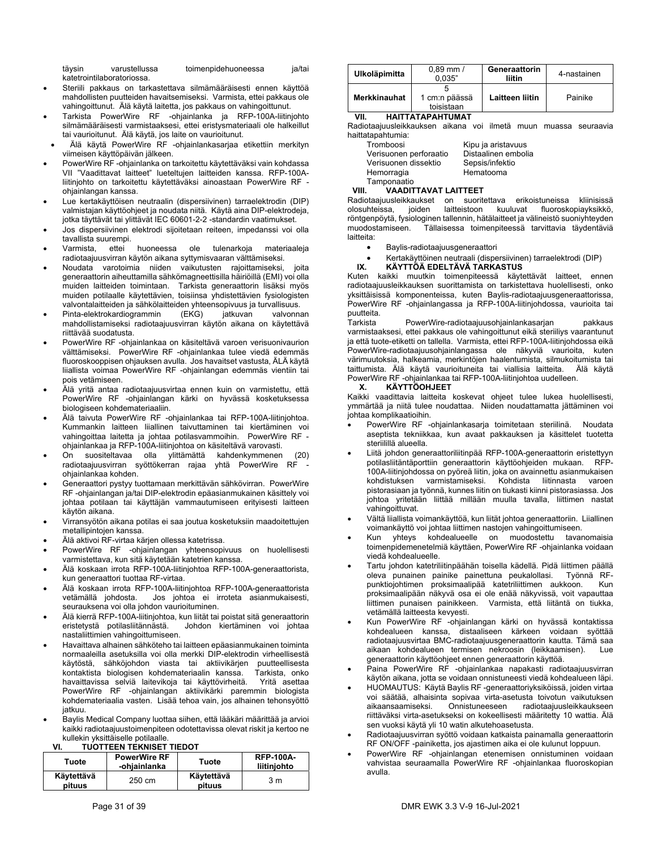- Steriili pakkaus on tarkastettava silmämääräisesti ennen käyttöä mahdollisten puutteiden havaitsemiseksi. Varmista, ettei pakkaus ole vahingoittunut. Älä käytä laitetta, jos pakkaus on vahingoittunut.
- Tarkista PowerWire RF -ohjainlanka ja RFP-100A-liitinjohto silmämääräisesti varmistaaksesi, ettei eristysmateriaali ole halkeillut tai vaurioitunut. Älä käytä, jos laite on vaurioitunut.
- Älä käytä PowerWire RF -ohjainlankasarjaa etikettiin merkityn viimeisen käyttöpäivän jälkeen.
- PowerWire RF -ohjainlanka on tarkoitettu käytettäväksi vain kohdassa VII "Vaadittavat laitteet" lueteltujen laitteiden kanssa. RFP-100Aliitinjohto on tarkoitettu käytettäväksi ainoastaan PowerWire RF ohjainlangan kanssa.
- Lue kertakäyttöisen neutraalin (dispersiivinen) tarraelektrodin (DIP) valmistajan käyttöohjeet ja noudata niitä. Käytä aina DIP-elektrodeja, jotka täyttävät tai ylittävät IEC 60601-2-2 -standardin vaatimukset.
- Jos dispersiivinen elektrodi sijoitetaan reiteen, impedanssi voi olla tavallista suurempi.
- Varmista, ettei huoneessa ole tulenarkoja materiaaleja radiotaajuusvirran käytön aikana syttymisvaaran välttämiseksi.
- Noudata varotoimia niiden vaikutusten rajoittamiseksi, joita generaattorin aiheuttamilla sähkömagneettisilla häiriöillä (EMI) voi olla muiden laitteiden toimintaan. Tarkista generaattorin lisäksi myös muiden potilaalle käytettävien, toisiinsa yhdistettävien fysiologisten valvontalaitteiden ja sähkölaitteiden yhteensopivuus ja turvallisuus.
- Pinta-elektrokardiogrammin (EKG) jatkuvan valvonnan mahdollistamiseksi radiotaajuusvirran käytön aikana on käytettävä riittävää suodatusta.
- PowerWire RF -ohjainlankaa on käsiteltävä varoen verisuonivaurion välttämiseksi. PowerWire RF -ohjainlankaa tulee viedä edemmäs fluoroskooppisen ohjauksen avulla. Jos havaitset vastusta, ÄLÄ käytä liiallista voimaa PowerWire RF -ohjainlangan edemmäs vientiin tai pois vetämiseen.
- Älä yritä antaa radiotaajuusvirtaa ennen kuin on varmistettu, että PowerWire RF -ohjainlangan kärki on hyvässä kosketuksessa biologiseen kohdemateriaaliin.
- Älä taivuta PowerWire RF -ohjainlankaa tai RFP-100A-liitinjohtoa. Kummankin laitteen liiallinen taivuttaminen tai kiertäminen voi vahingoittaa laitetta ja johtaa potilasvammoihin. PowerWire RF ohjainlankaa ja RFP-100A-liitinjohtoa on käsiteltävä varovasti.
- On suositeltavaa olla ylittämättä kahdenkymmenen (20) radiotaajuusvirran syöttökerran rajaa yhtä PowerWire RF ohjainlankaa kohden.
- Generaattori pystyy tuottamaan merkittävän sähkövirran. PowerWire RF -ohjainlangan ja/tai DIP-elektrodin epäasianmukainen käsittely voi johtaa potilaan tai käyttäjän vammautumiseen erityisesti laitteen käytön aikana.
- Virransyötön aikana potilas ei saa joutua kosketuksiin maadoitettujen metallipintojen kanssa.
- Älä aktivoi RF-virtaa kärjen ollessa katetrissa.
- PowerWire RF -ohjainlangan yhteensopivuus on huolellisesti varmistettava, kun sitä käytetään katetrien kanssa.
- Älä koskaan irrota RFP-100A-liitinjohtoa RFP-100A-generaattorista, kun generaattori tuottaa RF-virtaa.
- Älä koskaan irrota RFP-100A-liitinjohtoa RFP-100A-generaattorista Jos johtoa ei irroteta asianmukaisesti, seurauksena voi olla johdon vaurioituminen.
- Älä kierrä RFP-100A-liitinjohtoa, kun liität tai poistat sitä generaattorin Johdon kiertäminen voi johtaa nastaliittimien vahingoittumiseen.
- Havaittava alhainen sähköteho tai laitteen epäasianmukainen toiminta normaaleilla asetuksilla voi olla merkki DIP-elektrodin virheellisestä käytöstä, sähköjohdon viasta tai aktiivikärjen puutteellisesta kontaktista biologisen kohdemateriaalin kanssa. Tarkista, onko havaittavissa selviä laitevikoja tai käyttövirheitä. Yritä asettaa PowerWire RF -ohjainlangan aktiivikärki paremmin biologista kohdemateriaalia vasten. Lisää tehoa vain, jos alhainen tehonsyöttö jatkuu.
- Baylis Medical Company luottaa siihen, että lääkäri määrittää ja arvioi kaikki radiotaajuustoimenpiteen odotettavissa olevat riskit ja kertoo ne kullekin yksittäiselle potilaalle.

### **VI. TUOTTEEN TEKNISET TIEDOT**

| Tuote                | <b>PowerWire RF</b><br>-ohiainlanka | Tuote                | <b>RFP-100A-</b><br>liitiniohto |
|----------------------|-------------------------------------|----------------------|---------------------------------|
| Käytettävä<br>pituus | 250 cm                              | Käytettävä<br>pituus | 3 m                             |

| Ulkoläpimitta | $0.89$ mm $/$<br>0.035"     | Generaattorin<br>liitin | 4-nastainen |
|---------------|-----------------------------|-------------------------|-------------|
| Merkkinauhat  | 1 cm:n päässä<br>toisistaan | <b>Laitteen liitin</b>  | Painike     |

### **VII. HAITTATAPAHTUMAT**

Radiotaajuusleikkauksen aikana voi ilmetä muun muassa seuraavia haittatapahtumia:

| Tromboosi              | Kipu ja aristavuus  |
|------------------------|---------------------|
| Verisuonen perforaatio | Distaalinen embolia |
| Verisuonen dissektio   | Sepsis/infektio     |
| Hemorragia             | Hematooma           |
| Tamponaatio            |                     |

### **VIII. VAADITTAVAT LAITTEET**

Radiotaajuusleikkaukset on suoritettava erikoistuneissa kliinisissä<br>olosuhteissa, joiden laitteistoon kuuluvat fluoroskopiayksikkö, olosuhteissa, joiden laitteistoon kuuluvat fluoroskopiayksikkö, röntgenpöytä, fysiologinen tallennin, hätälaitteet ja välineistö suoniyhteyden<br>muodostamiseen. Tällaisessa toimenpiteessä tarvittavia täydentäviä Tällaisessa toimenpiteessä tarvittavia täydentäviä laitteita:

- Baylis-radiotaajuusgeneraattori
- **Kertakäyttöinen neutraali (dispersiivinen) tarraelektrodi (DIP)**<br>IX. KÄYTTÖÄ EDELTÄVÄ TARKASTUS

**IX. KÄYTTÖÄ EDELTÄVÄ TARKASTUS**  Kuten kaikki muutkin toimenpiteessä käytettävät laitteet, ennen radiotaajuusleikkauksen suorittamista on tarkistettava huolellisesti, onko yksittäisissä komponenteissa, kuten Baylis-radiotaajuusgeneraattorissa, PowerWire RF -ohjainlangassa ja RFP-100A-liitinjohdossa, vaurioita tai

puutteita. Tarkista PowerWire-radiotaajuusohjainlankasarjan pakkaus varmistaaksesi, ettei pakkaus ole vahingoittunut eikä steriiliys vaarantunut ja että tuote-etiketti on tallella. Varmista, ettei RFP-100A-liitinjohdossa eikä PowerWire-radiotaajuusohjainlangassa ole näkyviä vaurioita, kuten värimuutoksia, halkeamia, merkintöjen haalentumista, silmukoitumista tai<br>taittumista. Älä käytä vaurioituneita tai viallisia laitteita. Älä käytä taittumista. Älä käytä vaurioituneita tai viallisia laitteita. Älä käytä PowerWire RF -ohjainlankaa tai RFP-100A-liitinjohtoa uudelleen.

### **X. KÄYTTÖOHJEET**

Kaikki vaadittavia laitteita koskevat ohjeet tulee lukea huolellisesti, ymmärtää ja niitä tulee noudattaa. Niiden noudattamatta jättäminen voi johtaa komplikaatioihin.

- PowerWire RF -ohjainlankasarja toimitetaan steriilinä. Noudata aseptista tekniikkaa, kun avaat pakkauksen ja käsittelet tuotetta steriilillä alueella.
- Liitä johdon generaattoriliitinpää RFP-100A-generaattorin eristettyyn potilasliitäntäporttiin generaattorin käyttöohjeiden mukaan. RFP-100A-liitinjohdossa on pyöreä liitin, joka on avainnettu asianmukaisen kohdistuksen varmistamiseksi. Kohdista liitinnasta varoen pistorasiaan ja työnnä, kunnes liitin on tiukasti kiinni pistorasiassa. Jos johtoa yritetään liittää millään muulla tavalla, liittimen nastat vahingoittuvat.
- Vältä liiallista voimankäyttöä, kun liität johtoa generaattoriin. Liiallinen voimankäyttö voi johtaa liittimen nastojen vahingoittumiseen.
- Kun yhteys kohdealueelle on muodostettu tavanomaisia toimenpidemenetelmiä käyttäen, PowerWire RF -ohjainlanka voidaan viedä kohdealueelle.
- Tartu johdon katetriliitinpäähän toisella kädellä. Pidä liittimen päällä oleva punainen painike painettuna peukalollasi. Työnnä RFpunktiojohtimen proksimaalipää katetriliittimen aukkoon. proksimaalipään näkyvä osa ei ole enää näkyvissä, voit vapauttaa liittimen punaisen painikkeen. Varmista, että liitäntä on tiukka, vetämällä laitteesta kevyesti.
- Kun PowerWire RF -ohjainlangan kärki on hyvässä kontaktissa kohdealueen kanssa, distaaliseen kärkeen voidaan syöttää radiotaajuusvirtaa BMC-radiotaajuusgeneraattorin kautta. Tämä saa aikaan kohdealueen termisen nekroosin (leikkaamisen). Lue generaattorin käyttöohjeet ennen generaattorin käyttöä.
- Paina PowerWire RF -ohjainlankaa napakasti radiotaajuusvirran käytön aikana, jotta se voidaan onnistuneesti viedä kohdealueen läpi.
- HUOMAUTUS: Käytä Baylis RF -generaattoriyksiköissä, joiden virtaa voi säätää, alhaisinta sopivaa virta-asetusta toivotun vaikutuksen<br>aikaansaamiseksi. Onnistuneeseen radiotaaiuusleikkaukseen radiotaajuusleikkaukseen riittäväksi virta-asetukseksi on kokeellisesti määritetty 10 wattia. Älä sen vuoksi käytä yli 10 watin alkutehoasetusta.
- Radiotaajuusvirran syöttö voidaan katkaista painamalla generaattorin RF ON/OFF -painiketta, jos ajastimen aika ei ole kulunut loppuun.
- PowerWire RF -ohjainlangan etenemisen onnistuminen voidaan vahvistaa seuraamalla PowerWire RF -ohjainlankaa fluoroskopian avulla.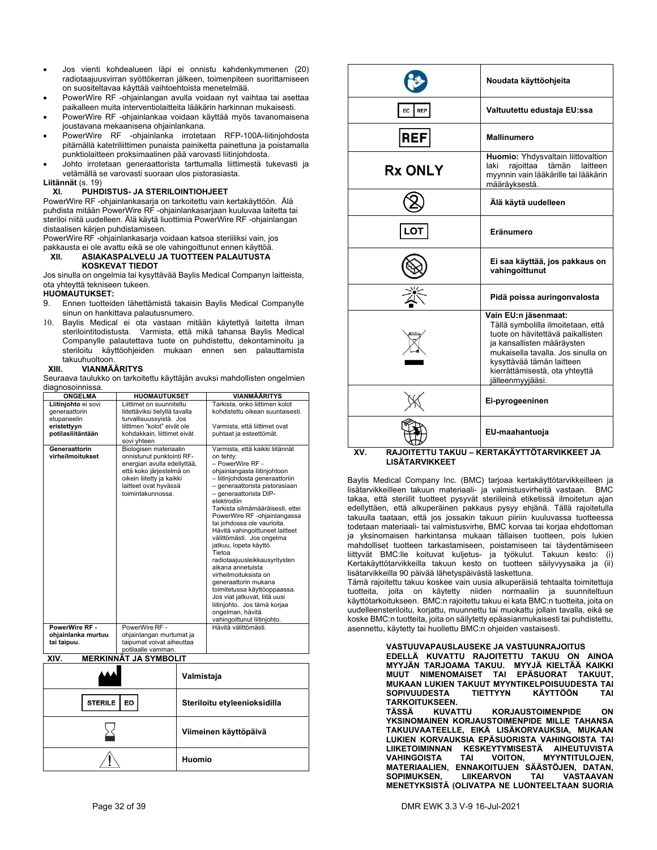- Jos vienti kohdealueen läpi ei onnistu kahdenkymmenen (20) radiotaajuusvirran syöttökerran jälkeen, toimenpiteen suorittamiseen on suositeltavaa käyttää vaihtoehtoista menetelmää.
- PowerWire RF -ohjainlangan avulla voidaan nyt vaihtaa tai asettaa paikalleen muita interventiolaitteita lääkärin harkinnan mukaisesti.
- PowerWire RF -ohjainlankaa voidaan käyttää myös tavanomaisena joustavana mekaanisena ohjainlankana.
- PowerWire RF -ohjainlanka irrotetaan RFP-100A-liitinjohdosta pitämällä katetriliittimen punaista painiketta painettuna ja poistamalla punktiolaitteen proksimaalinen pää varovasti liitinjohdosta.
- Johto irrotetaan generaattorista tarttumalla liittimestä tukevasti ja vetämällä se varovasti suoraan ulos pistorasiasta.

#### **Liitännät** (s. 19) **XI. PUHDISTUS- JA STERILOINTIOHJEET**

PowerWire RF -ohjainlankasarja on tarkoitettu vain kertakäyttöön. Älä puhdista mitään PowerWire RF -ohjainlankasarjaan kuuluvaa laitetta tai steriloi niitä uudelleen. Älä käytä liuottimia PowerWire RF -ohjainlangan distaalisen kärjen puhdistamiseen.

PowerWire RF -ohjainlankasarja voidaan katsoa steriiliksi vain, jos pakkausta ei ole avattu eikä se ole vahingoittunut ennen käyttöä.

### **XII. ASIAKASPALVELU JA TUOTTEEN PALAUTUSTA KOSKEVAT TIEDOT**

Jos sinulla on ongelmia tai kysyttävää Baylis Medical Companyn laitteista, ota yhteyttä tekniseen tukeen.

### **HUOMAUTUKSET:**

- 9. Ennen tuotteiden lähettämistä takaisin Baylis Medical Companylle sinun on hankittava palautusnumero.
- 10. Baylis Medical ei ota vastaan mitään käytettyä laitetta ilman sterilointitodistusta. Varmista, että mikä tahansa Baylis Medical Companylle palautettava tuote on puhdistettu, dekontaminoitu ja steriloitu käyttöohjeiden mukaan ennen sen palauttamista takuuhuoltoon.<br>XIII. VIANMÄ.

### **XIII. VIANMÄÄRITYS**

Seuraava taulukko on tarkoitettu käyttäjän avuksi mahdollisten ongelmien diagnosoinnissa.

| ,<br><b>ONGELMA</b>               | <b>HUOMAUTUKSET</b>                                                                                                                                                                       | <b>VIANMÄÄRITYS</b>                                                                                                                                                                                                                                                                                                                                                                                                                                                                                                                                                                                                                                                              |
|-----------------------------------|-------------------------------------------------------------------------------------------------------------------------------------------------------------------------------------------|----------------------------------------------------------------------------------------------------------------------------------------------------------------------------------------------------------------------------------------------------------------------------------------------------------------------------------------------------------------------------------------------------------------------------------------------------------------------------------------------------------------------------------------------------------------------------------------------------------------------------------------------------------------------------------|
| Liitinjohto ei sovi               | Liittimet on suunniteltu                                                                                                                                                                  | Tarkista, onko liittimen kolot                                                                                                                                                                                                                                                                                                                                                                                                                                                                                                                                                                                                                                                   |
| generaattorin                     | liitettäviksi tietyllä tavalla                                                                                                                                                            | kohdistettu oikean suuntaisesti.                                                                                                                                                                                                                                                                                                                                                                                                                                                                                                                                                                                                                                                 |
| etupaneelin                       | turvallisuussyistä. Jos                                                                                                                                                                   |                                                                                                                                                                                                                                                                                                                                                                                                                                                                                                                                                                                                                                                                                  |
| eristettyyn                       | liittimen "kolot" eivät ole                                                                                                                                                               | Varmista, että liittimet ovat                                                                                                                                                                                                                                                                                                                                                                                                                                                                                                                                                                                                                                                    |
| potilasliitäntään                 | kohdakkain. liittimet eivät<br>sovi yhteen                                                                                                                                                | puhtaat ja esteettömät.                                                                                                                                                                                                                                                                                                                                                                                                                                                                                                                                                                                                                                                          |
| Generaattorin<br>virheilmoitukset | Biologisen materiaalin<br>onnistunut punktointi RF-<br>energian avulla edellyttää,<br>että koko järjestelmä on<br>oikein liitetty ja kaikki<br>laitteet ovat hyvässä<br>toimintakunnossa. | Varmista, että kaikki liitännät<br>on tehty:<br>- PowerWire RF -<br>ohjainlangasta liitinjohtoon<br>- liitinjohdosta generaattoriin<br>- generaattorista pistorasiaan<br>- generaattorista DIP-<br>elektrodiin<br>Tarkista silmämääräisesti, ettei<br>PowerWire RF -ohjainlangassa<br>tai johdossa ole vaurioita.<br>Hävitä vahingoittuneet laitteet<br>välittömästi. Jos ongelma<br>jatkuu, lopeta käyttö.<br>Tietoa<br>radiotaajuusleikkausyritysten<br>aikana annetuista<br>virheilmoituksista on<br>generaattorin mukana<br>toimitetussa käyttöoppaassa.<br>Jos viat jatkuvat, liitä uusi<br>liitinjohto. Jos tämä korjaa<br>ongelman, hävitä<br>vahingoittunut liitinjohto. |
| PowerWire RF -                    | PowerWire RF -                                                                                                                                                                            | Hävitä välittömästi.                                                                                                                                                                                                                                                                                                                                                                                                                                                                                                                                                                                                                                                             |
| ohjainlanka murtuu                | ohjainlangan murtumat ja                                                                                                                                                                  |                                                                                                                                                                                                                                                                                                                                                                                                                                                                                                                                                                                                                                                                                  |
| tai taipuu.                       | taipumat voivat aiheuttaa                                                                                                                                                                 |                                                                                                                                                                                                                                                                                                                                                                                                                                                                                                                                                                                                                                                                                  |
|                                   | potilaalle vamman.                                                                                                                                                                        |                                                                                                                                                                                                                                                                                                                                                                                                                                                                                                                                                                                                                                                                                  |

| XIV. | <b>MERKINNÄT JA SYMBOLIT</b> |  |
|------|------------------------------|--|
|      |                              |  |

|                      | Valmistaja                   |
|----------------------|------------------------------|
| <b>EO</b><br>STERILE | Steriloitu etyleenioksidilla |
|                      | Viimeinen käyttöpäivä        |
|                      | Huomio                       |

|                                       | Noudata käyttöohjeita                                                                                                                                                                                                                                  |
|---------------------------------------|--------------------------------------------------------------------------------------------------------------------------------------------------------------------------------------------------------------------------------------------------------|
| EC<br><b>REP</b>                      | Valtuutettu edustaja EU:ssa                                                                                                                                                                                                                            |
| <b>REF</b>                            | <b>Mallinumero</b>                                                                                                                                                                                                                                     |
| <b>Rx ONLY</b>                        | Huomio: Yhdysvaltain liittovaltion<br>laki<br>rajoittaa tämän<br>laitteen<br>myynnin vain lääkärille tai lääkärin<br>määräyksestä.                                                                                                                     |
|                                       | Älä käytä uudelleen                                                                                                                                                                                                                                    |
|                                       | Eränumero                                                                                                                                                                                                                                              |
|                                       | Ei saa käyttää, jos pakkaus on<br>vahingoittunut                                                                                                                                                                                                       |
|                                       | Pidä poissa auringonvalosta                                                                                                                                                                                                                            |
|                                       | Vain EU:n jäsenmaat:<br>Tällä symbolilla ilmoitetaan, että<br>tuote on hävitettävä paikallisten<br>ja kansallisten määräysten<br>mukaisella tavalla. Jos sinulla on<br>kysyttävää tämän laitteen<br>kierrättämisestä, ota yhteyttä<br>jälleenmyyjääsi. |
|                                       | Ei-pyrogeeninen                                                                                                                                                                                                                                        |
| TII TA <i>v</i> iiii<br>v٧<br>דוחו גם | EU-maahantuoja<br>KEDTAKÄVTTÖTADVIKKEET IA                                                                                                                                                                                                             |

### **XV. RAJOITETTU TAKUU – KERTAKÄYTTÖTARVIKKEET JA LISÄTARVIKKEET**

Baylis Medical Company Inc. (BMC) tarjoaa kertakäyttötarvikkeilleen ja lisätarvikkeilleen takuun materiaali- ja valmistusvirheitä vastaan. BMC takaa, että steriilit tuotteet pysyvät steriileinä etiketissä ilmoitetun ajan edellyttäen, että alkuperäinen pakkaus pysyy ehjänä. Tällä rajoitetulla takuulla taataan, että jos jossakin takuun piiriin kuuluvassa tuotteessa todetaan materiaali- tai valmistusvirhe, BMC korvaa tai korjaa ehdottoman ja yksinomaisen harkintansa mukaan tällaisen tuotteen, pois lukien mahdolliset tuotteen tarkastamiseen, poistamiseen tai täydentämiseen liittyvät BMC:lle koituvat kuljetus- ja työkulut. Takuun kesto: (i) Kertakäyttötarvikkeilla takuun kesto on tuotteen säilyvyysaika ja (ii) lisätarvikkeilla 90 päivää lähetyspäivästä laskettuna.

Tämä rajoitettu takuu koskee vain uusia alkuperäisiä tehtaalta toimitettuja tuotteita, joita on käytetty niiden normaaliin ja suunniteltuun käyttötarkoitukseen. BMC:n rajoitettu takuu ei kata BMC:n tuotteita, joita on uudelleensteriloitu, korjattu, muunnettu tai muokattu jollain tavalla, eikä se koske BMC:n tuotteita, joita on säilytetty epäasianmukaisesti tai puhdistettu, asennettu, käytetty tai huollettu BMC:n ohjeiden vastaisesti.

**VASTUUVAPAUSLAUSEKE JA VASTUUNRAJOITUS** 

**EDELLÄ KUVATTU RAJOITETTU TAKUU ON AINOA MYYJÄN TARJOAMA TAKUU. MYYJÄ KIELTÄÄ KAIKKI MUUT NIMENOMAISET TAI EPÄSUORAT TAKUUT, MUKAAN LUKIEN TAKUUT MYYNTIKELPOISUUDESTA TAI SOPIVUUDESTA TIETTYYN KÄYTTÖÖN TAI** 

**TARKOITUKSEEN. KORJAUSTOIMENPIDE ON YKSINOMAINEN KORJAUSTOIMENPIDE MILLE TAHANSA TAKUUVAATEELLE, EIKÄ LISÄKORVAUKSIA, MUKAAN LUKIEN KORVAUKSIA EPÄSUORISTA VAHINGOISTA TAI LIIKETOIMINNAN KESKEYTYMISESTÄ AIHEUTUVISTA VAHINGOISTA TAI VOITON, MYYNTITULOJEN, MATERIAALIEN, ENNAKOITUJEN SÄÄSTÖJEN, DATAN, SOPIMUKSEN, LIIKEARVON TAI VASTAAVAN MENETYKSISTÄ (OLIVATPA NE LUONTEELTAAN SUORIA**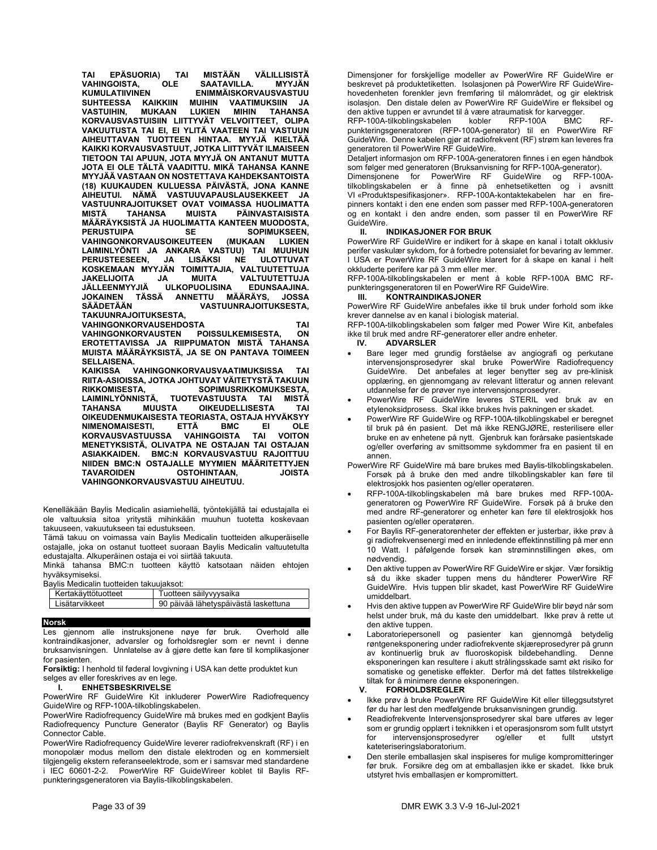**TAI EPÄSUORIA) TAI MISTÄÄN VÄLILLISISTÄ VAHINGOISTA, OLE SAATAVILLA. MYYJÄN ENIMMÄISKORVAUSVASTUU<br>IUIHIN VAATIMUKSIIN JA SUHTEESSA KAIKKIIN MUIHIN VAATIMUKSIIN JA VASTUIHIN, MUKAAN LUKIEN MIHIN TAHANSA KORVAUSVASTUISIIN LIITTYVÄT VELVOITTEET, OLIPA VAKUUTUSTA TAI EI, EI YLITÄ VAATEEN TAI VASTUUN AIHEUTTAVAN TUOTTEEN HINTAA. MYYJÄ KIELTÄÄ KAIKKI KORVAUSVASTUUT, JOTKA LIITTYVÄT ILMAISEEN TIETOON TAI APUUN, JOTA MYYJÄ ON ANTANUT MUTTA JOTA EI OLE TÄLTÄ VAADITTU. MIKÄ TAHANSA KANNE MYYJÄÄ VASTAAN ON NOSTETTAVA KAHDEKSANTOISTA (18) KUUKAUDEN KULUESSA PÄIVÄSTÄ, JONA KANNE AIHEUTUI. NÄMÄ VASTUUVAPAUSLAUSEKKEET JA VASTUUNRAJOITUKSET OVAT VOIMASSA HUOLIMATTA MISTÄ TAHANSA MUISTA PÄINVASTAISISTA MÄÄRÄYKSISTÄ JA HUOLIMATTA KANTEEN MUODOSTA, PERUS SOPIMUKSEEN,**<br>PERSUSTEEN (MUKAAN LUKIEN) **VAHINGONKORVAUSOIKEUTEEN (MUKAAN LUKIEN LAIMINLYÖNTI JA ANKARA VASTUU) TAI MUUHUN PERUSTEESEEN, JA LISÄKSI NE ULOTTUVAT KOSKEMAAN MYYJÄN TOIMITTAJIA, VALTUUTETTUJA JAKELIJOITA JA MUITA VALTUUTETTUJA JÄLLEENMYYJIÄ ULKOPUOLISINA EDUNSAAJINA. JOKAINEN TÄSSÄ ANNETTU MÄÄRÄYS, JOSSA VASTUUNRAJOITUKSESTA, TAKUUNRAJOITUKSESTA, VAHINGONKORVAUSEHDOSTA TAI VAHINGONKORVAUSTEN POISSULKEMISESTA, ON EROTETTAVISSA JA RIIPPUMATON MISTÄ TAHANSA** 

**MUISTA MÄÄRÄYKSISTÄ, JA SE ON PANTAVA TOIMEEN SELLAISENA.** 

**KAIKISSA VAHINGONKORVAUSVAATIMUKSISSA TAI RIITA-ASIOISSA, JOTKA JOHTUVAT VÄITETYSTÄ TAKUUN RIKKOMISESTA, SOPIMUSRIKKOMUKSESTA, LAIMINLYÖNNISTÄ, TUOTEVASTUUSTA TAI MISTÄ TAHANSA MUUSTA OIKEUDELLISESTA TAI OIKEUDENMUKAISESTA TEORIASTA, OSTAJA HYVÄKSYY NIMENOMAISESTI, ETTÄ BMC EI OLE KORVAUSVASTUUSSA MENETYKSISTÄ, OLIVATPA NE OSTAJAN TAI OSTAJAN ASIAKKAIDEN. BMC:N KORVAUSVASTUU RAJOITTUU NIIDEN BMC:N OSTAJALLE MYYMIEN MÄÄRITETTYJEN TAVAROIDEN OSTOHINTAAN, JOISTA VAHINGONKORVAUSVASTUU AIHEUTUU.** 

Kenelläkään Baylis Medicalin asiamiehellä, työntekijällä tai edustajalla ei ole valtuuksia sitoa yritystä mihinkään muuhun tuotetta koskevaan takuuseen, vakuutukseen tai edustukseen.

Tämä takuu on voimassa vain Baylis Medicalin tuotteiden alkuperäiselle ostajalle, joka on ostanut tuotteet suoraan Baylis Medicalin valtuutetulta edustajalta. Alkuperäinen ostaja ei voi siirtää takuuta.

Minkä tahansa BMC:n tuotteen käyttö katsotaan näiden ehtojen hyväksymiseksi.<br>Bavlis Medicalin

|  |  | Bavlis Medicalin tuotteiden takuuiaksot: |  |  |
|--|--|------------------------------------------|--|--|
|--|--|------------------------------------------|--|--|

| Kertakävttötuotteet | Tuotteen säilyvyysaika               |
|---------------------|--------------------------------------|
| I isätarvikkeet     | 90 päivää lähetyspäivästä laskettuna |
|                     |                                      |

### **Norsk**

Les gjennom alle instruksjonene nøye før bruk. Overhold alle kontraindikasjoner, advarsler og forholdsregler som er nevnt i denne bruksanvisningen. Unnlatelse av å gjøre dette kan føre til komplikasjoner for pasienten.

**Forsiktig:** I henhold til føderal lovgivning i USA kan dette produktet kun selges av eller foreskrives av en lege.

### **I. ENHETSBESKRIVELSE**

PowerWire RF GuideWire Kit inkluderer PowerWire Radiofrequency GuideWire og RFP-100A-tilkoblingskabelen.

PowerWire Radiofrequency GuideWire må brukes med en godkjent Baylis Radiofrequency Puncture Generator (Baylis RF Generator) og Baylis Connector Cable.

PowerWire Radiofrequency GuideWire leverer radiofrekvenskraft (RF) i en monopolær modus mellom den distale elektroden og en kommersielt tilgjengelig ekstern referanseelektrode, som er i samsvar med standardene i IEC 60601-2-2. PowerWire RF GuideWireer koblet til Baylis RFpunkteringsgeneratoren via Baylis-tilkoblingskabelen.

Dimensjoner for forskjellige modeller av PowerWire RF GuideWire er beskrevet på produktetiketten. Isolasjonen på PowerWire RF GuideWirehovedenheten forenkler jevn fremføring til målområdet, og gir elektrisk isolasjon. Den distale delen av PowerWire RF GuideWire er fleksibel og den aktive tuppen er avrundet til å være atraumatisk for karvegger.

RFP-100A-tilkoblingskabelen kobler RFP-100A BMC RFpunkteringsgeneratoren (RFP-100A-generator) til en PowerWire RF GuideWire. Denne kabelen gjør at radiofrekvent (RF) strøm kan leveres fra generatoren til PowerWire RF GuideWire.

Detaljert informasjon om RFP-100A-generatoren finnes i en egen håndbok som følger med generatoren (Bruksanvisning for RFP-100A-generator).<br>Dimensjonene for PowerWire RF GuideWire og RFP-100A-

Dimensjonene for PowerWire RF tilkoblingskabelen er å finne på enhetsetiketten og i avsnitt VI «Produktspesifikasjoner». RFP-100A-kontaktekabelen har en firepinners kontakt i den ene enden som passer med RFP-100A-generatoren og en kontakt i den andre enden, som passer til en PowerWire RF GuideWire.

### **II. INDIKASJONER FOR BRUK**

PowerWire RF GuideWire er indikert for å skape en kanal i totalt okklusiv perifer vaskulær sykdom, for å forbedre potensialet for bevaring av lemmer. I USA er PowerWire RF GuideWire klarert for å skape en kanal i helt okkluderte perifere kar på 3 mm eller mer.

RFP-100A-tilkoblingskabelen er ment å koble RFP-100A BMC RFpunkteringsgeneratoren til en PowerWire RF GuideWire.

### **III. KONTRAINDIKASJONER**

PowerWire RF GuideWire anbefales ikke til bruk under forhold som ikke krever dannelse av en kanal i biologisk material.

RFP-100A-tilkoblingskabelen som følger med Power Wire Kit, anbefales ikke til bruk med andre RF-generatorer eller andre enheter.

### **IV. ADVARSLER**

- Bare leger med grundig forståelse av angiografi og perkutane intervensjonsprosedyrer skal bruke PowerWire Radiofrequency GuideWire. Det anbefales at leger benytter seg av pre-klinisk opplæring, en gjennomgang av relevant litteratur og annen relevant utdannelse før de prøver nye intervensjonsprosedyrer.
- PowerWire RF GuideWire leveres STERIL ved bruk av en etylenoksidprosess. Skal ikke brukes hvis pakningen er skadet.
- PowerWire RF GuideWire og RFP-100A-tilkoblingskabel er beregnet til bruk på én pasient. Det må ikke RENGJØRE, resterilisere eller bruke en av enhetene på nytt. Gjenbruk kan forårsake pasientskade og/eller overføring av smittsomme sykdommer fra en pasient til en annen.
- PowerWire RF GuideWire må bare brukes med Baylis-tilkoblingskabelen. Forsøk på å bruke den med andre tilkoblingskabler kan føre til elektrosjokk hos pasienten og/eller operatøren.
- RFP-100A-tilkoblingskabelen må bare brukes med RFP-100Ageneratoren og PowerWire RF GuideWire. Forsøk på å bruke den med andre RF-generatorer og enheter kan føre til elektrosjokk hos pasienten og/eller operatøren.
- For Baylis RF-generatorenheter der effekten er justerbar, ikke prøv å gi radiofrekvensenergi med en innledende effektinnstilling på mer enn 10 Watt. I påfølgende forsøk kan strøminnstillingen økes, om nødvendig.
- Den aktive tuppen av PowerWire RF GuideWire er skjør. Vær forsiktig så du ikke skader tuppen mens du håndterer PowerWire RF GuideWire. Hvis tuppen blir skadet, kast PowerWire RF GuideWire umiddelbart.
- Hvis den aktive tuppen av PowerWire RF GuideWire blir bøyd når som helst under bruk, må du kaste den umiddelbart. Ikke prøv å rette ut den aktive tuppen.
- Laboratoriepersonell og pasienter kan gjennomgå betydelig røntgeneksponering under radiofrekvente skjæreprosedyrer på grunn av kontinuerlig bruk av fluoroskopisk bildebehandling. Denne eksponeringen kan resultere i akutt strålingsskade samt økt risiko for somatiske og genetiske effekter. Derfor må det fattes tilstrekkelige tiltak for å minimere denne eksponeringen.

### **V. FORHOLDSREGLER**

- Ikke prøv å bruke PowerWire RF GuideWire Kit eller tilleggsutstyret før du har lest den medfølgende bruksanvisningen grundig.
- Readiofrekvente Intervensjonsprosedyrer skal bare utføres av leger som er grundig opplært i teknikken i et operasjonsrom som fullt utstyrt<br>for intervensjonsprosedyrer og/eller et fullt utstyrt for intervensionsprosedyrer og/eller et fullt kateteriseringslaboratorium.
- Den sterile emballasjen skal inspiseres for mulige kompromitteringer før bruk. Forsikre deg om at emballasjen ikke er skadet. Ikke bruk utstyret hvis emballasjen er kompromittert.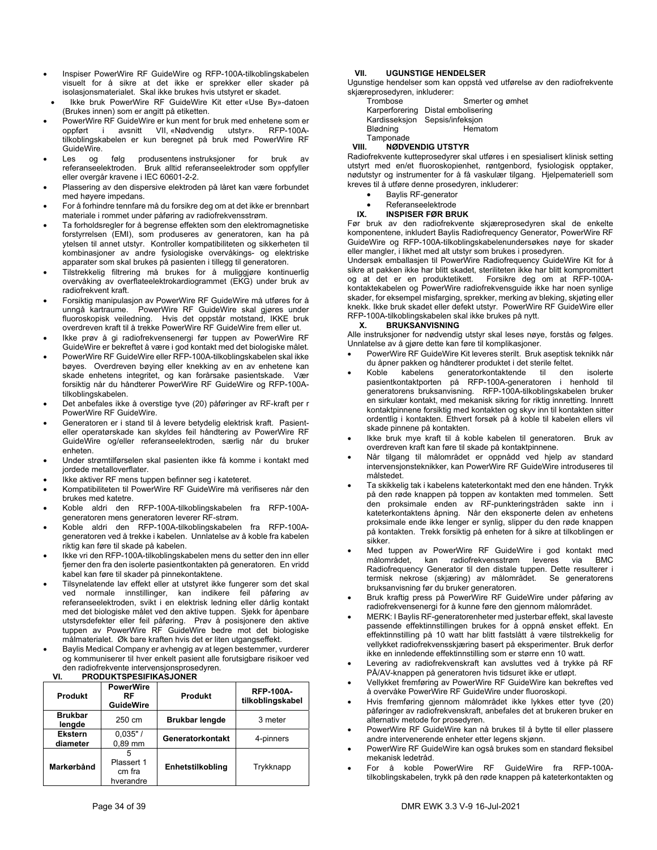- Inspiser PowerWire RF GuideWire og RFP-100A-tilkoblingskabelen visuelt for å sikre at det ikke er sprekker eller skader på isolasjonsmaterialet. Skal ikke brukes hvis utstyret er skadet.
- Ikke bruk PowerWire RF GuideWire Kit etter «Use By»-datoen (Brukes innen) som er angitt på etiketten.
- PowerWire RF GuideWire er kun ment for bruk med enhetene som er oppført i avsnitt VII, «Nødvendig utstyr». RFP-100Atilkoblingskabelen er kun beregnet på bruk med PowerWire RF GuideWire.
- Les og følg produsentens instruksjoner for bruk av referanseelektroden. Bruk alltid referanseelektroder som oppfyller eller overgår kravene i IEC 60601-2-2.
- Plassering av den dispersive elektroden på låret kan være forbundet med høyere impedans.
- For å forhindre tennfare må du forsikre deg om at det ikke er brennbart materiale i rommet under påføring av radiofrekvensstrøm.
- Ta forholdsregler for å begrense effekten som den elektromagnetiske forstyrrelsen (EMI), som produseres av generatoren, kan ha på ytelsen til annet utstyr. Kontroller kompatibiliteten og sikkerheten til kombinasjoner av andre fysiologiske overvåkings- og elektriske apparater som skal brukes på pasienten i tillegg til generatoren.
- Tilstrekkelig filtrering må brukes for å muliggjøre kontinuerlig overvåking av overflateelektrokardiogrammet (EKG) under bruk av radiofrekvent kraft.
- Forsiktig manipulasjon av PowerWire RF GuideWire må utføres for å unngå kartraume. PowerWire RF GuideWire skal gjøres under fluoroskopisk veiledning. Hvis det oppstår motstand, IKKE bruk overdreven kraft til å trekke PowerWire RF GuideWire frem eller ut.
- Ikke prøv å gi radiofrekvensenergi før tuppen av PowerWire RF GuideWire er bekreftet å være i god kontakt med det biologiske målet.
- PowerWire RF GuideWire eller RFP-100A-tilkoblingskabelen skal ikke bøyes. Overdreven bøying eller knekking av en av enhetene kan skade enhetens integritet, og kan forårsake pasientskade. Vær forsiktig når du håndterer PowerWire RF GuideWire og RFP-100Atilkoblingskabelen.
- Det anbefales ikke å overstige tyve (20) påføringer av RF-kraft per r PowerWire RF GuideWire.
- Generatoren er i stand til å levere betydelig elektrisk kraft. Pasienteller operatørskade kan skyldes feil håndtering av PowerWire RF GuideWire og/eller referanseelektroden, særlig når du bruker enheten.
- Under strømtilførselen skal pasienten ikke få komme i kontakt med jordede metalloverflater.
- Ikke aktiver RF mens tuppen befinner seg i kateteret.
- Kompatibiliteten til PowerWire RF GuideWire må verifiseres når den brukes med katetre.
- Koble aldri den RFP-100A-tilkoblingskabelen fra RFP-100Ageneratoren mens generatoren leverer RF-strøm.
- Koble aldri den RFP-100A-tilkoblingskabelen fra RFP-100Ageneratoren ved å trekke i kabelen. Unnlatelse av å koble fra kabelen riktig kan føre til skade på kabelen.
- Ikke vri den RFP-100A-tilkoblingskabelen mens du setter den inn eller fjerner den fra den isolerte pasientkontakten på generatoren. En vridd kabel kan føre til skader på pinnekontaktene.
- Tilsynelatende lav effekt eller at utstyret ikke fungerer som det skal ved normale innstillinger, kan indikere feil påføring av referanseelektroden, svikt i en elektrisk ledning eller dårlig kontakt med det biologiske målet ved den aktive tuppen. Sjekk for åpenbare utstyrsdefekter eller feil påføring. Prøv å posisjonere den aktive tuppen av PowerWire RF GuideWire bedre mot det biologiske målmaterialet. Øk bare kraften hvis det er liten utgangseffekt.
- Baylis Medical Company er avhengig av at legen bestemmer, vurderer og kommuniserer til hver enkelt pasient alle forutsigbare risikoer ved den radiofrekvente intervensjonsprosedyren.<br>VI. PRODUKTSPESIFIKASJONER

### **VI. PRODUKTSPESIFIKASJONER**

| <b>Produkt</b>             | <b>PowerWire</b><br>RF<br><b>GuideWire</b> | <b>Produkt</b>        | <b>RFP-100A-</b><br>tilkoblingskabel |
|----------------------------|--------------------------------------------|-----------------------|--------------------------------------|
| <b>Brukbar</b><br>lengde   | 250 cm                                     | <b>Brukbar lengde</b> | 3 meter                              |
| <b>Ekstern</b><br>diameter | $0,035"$ /<br>$0.89$ mm                    | Generatorkontakt      | 4-pinners                            |
| Markørbånd                 | 5<br>Plassert 1<br>cm fra<br>hverandre     | Enhetstilkobling      | Trykknapp                            |

### **VII. UGUNSTIGE HENDELSER**

Ugunstige hendelser som kan oppstå ved utførelse av den radiofrekvente skjæreprosedyren, inkluderer:

| Trombose  | Smerter og ømhet                   |
|-----------|------------------------------------|
|           | Karperforering Distal embolisering |
|           | Kardisseksjon Sepsis/infeksjon     |
| Blødning  | Hematom                            |
| Tamponade |                                    |

### **VIII. NØDVENDIG UTSTYR**

Radiofrekvente kutteprosedyrer skal utføres i en spesialisert klinisk setting utstyrt med en/et fluoroskopienhet, røntgenbord, fysiologisk opptaker, nødutstyr og instrumenter for å få vaskulær tilgang. Hjelpemateriell som kreves til å utføre denne prosedyren, inkluderer:

- Baylis RF-generator
- 

### • Referanseelektrode<br>IX. INSPISER FØR BR **IX. INSPISER FØR BRUK**

Før bruk av den radiofrekvente skjæreprosedyren skal de enkelte komponentene, inkludert Baylis Radiofrequency Generator, PowerWire RF GuideWire og RFP-100A-tilkoblingskabelenundersøkes nøye for skader eller mangler, i likhet med alt utstyr som brukes i prosedyren.

Undersøk emballasjen til PowerWire Radiofrequency GuideWire Kit for å sikre at pakken ikke har blitt skadet, steriliteten ikke har blitt kompromittert Forsikre deg om at RFP-100Akontaktekabelen og PowerWire radiofrekvensguide ikke har noen synlige skader, for eksempel misfarging, sprekker, merking av bleking, skjøting eller knekk. Ikke bruk skadet eller defekt utstyr. PowerWire RF GuideWire eller RFP-100A-tilkoblingskabelen skal ikke brukes på nytt.<br>X. BRUKSANVISNING

### **X. BRUKSANVISNING**

Alle instruksjoner for nødvendig utstyr skal leses nøye, forstås og følges. Unnlatelse av å gjøre dette kan føre til komplikasjoner.

- PowerWire RF GuideWire Kit leveres sterilt. Bruk aseptisk teknikk når du åpner pakken og håndterer produktet i det sterile feltet.
- Koble kabelens generatorkontaktende til den isolerte pasientkontaktporten på RFP-100A-generatoren i henhold til generatorens bruksanvisning. RFP-100A-tilkoblingskabelen bruker en sirkulær kontakt, med mekanisk sikring for riktig innretting. Innrett kontaktpinnene forsiktig med kontakten og skyv inn til kontakten sitter ordentlig i kontakten. Ethvert forsøk på å koble til kabelen ellers vil skade pinnene på kontakten.
- Ikke bruk mye kraft til å koble kabelen til generatoren. Bruk av overdreven kraft kan føre til skade på kontaktpinnene.
- Når tilgang til målområdet er oppnådd ved hjelp av standard intervensjonsteknikker, kan PowerWire RF GuideWire introduseres til målstedet.
- Ta skikkelig tak i kabelens kateterkontakt med den ene hånden. Trykk på den røde knappen på toppen av kontakten med tommelen. Sett den proksimale enden av RF-punkteringstråden sakte inn i kateterkontaktens åpning. Når den eksponerte delen av enhetens proksimale ende ikke lenger er synlig, slipper du den røde knappen på kontakten. Trekk forsiktig på enheten for å sikre at tilkoblingen er sikker.
- Med tuppen av PowerWire RF GuideWire i god kontakt med målområdet, kan radiofrekvensstrøm leveres via BMC Radiofrequency Generator til den distale tuppen. Dette resulterer i termisk nekrose (skjæring) av målområdet. Se generatorens bruksanvisning før du bruker generatoren.
- Bruk kraftig press på PowerWire RF GuideWire under påføring av radiofrekvensenergi for å kunne føre den gjennom målområdet.
- MERK: I Baylis RF-generatorenheter med justerbar effekt, skal laveste passende effektinnstillingen brukes for å oppnå ønsket effekt. En effektinnstilling på 10 watt har blitt fastslått å være tilstrekkelig for vellykket radiofrekvensskjæring basert på eksperimenter. Bruk derfor ikke en innledende effektinnstilling som er større enn 10 watt.
- Levering av radiofrekvenskraft kan avsluttes ved å trykke på RF PÅ/AV-knappen på generatoren hvis tidsuret ikke er utløpt.
- Vellykket fremføring av PowerWire RF GuideWire kan bekreftes ved å overvåke PowerWire RF GuideWire under fluoroskopi.
- Hvis fremføring gjennom målområdet ikke lykkes etter tyve (20) påføringer av radiofrekvenskraft, anbefales det at brukeren bruker en alternativ metode for prosedyren.
- PowerWire RF GuideWire kan nå brukes til å bytte til eller plassere andre intervenerende enheter etter legens skjønn.
- PowerWire RF GuideWire kan også brukes som en standard fleksibel mekanisk ledetråd.
- For å koble PowerWire RF GuideWire fra RFP-100Atilkoblingskabelen, trykk på den røde knappen på kateterkontakten og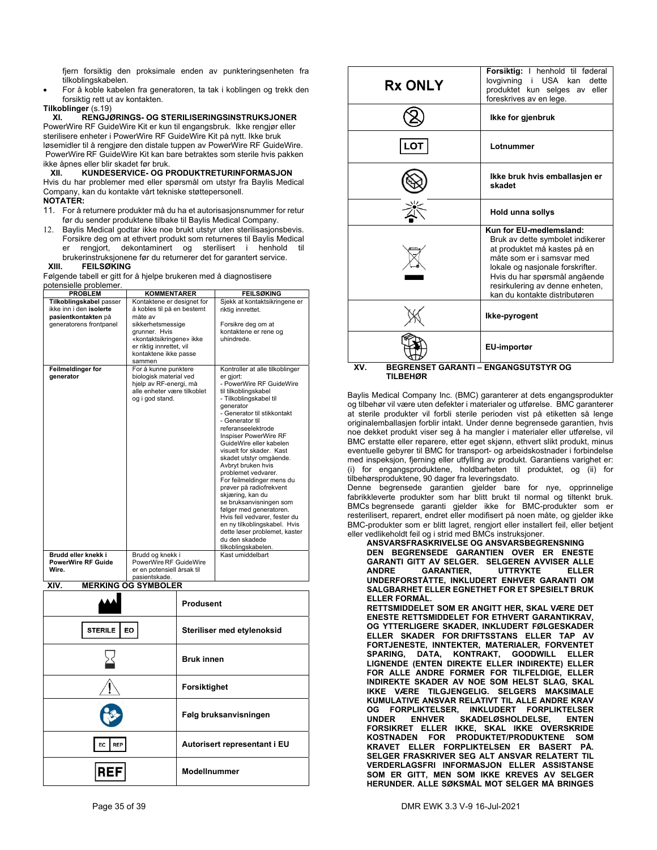fjern forsiktig den proksimale enden av punkteringsenheten fra tilkoblingskabelen.

 For å koble kabelen fra generatoren, ta tak i koblingen og trekk den forsiktig rett ut av kontakten.

**Tilkoblinger** (s.19)

**XI. RENGJØRINGS- OG STERILISERINGSINSTRUKSJONER** 

PowerWire RF GuideWire Kit er kun til engangsbruk. Ikke rengjør eller sterilisere enheter i PowerWire RF GuideWire Kit på nytt. Ikke bruk løsemidler til å rengjøre den distale tuppen av PowerWire RF GuideWire. PowerWire RF GuideWire Kit kan bare betraktes som sterile hvis pakken ikke åpnes eller blir skadet før bruk.<br>XII. KUNDESERVICE- OG P

### **XII. KUNDESERVICE- OG PRODUKTRETURINFORMASJON**

Hvis du har problemer med eller spørsmål om utstyr fra Baylis Medical Company, kan du kontakte vårt tekniske støttepersonell.

### **NOTATER:**

- 11. For å returnere produkter må du ha et autorisasjonsnummer for retur før du sender produktene tilbake til Baylis Medical Company.
- Baylis Medical godtar ikke noe brukt utstyr uten sterilisasjonsbevis. Forsikre deg om at ethvert produkt som returneres til Baylis Medical er rengjort, dekontaminert og sterilisert i henhold til brukerinstruksjonene før du returnerer det for garantert service.<br>XIII. FEILSØKING

**FEILSØKING** 

Følgende tabell er gitt for å hjelpe brukeren med å diagnostisere potensielle problemer.

| $-0.01$ . $-0.01$ . $-0.01$ . $-0.01$<br><b>PROBLEM</b>                   | <b>KOMMENTARER</b>                                                                                                            | <b>FEILSØKING</b>                                                                                                                                                                                                                                                                                                                                                                                                                                                                                                                                                                                                                                    |  |
|---------------------------------------------------------------------------|-------------------------------------------------------------------------------------------------------------------------------|------------------------------------------------------------------------------------------------------------------------------------------------------------------------------------------------------------------------------------------------------------------------------------------------------------------------------------------------------------------------------------------------------------------------------------------------------------------------------------------------------------------------------------------------------------------------------------------------------------------------------------------------------|--|
| Tilkoblingskabel passer<br>ikke inn i den isolerte<br>pasientkontakten på | Kontaktene er designet for<br>å kobles til på en bestemt<br>måte av                                                           | Sjekk at kontaktsikringene er<br>riktig innrettet.                                                                                                                                                                                                                                                                                                                                                                                                                                                                                                                                                                                                   |  |
| generatorens frontpanel                                                   | sikkerhetsmessige<br>grunner. Hvis<br>«kontaktsikringene» ikke<br>er riktig innrettet, vil<br>kontaktene ikke passe<br>sammen | Forsikre deg om at<br>kontaktene er rene og<br>uhindrede.                                                                                                                                                                                                                                                                                                                                                                                                                                                                                                                                                                                            |  |
| Feilmeldinger for<br>generator                                            | For å kunne punktere<br>biologisk material ved<br>hjelp av RF-energi, må<br>alle enheter være tilkoblet<br>og i god stand.    | Kontroller at alle tilkoblinger<br>er gjort:<br>- PowerWire RF GuideWire<br>til tilkoblingskabel<br>- Tilkoblingskabel til<br>generator<br>- Generator til stikkontakt<br>- Generator til<br>referanseelektrode<br>Inspiser PowerWire RF<br>GuideWire eller kabelen<br>visuelt for skader. Kast<br>skadet utstyr omgående.<br>Avbryt bruken hvis<br>problemet vedvarer.<br>For feilmeldinger mens du<br>prøver på radiofrekvent<br>skjæring, kan du<br>se bruksanvisningen som<br>følger med generatoren.<br>Hvis feil vedvarer, fester du<br>en ny tilkoblingskabel. Hvis<br>dette løser problemet, kaster<br>du den skadede<br>tilkoblingskabelen. |  |
| Brudd eller knekk i                                                       | Brudd og knekk i                                                                                                              | Kast umiddelbart                                                                                                                                                                                                                                                                                                                                                                                                                                                                                                                                                                                                                                     |  |
| <b>PowerWire RF Guide</b>                                                 | PowerWire RF GuideWire                                                                                                        |                                                                                                                                                                                                                                                                                                                                                                                                                                                                                                                                                                                                                                                      |  |
| Wire.                                                                     | er en potensiell årsak til<br>pasientskade.                                                                                   |                                                                                                                                                                                                                                                                                                                                                                                                                                                                                                                                                                                                                                                      |  |
| $\mathbf{F}$<br><b>VILL</b>                                               | $\alpha$ $\alpha$                                                                                                             |                                                                                                                                                                                                                                                                                                                                                                                                                                                                                                                                                                                                                                                      |  |

| <b>MERKING OG SYMBOLER</b><br>XIV. |                              |
|------------------------------------|------------------------------|
|                                    | Produsent                    |
| <b>STERILE</b><br>EO               | Steriliser med etylenoksid   |
|                                    | <b>Bruk innen</b>            |
|                                    | Forsiktighet                 |
|                                    | Følg bruksanvisningen        |
| <b>REP</b><br>EC.                  | Autorisert representant i EU |
|                                    | <b>ModelInummer</b>          |

| <b>Rx ONLY</b>                                     | Forsiktig: I henhold til føderal<br>lovgivning i USA kan<br>dette<br>produktet kun selges av eller<br>foreskrives av en lege.                                                                                                                                     |
|----------------------------------------------------|-------------------------------------------------------------------------------------------------------------------------------------------------------------------------------------------------------------------------------------------------------------------|
|                                                    | Ikke for gjenbruk                                                                                                                                                                                                                                                 |
| LOT                                                | Lotnummer                                                                                                                                                                                                                                                         |
|                                                    | Ikke bruk hvis emballasjen er<br>skadet                                                                                                                                                                                                                           |
|                                                    | Hold unna sollys                                                                                                                                                                                                                                                  |
|                                                    | Kun for EU-medlemsland:<br>Bruk av dette symbolet indikerer<br>at produktet må kastes på en<br>måte som er i samsvar med<br>lokale og nasjonale forskrifter.<br>Hvis du har spørsmål angående<br>resirkulering av denne enheten,<br>kan du kontakte distributøren |
|                                                    | Ikke-pyrogent                                                                                                                                                                                                                                                     |
| <b>BEGRENSET GARANTI - ENGANGSUTSTYR OG</b><br>XV. | EU-importør                                                                                                                                                                                                                                                       |

**TILBEHØR** 

Baylis Medical Company Inc. (BMC) garanterer at dets engangsprodukter og tilbehør vil være uten defekter i materialer og utførelse. BMC garanterer at sterile produkter vil forbli sterile perioden vist på etiketten så lenge originalemballasjen forblir intakt. Under denne begrensede garantien, hvis noe dekket produkt viser seg å ha mangler i materialer eller utførelse, vil BMC erstatte eller reparere, etter eget skjønn, ethvert slikt produkt, minus eventuelle gebyrer til BMC for transport- og arbeidskostnader i forbindelse med inspeksjon, fjerning eller utfylling av produkt. Garantiens varighet er: (i) for engangsproduktene, holdbarheten til produktet, og (ii) for tilbehørsproduktene, 90 dager fra leveringsdato.

Denne begrensede garantien gjelder bare for nye, opprinnelige fabrikkleverte produkter som har blitt brukt til normal og tiltenkt bruk. BMCs begrensede garanti gjelder ikke for BMC-produkter som er resterilisert, reparert, endret eller modifisert på noen måte, og gjelder ikke BMC-produkter som er blitt lagret, rengjort eller installert feil, eller betjent eller vedlikeholdt feil og i strid med BMCs instruksjoner.

**ANSVARSFRASKRIVELSE OG ANSVARSBEGRENSNING DEN BEGRENSEDE GARANTIEN OVER ER ENESTE GARANTI GITT AV SELGER. SELGEREN AVVISER ALLE GARANTIER, UTTRYKTE ELLER UNDERFORSTÅTTE, INKLUDERT ENHVER GARANTI OM SALGBARHET ELLER EGNETHET FOR ET SPESIELT BRUK ELLER FORMÅL.** 

**RETTSMIDDELET SOM ER ANGITT HER, SKAL VÆRE DET ENESTE RETTSMIDDELET FOR ETHVERT GARANTIKRAV, OG YTTERLIGERE SKADER, INKLUDERT FØLGESKADER ELLER SKADER FOR DRIFTSSTANS ELLER TAP AV FORTJENESTE, INNTEKTER, MATERIALER, FORVENTET SPARING, DATA, KONTRAKT, GOODWILL ELLER LIGNENDE (ENTEN DIREKTE ELLER INDIREKTE) ELLER FOR ALLE ANDRE FORMER FOR TILFELDIGE, ELLER INDIREKTE SKADER AV NOE SOM HELST SLAG, SKAL IKKE VÆRE TILGJENGELIG. SELGERS MAKSIMALE KUMULATIVE ANSVAR RELATIVT TIL ALLE ANDRE KRAV OG FORPLIKTELSER, INKLUDERT FORPLIKTELSER**  SKADELØSHOLDELSE, ENTEN **FORSIKRET ELLER IKKE, SKAL IKKE OVERSKRIDE KOSTNADEN FOR PRODUKTET/PRODUKTENE SOM KRAVET ELLER FORPLIKTELSEN ER BASERT PÅ. SELGER FRASKRIVER SEG ALT ANSVAR RELATERT TIL VERDERLAGSFRI INFORMASJON ELLER ASSISTANSE SOM ER GITT, MEN SOM IKKE KREVES AV SELGER HERUNDER. ALLE SØKSMÅL MOT SELGER MÅ BRINGES**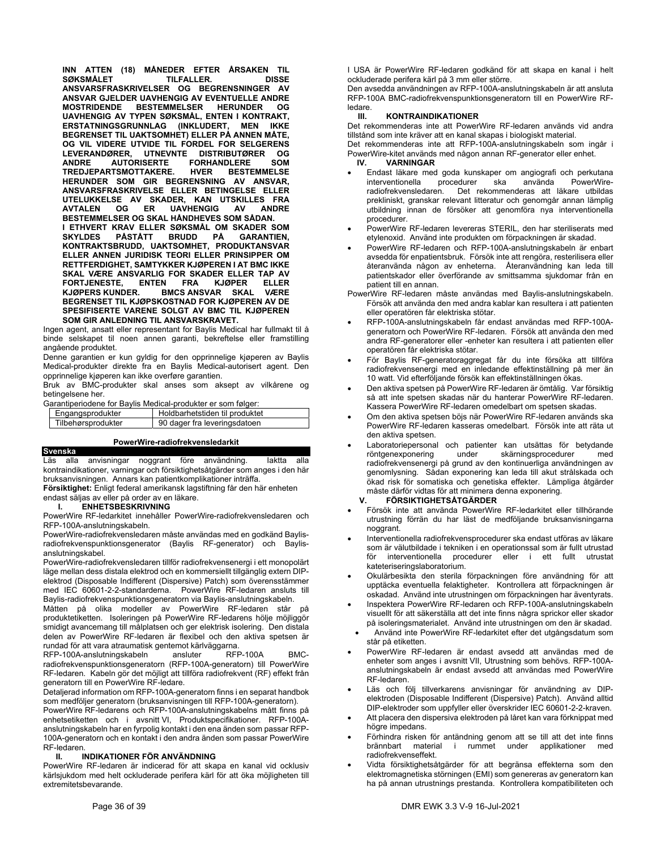**INN ATTEN (18) MÅNEDER EFTER ÅRSAKEN TIL SØKSMÅLET TILFALLER. DISSE ANSVARSFRASKRIVELSER OG BEGRENSNINGER AV ANSVAR GJELDER UAVHENGIG AV EVENTUELLE ANDRE BESTEMMELSER HERUNDER OG UAVHENGIG AV TYPEN SØKSMÅL, ENTEN I KONTRAKT, ERSTATNINGSGRUNNLAG (INKLUDERT, MEN IKKE BEGRENSET TIL UAKTSOMHET) ELLER PÅ ANNEN MÅTE, OG VIL VIDERE UTVIDE TIL FORDEL FOR SELGERENS LEVERANDØRER, UTNEVNTE DISTRIBUTØRER OG ANDRE AUTORISERTE FORHANDLERE SOM TREDJEPARTSMOTTAKERE.** HVER **HERUNDER SOM GIR BEGRENSNING AV ANSVAR, ANSVARSFRASKRIVELSE ELLER BETINGELSE ELLER UTELUKKELSE AV SKADER, KAN UTSKILLES FRA AVTALEN OG ER UAVHENGIG AV BESTEMMELSER OG SKAL HÅNDHEVES SOM SÅDAN. I ETHVERT KRAV ELLER SØKSMÅL OM SKADER SOM SKYLDES PÅSTÅTT BRUDD PÅ GARANTIEN, KONTRAKTSBRUDD, UAKTSOMHET, PRODUKTANSVAR ELLER ANNEN JURIDISK TEORI ELLER PRINSIPPER OM RETTFERDIGHET, SAMTYKKER KJØPEREN I AT BMC IKKE SKAL VÆRE ANSVARLIG FOR SKADER ELLER TAP AV FORTJENESTE, ENTEN FRA KJØPER ELLER BMCS ANSVAR SKAL VÆRE BEGRENSET TIL KJØPSKOSTNAD FOR KJØPEREN AV DE SPESIFISERTE VARENE SOLGT AV BMC TIL KJØPEREN SOM GIR ANLEDNING TIL ANSVARSKRAVET.**

Ingen agent, ansatt eller representant for Baylis Medical har fullmakt til å binde selskapet til noen annen garanti, bekreftelse eller framstilling angående produktet.

Denne garantien er kun gyldig for den opprinnelige kjøperen av Baylis Medical-produkter direkte fra en Baylis Medical-autorisert agent. Den opprinnelige kjøperen kan ikke overføre garantien.

Bruk av BMC-produkter skal anses som aksept av vilkårene og betingelsene her.

Garantiperiodene for Baylis Medical-produkter er som følger:

| Engangsprodukter   | Holdbarhetstiden til produktet |
|--------------------|--------------------------------|
| Tilbehørsprodukter | 90 dager fra leveringsdatoen   |
|                    |                                |

|  |  |  | PowerWire-radiofrekvensledarkit |  |
|--|--|--|---------------------------------|--|
|  |  |  |                                 |  |

**Svenska** 

Läs alla anvisningar noggrant före användning. Iaktta alla kontraindikationer, varningar och försiktighetsåtgärder som anges i den här bruksanvisningen. Annars kan patientkomplikationer inträffa.

**Försiktighet:** Enligt federal amerikansk lagstiftning får den här enheten endast säljas av eller på order av en läkare.

### **I. ENHETSBESKRIVNING**

PowerWire RF-ledarkitet innehåller PowerWire-radiofrekvensledaren och RFP-100A-anslutningskabeln.

PowerWire-radiofrekvensledaren måste användas med en godkänd Baylisradiofrekvenspunktionsgenerator (Baylis RF-generator) och Baylisanslutningskabel.

PowerWire-radiofrekvensledaren tillför radiofrekvensenergi i ett monopolärt läge mellan dess distala elektrod och en kommersiellt tillgänglig extern DIPelektrod (Disposable Indifferent (Dispersive) Patch) som överensstämmer med IEC 60601-2-2-standarderna. PowerWire RF-ledaren ansluts till Baylis-radiofrekvenspunktionsgeneratorn via Baylis-anslutningskabeln.

Måtten på olika modeller av PowerWire RF-ledaren står på produktetiketten. Isoleringen på PowerWire RF-ledarens hölje möjliggör smidigt avancemang till målplatsen och ger elektrisk isolering. Den distala delen av PowerWire RF-ledaren är flexibel och den aktiva spetsen är

rundad för att vara atraumatisk gentemot kärlväggarna.<br>RFP-100A-anslutningskabeln ansluter RFP-100A RFP-100A-anslutningskabeln ansluter FRFP-100A BMCradiofrekvenspunktionsgeneratorn (RFP-100A-generatorn) till PowerWire RF-ledaren. Kabeln gör det möjligt att tillföra radiofrekvent (RF) effekt från generatorn till en PowerWire RF-ledare.

Detaljerad information om RFP-100A-generatorn finns i en separat handbok som medföljer generatorn (bruksanvisningen till RFP-100A-generatorn).

PowerWire RF-ledarens och RFP-100A-anslutningskabelns mått finns på enhetsetiketten och i avsnitt VI, Produktspecifikationer. RFP-100Aanslutningskabeln har en fyrpolig kontakt i den ena änden som passar RFP-100A-generatorn och en kontakt i den andra änden som passar PowerWire RF-ledaren.<br>**II. I** 

### **II. INDIKATIONER FÖR ANVÄNDNING**

PowerWire RF-ledaren är indicerad för att skapa en kanal vid ocklusiv kärlsjukdom med helt ockluderade perifera kärl för att öka möjligheten till extremitetsbevarande.

I USA är PowerWire RF-ledaren godkänd för att skapa en kanal i helt ockluderade perifera kärl på 3 mm eller större.

Den avsedda användningen av RFP-100A-anslutningskabeln är att ansluta RFP-100A BMC-radiofrekvenspunktionsgeneratorn till en PowerWire RFledare.<br>**III** 

### **III. KONTRAINDIKATIONER**

Det rekommenderas inte att PowerWire RF-ledaren används vid andra tillstånd som inte kräver att en kanal skapas i biologiskt material.

Det rekommenderas inte att RFP-100A-anslutningskabeln som ingår i PowerWire-kitet används med någon annan RF-generator eller enhet.

### **IV. VARNINGAR**

- Endast läkare med goda kunskaper om angiografi och perkutana<br>interventionella brocedurer ska använda PowerWireinterventionella procedurer ska använda PowerWireradiofrekvensledaren. Det rekommenderas att läkare utbildas prekliniskt, granskar relevant litteratur och genomgår annan lämplig utbildning innan de försöker att genomföra nya interventionella procedurer.
- PowerWire RF-ledaren levereras STERIL, den har steriliserats med etylenoxid. Använd inte produkten om förpackningen är skadad.
- PowerWire RF-ledaren och RFP-100A-anslutningskabeln är enbart avsedda för enpatientsbruk. Försök inte att rengöra, resterilisera eller återanvända någon av enheterna. Återanvändning kan leda till patientskador eller överförande av smittsamma sjukdomar från en patient till en annan.
- PowerWire RF-ledaren måste användas med Baylis-anslutningskabeln. Försök att använda den med andra kablar kan resultera i att patienten eller operatören får elektriska stötar.
- RFP-100A-anslutningskabeln får endast användas med RFP-100Ageneratorn och PowerWire RF-ledaren. Försök att använda den med andra RF-generatorer eller -enheter kan resultera i att patienten eller operatören får elektriska stötar.
- För Baylis RF-generatoraggregat får du inte försöka att tillföra radiofrekvensenergi med en inledande effektinställning på mer än 10 watt. Vid efterföljande försök kan effektinställningen ökas.
- Den aktiva spetsen på PowerWire RF-ledaren är ömtålig. Var försiktig så att inte spetsen skadas när du hanterar PowerWire RF-ledaren. Kassera PowerWire RF-ledaren omedelbart om spetsen skadas.
- Om den aktiva spetsen böjs när PowerWire RF-ledaren används ska PowerWire RF-ledaren kasseras omedelbart. Försök inte att räta ut den aktiva spetsen.
- Laboratoriepersonal och patienter kan utsättas för betydande<br>röntgenexponering under skärningsprocedurer med skärningsprocedurer med radiofrekvensenergi på grund av den kontinuerliga användningen av genomlysning. Sådan exponering kan leda till akut strålskada och ökad risk för somatiska och genetiska effekter. Lämpliga åtgärder måste därför vidtas för att minimera denna exponering.<br>
V FÖRSIKTIGHETSÅTGÄRDER

### **V. FÖRSIKTIGHETSÅTGÄRDER**

- Försök inte att använda PowerWire RF-ledarkitet eller tillhörande utrustning förrän du har läst de medföljande bruksanvisningarna noggrant.
- Interventionella radiofrekvensprocedurer ska endast utföras av läkare som är välutbildade i tekniken i en operationssal som är fullt utrustad för interventionella procedurer eller i ett fullt utrustat kateteriseringslaboratorium.
- Okulärbesikta den sterila förpackningen före användning för att upptäcka eventuella felaktigheter. Kontrollera att förpackningen är oskadad. Använd inte utrustningen om förpackningen har äventyrats.
- Inspektera PowerWire RF-ledaren och RFP-100A-anslutningskabeln visuellt för att säkerställa att det inte finns några sprickor eller skador på isoleringsmaterialet. Använd inte utrustningen om den är skadad.
- Använd inte PowerWire RF-ledarkitet efter det utgångsdatum som står på etiketten.
- PowerWire RF-ledaren är endast avsedd att användas med de enheter som anges i avsnitt VII, Utrustning som behövs. RFP-100Aanslutningskabeln är endast avsedd att användas med PowerWire RF-ledaren.
- Läs och följ tillverkarens anvisningar för användning av DIPelektroden (Disposable Indifferent (Dispersive) Patch). Använd alltid DIP-elektroder som uppfyller eller överskrider IEC 60601-2-2-kraven.
- Att placera den dispersiva elektroden på låret kan vara förknippat med högre impedans.
- Förhindra risken för antändning genom att se till att det inte finns<br>brännbart material i rummet under applikationer med i rummet under applikationer med radiofrekvenseffekt.
- Vidta försiktighetsåtgärder för att begränsa effekterna som den elektromagnetiska störningen (EMI) som genereras av generatorn kan ha på annan utrustnings prestanda. Kontrollera kompatibiliteten och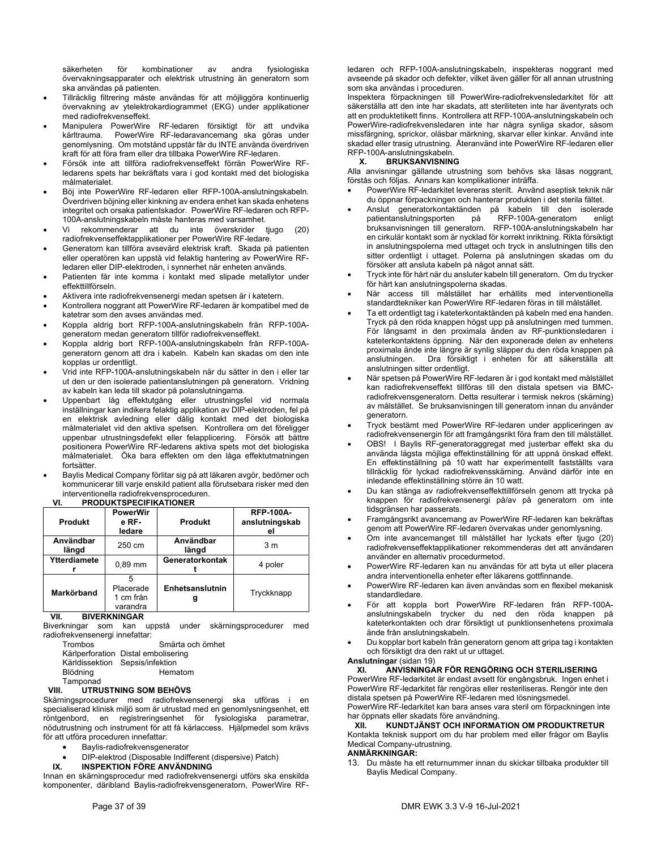säkerheten för kombinationer av andra fysiologiska övervakningsapparater och elektrisk utrustning än generatorn som ska användas på patienten.

- Tillräcklig filtrering måste användas för att möjliggöra kontinuerlig övervakning av ytelektrokardiogrammet (EKG) under applikationer med radiofrekvenseffekt.
- Manipulera PowerWire RF-ledaren försiktigt för att undvika kärltrauma. PowerWire RF-ledaravancemang ska göras under genomlysning. Om motstånd uppstår får du INTE använda överdriven kraft för att föra fram eller dra tillbaka PowerWire RF-ledaren.
- Försök inte att tillföra radiofrekvenseffekt förrän PowerWire RFledarens spets har bekräftats vara i god kontakt med det biologiska målmaterialet.
- Böj inte PowerWire RF-ledaren eller RFP-100A-anslutningskabeln. Överdriven böjning eller kinkning av endera enhet kan skada enhetens integritet och orsaka patientskador. PowerWire RF-ledaren och RFP-100A-anslutningskabeln måste hanteras med varsamhet.
- Vi rekommenderar att du inte överskrider tjugo (20) radiofrekvenseffektapplikationer per PowerWire RF-ledare.
- Generatorn kan tillföra avsevärd elektrisk kraft. Skada på patienten eller operatören kan uppstå vid felaktig hantering av PowerWire RFledaren eller DIP-elektroden, i synnerhet när enheten används.
- Patienten får inte komma i kontakt med slipade metallytor under effekttillförseln.
- Aktivera inte radiofrekvensenergi medan spetsen är i katetern.
- Kontrollera noggrant att PowerWire RF-ledaren är kompatibel med de katetrar som den avses användas med.
- Koppla aldrig bort RFP-100A-anslutningskabeln från RFP-100Ageneratorn medan generatorn tillför radiofrekvenseffekt.
- Koppla aldrig bort RFP-100A-anslutningskabeln från RFP-100Ageneratorn genom att dra i kabeln. Kabeln kan skadas om den inte kopplas ur ordentligt.
- Vrid inte RFP-100A-anslutningskabeln när du sätter in den i eller tar ut den ur den isolerade patientanslutningen på generatorn. Vridning av kabeln kan leda till skador på polanslutningarna.
- Uppenbart låg effektutgång eller utrustningsfel vid normala inställningar kan indikera felaktig applikation av DIP-elektroden, fel på en elektrisk avledning eller dålig kontakt med det biologiska målmaterialet vid den aktiva spetsen. Kontrollera om det föreligger uppenbar utrustningsdefekt eller felapplicering. Försök att bättre positionera PowerWire RF-ledarens aktiva spets mot det biologiska målmaterialet. Öka bara effekten om den låga effektutmatningen fortsätter.
- Baylis Medical Company förlitar sig på att läkaren avgör, bedömer och kommunicerar till varje enskild patient alla förutsebara risker med den interventionella radiofrekvensproceduren.

| ---                |                                               |                    |                                          |  |
|--------------------|-----------------------------------------------|--------------------|------------------------------------------|--|
| <b>Produkt</b>     | <b>PowerWir</b><br>e RF-<br>Produkt<br>ledare |                    | <b>RFP-100A-</b><br>anslutningskab<br>el |  |
| Användbar<br>längd | 250 cm                                        | Användbar<br>längd | 3 m                                      |  |
| Ytterdiamete       | $0.89$ mm                                     | Generatorkontak    | 4 poler                                  |  |
| Markörband         | 5<br>Placerade<br>1 cm från<br>varandra       | Enhetsanslutnin    | Tryckknapp                               |  |

## **VI. PRODUKTSPECIFIKATIONER**

**VII. BIVERKNINGAR** 

Biverkningar som kan uppstå under skärningsprocedurer med radiofrekvensenergi innefattar:

Trombos Smärta och ömhet Kärlperforation Distal embolisering Kärldissektion Sepsis/infektion

Blödning Hematom

Tamponad

### **VIII. UTRUSTNING SOM BEHÖVS**

Skärningsprocedurer med radiofrekvensenergi ska utföras i en specialiserad klinisk miljö som är utrustad med en genomlysningsenhet, ett röntgenbord, en registreringsenhet för fysiologiska parametrar, nödutrustning och instrument för att få kärlaccess. Hjälpmedel som krävs för att utföra proceduren innefattar:

- Baylis-radiofrekvensgenerator
- DIP-elektrod (Disposable Indifferent (dispersive) Patch)<br>IX. INSPEKTION FÖRE ANVÄNDNING
	- **IX. INSPEKTION FÖRE ANVÄNDNING**

Innan en skärningsprocedur med radiofrekvensenergi utförs ska enskilda komponenter, däribland Baylis-radiofrekvensgeneratorn, PowerWire RF-

ledaren och RFP-100A-anslutningskabeln, inspekteras noggrant med avseende på skador och defekter, vilket även gäller för all annan utrustning som ska användas i proceduren.

Inspektera förpackningen till PowerWire-radiofrekvensledarkitet för att säkerställa att den inte har skadats, att steriliteten inte har äventyrats och att en produktetikett finns. Kontrollera att RFP-100A-anslutningskabeln och PowerWire-radiofrekvensledaren inte har några synliga skador, såsom missfärgning, sprickor, oläsbar märkning, skarvar eller kinkar. Använd inte skadad eller trasig utrustning. Återanvänd inte PowerWire RF-ledaren eller RFP-100A-anslutningskabeln.<br>X. BRUKSANVISNIN

### **X. BRUKSANVISNING**

Alla anvisningar gällande utrustning som behövs ska läsas noggrant, förstås och följas. Annars kan komplikationer inträffa.

- PowerWire RF-ledarkitet levereras sterilt. Använd aseptisk teknik när du öppnar förpackningen och hanterar produkten i det sterila fältet.
- Anslut generatorkontaktänden på kabeln till den isolerade patientanslutningsporten på RFP-100A-generatorn enligt bruksanvisningen till generatorn. RFP-100A-anslutningskabeln har en cirkulär kontakt som är nycklad för korrekt inriktning. Rikta försiktigt in anslutningspolerna med uttaget och tryck in anslutningen tills den sitter ordentligt i uttaget. Polerna på anslutningen skadas om du försöker att ansluta kabeln på något annat sätt.
- Tryck inte för hårt när du ansluter kabeln till generatorn. Om du trycker för hårt kan anslutningspolerna skadas.
- När access till målstället har erhållits med interventionella standardtekniker kan PowerWire RF-ledaren föras in till målstället.
- Ta ett ordentligt tag i kateterkontaktänden på kabeln med ena handen. Tryck på den röda knappen högst upp på anslutningen med tummen. För långsamt in den proximala änden av RF-punktionsledaren i kateterkontaktens öppning. När den exponerade delen av enhetens proximala ände inte längre är synlig släpper du den röda knappen på<br>anslutningen. Dra försiktigt i enheten för att säkerställa att Dra försiktigt i enheten för att säkerställa att anslutningen sitter ordentligt.
- När spetsen på PowerWire RF-ledaren är i god kontakt med målstället kan radiofrekvenseffekt tillföras till den distala spetsen via BMCradiofrekvensgeneratorn. Detta resulterar i termisk nekros (skärning) av målstället. Se bruksanvisningen till generatorn innan du använder generatorn.
- Tryck bestämt med PowerWire RF-ledaren under appliceringen av radiofrekvensenergin för att framgångsrikt föra fram den till målstället.
- OBS! I Baylis RF-generatoraggregat med justerbar effekt ska du använda lägsta möjliga effektinställning för att uppnå önskad effekt. En effektinställning på 10 watt har experimentellt fastställts vara tillräcklig för lyckad radiofrekvensskärning. Använd därför inte en inledande effektinställning större än 10 watt.
- Du kan stänga av radiofrekvenseffekttillförseln genom att trycka på knappen för radiofrekvensenergi på/av på generatorn om inte tidsgränsen har passerats.
- Framgångsrikt avancemang av PowerWire RF-ledaren kan bekräftas genom att PowerWire RF-ledaren övervakas under genomlysning.
- Om inte avancemanget till målstället har lyckats efter tjugo (20) radiofrekvenseffektapplikationer rekommenderas det att användaren använder en alternativ procedurmetod.
- PowerWire RF-ledaren kan nu användas för att byta ut eller placera andra interventionella enheter efter läkarens gottfinnande.
- PowerWire RF-ledaren kan även användas som en flexibel mekanisk standardledare.
- För att koppla bort PowerWire RF-ledaren från RFP-100Aanslutningskabeln trycker du ned den röda knappen på kateterkontakten och drar försiktigt ut punktionsenhetens proximala ände från anslutningskabeln.
- Du kopplar bort kabeln från generatorn genom att gripa tag i kontakten och försiktigt dra den rakt ut ur uttaget.

### **Anslutningar** (sidan 19)

### **XI. ANVISNINGAR FÖR RENGÖRING OCH STERILISERING**

PowerWire RF-ledarkitet är endast avsett för engångsbruk. Ingen enhet i PowerWire RF-ledarkitet får rengöras eller resteriliseras. Rengör inte den distala spetsen på PowerWire RF-ledaren med lösningsmedel.

PowerWire RF-ledarkitet kan bara anses vara steril om förpackningen inte har öppnats eller skadats före användning.<br>XII. KUNDTJÄNST OCH INFORMA

**XII. KUNDTJÄNST OCH INFORMATION OM PRODUKTRETUR**  Kontakta teknisk support om du har problem med eller frågor om Baylis Medical Company-utrustning.

### **ANMÄRKNINGAR:**

13. Du måste ha ett returnummer innan du skickar tillbaka produkter till Baylis Medical Company.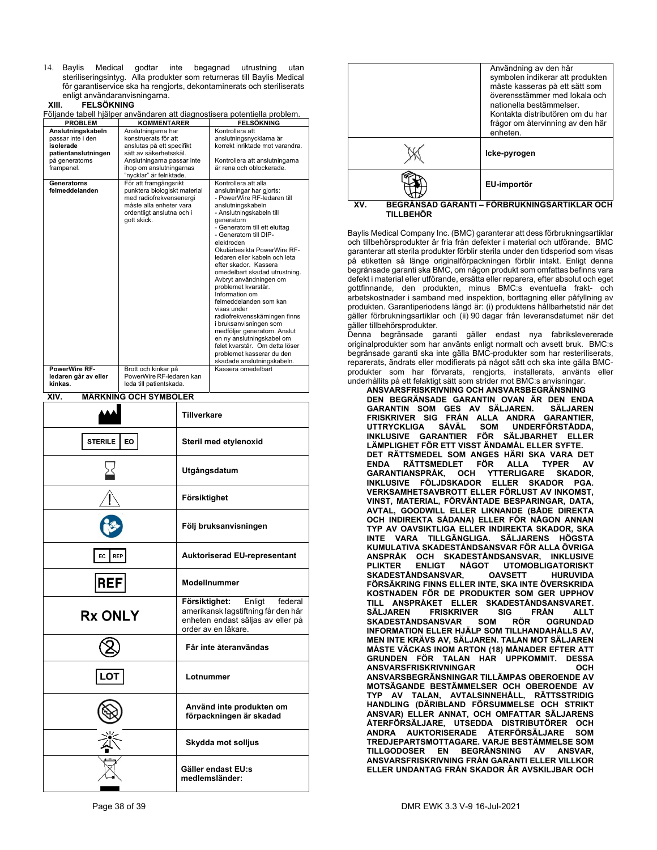14. Baylis Medical godtar inte begagnad utrustning utan steriliseringsintyg. Alla produkter som returneras till Baylis Medical för garantiservice ska ha rengjorts, dekontaminerats och steriliserats enligt användaranvisningarna.<br>XIII. FELSÖKNING

### **XIII. FELSÖKNING**

Följande tabell hjälper användaren att diagnostisera potentiella problem.

| <b>PROBLEM</b>                                                                                                            | <b>KOMMENTARER</b>                                                                                                                                                                                              | Fujianue tabeli njälpei använuaren att ulagnustiseia putentiella problem.<br><b>FELSÖKNING</b>                                                                                                                                                                                                                                                                                                                                                                                                                                                                                                                                                             |
|---------------------------------------------------------------------------------------------------------------------------|-----------------------------------------------------------------------------------------------------------------------------------------------------------------------------------------------------------------|------------------------------------------------------------------------------------------------------------------------------------------------------------------------------------------------------------------------------------------------------------------------------------------------------------------------------------------------------------------------------------------------------------------------------------------------------------------------------------------------------------------------------------------------------------------------------------------------------------------------------------------------------------|
| Anslutningskabeln<br>passar inte i den<br>isolerade<br>patientanslutningen<br>på generatorns<br>frampanel.<br>Generatorns | Anslutningarna har<br>konstruerats för att<br>anslutas på ett specifikt<br>sätt av säkerhetsskäl.<br>Anslutningarna passar inte<br>ihop om anslutningarnas<br>"nycklar" är felriktade.<br>För att framgångsrikt | Kontrollera att<br>anslutningsnycklarna är<br>korrekt inriktade mot varandra.<br>Kontrollera att anslutningarna<br>är rena och oblockerade.<br>Kontrollera att alla                                                                                                                                                                                                                                                                                                                                                                                                                                                                                        |
| felmeddelanden                                                                                                            | punktera biologiskt material<br>med radiofrekvensenergi<br>måste alla enheter vara<br>ordentligt anslutna och i<br>gott skick.                                                                                  | anslutningar har gjorts:<br>- PowerWire RF-ledaren till<br>anslutningskabeln<br>- Anslutningskabeln till<br>generatorn<br>- Generatorn till ett eluttag<br>- Generatorn till DIP-<br>elektroden<br>Okulärbesikta PowerWire RF-<br>ledaren eller kabeln och leta<br>efter skador. Kassera<br>omedelbart skadad utrustning.<br>Avbryt användningen om<br>problemet kvarstår.<br>Information om<br>felmeddelanden som kan<br>visas under<br>radiofrekvensskärningen finns<br>i bruksanvisningen som<br>medföljer generatorn. Anslut<br>en ny anslutningskabel om<br>felet kvarstår. Om detta löser<br>problemet kasserar du den<br>skadade anslutningskabeln. |
| PowerWire RF-<br>ledaren går av eller<br>kinkas.                                                                          | Brott och kinkar på<br>PowerWire RF-ledaren kan<br>leda till patientskada.                                                                                                                                      | Kassera omedelbart                                                                                                                                                                                                                                                                                                                                                                                                                                                                                                                                                                                                                                         |

| <b>MÄRKNING OCH SYMBOLER</b><br>XIV. |                                                                                                                                       |  |  |
|--------------------------------------|---------------------------------------------------------------------------------------------------------------------------------------|--|--|
|                                      | <b>Tillverkare</b>                                                                                                                    |  |  |
| <b>STERILE</b><br>EO                 | Steril med etylenoxid                                                                                                                 |  |  |
|                                      | Utgångsdatum                                                                                                                          |  |  |
|                                      | Försiktighet                                                                                                                          |  |  |
|                                      | Följ bruksanvisningen                                                                                                                 |  |  |
| EC<br><b>REP</b>                     | <b>Auktoriserad EU-representant</b>                                                                                                   |  |  |
| <b>REF</b>                           | Modellnummer                                                                                                                          |  |  |
| <b>Rx ONLY</b>                       | Enligt<br>Försiktighet:<br>federal<br>amerikansk lagstiftning får den här<br>enheten endast säljas av eller på<br>order av en läkare. |  |  |
|                                      | Får inte återanvändas                                                                                                                 |  |  |
| <b>LOT</b>                           | Lotnummer                                                                                                                             |  |  |
|                                      | Använd inte produkten om<br>förpackningen är skadad                                                                                   |  |  |
|                                      | Skydda mot solljus                                                                                                                    |  |  |
|                                      | Gäller endast EU:s<br>medlemsländer:                                                                                                  |  |  |



Baylis Medical Company Inc. (BMC) garanterar att dess förbrukningsartiklar och tillbehörsprodukter är fria från defekter i material och utförande. BMC garanterar att sterila produkter förblir sterila under den tidsperiod som visas på etiketten så länge originalförpackningen förblir intakt. Enligt denna begränsade garanti ska BMC, om någon produkt som omfattas befinns vara defekt i material eller utförande, ersätta eller reparera, efter absolut och eget gottfinnande, den produkten, minus BMC:s eventuella frakt- och arbetskostnader i samband med inspektion, borttagning eller påfyllning av produkten. Garantiperiodens längd är: (i) produktens hållbarhetstid när det gäller förbrukningsartiklar och (ii) 90 dagar från leveransdatumet när det gäller tillbehörsprodukter.

Denna begränsade garanti gäller endast nya fabrikslevererade originalprodukter som har använts enligt normalt och avsett bruk. BMC:s begränsade garanti ska inte gälla BMC-produkter som har resteriliserats, reparerats, ändrats eller modifierats på något sätt och ska inte gälla BMCprodukter som har förvarats, rengjorts, installerats, använts eller underhållits på ett felaktigt sätt som strider mot BMC:s anvisningar.

**ANSVARSFRISKRIVNING OCH ANSVARSBEGRÄNSNING DEN BEGRÄNSADE GARANTIN OVAN ÄR DEN ENDA GARANTIN SOM GES AV SÄLJAREN. SÄLJAREN FRISKRIVER SIG FRÅN ALLA ANDRA GARANTIER, UTTRYCKLIGA SÅVÄL SOM UNDERFÖRSTÅDDA, INKLUSIVE GARANTIER FÖR SÄLJBARHET ELLER LÄMPLIGHET FÖR ETT VISST ÄNDAMÅL ELLER SYFTE. DET RÄTTSMEDEL SOM ANGES HÄRI SKA VARA DET ENDA RÄTTSMEDLET FÖR ALLA TYPER AV GARANTIANSPRÅK, OCH YTTERLIGARE SKADOR, INKLUSIVE FÖLJDSKADOR ELLER SKADOR PGA. VERKSAMHETSAVBROTT ELLER FÖRLUST AV INKOMST, VINST, MATERIAL, FÖRVÄNTADE BESPARINGAR, DATA, AVTAL, GOODWILL ELLER LIKNANDE (BÅDE DIREKTA OCH INDIREKTA SÅDANA) ELLER FÖR NÅGON ANNAN TYP AV OAVSIKTLIGA ELLER INDIREKTA SKADOR, SKA INTE VARA TILLGÄNGLIGA. SÄLJARENS HÖGSTA KUMULATIVA SKADESTÅNDSANSVAR FÖR ALLA ÖVRIGA ANSPRÅK OCH SKADESTÅNDSANSVAR, INKLUSIVE PLIKTER ENLIGT NÅGOT UTOMOBLIGATORISKT SKADESTÅNDSANSVAR, OAVSETT HURUVIDA FÖRSÄKRING FINNS ELLER INTE, SKA INTE ÖVERSKRIDA KOSTNADEN FÖR DE PRODUKTER SOM GER UPPHOV TILL ANSPRÅKET ELLER SKADESTÅNDSANSVARET.**  FRISKRIVER SIG FRÅN ALLT<br>SANSVAR SOM RÖR OGRUNDAD SKADESTÅNDSANSVAR SOM RÖR **INFORMATION ELLER HJÄLP SOM TILLHANDAHÅLLS AV, MEN INTE KRÄVS AV, SÄLJAREN. TALAN MOT SÄLJAREN MÅSTE VÄCKAS INOM ARTON (18) MÅNADER EFTER ATT GRUNDEN FÖR TALAN HAR UPPKOMMIT. DESSA ANSVARSFRISKRIVNINGAR OCH ANSVARSBEGRÄNSNINGAR TILLÄMPAS OBEROENDE AV MOTSÄGANDE BESTÄMMELSER OCH OBEROENDE AV TYP AV TALAN, AVTALSINNEHÅLL, RÄTTSSTRIDIG HANDLING (DÄRIBLAND FÖRSUMMELSE OCH STRIKT ANSVAR) ELLER ANNAT, OCH OMFATTAR SÄLJARENS ÅTERFÖRSÄLJARE, UTSEDDA DISTRIBUTÖRER OCH ANDRA AUKTORISERADE ÅTERFÖRSÄLJARE SOM TREDJEPARTSMOTTAGARE. VARJE BESTÄMMELSE SOM TILLGODOSER EN BEGRÄNSNING AV ANSVAR, ANSVARSFRISKRIVNING FRÅN GARANTI ELLER VILLKOR ELLER UNDANTAG FRÅN SKADOR ÄR AVSKILJBAR OCH**